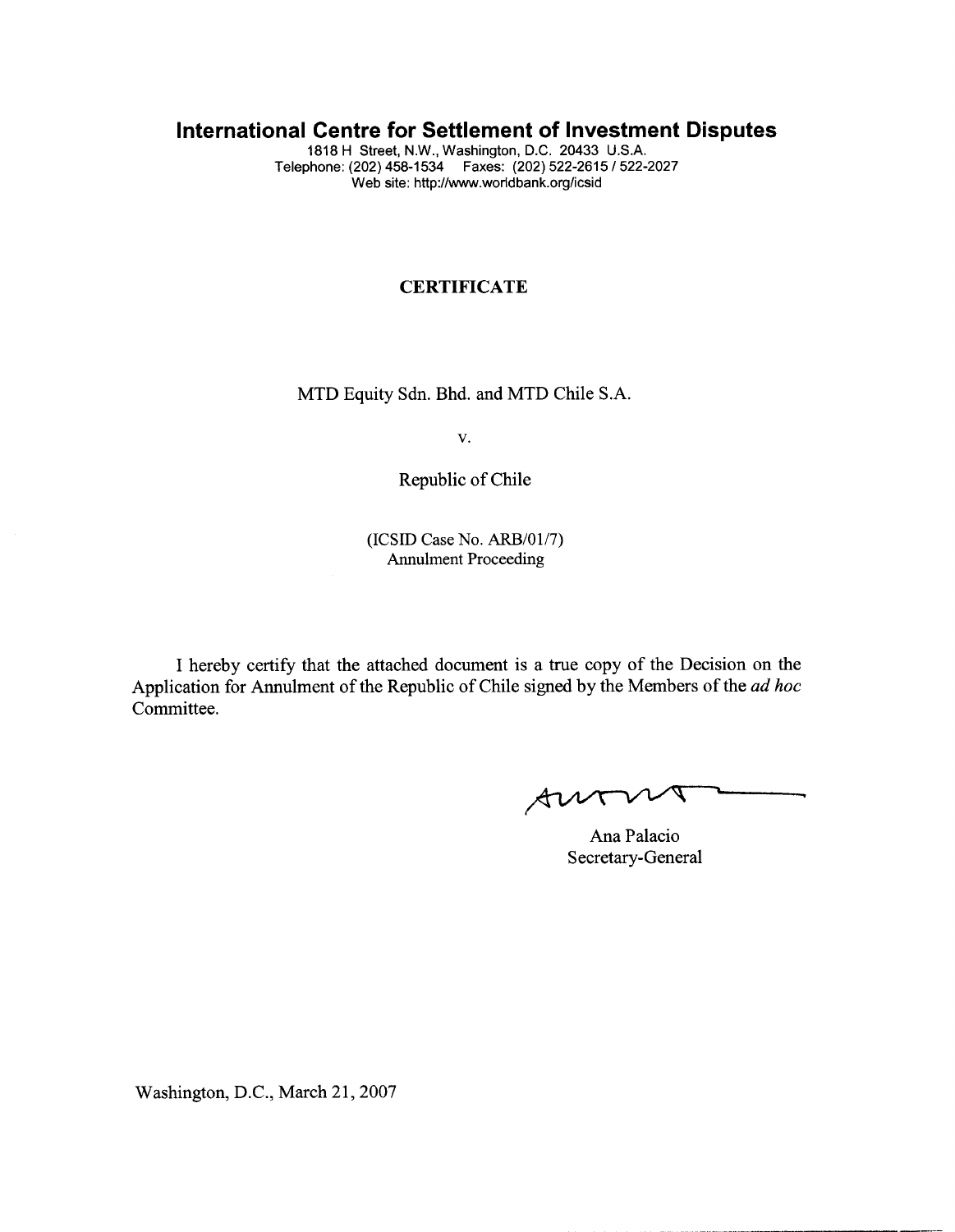# **International Centre for Settlement of Investment Disputes**

1818 H Street, N.W., Washington, D.C. 20433 U.S.A.<br>Telephone: (202) 458-1534 Faxes: (202) 522-2615 / 522-2027 Web site: http://www.worldbank.org/icsid

#### **CERTIFICATE**

MTD Equity Sdn. Bhd. and MTD Chile S.A.

v.

Republic of Chile

(ICSID Case No. ARB/01/7) **Annulment Proceeding** 

I hereby certify that the attached document is a true copy of the Decision on the Application for Annulment of the Republic of Chile signed by the Members of the *ad hoc* Committee.

Aurn 1

Ana Palacio Secretary-General

Washington, D.C., March 21, 2007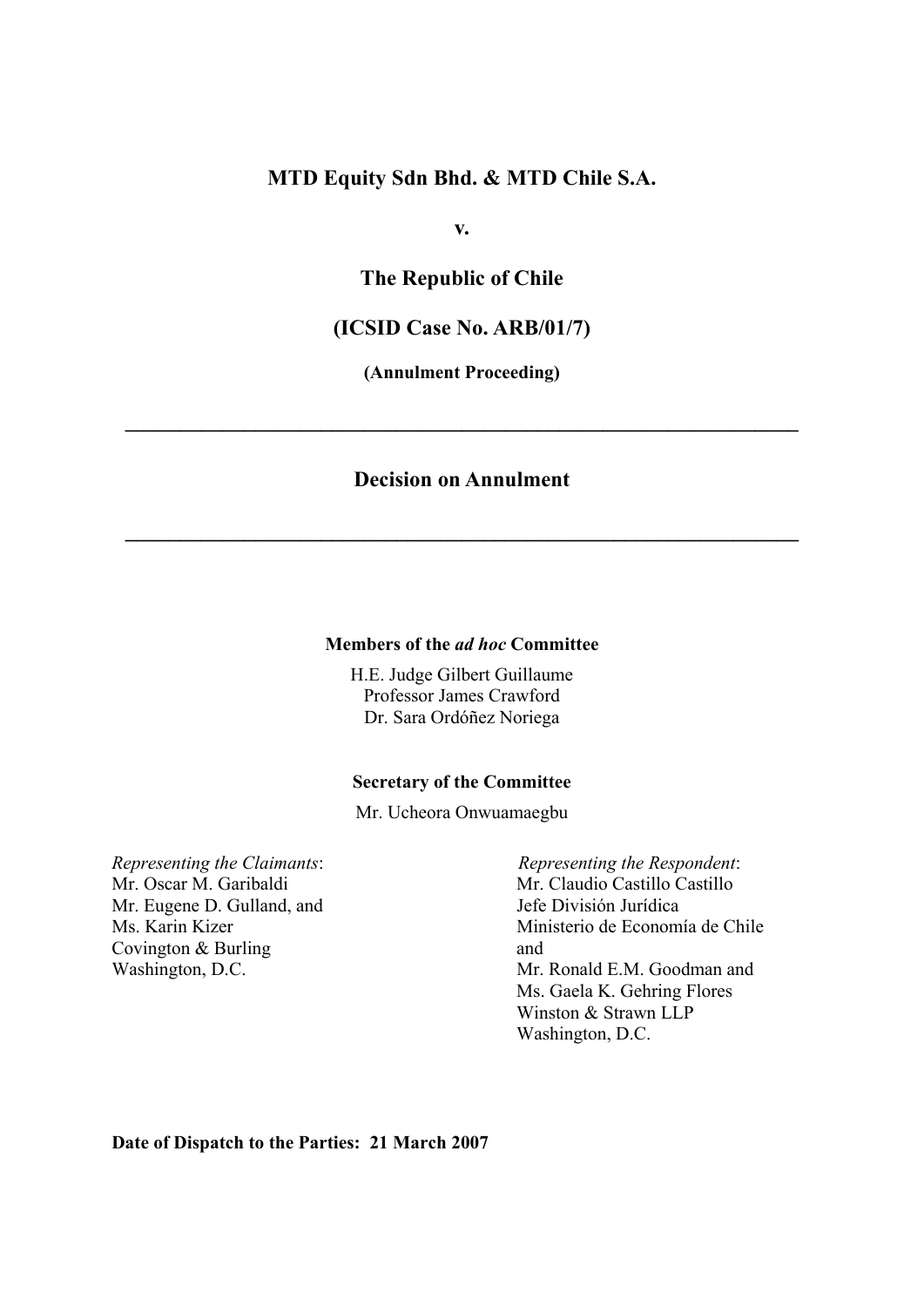### **MTD Equity Sdn Bhd. & MTD Chile S.A.**

**v.** 

#### **The Republic of Chile**

#### **(ICSID Case No. ARB/01/7)**

**(Annulment Proceeding)** 

# **Decision on Annulment**

**\_\_\_\_\_\_\_\_\_\_\_\_\_\_\_\_\_\_\_\_\_\_\_\_\_\_\_\_\_\_\_\_\_\_\_\_\_\_\_\_\_\_\_\_\_\_\_\_\_\_\_\_\_\_\_\_\_\_\_\_\_\_** 

#### **Members of the** *ad hoc* **Committee**

H.E. Judge Gilbert Guillaume Professor James Crawford Dr. Sara Ordóñez Noriega

### **Secretary of the Committee**

Mr. Ucheora Onwuamaegbu

Mr. Eugene D. Gulland, and Jefe División Jurídica Covington & Burling and

*Representing the Claimants*: *Representing the Respondent*: Mr. Oscar M. Garibaldi Mr. Claudio Castillo Castillo Ms. Karin Kizer Ministerio de Economía de Chile Washington, D.C. Mr. Ronald E.M. Goodman and Ms. Gaela K. Gehring Flores Winston & Strawn LLP Washington, D.C.

#### **Date of Dispatch to the Parties: 21 March 2007**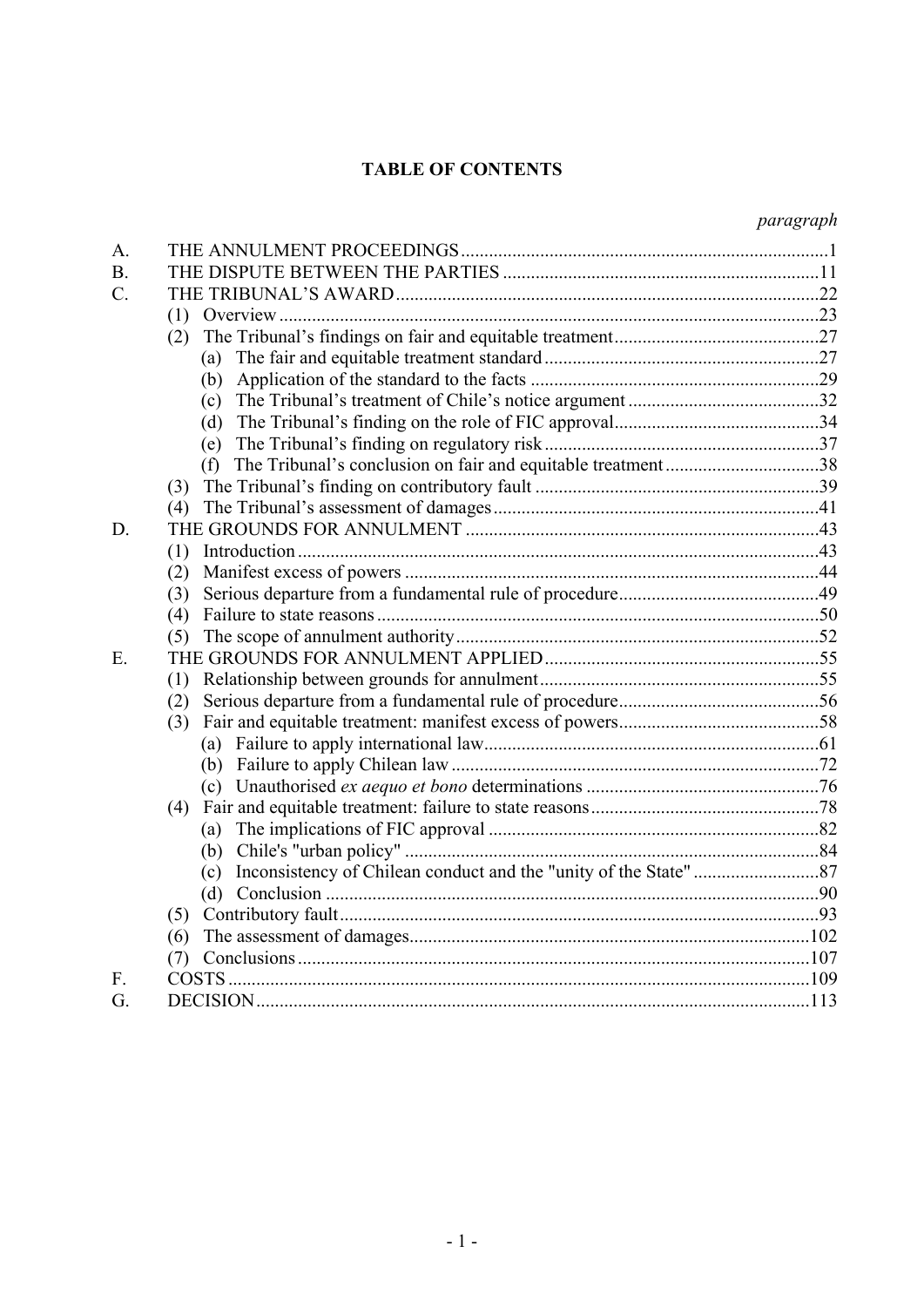# **TABLE OF CONTENTS**

# *paragraph*

| A.          |     |  |
|-------------|-----|--|
| <b>B.</b>   |     |  |
| C.          |     |  |
|             |     |  |
|             | (2) |  |
|             | (a) |  |
|             |     |  |
|             | (c) |  |
|             | (d) |  |
|             | (e) |  |
|             |     |  |
|             | (3) |  |
|             |     |  |
| D.          |     |  |
|             |     |  |
|             |     |  |
|             | (3) |  |
|             | (4) |  |
|             | (5) |  |
| Ε.          |     |  |
|             | (1) |  |
|             | (2) |  |
|             | (3) |  |
|             |     |  |
|             |     |  |
|             |     |  |
|             |     |  |
|             |     |  |
|             |     |  |
|             |     |  |
|             |     |  |
|             | (5) |  |
|             | (6) |  |
|             |     |  |
| $F_{\cdot}$ |     |  |
| G.          |     |  |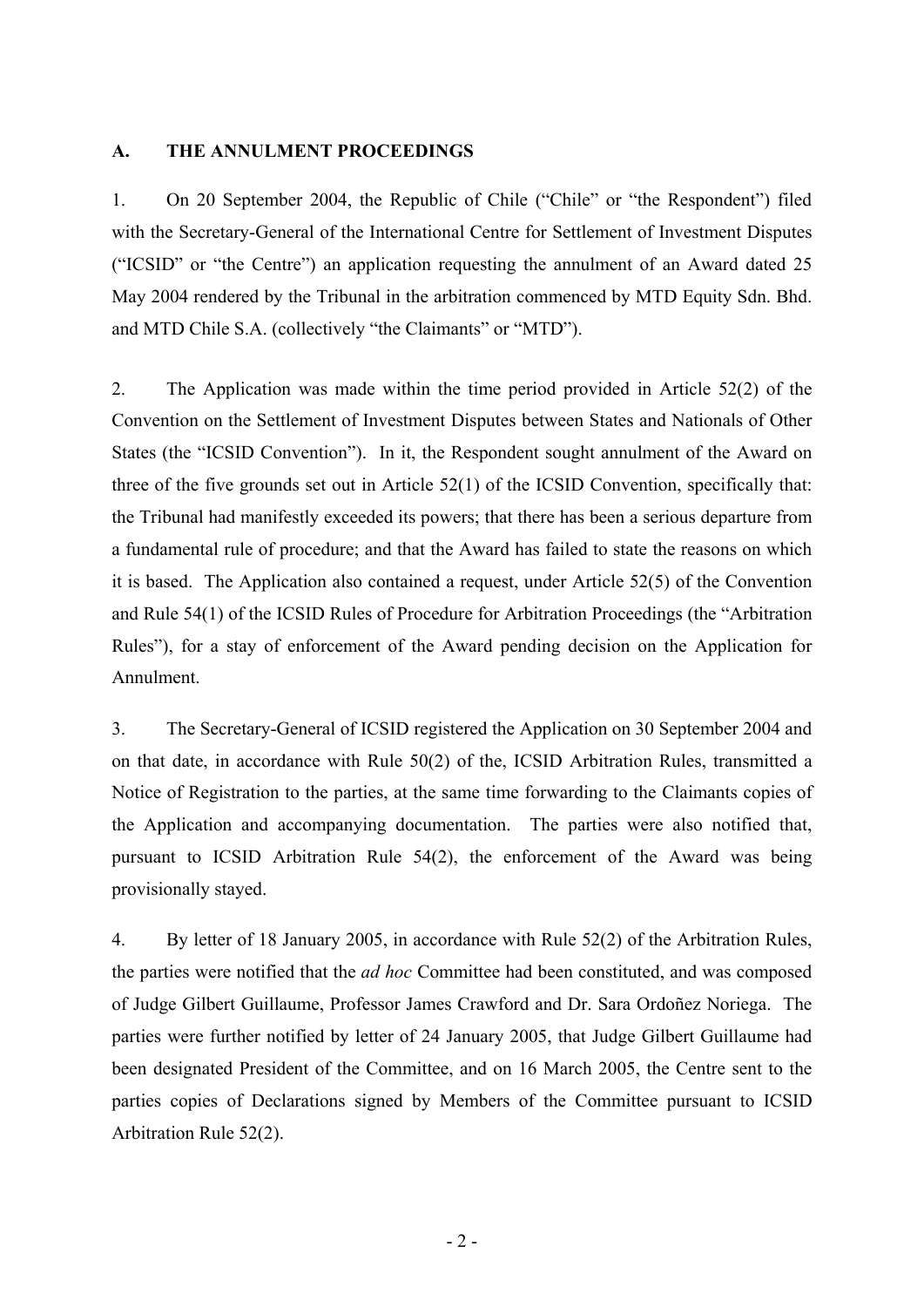#### **A. THE ANNULMENT PROCEEDINGS**

1. On 20 September 2004, the Republic of Chile ("Chile" or "the Respondent") filed with the Secretary-General of the International Centre for Settlement of Investment Disputes ("ICSID" or "the Centre") an application requesting the annulment of an Award dated 25 May 2004 rendered by the Tribunal in the arbitration commenced by MTD Equity Sdn. Bhd. and MTD Chile S.A. (collectively "the Claimants" or "MTD").

2. The Application was made within the time period provided in Article 52(2) of the Convention on the Settlement of Investment Disputes between States and Nationals of Other States (the "ICSID Convention"). In it, the Respondent sought annulment of the Award on three of the five grounds set out in Article 52(1) of the ICSID Convention, specifically that: the Tribunal had manifestly exceeded its powers; that there has been a serious departure from a fundamental rule of procedure; and that the Award has failed to state the reasons on which it is based. The Application also contained a request, under Article 52(5) of the Convention and Rule 54(1) of the ICSID Rules of Procedure for Arbitration Proceedings (the "Arbitration Rules"), for a stay of enforcement of the Award pending decision on the Application for Annulment.

3. The Secretary-General of ICSID registered the Application on 30 September 2004 and on that date, in accordance with Rule 50(2) of the, ICSID Arbitration Rules, transmitted a Notice of Registration to the parties, at the same time forwarding to the Claimants copies of the Application and accompanying documentation. The parties were also notified that, pursuant to ICSID Arbitration Rule 54(2), the enforcement of the Award was being provisionally stayed.

4. By letter of 18 January 2005, in accordance with Rule 52(2) of the Arbitration Rules, the parties were notified that the *ad hoc* Committee had been constituted, and was composed of Judge Gilbert Guillaume, Professor James Crawford and Dr. Sara Ordoñez Noriega. The parties were further notified by letter of 24 January 2005, that Judge Gilbert Guillaume had been designated President of the Committee, and on 16 March 2005, the Centre sent to the parties copies of Declarations signed by Members of the Committee pursuant to ICSID Arbitration Rule 52(2).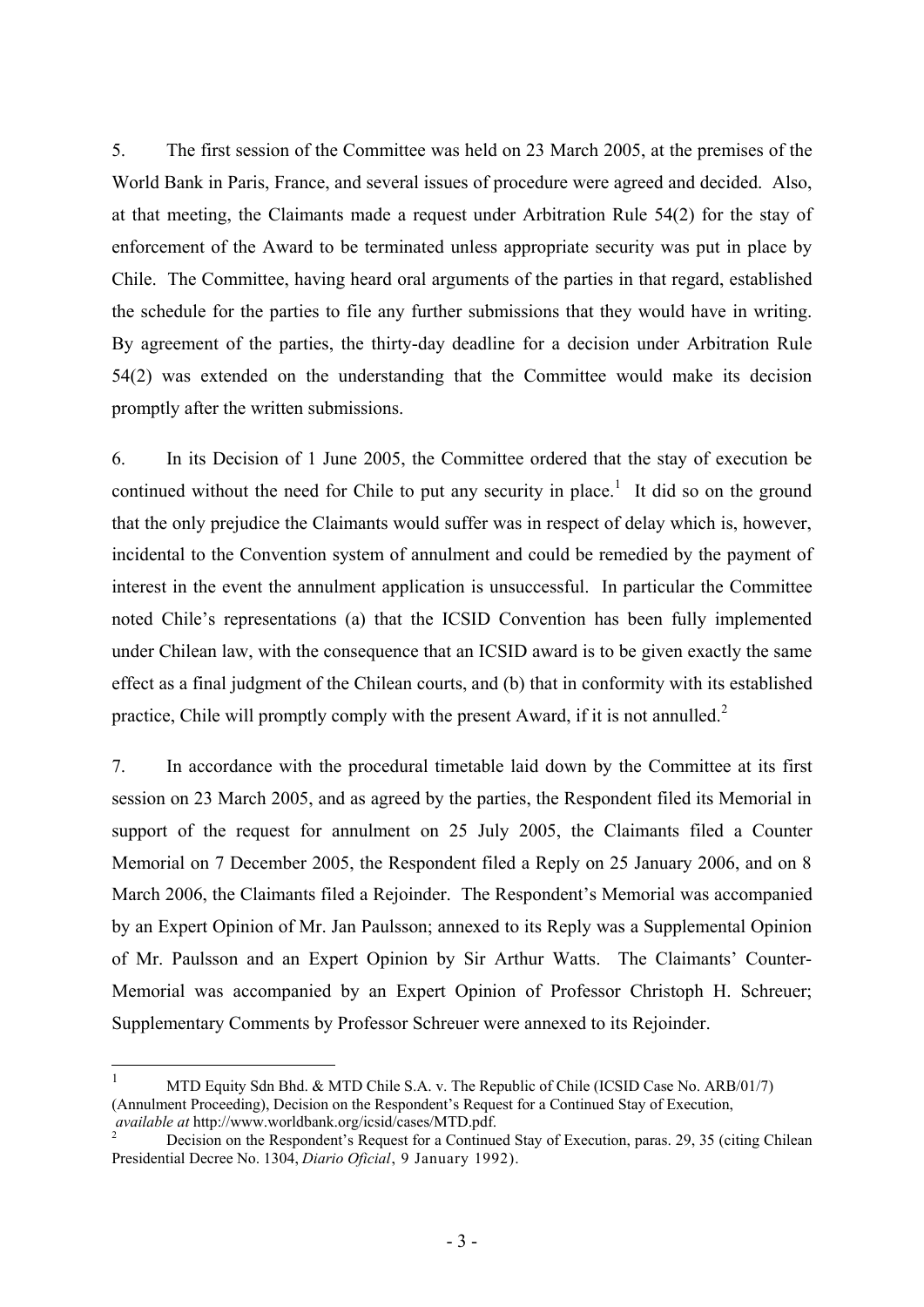5. The first session of the Committee was held on 23 March 2005, at the premises of the World Bank in Paris, France, and several issues of procedure were agreed and decided. Also, at that meeting, the Claimants made a request under Arbitration Rule 54(2) for the stay of enforcement of the Award to be terminated unless appropriate security was put in place by Chile. The Committee, having heard oral arguments of the parties in that regard, established the schedule for the parties to file any further submissions that they would have in writing. By agreement of the parties, the thirty-day deadline for a decision under Arbitration Rule 54(2) was extended on the understanding that the Committee would make its decision promptly after the written submissions.

6. In its Decision of 1 June 2005, the Committee ordered that the stay of execution be continued without the need for Chile to put any security in place.<sup>[1](#page-4-1)</sup> It did so on the ground that the only prejudice the Claimants would suffer was in respect of delay which is, however, incidental to the Convention system of annulment and could be remedied by the payment of interest in the event the annulment application is unsuccessful. In particular the Committee noted Chile's representations (a) that the ICSID Convention has been fully implemented under Chilean law, with the consequence that an ICSID award is to be given exactly the same effect as a final judgment of the Chilean courts, and (b) that in conformity with its established practice, Chile will promptly comply with the present Award, if it is not annulled.<sup>[2](#page-4-0)</sup>

7. In accordance with the procedural timetable laid down by the Committee at its first session on 23 March 2005, and as agreed by the parties, the Respondent filed its Memorial in support of the request for annulment on 25 July 2005, the Claimants filed a Counter Memorial on 7 December 2005, the Respondent filed a Reply on 25 January 2006, and on 8 March 2006, the Claimants filed a Rejoinder. The Respondent's Memorial was accompanied by an Expert Opinion of Mr. Jan Paulsson; annexed to its Reply was a Supplemental Opinion of Mr. Paulsson and an Expert Opinion by Sir Arthur Watts. The Claimants' Counter-Memorial was accompanied by an Expert Opinion of Professor Christoph H. Schreuer; Supplementary Comments by Professor Schreuer were annexed to its Rejoinder.

1

<span id="page-4-1"></span><sup>1</sup> MTD Equity Sdn Bhd. & MTD Chile S.A. v. The Republic of Chile (ICSID Case No. ARB/01/7) (Annulment Proceeding), Decision on the Respondent's Request for a Continued Stay of Execution, *available at* http://www.worldbank.org/icsid/cases/MTD.pdf. 2

<span id="page-4-0"></span>Decision on the Respondent's Request for a Continued Stay of Execution, paras. 29, 35 (citing Chilean Presidential Decree No. 1304, *Diario Oficial*, 9 January 1992).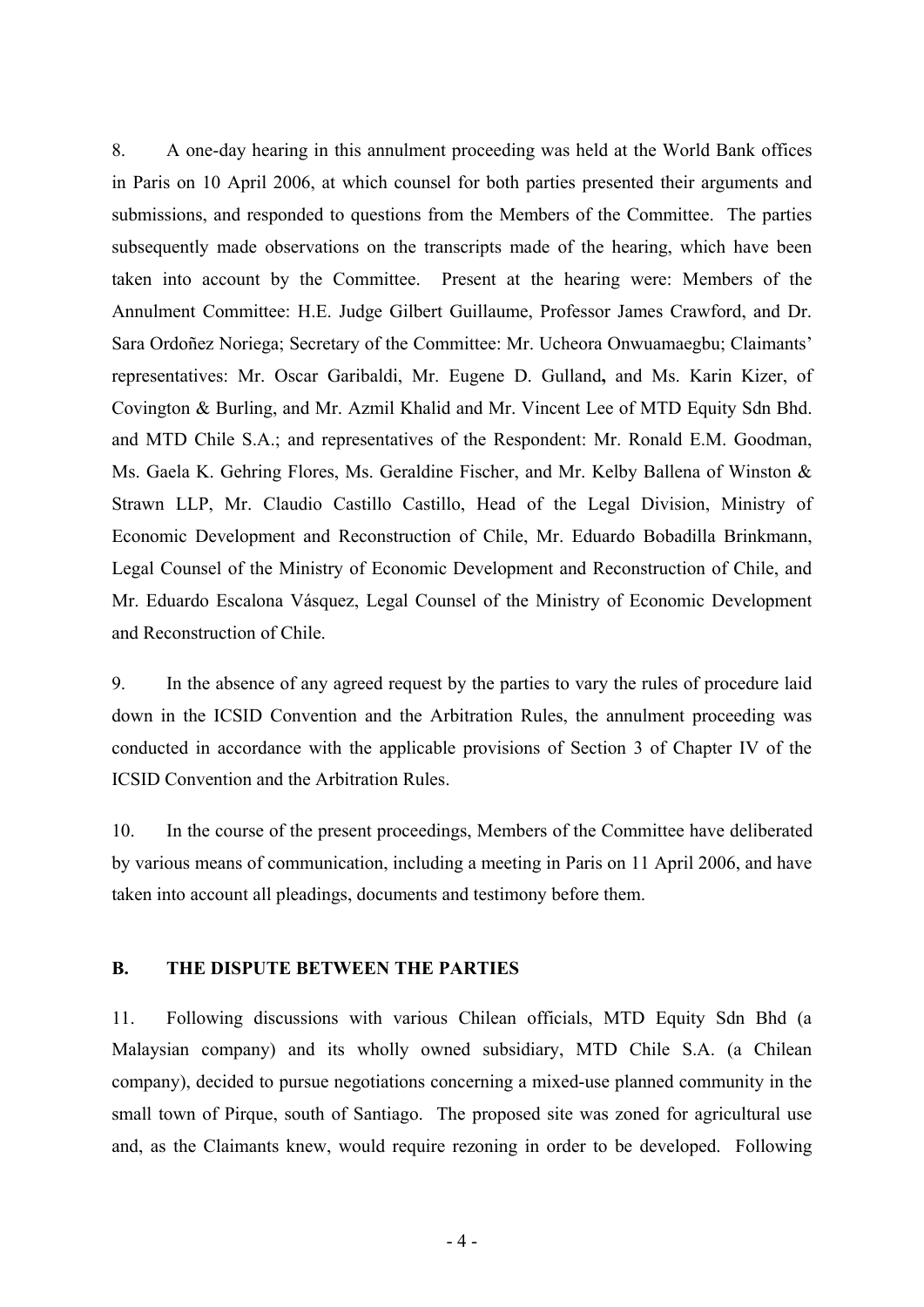8. A one-day hearing in this annulment proceeding was held at the World Bank offices in Paris on 10 April 2006, at which counsel for both parties presented their arguments and submissions, and responded to questions from the Members of the Committee. The parties subsequently made observations on the transcripts made of the hearing, which have been taken into account by the Committee. Present at the hearing were: Members of the Annulment Committee: H.E. Judge Gilbert Guillaume, Professor James Crawford, and Dr. Sara Ordoñez Noriega; Secretary of the Committee: Mr. Ucheora Onwuamaegbu; Claimants' representatives: Mr. Oscar Garibaldi, Mr. Eugene D. Gulland**,** and Ms. Karin Kizer, of Covington & Burling, and Mr. Azmil Khalid and Mr. Vincent Lee of MTD Equity Sdn Bhd. and MTD Chile S.A.; and representatives of the Respondent: Mr. Ronald E.M. Goodman, Ms. Gaela K. Gehring Flores, Ms. Geraldine Fischer, and Mr. Kelby Ballena of Winston & Strawn LLP, Mr. Claudio Castillo Castillo, Head of the Legal Division, Ministry of Economic Development and Reconstruction of Chile, Mr. Eduardo Bobadilla Brinkmann, Legal Counsel of the Ministry of Economic Development and Reconstruction of Chile, and Mr. Eduardo Escalona Vásquez, Legal Counsel of the Ministry of Economic Development and Reconstruction of Chile.

9. In the absence of any agreed request by the parties to vary the rules of procedure laid down in the ICSID Convention and the Arbitration Rules, the annulment proceeding was conducted in accordance with the applicable provisions of Section 3 of Chapter IV of the ICSID Convention and the Arbitration Rules.

10. In the course of the present proceedings, Members of the Committee have deliberated by various means of communication, including a meeting in Paris on 11 April 2006, and have taken into account all pleadings, documents and testimony before them.

#### **B. THE DISPUTE BETWEEN THE PARTIES**

11. Following discussions with various Chilean officials, MTD Equity Sdn Bhd (a Malaysian company) and its wholly owned subsidiary, MTD Chile S.A. (a Chilean company), decided to pursue negotiations concerning a mixed-use planned community in the small town of Pirque, south of Santiago. The proposed site was zoned for agricultural use and, as the Claimants knew, would require rezoning in order to be developed. Following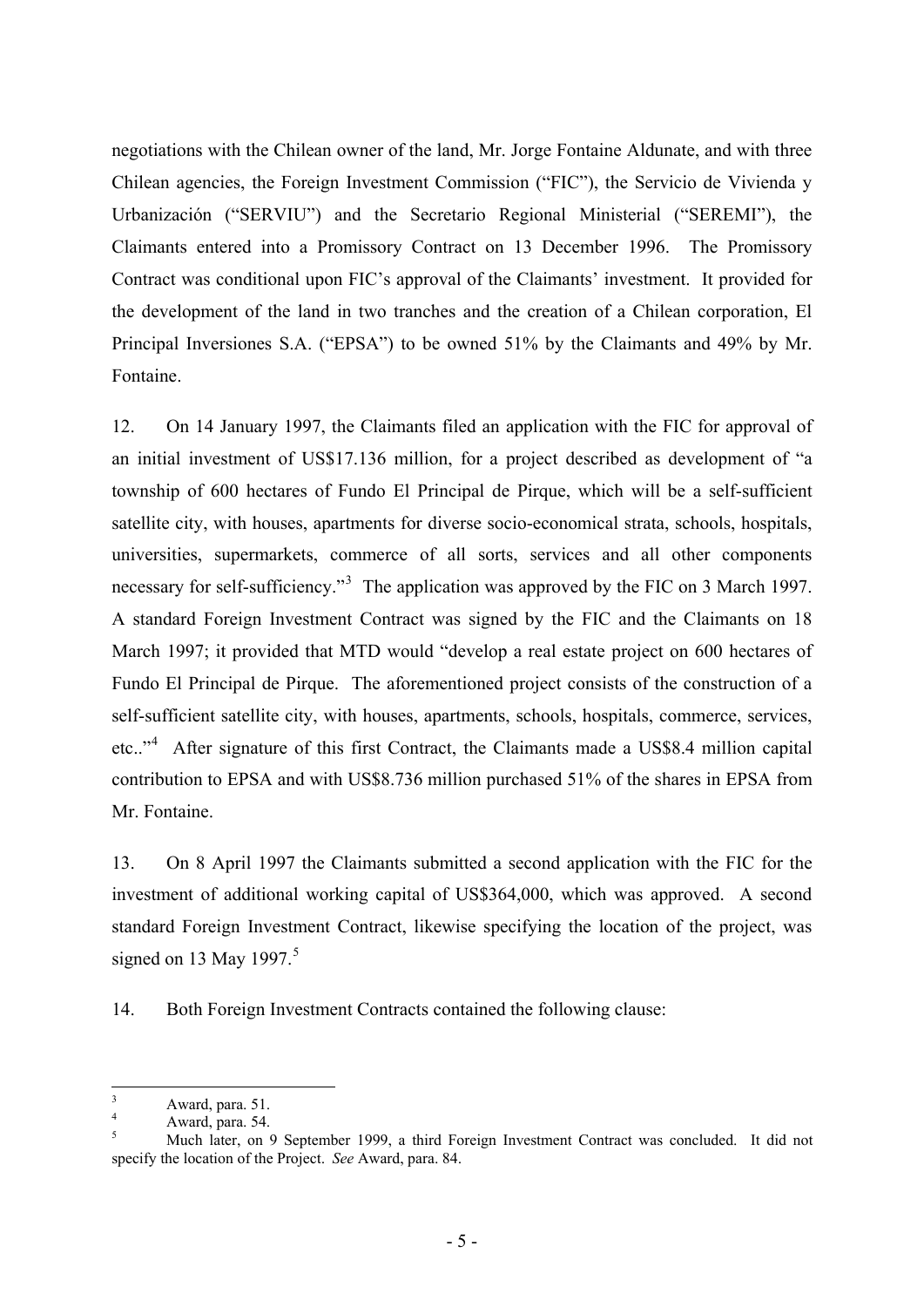negotiations with the Chilean owner of the land, Mr. Jorge Fontaine Aldunate, and with three Chilean agencies, the Foreign Investment Commission ("FIC"), the Servicio de Vivienda y Urbanización ("SERVIU") and the Secretario Regional Ministerial ("SEREMI"), the Claimants entered into a Promissory Contract on 13 December 1996. The Promissory Contract was conditional upon FIC's approval of the Claimants' investment. It provided for the development of the land in two tranches and the creation of a Chilean corporation, El Principal Inversiones S.A. ("EPSA") to be owned 51% by the Claimants and 49% by Mr. Fontaine.

12. On 14 January 1997, the Claimants filed an application with the FIC for approval of an initial investment of US\$17.136 million, for a project described as development of "a township of 600 hectares of Fundo El Principal de Pirque, which will be a self-sufficient satellite city, with houses, apartments for diverse socio-economical strata, schools, hospitals, universities, supermarkets, commerce of all sorts, services and all other components necessary for self-sufficiency."<sup>[3](#page-6-1)</sup> The application was approved by the FIC on 3 March 1997. A standard Foreign Investment Contract was signed by the FIC and the Claimants on 18 March 1997; it provided that MTD would "develop a real estate project on 600 hectares of Fundo El Principal de Pirque. The aforementioned project consists of the construction of a self-sufficient satellite city, with houses, apartments, schools, hospitals, commerce, services, etc.."[4](#page-6-2) After signature of this first Contract, the Claimants made a US\$8.4 million capital contribution to EPSA and with US\$8.736 million purchased 51% of the shares in EPSA from Mr. Fontaine.

13. On 8 April 1997 the Claimants submitted a second application with the FIC for the investment of additional working capital of US\$364,000, which was approved. A second standard Foreign Investment Contract, likewise specifying the location of the project, was signed on 13 May 1997. $5$ 

14. Both Foreign Investment Contracts contained the following clause:

 $\frac{1}{3}$ Award, para. 51.

<span id="page-6-2"></span><span id="page-6-1"></span><sup>4</sup> Award, para. 54.

<span id="page-6-0"></span><sup>5</sup> Much later, on 9 September 1999, a third Foreign Investment Contract was concluded. It did not specify the location of the Project. *See* Award, para. 84.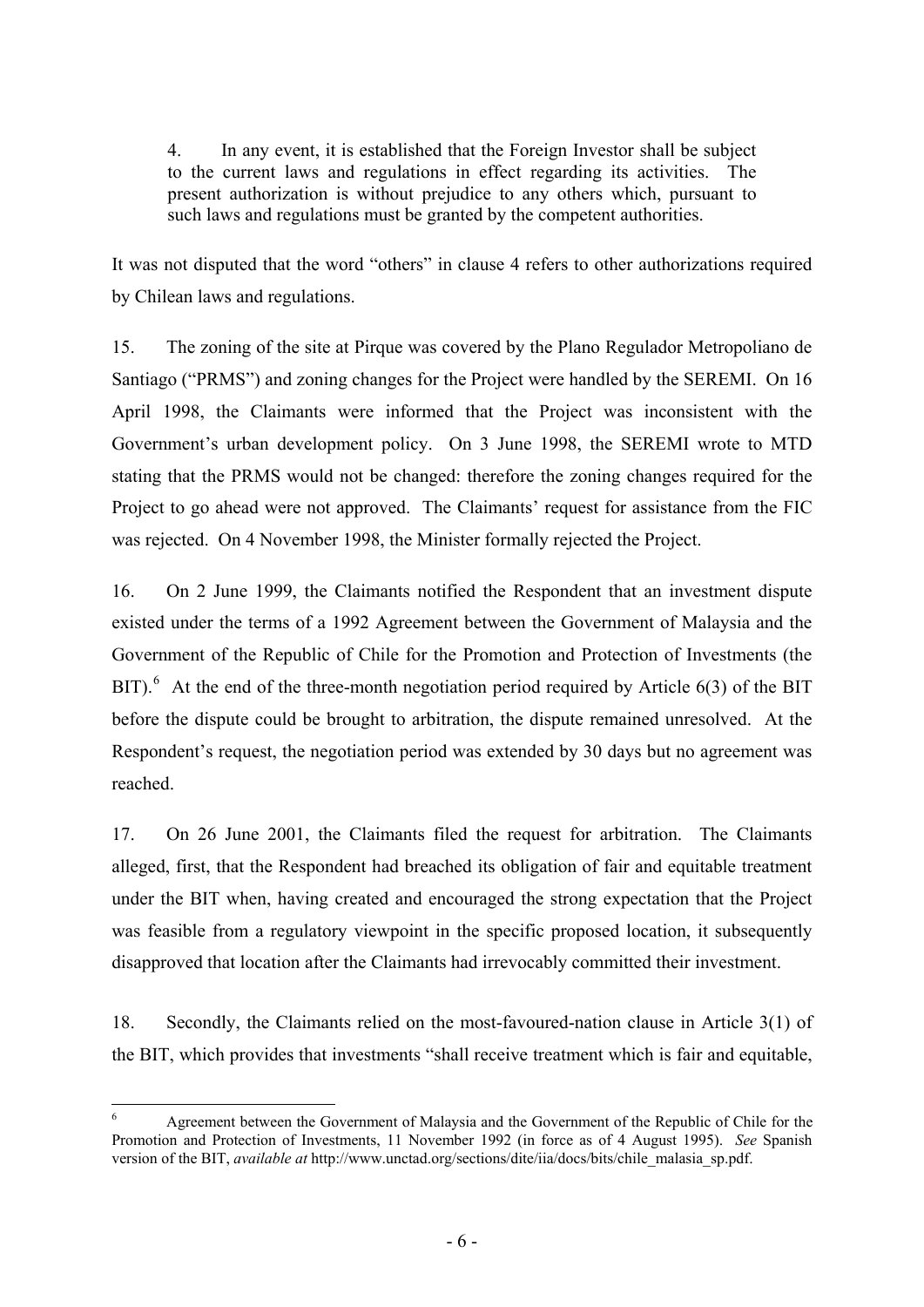4. In any event, it is established that the Foreign Investor shall be subject to the current laws and regulations in effect regarding its activities. The present authorization is without prejudice to any others which, pursuant to such laws and regulations must be granted by the competent authorities.

It was not disputed that the word "others" in clause 4 refers to other authorizations required by Chilean laws and regulations.

15. The zoning of the site at Pirque was covered by the Plano Regulador Metropoliano de Santiago ("PRMS") and zoning changes for the Project were handled by the SEREMI. On 16 April 1998, the Claimants were informed that the Project was inconsistent with the Government's urban development policy. On 3 June 1998, the SEREMI wrote to MTD stating that the PRMS would not be changed: therefore the zoning changes required for the Project to go ahead were not approved. The Claimants' request for assistance from the FIC was rejected. On 4 November 1998, the Minister formally rejected the Project.

16. On 2 June 1999, the Claimants notified the Respondent that an investment dispute existed under the terms of a 1992 Agreement between the Government of Malaysia and the Government of the Republic of Chile for the Promotion and Protection of Investments (the BIT). $^{6}$  $^{6}$  $^{6}$  At the end of the three-month negotiation period required by Article 6(3) of the BIT before the dispute could be brought to arbitration, the dispute remained unresolved. At the Respondent's request, the negotiation period was extended by 30 days but no agreement was reached.

17. On 26 June 2001, the Claimants filed the request for arbitration. The Claimants alleged, first, that the Respondent had breached its obligation of fair and equitable treatment under the BIT when, having created and encouraged the strong expectation that the Project was feasible from a regulatory viewpoint in the specific proposed location, it subsequently disapproved that location after the Claimants had irrevocably committed their investment.

18. Secondly, the Claimants relied on the most-favoured-nation clause in Article 3(1) of the BIT, which provides that investments "shall receive treatment which is fair and equitable,

<span id="page-7-0"></span> $\frac{1}{6}$  Agreement between the Government of Malaysia and the Government of the Republic of Chile for the Promotion and Protection of Investments, 11 November 1992 (in force as of 4 August 1995). *See* Spanish version of the BIT, *available at* http://www.unctad.org/sections/dite/iia/docs/bits/chile\_malasia\_sp.pdf.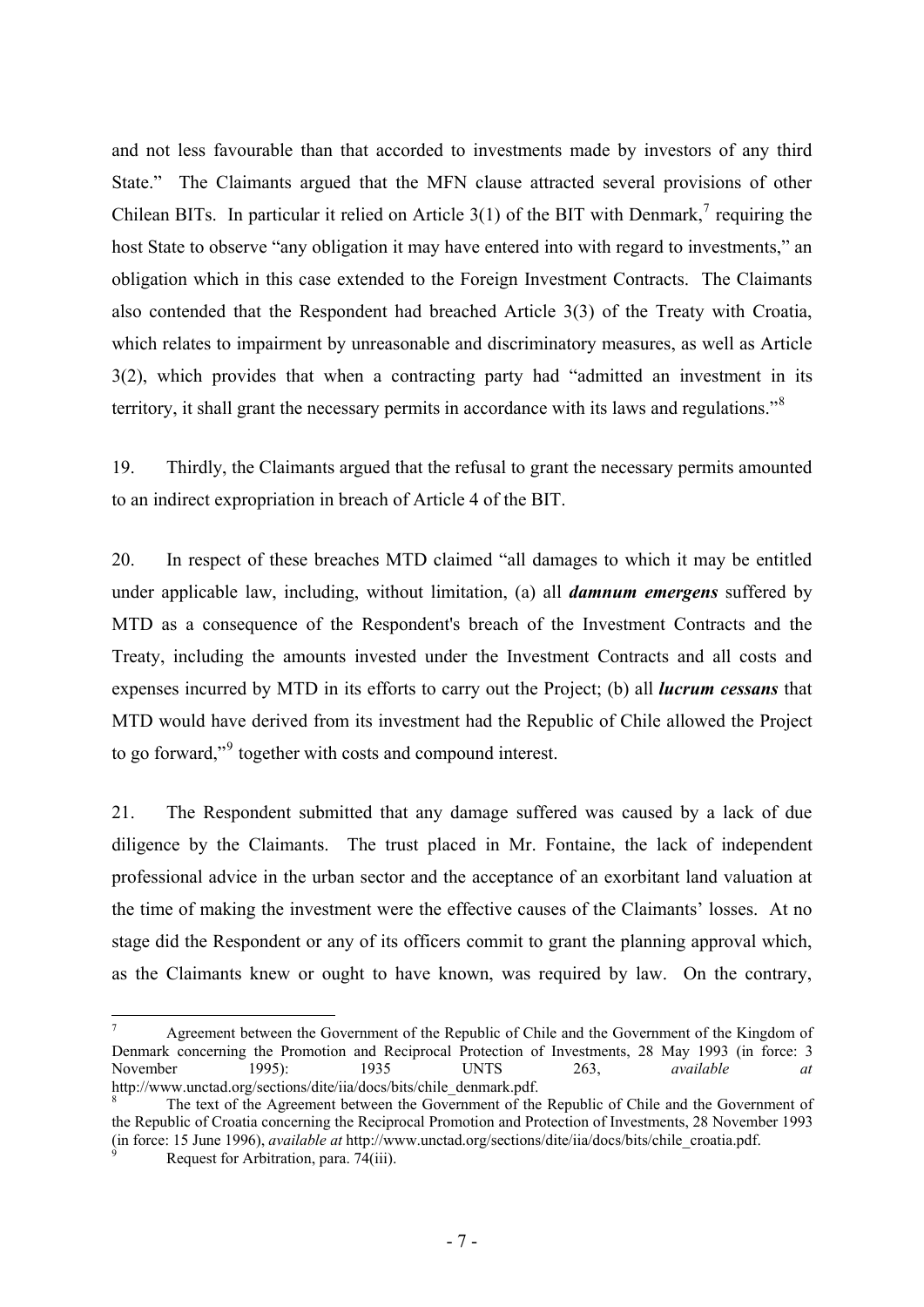and not less favourable than that accorded to investments made by investors of any third State." The Claimants argued that the MFN clause attracted several provisions of other Chilean BITs. In particular it relied on Article  $3(1)$  of the BIT with Denmark,<sup>[7](#page-8-1)</sup> requiring the host State to observe "any obligation it may have entered into with regard to investments," an obligation which in this case extended to the Foreign Investment Contracts. The Claimants also contended that the Respondent had breached Article 3(3) of the Treaty with Croatia, which relates to impairment by unreasonable and discriminatory measures, as well as Article 3(2), which provides that when a contracting party had "admitted an investment in its territory, it shall grant the necessary permits in accordance with its laws and regulations."[8](#page-8-2)

19. Thirdly, the Claimants argued that the refusal to grant the necessary permits amounted to an indirect expropriation in breach of Article 4 of the BIT.

20. In respect of these breaches MTD claimed "all damages to which it may be entitled under applicable law, including, without limitation, (a) all *damnum emergens* suffered by MTD as a consequence of the Respondent's breach of the Investment Contracts and the Treaty, including the amounts invested under the Investment Contracts and all costs and expenses incurred by MTD in its efforts to carry out the Project; (b) all *lucrum cessans* that MTD would have derived from its investment had the Republic of Chile allowed the Project to go forward,"<sup>[9](#page-8-0)</sup> together with costs and compound interest.

21. The Respondent submitted that any damage suffered was caused by a lack of due diligence by the Claimants. The trust placed in Mr. Fontaine, the lack of independent professional advice in the urban sector and the acceptance of an exorbitant land valuation at the time of making the investment were the effective causes of the Claimants' losses. At no stage did the Respondent or any of its officers commit to grant the planning approval which, as the Claimants knew or ought to have known, was required by law. On the contrary,

1

<span id="page-8-1"></span><sup>7</sup> Agreement between the Government of the Republic of Chile and the Government of the Kingdom of Denmark concerning the Promotion and Reciprocal Protection of Investments, 28 May 1993 (in force: 3<br>November 1995): 1935 UNTS 263 *available at* November 1995): 1935 UNTS 263, *available at* http://www.unctad.org/sections/dite/iia/docs/bits/chile\_denmark.pdf.

<span id="page-8-2"></span><span id="page-8-0"></span>The text of the Agreement between the Government of the Republic of Chile and the Government of the Republic of Croatia concerning the Reciprocal Promotion and Protection of Investments, 28 November 1993 (in force: 15 June 1996), *available at http://www.unctad.org/sections/dite/iia/docs/bits/chile<sup>croatia.pdf.*</sup>

Request for Arbitration, para. 74(iii).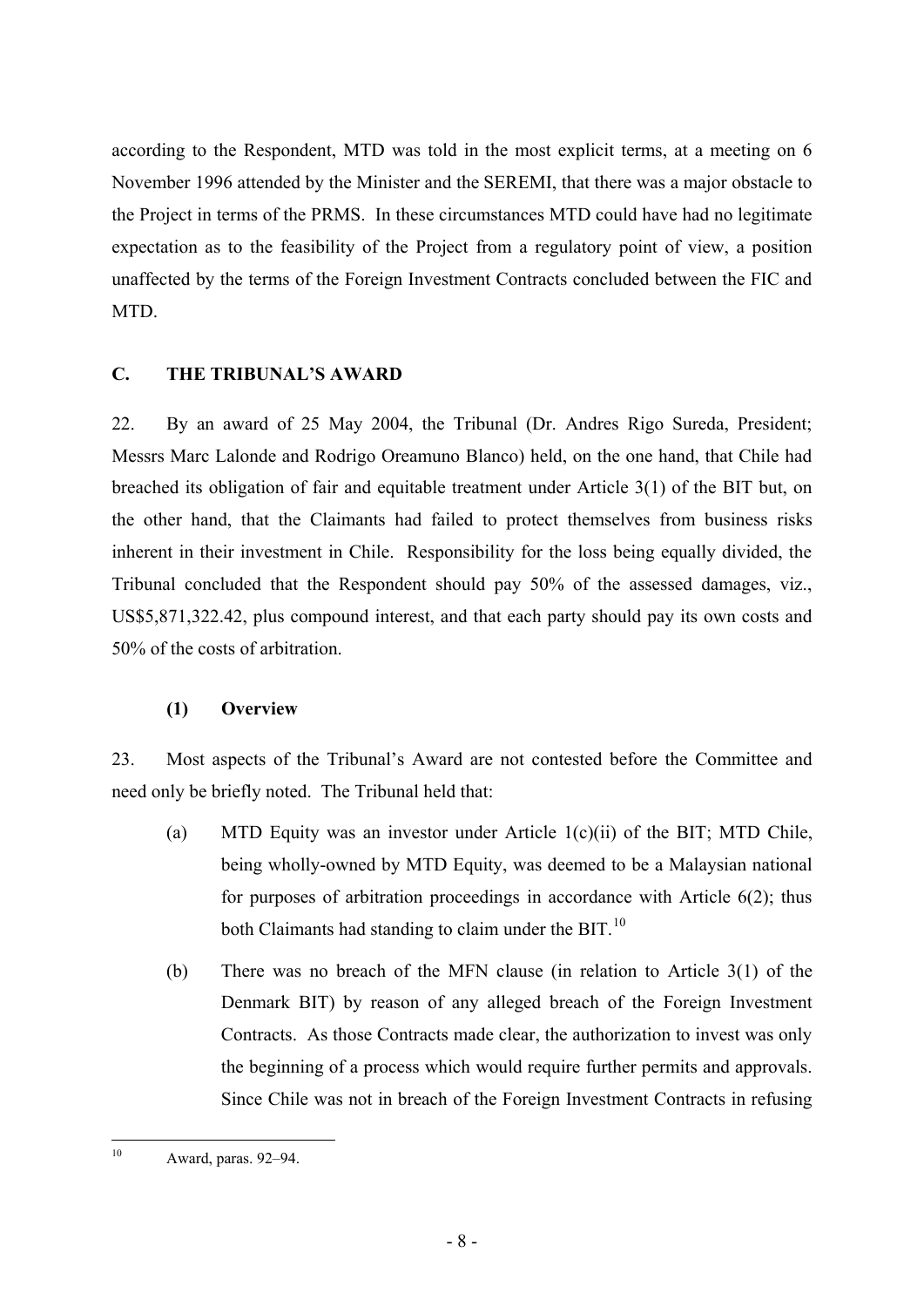according to the Respondent, MTD was told in the most explicit terms, at a meeting on 6 November 1996 attended by the Minister and the SEREMI, that there was a major obstacle to the Project in terms of the PRMS. In these circumstances MTD could have had no legitimate expectation as to the feasibility of the Project from a regulatory point of view, a position unaffected by the terms of the Foreign Investment Contracts concluded between the FIC and MTD.

### **C. THE TRIBUNAL'S AWARD**

22. By an award of 25 May 2004, the Tribunal (Dr. Andres Rigo Sureda, President; Messrs Marc Lalonde and Rodrigo Oreamuno Blanco) held, on the one hand, that Chile had breached its obligation of fair and equitable treatment under Article 3(1) of the BIT but, on the other hand, that the Claimants had failed to protect themselves from business risks inherent in their investment in Chile. Responsibility for the loss being equally divided, the Tribunal concluded that the Respondent should pay 50% of the assessed damages, viz., US\$5,871,322.42, plus compound interest, and that each party should pay its own costs and 50% of the costs of arbitration.

# **(1) Overview**

23. Most aspects of the Tribunal's Award are not contested before the Committee and need only be briefly noted. The Tribunal held that:

- (a) MTD Equity was an investor under Article 1(c)(ii) of the BIT; MTD Chile, being wholly-owned by MTD Equity, was deemed to be a Malaysian national for purposes of arbitration proceedings in accordance with Article 6(2); thus both Claimants had standing to claim under the BIT.<sup>[10](#page-9-0)</sup>
- (b) There was no breach of the MFN clause (in relation to Article 3(1) of the Denmark BIT) by reason of any alleged breach of the Foreign Investment Contracts. As those Contracts made clear, the authorization to invest was only the beginning of a process which would require further permits and approvals. Since Chile was not in breach of the Foreign Investment Contracts in refusing

<span id="page-9-0"></span> $10<sup>1</sup>$ Award, paras. 92–94.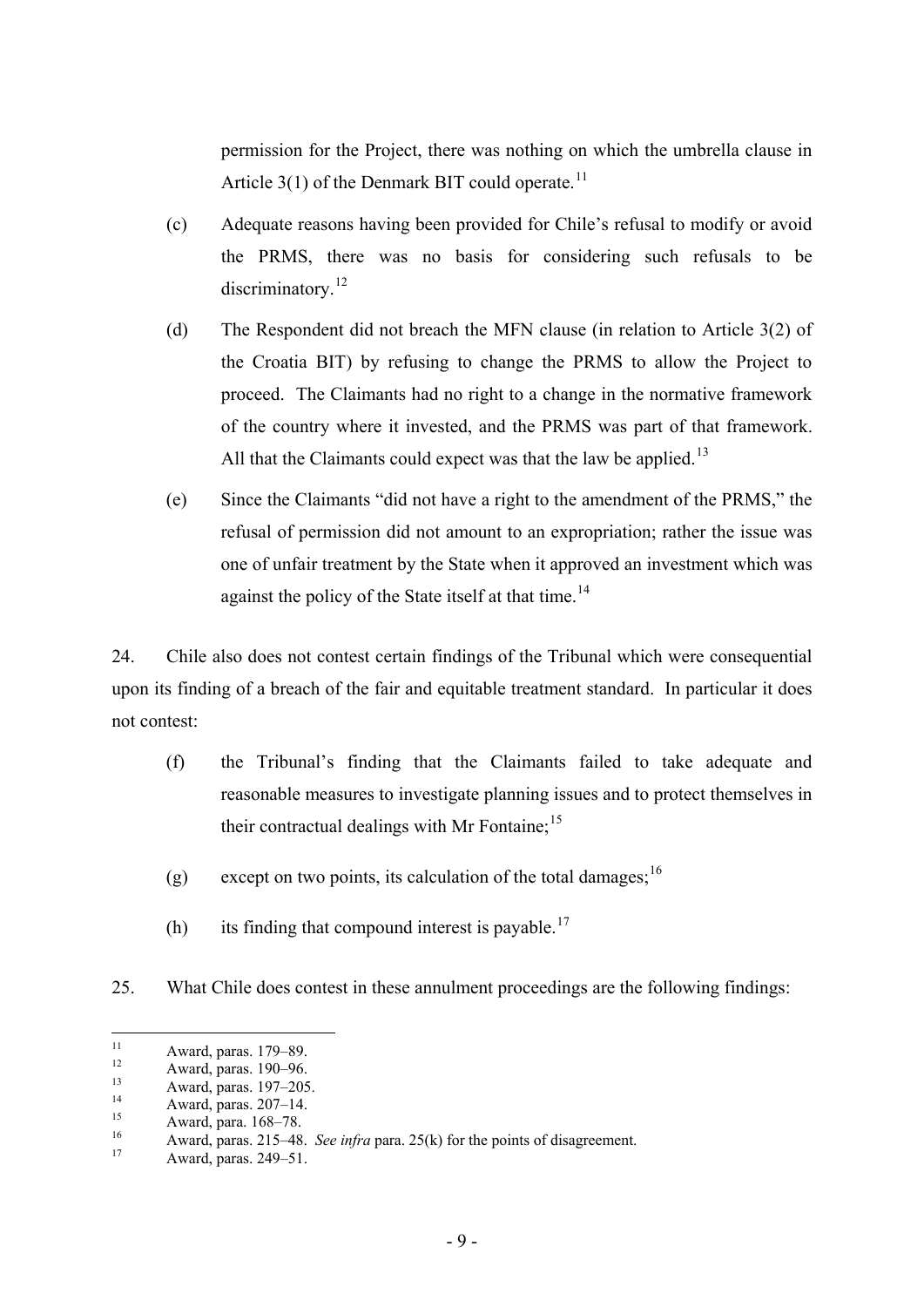permission for the Project, there was nothing on which the umbrella clause in Article  $3(1)$  of the Denmark BIT could operate.<sup>[11](#page-10-1)</sup>

- (c) Adequate reasons having been provided for Chile's refusal to modify or avoid the PRMS, there was no basis for considering such refusals to be discriminatory.<sup>[12](#page-10-2)</sup>
- (d) The Respondent did not breach the MFN clause (in relation to Article 3(2) of the Croatia BIT) by refusing to change the PRMS to allow the Project to proceed. The Claimants had no right to a change in the normative framework of the country where it invested, and the PRMS was part of that framework. All that the Claimants could expect was that the law be applied.<sup>[13](#page-10-3)</sup>
- (e) Since the Claimants "did not have a right to the amendment of the PRMS," the refusal of permission did not amount to an expropriation; rather the issue was one of unfair treatment by the State when it approved an investment which was against the policy of the State itself at that time.<sup>[14](#page-10-4)</sup>

24. Chile also does not contest certain findings of the Tribunal which were consequential upon its finding of a breach of the fair and equitable treatment standard. In particular it does not contest:

- (f) the Tribunal's finding that the Claimants failed to take adequate and reasonable measures to investigate planning issues and to protect themselves in their contractual dealings with Mr Fontaine;  $15$
- (g) except on two points, its calculation of the total damages;  $^{16}$  $^{16}$  $^{16}$
- (h) its finding that compound interest is payable.<sup>[17](#page-10-0)</sup>
- 25. What Chile does contest in these annulment proceedings are the following findings:

<span id="page-10-1"></span> $11$  $11 \t{\text{Award, paras. 179-89}}$ .

<span id="page-10-2"></span> $12$  Award, paras. 190–96.

<span id="page-10-3"></span> $13$  Award, paras. 197–205.

<span id="page-10-4"></span> $14$  Award, paras. 207–14.

<span id="page-10-5"></span> $15$  Award, para. 168–78.

<span id="page-10-6"></span><sup>16</sup> Award, paras. 215–48. *See infra* para. 25(k) for the points of disagreement. 17 Award, paras. 249–51.

<span id="page-10-0"></span>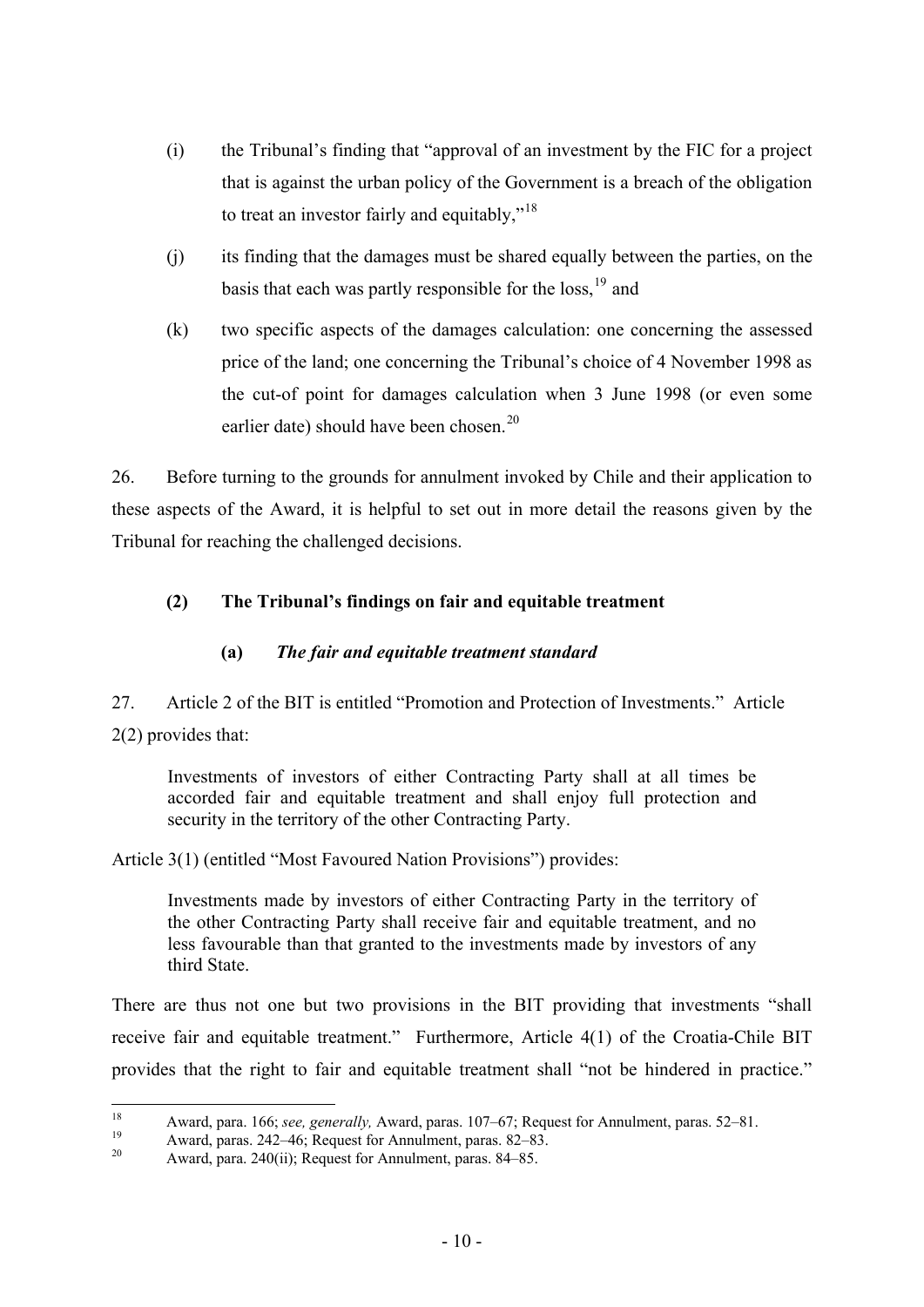- (i) the Tribunal's finding that "approval of an investment by the FIC for a project that is against the urban policy of the Government is a breach of the obligation to treat an investor fairly and equitably,"<sup>[18](#page-11-1)</sup>
- (j) its finding that the damages must be shared equally between the parties, on the basis that each was partly responsible for the loss.<sup>[19](#page-11-2)</sup> and
- (k) two specific aspects of the damages calculation: one concerning the assessed price of the land; one concerning the Tribunal's choice of 4 November 1998 as the cut-of point for damages calculation when 3 June 1998 (or even some earlier date) should have been chosen.<sup>[20](#page-11-0)</sup>

26. Before turning to the grounds for annulment invoked by Chile and their application to these aspects of the Award, it is helpful to set out in more detail the reasons given by the Tribunal for reaching the challenged decisions.

# **(2) The Tribunal's findings on fair and equitable treatment**

# **(a)** *The fair and equitable treatment standard*

27. Article 2 of the BIT is entitled "Promotion and Protection of Investments." Article 2(2) provides that:

Investments of investors of either Contracting Party shall at all times be accorded fair and equitable treatment and shall enjoy full protection and security in the territory of the other Contracting Party.

Article 3(1) (entitled "Most Favoured Nation Provisions") provides:

Investments made by investors of either Contracting Party in the territory of the other Contracting Party shall receive fair and equitable treatment, and no less favourable than that granted to the investments made by investors of any third State.

There are thus not one but two provisions in the BIT providing that investments "shall receive fair and equitable treatment." Furthermore, Article 4(1) of the Croatia-Chile BIT provides that the right to fair and equitable treatment shall "not be hindered in practice."

<span id="page-11-1"></span> $18$ 18 Award, para. 166; *see, generally*, Award, paras. 107–67; Request for Annulment, paras. 52–81.<br>Award, paras. 242–46; Request for Annulment, paras. 82–83.

<span id="page-11-2"></span>

<span id="page-11-0"></span>Award, para. 240(ii); Request for Annulment, paras. 84–85.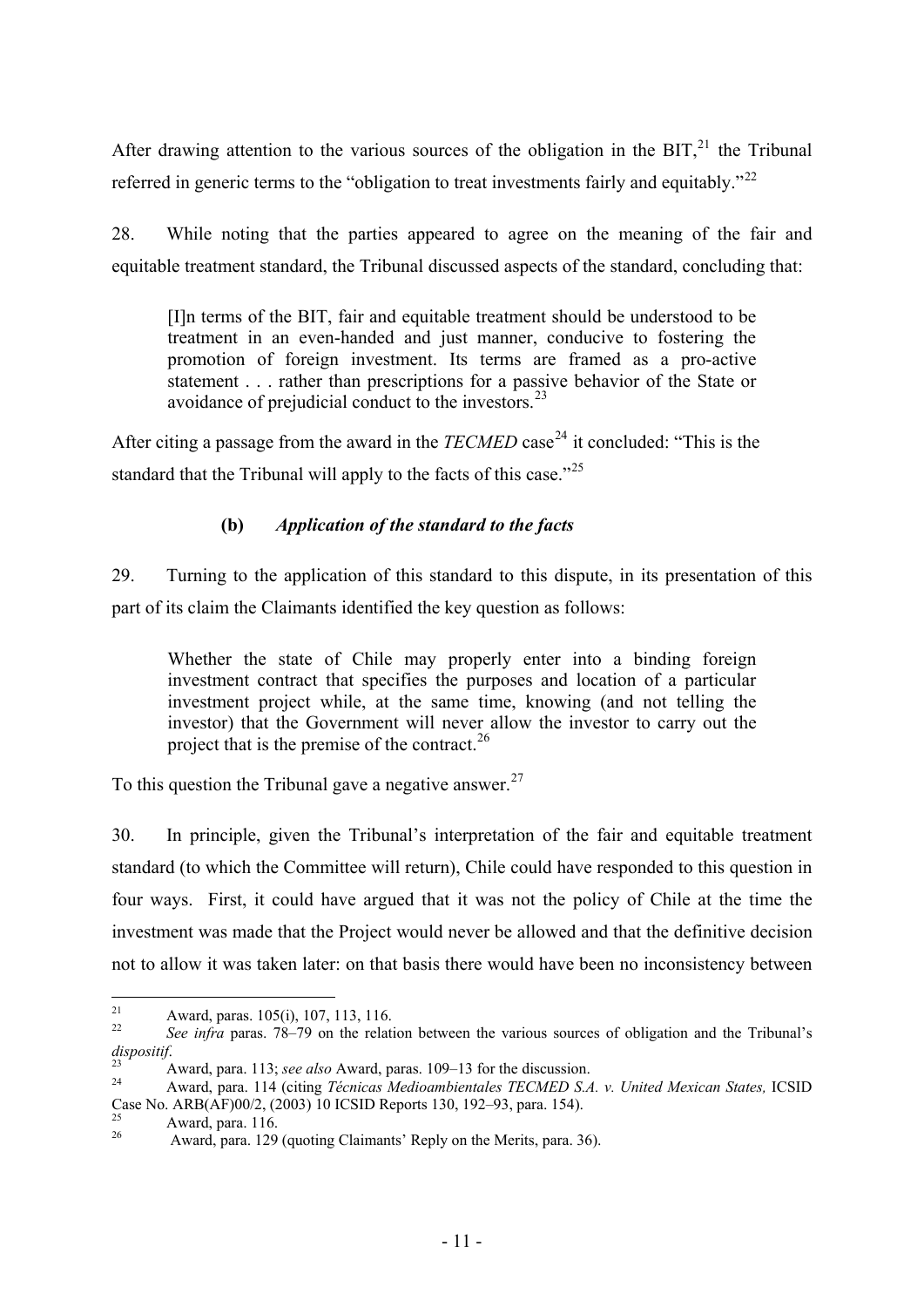After drawing attention to the various sources of the obligation in the BIT,  $21$  the Tribunal referred in generic terms to the "obligation to treat investments fairly and equitably."<sup>[22](#page-12-2)</sup>

28. While noting that the parties appeared to agree on the meaning of the fair and equitable treatment standard, the Tribunal discussed aspects of the standard, concluding that:

[I]n terms of the BIT, fair and equitable treatment should be understood to be treatment in an even-handed and just manner, conducive to fostering the promotion of foreign investment. Its terms are framed as a pro-active statement . . . rather than prescriptions for a passive behavior of the State or avoidance of prejudicial conduct to the investors.[23](#page-12-3)

After citing a passage from the award in the *TECMED* case<sup>[24](#page-12-4)</sup> it concluded: "This is the standard that the Tribunal will apply to the facts of this case."<sup>[25](#page-12-5)</sup>

### **(b)** *Application of the standard to the facts*

29. Turning to the application of this standard to this dispute, in its presentation of this part of its claim the Claimants identified the key question as follows:

Whether the state of Chile may properly enter into a binding foreign investment contract that specifies the purposes and location of a particular investment project while, at the same time, knowing (and not telling the investor) that the Government will never allow the investor to carry out the project that is the premise of the contract. $^{26}$  $^{26}$  $^{26}$ 

To this question the Tribunal gave a negative answer.<sup>[27](#page-12-0)</sup>

30. In principle, given the Tribunal's interpretation of the fair and equitable treatment standard (to which the Committee will return), Chile could have responded to this question in four ways. First, it could have argued that it was not the policy of Chile at the time the investment was made that the Project would never be allowed and that the definitive decision not to allow it was taken later: on that basis there would have been no inconsistency between

<span id="page-12-1"></span> $21$ <sup>21</sup> Award, paras. 105(i), 107, 113, 116.<br>
See infig paras.  $78, 70$  on the relation

<span id="page-12-2"></span><sup>22</sup> *See infra* paras. 78–79 on the relation between the various sources of obligation and the Tribunal's *dispositif*. 23 Award, para. 113; *see also* Award, paras. 109–13 for the discussion. 24 Award, para. 114 (citing *Técnicas Medioambientales TECMED S.A. v. United Mexican States,* ICSID

<span id="page-12-4"></span><span id="page-12-3"></span>Case No. ARB(AF)00/2, (2003) 10 ICSID Reports 130, 192–93, para. 154).

<span id="page-12-5"></span> $\frac{25}{26}$  Award, para. 116.

<span id="page-12-0"></span><sup>26</sup> Award, para. 129 (quoting Claimants' Reply on the Merits, para. 36).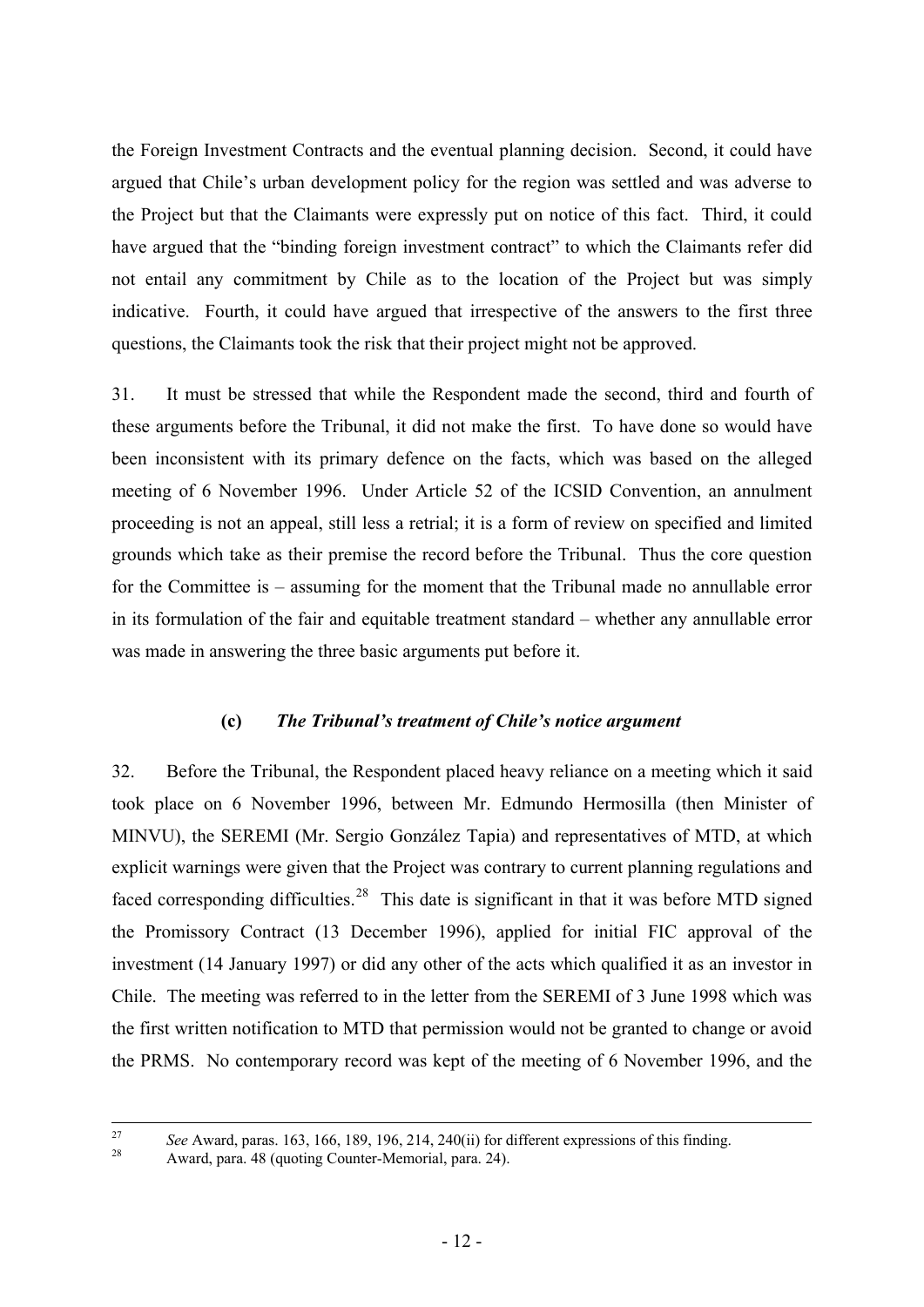the Foreign Investment Contracts and the eventual planning decision. Second, it could have argued that Chile's urban development policy for the region was settled and was adverse to the Project but that the Claimants were expressly put on notice of this fact. Third, it could have argued that the "binding foreign investment contract" to which the Claimants refer did not entail any commitment by Chile as to the location of the Project but was simply indicative. Fourth, it could have argued that irrespective of the answers to the first three questions, the Claimants took the risk that their project might not be approved.

31. It must be stressed that while the Respondent made the second, third and fourth of these arguments before the Tribunal, it did not make the first. To have done so would have been inconsistent with its primary defence on the facts, which was based on the alleged meeting of 6 November 1996. Under Article 52 of the ICSID Convention, an annulment proceeding is not an appeal, still less a retrial; it is a form of review on specified and limited grounds which take as their premise the record before the Tribunal. Thus the core question for the Committee is – assuming for the moment that the Tribunal made no annullable error in its formulation of the fair and equitable treatment standard – whether any annullable error was made in answering the three basic arguments put before it.

### **(c)** *The Tribunal's treatment of Chile's notice argument*

32. Before the Tribunal, the Respondent placed heavy reliance on a meeting which it said took place on 6 November 1996, between Mr. Edmundo Hermosilla (then Minister of MINVU), the SEREMI (Mr. Sergio González Tapia) and representatives of MTD, at which explicit warnings were given that the Project was contrary to current planning regulations and faced corresponding difficulties.<sup>[28](#page-13-0)</sup> This date is significant in that it was before MTD signed the Promissory Contract (13 December 1996), applied for initial FIC approval of the investment (14 January 1997) or did any other of the acts which qualified it as an investor in Chile. The meeting was referred to in the letter from the SEREMI of 3 June 1998 which was the first written notification to MTD that permission would not be granted to change or avoid the PRMS. No contemporary record was kept of the meeting of 6 November 1996, and the

<span id="page-13-0"></span><sup>27</sup> *See* Award, paras. 163, 166, 189, 196, 214, 240(ii) for different expressions of this finding.<br><sup>28</sup> Award, para. 48 (quoting Counter-Memorial, para. 24).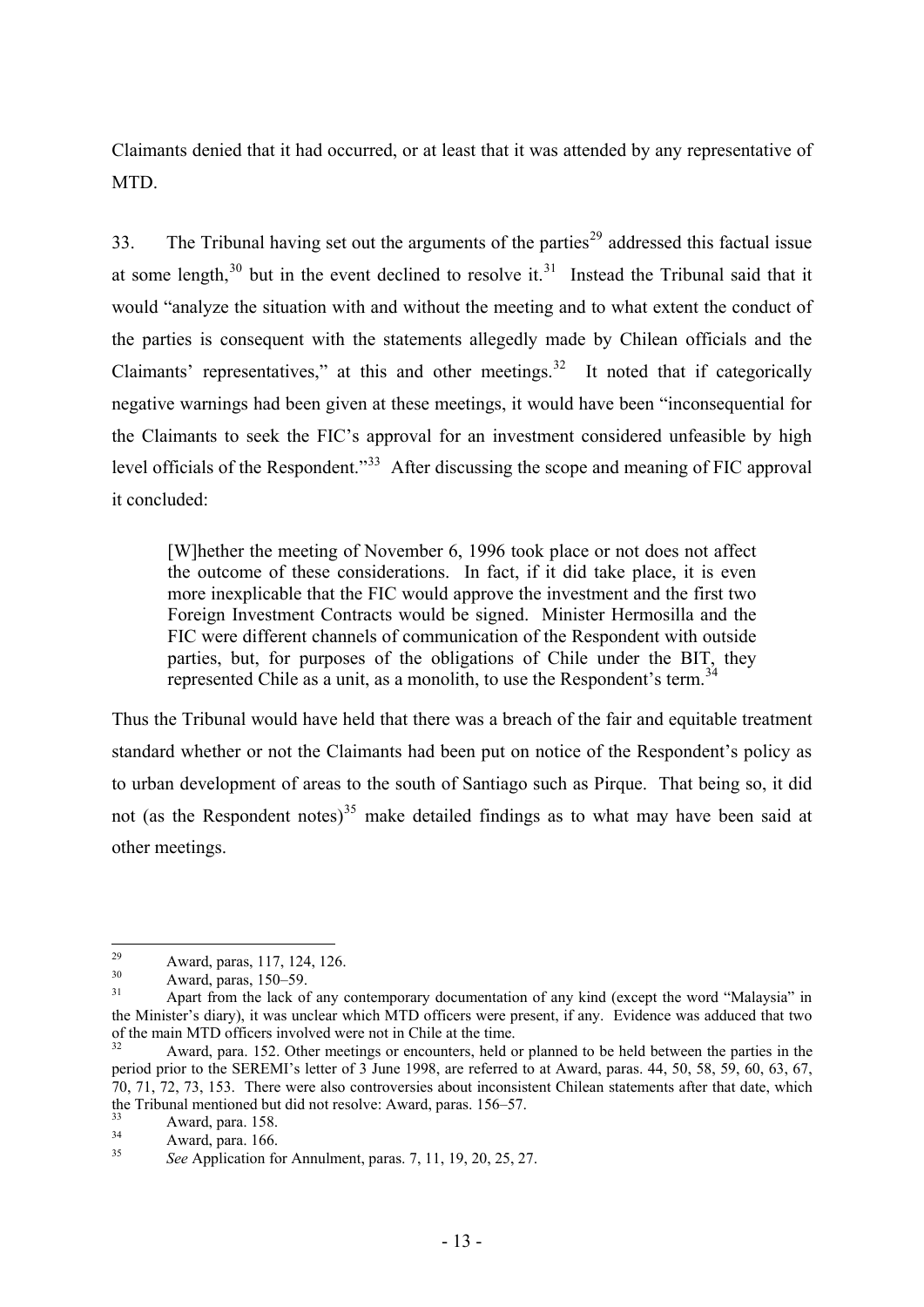Claimants denied that it had occurred, or at least that it was attended by any representative of MTD.

33. The Tribunal having set out the arguments of the parties<sup>[29](#page-14-1)</sup> addressed this factual issue at some length, $30$  but in the event declined to resolve it.<sup>[31](#page-14-3)</sup> Instead the Tribunal said that it would "analyze the situation with and without the meeting and to what extent the conduct of the parties is consequent with the statements allegedly made by Chilean officials and the Claimants' representatives," at this and other meetings.<sup>[32](#page-14-4)</sup> It noted that if categorically negative warnings had been given at these meetings, it would have been "inconsequential for the Claimants to seek the FIC's approval for an investment considered unfeasible by high level officials of the Respondent."<sup>[33](#page-14-5)</sup> After discussing the scope and meaning of FIC approval it concluded:

[W]hether the meeting of November 6, 1996 took place or not does not affect the outcome of these considerations. In fact, if it did take place, it is even more inexplicable that the FIC would approve the investment and the first two Foreign Investment Contracts would be signed. Minister Hermosilla and the FIC were different channels of communication of the Respondent with outside parties, but, for purposes of the obligations of Chile under the BIT, they represented Chile as a unit, as a monolith, to use the Respondent's term.<sup>[34](#page-14-6)</sup>

Thus the Tribunal would have held that there was a breach of the fair and equitable treatment standard whether or not the Claimants had been put on notice of the Respondent's policy as to urban development of areas to the south of Santiago such as Pirque. That being so, it did not (as the Respondent notes)<sup>[35](#page-14-0)</sup> make detailed findings as to what may have been said at other meetings.

<span id="page-14-1"></span><sup>29</sup> <sup>29</sup> Award, paras, 117, 124, 126.

<span id="page-14-2"></span> $30$  Award, paras, 150–59.

<span id="page-14-3"></span><sup>31</sup> Apart from the lack of any contemporary documentation of any kind (except the word "Malaysia" in the Minister's diary), it was unclear which MTD officers were present, if any. Evidence was adduced that two of the main MTD officers involved were not in Chile at the time.

<span id="page-14-4"></span>Award, para. 152. Other meetings or encounters, held or planned to be held between the parties in the period prior to the SEREMI's letter of 3 June 1998, are referred to at Award, paras. 44, 50, 58, 59, 60, 63, 67, 70, 71, 72, 73, 153. There were also controversies about inconsistent Chilean statements after that date, which the Tribunal mentioned but did not resolve: Award, paras. 156–57.

<span id="page-14-5"></span> $33 \text{ Award, para. } 158.$ 

<span id="page-14-6"></span> $34$  Award, para. 166.

<span id="page-14-0"></span><sup>35</sup> *See* Application for Annulment, paras. 7, 11, 19, 20, 25, 27.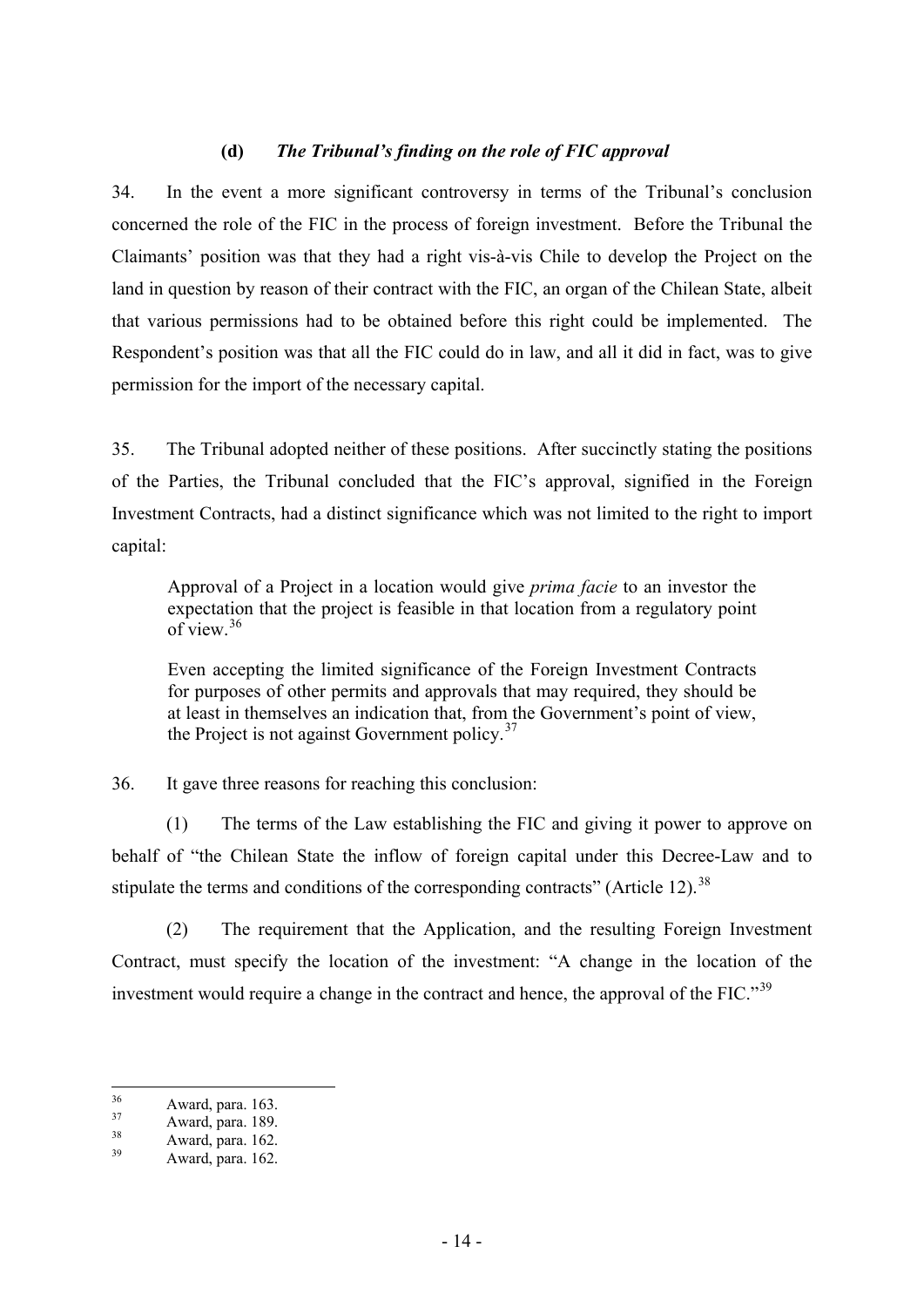### **(d)** *The Tribunal's finding on the role of FIC approval*

34. In the event a more significant controversy in terms of the Tribunal's conclusion concerned the role of the FIC in the process of foreign investment. Before the Tribunal the Claimants' position was that they had a right vis-à-vis Chile to develop the Project on the land in question by reason of their contract with the FIC, an organ of the Chilean State, albeit that various permissions had to be obtained before this right could be implemented. The Respondent's position was that all the FIC could do in law, and all it did in fact, was to give permission for the import of the necessary capital.

35. The Tribunal adopted neither of these positions. After succinctly stating the positions of the Parties, the Tribunal concluded that the FIC's approval, signified in the Foreign Investment Contracts, had a distinct significance which was not limited to the right to import capital:

Approval of a Project in a location would give *prima facie* to an investor the expectation that the project is feasible in that location from a regulatory point of view.[36](#page-15-1)

Even accepting the limited significance of the Foreign Investment Contracts for purposes of other permits and approvals that may required, they should be at least in themselves an indication that, from the Government's point of view, the Project is not against Government policy. $37$ 

36. It gave three reasons for reaching this conclusion:

(1) The terms of the Law establishing the FIC and giving it power to approve on behalf of "the Chilean State the inflow of foreign capital under this Decree-Law and to stipulate the terms and conditions of the corresponding contracts" (Article 12).<sup>[38](#page-15-3)</sup>

(2) The requirement that the Application, and the resulting Foreign Investment Contract, must specify the location of the investment: "A change in the location of the investment would require a change in the contract and hence, the approval of the FIC."<sup>[39](#page-15-0)</sup>

<span id="page-15-1"></span> $36$  $36 \text{ Award, para. } 163.$ 

<span id="page-15-2"></span> $37 \text{ Award, para. } 189.$ 

<span id="page-15-3"></span> $38 \text{ Award, para. } 162.$ 

<span id="page-15-0"></span>Award, para. 162.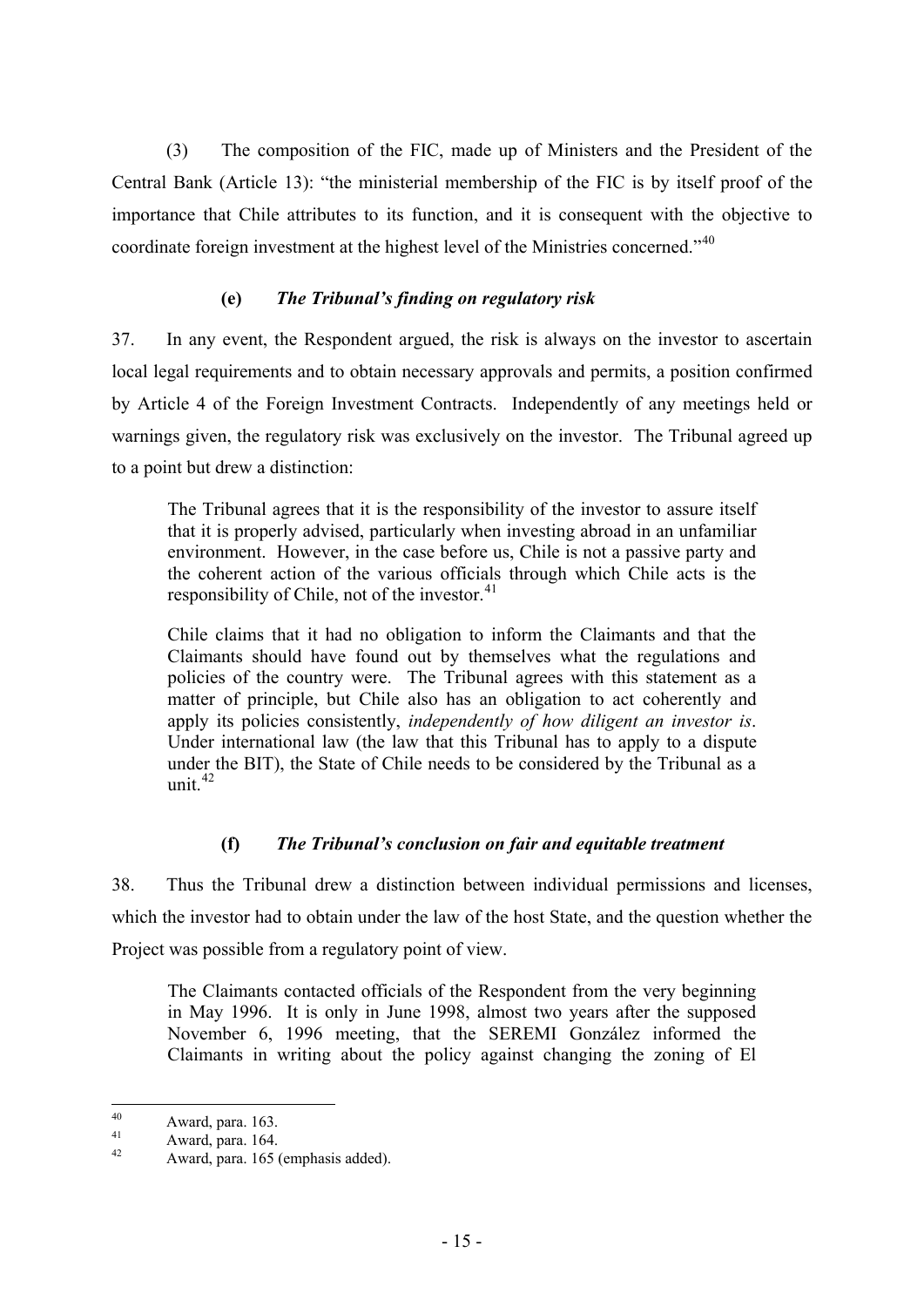(3) The composition of the FIC, made up of Ministers and the President of the Central Bank (Article 13): "the ministerial membership of the FIC is by itself proof of the importance that Chile attributes to its function, and it is consequent with the objective to coordinate foreign investment at the highest level of the Ministries concerned."[40](#page-16-1)

### **(e)** *The Tribunal's finding on regulatory risk*

37. In any event, the Respondent argued, the risk is always on the investor to ascertain local legal requirements and to obtain necessary approvals and permits, a position confirmed by Article 4 of the Foreign Investment Contracts. Independently of any meetings held or warnings given, the regulatory risk was exclusively on the investor. The Tribunal agreed up to a point but drew a distinction:

The Tribunal agrees that it is the responsibility of the investor to assure itself that it is properly advised, particularly when investing abroad in an unfamiliar environment. However, in the case before us, Chile is not a passive party and the coherent action of the various officials through which Chile acts is the responsibility of Chile, not of the investor.<sup>[41](#page-16-2)</sup>

Chile claims that it had no obligation to inform the Claimants and that the Claimants should have found out by themselves what the regulations and policies of the country were. The Tribunal agrees with this statement as a matter of principle, but Chile also has an obligation to act coherently and apply its policies consistently, *independently of how diligent an investor is*. Under international law (the law that this Tribunal has to apply to a dispute under the BIT), the State of Chile needs to be considered by the Tribunal as a unit $42$ 

### **(f)** *The Tribunal's conclusion on fair and equitable treatment*

38. Thus the Tribunal drew a distinction between individual permissions and licenses, which the investor had to obtain under the law of the host State, and the question whether the Project was possible from a regulatory point of view.

The Claimants contacted officials of the Respondent from the very beginning in May 1996. It is only in June 1998, almost two years after the supposed November 6, 1996 meeting, that the SEREMI González informed the Claimants in writing about the policy against changing the zoning of El

<span id="page-16-1"></span> $40^{\circ}$  $40$  Award, para. 163.

<span id="page-16-2"></span> $41$  Award, para. 164.

<span id="page-16-0"></span>Award, para. 165 (emphasis added).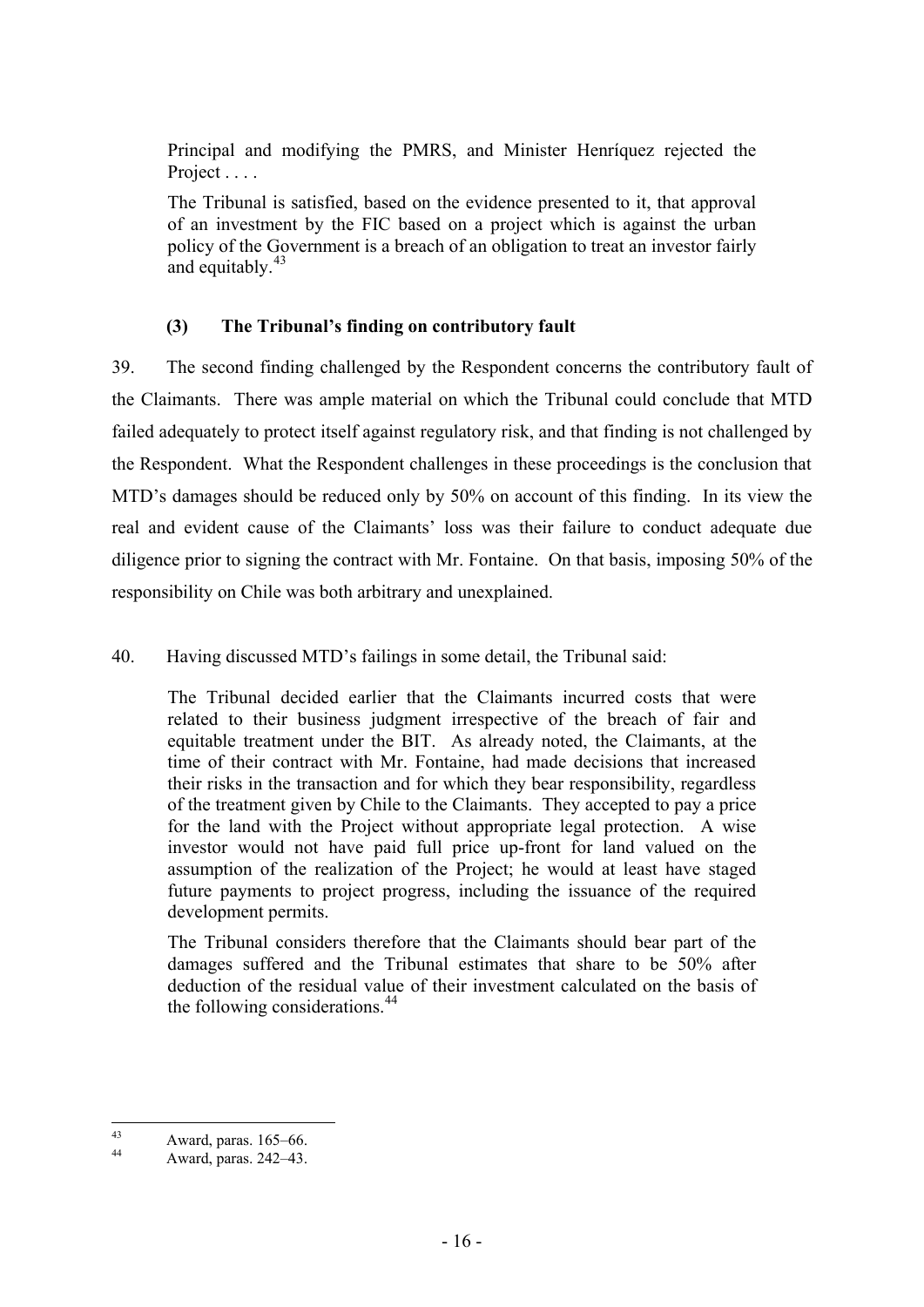Principal and modifying the PMRS, and Minister Henríquez rejected the Project . . . .

The Tribunal is satisfied, based on the evidence presented to it, that approval of an investment by the FIC based on a project which is against the urban policy of the Government is a breach of an obligation to treat an investor fairly and equitably.<sup>[43](#page-17-1)</sup>

### **(3) The Tribunal's finding on contributory fault**

39. The second finding challenged by the Respondent concerns the contributory fault of the Claimants. There was ample material on which the Tribunal could conclude that MTD failed adequately to protect itself against regulatory risk, and that finding is not challenged by the Respondent. What the Respondent challenges in these proceedings is the conclusion that MTD's damages should be reduced only by 50% on account of this finding. In its view the real and evident cause of the Claimants' loss was their failure to conduct adequate due diligence prior to signing the contract with Mr. Fontaine. On that basis, imposing 50% of the responsibility on Chile was both arbitrary and unexplained.

40. Having discussed MTD's failings in some detail, the Tribunal said:

The Tribunal decided earlier that the Claimants incurred costs that were related to their business judgment irrespective of the breach of fair and equitable treatment under the BIT. As already noted, the Claimants, at the time of their contract with Mr. Fontaine, had made decisions that increased their risks in the transaction and for which they bear responsibility, regardless of the treatment given by Chile to the Claimants. They accepted to pay a price for the land with the Project without appropriate legal protection. A wise investor would not have paid full price up-front for land valued on the assumption of the realization of the Project; he would at least have staged future payments to project progress, including the issuance of the required development permits.

The Tribunal considers therefore that the Claimants should bear part of the damages suffered and the Tribunal estimates that share to be 50% after deduction of the residual value of their investment calculated on the basis of the following considerations. $44$ 

<span id="page-17-1"></span> $\overline{43}$  $43$  Award, paras. 165–66.

<span id="page-17-0"></span>Award, paras. 242-43.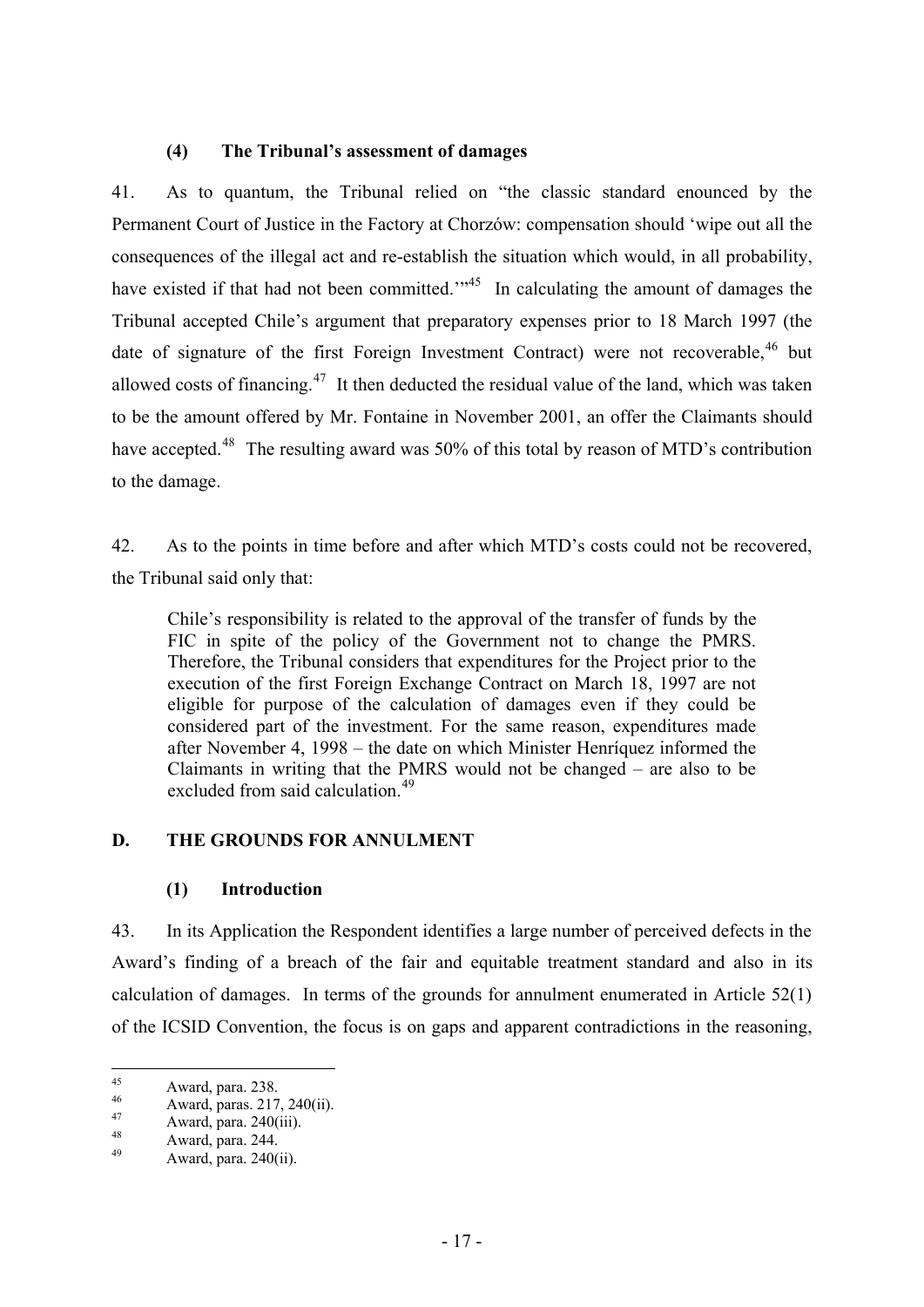### **(4) The Tribunal's assessment of damages**

41. As to quantum, the Tribunal relied on "the classic standard enounced by the Permanent Court of Justice in the Factory at Chorzów: compensation should 'wipe out all the consequences of the illegal act and re-establish the situation which would, in all probability, have existed if that had not been committed."<sup>[45](#page-18-1)</sup> In calculating the amount of damages the Tribunal accepted Chile's argument that preparatory expenses prior to 18 March 1997 (the date of signature of the first Foreign Investment Contract) were not recoverable, <sup>[46](#page-18-2)</sup> but allowed costs of financing.<sup>[47](#page-18-3)</sup> It then deducted the residual value of the land, which was taken to be the amount offered by Mr. Fontaine in November 2001, an offer the Claimants should have accepted.<sup>[48](#page-18-4)</sup> The resulting award was 50% of this total by reason of MTD's contribution to the damage.

42. As to the points in time before and after which MTD's costs could not be recovered, the Tribunal said only that:

Chile's responsibility is related to the approval of the transfer of funds by the FIC in spite of the policy of the Government not to change the PMRS. Therefore, the Tribunal considers that expenditures for the Project prior to the execution of the first Foreign Exchange Contract on March 18, 1997 are not eligible for purpose of the calculation of damages even if they could be considered part of the investment. For the same reason, expenditures made after November 4, 1998 – the date on which Minister Henríquez informed the Claimants in writing that the PMRS would not be changed – are also to be excluded from said calculation.<sup>[49](#page-18-0)</sup>

### **D. THE GROUNDS FOR ANNULMENT**

#### **(1) Introduction**

43. In its Application the Respondent identifies a large number of perceived defects in the Award's finding of a breach of the fair and equitable treatment standard and also in its calculation of damages. In terms of the grounds for annulment enumerated in Article 52(1) of the ICSID Convention, the focus is on gaps and apparent contradictions in the reasoning,

<span id="page-18-1"></span> $45$  $45$  Award, para. 238.

<span id="page-18-2"></span><sup>46</sup> Award, paras. 217, 240(ii).

<span id="page-18-3"></span> $47 \text{ Award, para. } 240(iii).$ 

<span id="page-18-4"></span> $48$  Award, para. 244.

<span id="page-18-0"></span>Award, para. 240(ii).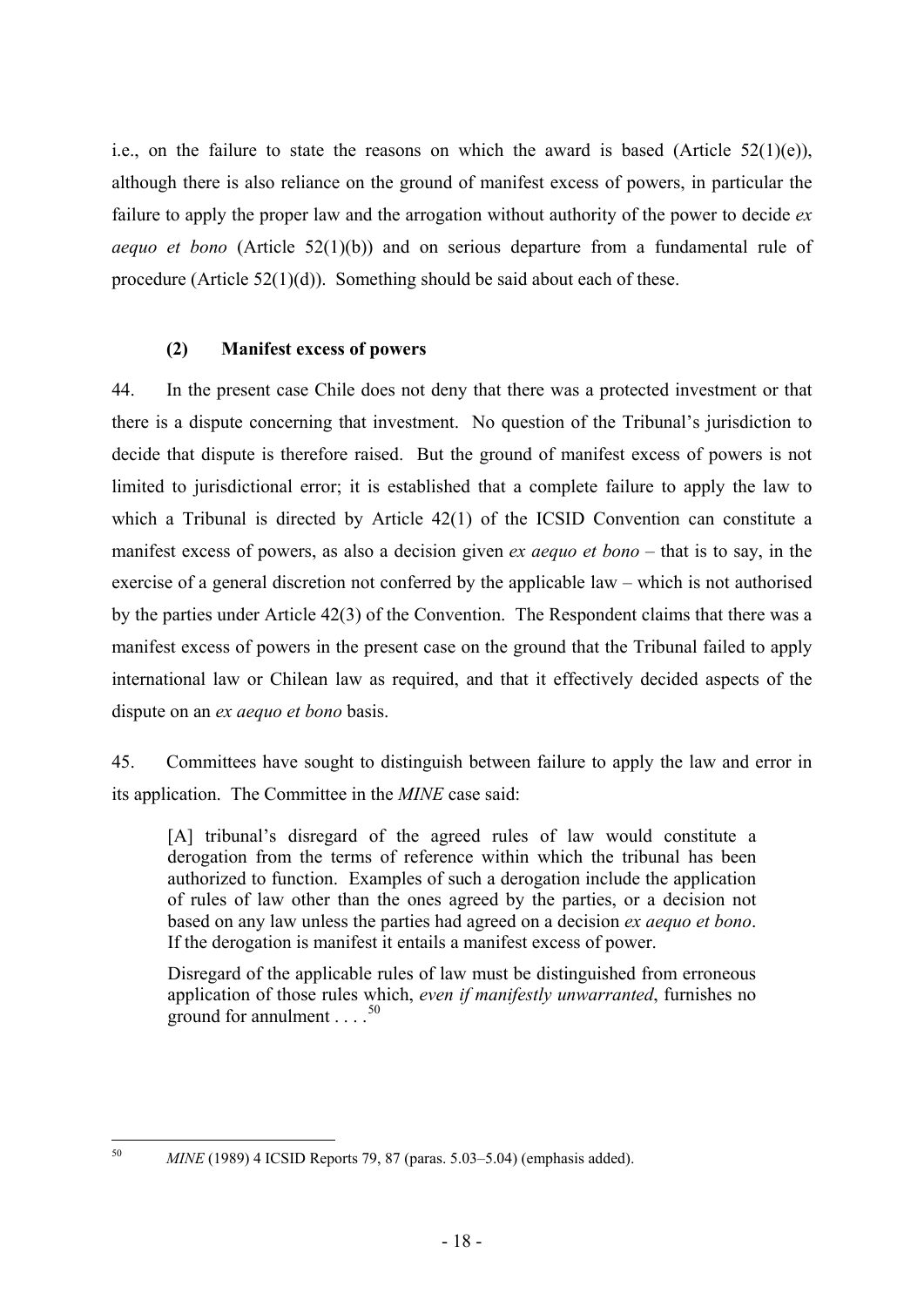i.e., on the failure to state the reasons on which the award is based (Article  $52(1)(e)$ ), although there is also reliance on the ground of manifest excess of powers, in particular the failure to apply the proper law and the arrogation without authority of the power to decide *ex aequo et bono* (Article 52(1)(b)) and on serious departure from a fundamental rule of procedure (Article  $52(1)(d)$ ). Something should be said about each of these.

### **(2) Manifest excess of powers**

44. In the present case Chile does not deny that there was a protected investment or that there is a dispute concerning that investment. No question of the Tribunal's jurisdiction to decide that dispute is therefore raised. But the ground of manifest excess of powers is not limited to jurisdictional error; it is established that a complete failure to apply the law to which a Tribunal is directed by Article  $42(1)$  of the ICSID Convention can constitute a manifest excess of powers, as also a decision given *ex aequo et bono* – that is to say, in the exercise of a general discretion not conferred by the applicable law – which is not authorised by the parties under Article 42(3) of the Convention. The Respondent claims that there was a manifest excess of powers in the present case on the ground that the Tribunal failed to apply international law or Chilean law as required, and that it effectively decided aspects of the dispute on an *ex aequo et bono* basis.

45. Committees have sought to distinguish between failure to apply the law and error in its application. The Committee in the *MINE* case said:

[A] tribunal's disregard of the agreed rules of law would constitute a derogation from the terms of reference within which the tribunal has been authorized to function. Examples of such a derogation include the application of rules of law other than the ones agreed by the parties, or a decision not based on any law unless the parties had agreed on a decision *ex aequo et bono*. If the derogation is manifest it entails a manifest excess of power.

Disregard of the applicable rules of law must be distinguished from erroneous application of those rules which, *even if manifestly unwarranted*, furnishes no ground for annulment . . . . <sup>[50](#page-19-0)</sup>

<span id="page-19-0"></span> $50^{\circ}$ 

<sup>50</sup> *MINE* (1989) 4 ICSID Reports 79, 87 (paras. 5.03–5.04) (emphasis added).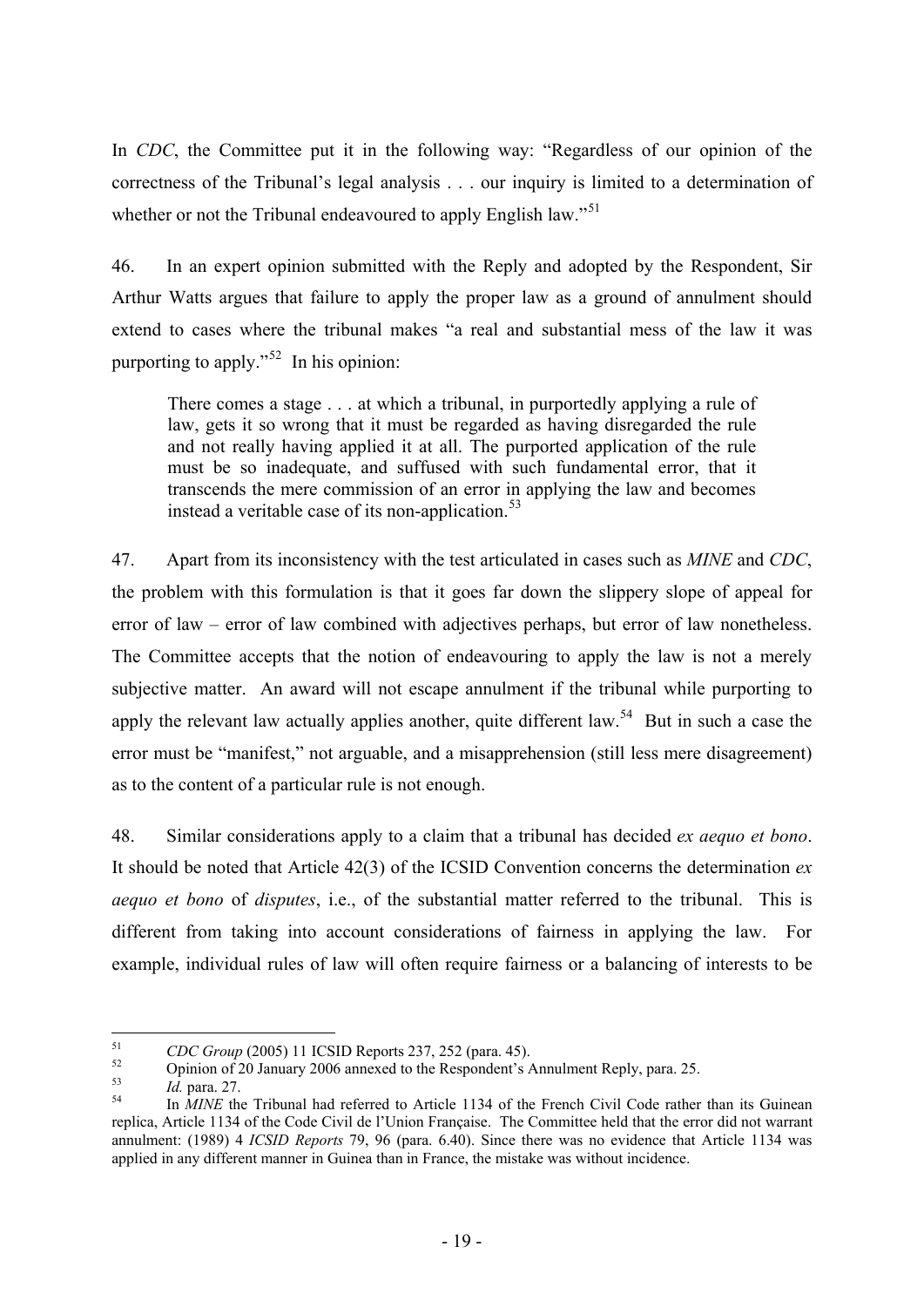In *CDC*, the Committee put it in the following way: "Regardless of our opinion of the correctness of the Tribunal's legal analysis . . . our inquiry is limited to a determination of whether or not the Tribunal endeavoured to apply English law."<sup>[51](#page-20-1)</sup>

46. In an expert opinion submitted with the Reply and adopted by the Respondent, Sir Arthur Watts argues that failure to apply the proper law as a ground of annulment should extend to cases where the tribunal makes "a real and substantial mess of the law it was purporting to apply."<sup>[52](#page-20-2)</sup> In his opinion:

There comes a stage . . . at which a tribunal, in purportedly applying a rule of law, gets it so wrong that it must be regarded as having disregarded the rule and not really having applied it at all. The purported application of the rule must be so inadequate, and suffused with such fundamental error, that it transcends the mere commission of an error in applying the law and becomes instead a veritable case of its non-application. $53$ 

47. Apart from its inconsistency with the test articulated in cases such as *MINE* and *CDC*, the problem with this formulation is that it goes far down the slippery slope of appeal for error of law – error of law combined with adjectives perhaps, but error of law nonetheless. The Committee accepts that the notion of endeavouring to apply the law is not a merely subjective matter. An award will not escape annulment if the tribunal while purporting to apply the relevant law actually applies another, quite different law.<sup>[54](#page-20-0)</sup> But in such a case the error must be "manifest," not arguable, and a misapprehension (still less mere disagreement) as to the content of a particular rule is not enough.

48. Similar considerations apply to a claim that a tribunal has decided *ex aequo et bono*. It should be noted that Article 42(3) of the ICSID Convention concerns the determination *ex aequo et bono* of *disputes*, i.e., of the substantial matter referred to the tribunal. This is different from taking into account considerations of fairness in applying the law. For example, individual rules of law will often require fairness or a balancing of interests to be

<sup>51</sup> 

<span id="page-20-1"></span><sup>&</sup>lt;sup>51</sup> *CDC Group* (2005) 11 ICSID Reports 237, 252 (para. 45).<br> **EXECUTE:** Opinion of 20 January 2006 annexed to the Respondent's Annulment Reply, para. 25.

<span id="page-20-3"></span><span id="page-20-2"></span><span id="page-20-0"></span><sup>&</sup>lt;sup>53</sup> *Id.* para. 27.<br><sup>54</sup> In *MINE* the Tribunal had referred to Article 1134 of the French Civil Code rather than its Guinean replica, Article 1134 of the Code Civil de l'Union Française. The Committee held that the error did not warrant annulment: (1989) 4 *ICSID Reports* 79, 96 (para. 6.40). Since there was no evidence that Article 1134 was applied in any different manner in Guinea than in France, the mistake was without incidence.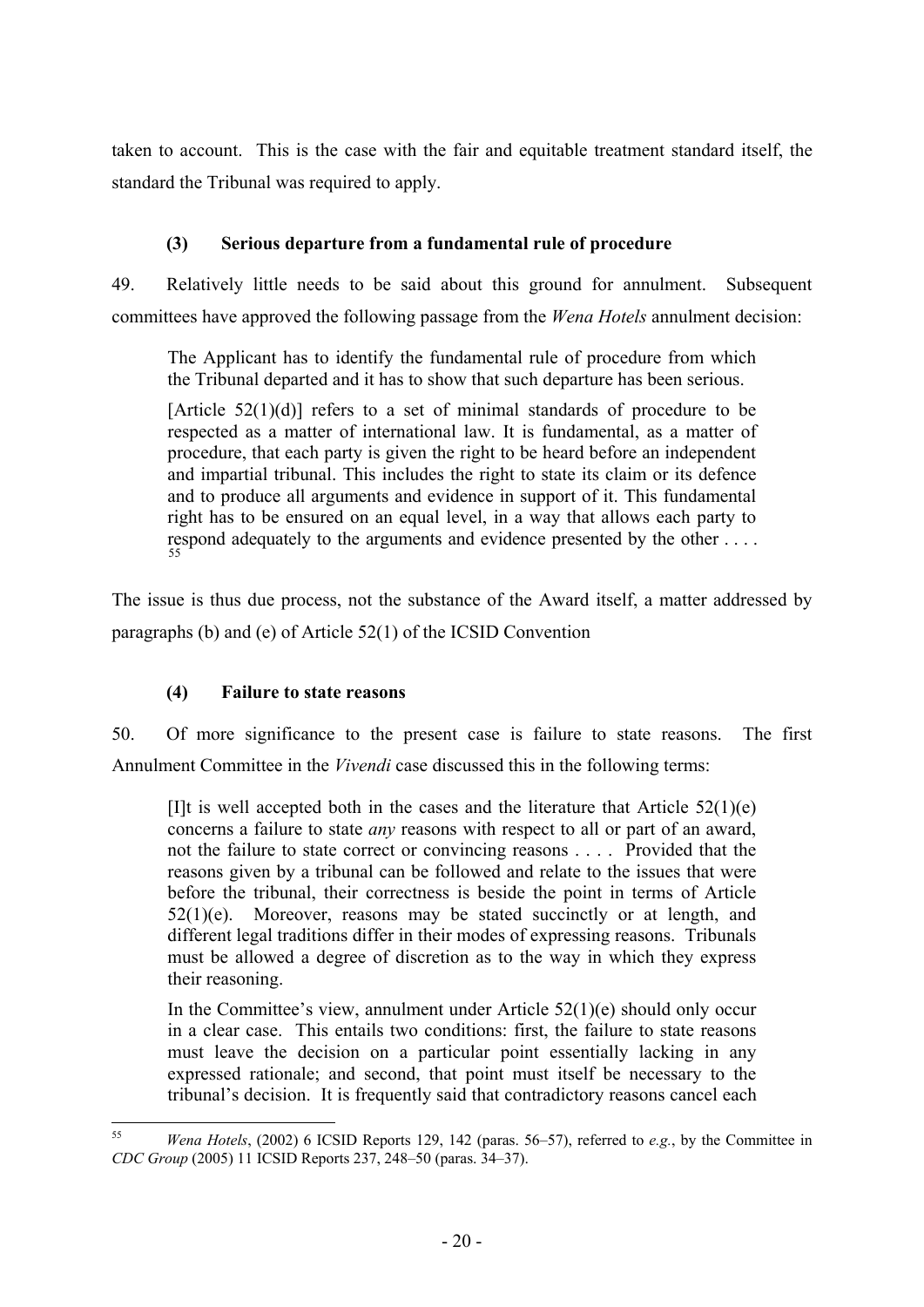taken to account. This is the case with the fair and equitable treatment standard itself, the standard the Tribunal was required to apply.

### **(3) Serious departure from a fundamental rule of procedure**

49. Relatively little needs to be said about this ground for annulment. Subsequent committees have approved the following passage from the *Wena Hotels* annulment decision:

The Applicant has to identify the fundamental rule of procedure from which the Tribunal departed and it has to show that such departure has been serious.

[Article  $52(1)(d)$ ] refers to a set of minimal standards of procedure to be respected as a matter of international law. It is fundamental, as a matter of procedure, that each party is given the right to be heard before an independent and impartial tribunal. This includes the right to state its claim or its defence and to produce all arguments and evidence in support of it. This fundamental right has to be ensured on an equal level, in a way that allows each party to respond adequately to the arguments and evidence presented by the other . . . . [55](#page-21-0)

The issue is thus due process, not the substance of the Award itself, a matter addressed by paragraphs (b) and (e) of Article 52(1) of the ICSID Convention

# **(4) Failure to state reasons**

50. Of more significance to the present case is failure to state reasons. The first Annulment Committee in the *Vivendi* case discussed this in the following terms:

[I]t is well accepted both in the cases and the literature that Article  $52(1)(e)$ concerns a failure to state *any* reasons with respect to all or part of an award, not the failure to state correct or convincing reasons . . . . Provided that the reasons given by a tribunal can be followed and relate to the issues that were before the tribunal, their correctness is beside the point in terms of Article  $52(1)(e)$ . Moreover, reasons may be stated succinctly or at length, and different legal traditions differ in their modes of expressing reasons. Tribunals must be allowed a degree of discretion as to the way in which they express their reasoning.

In the Committee's view, annulment under Article  $52(1)(e)$  should only occur in a clear case. This entails two conditions: first, the failure to state reasons must leave the decision on a particular point essentially lacking in any expressed rationale; and second, that point must itself be necessary to the tribunal's decision. It is frequently said that contradictory reasons cancel each

<span id="page-21-0"></span> $55$ <sup>55</sup> *Wena Hotels*, (2002) 6 ICSID Reports 129, 142 (paras. 56–57), referred to *e.g.*, by the Committee in *CDC Group* (2005) 11 ICSID Reports 237, 248–50 (paras. 34–37).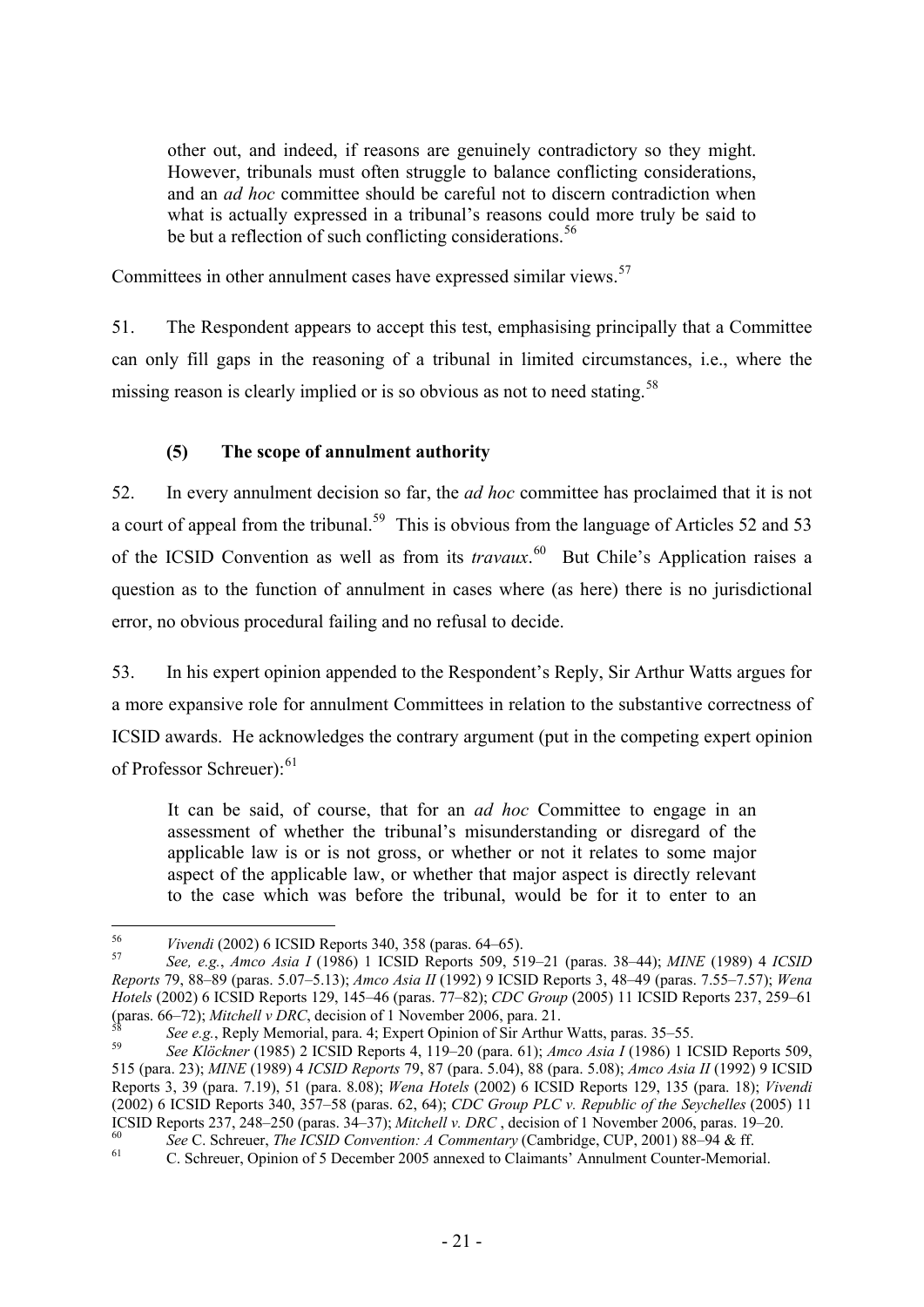other out, and indeed, if reasons are genuinely contradictory so they might. However, tribunals must often struggle to balance conflicting considerations, and an *ad hoc* committee should be careful not to discern contradiction when what is actually expressed in a tribunal's reasons could more truly be said to be but a reflection of such conflicting considerations.<sup>[56](#page-22-1)</sup>

Committees in other annulment cases have expressed similar views.<sup>[57](#page-22-2)</sup>

51. The Respondent appears to accept this test, emphasising principally that a Committee can only fill gaps in the reasoning of a tribunal in limited circumstances, i.e., where the missing reason is clearly implied or is so obvious as not to need stating.<sup>[58](#page-22-3)</sup>

# **(5) The scope of annulment authority**

52. In every annulment decision so far, the *ad hoc* committee has proclaimed that it is not a court of appeal from the tribunal.<sup>[59](#page-22-4)</sup> This is obvious from the language of Articles 52 and 53 of the ICSID Convention as well as from its *travaux*. [60](#page-22-5) But Chile's Application raises a question as to the function of annulment in cases where (as here) there is no jurisdictional error, no obvious procedural failing and no refusal to decide.

53. In his expert opinion appended to the Respondent's Reply, Sir Arthur Watts argues for a more expansive role for annulment Committees in relation to the substantive correctness of ICSID awards. He acknowledges the contrary argument (put in the competing expert opinion of Professor Schreuer):<sup>[61](#page-22-0)</sup>

It can be said, of course, that for an *ad hoc* Committee to engage in an assessment of whether the tribunal's misunderstanding or disregard of the applicable law is or is not gross, or whether or not it relates to some major aspect of the applicable law, or whether that major aspect is directly relevant to the case which was before the tribunal, would be for it to enter to an

<sup>56</sup> 

<span id="page-22-2"></span><span id="page-22-1"></span><sup>56</sup> *Vivendi* (2002) 6 ICSID Reports 340, 358 (paras. 64–65). 57 *See, e.g.*, *Amco Asia I* (1986) 1 ICSID Reports 509, 519–21 (paras. 38–44); *MINE* (1989) 4 *ICSID Reports* 79, 88–89 (paras. 5.07–5.13); *Amco Asia II* (1992) 9 ICSID Reports 3, 48–49 (paras. 7.55–7.57); *Wena Hotels* (2002) 6 ICSID Reports 129, 145–46 (paras. 77–82); *CDC Group* (2005) 11 ICSID Reports 237, 259–61

<span id="page-22-4"></span><span id="page-22-3"></span><sup>&</sup>lt;sup>58</sup> See e.g., Reply Memorial, para. 4; Expert Opinion of Sir Arthur Watts, paras. 35–55.<br><sup>59</sup> See Klöckner (1985) 2 ICSID Reports 4, 119–20 (para. 61); *Amco Asia I* (1986) 1 ICSID Reports 509, 515 (para. 23); *MINE* (1989) 4 *ICSID Reports* 79, 87 (para. 5.04), 88 (para. 5.08); *Amco Asia II* (1992) 9 ICSID Reports 3, 39 (para. 7.19), 51 (para. 8.08); *Wena Hotels* (2002) 6 ICSID Reports 129, 135 (para. 18); *Vivendi* (2002) 6 ICSID Reports 340, 357–58 (paras. 62, 64); *CDC Group PLC v. Republic of the Seychelles* (2005) 11 ICSID Reports 237, 248–250 (paras. 34–37); Mitchell v. DRC, decision of 1 November 2006, paras. 19–20.<br>
<sup>60</sup> See C. Schreuer, *The ICSID Convention: A Commentary* (Cambridge, CUP, 2001) 88–94 & ff.<br>
<sup>61</sup> C. Schreuer, Opini

<span id="page-22-5"></span><span id="page-22-0"></span>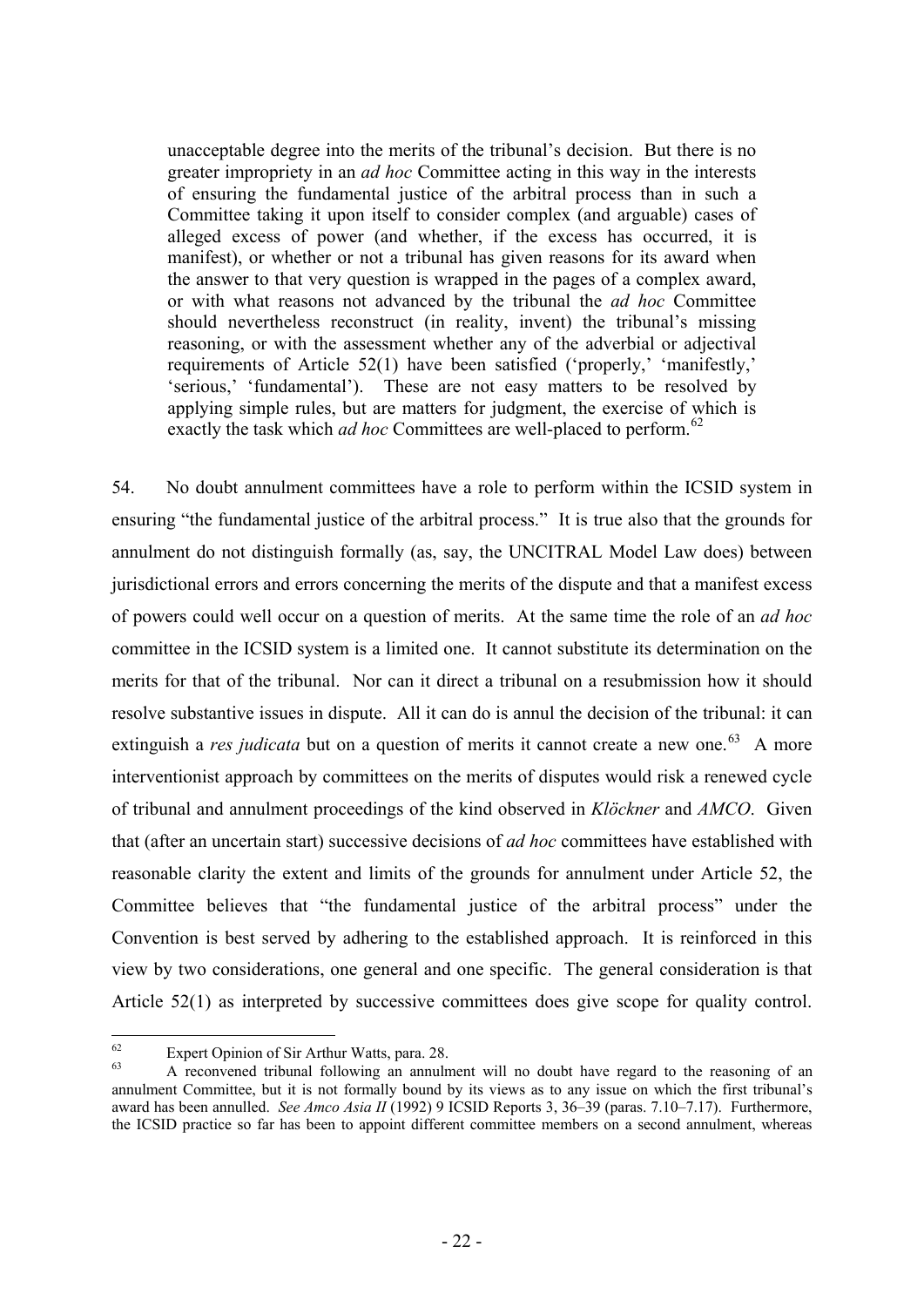unacceptable degree into the merits of the tribunal's decision. But there is no greater impropriety in an *ad hoc* Committee acting in this way in the interests of ensuring the fundamental justice of the arbitral process than in such a Committee taking it upon itself to consider complex (and arguable) cases of alleged excess of power (and whether, if the excess has occurred, it is manifest), or whether or not a tribunal has given reasons for its award when the answer to that very question is wrapped in the pages of a complex award, or with what reasons not advanced by the tribunal the *ad hoc* Committee should nevertheless reconstruct (in reality, invent) the tribunal's missing reasoning, or with the assessment whether any of the adverbial or adjectival requirements of Article 52(1) have been satisfied ('properly,' 'manifestly,' 'serious,' 'fundamental'). These are not easy matters to be resolved by applying simple rules, but are matters for judgment, the exercise of which is exactly the task which *ad hoc* Committees are well-placed to perform.<sup>[62](#page-23-1)</sup>

54. No doubt annulment committees have a role to perform within the ICSID system in ensuring "the fundamental justice of the arbitral process." It is true also that the grounds for annulment do not distinguish formally (as, say, the UNCITRAL Model Law does) between jurisdictional errors and errors concerning the merits of the dispute and that a manifest excess of powers could well occur on a question of merits. At the same time the role of an *ad hoc* committee in the ICSID system is a limited one. It cannot substitute its determination on the merits for that of the tribunal. Nor can it direct a tribunal on a resubmission how it should resolve substantive issues in dispute. All it can do is annul the decision of the tribunal: it can extinguish a *res judicata* but on a question of merits it cannot create a new one.<sup>[63](#page-23-0)</sup> A more interventionist approach by committees on the merits of disputes would risk a renewed cycle of tribunal and annulment proceedings of the kind observed in *Klöckner* and *AMCO*. Given that (after an uncertain start) successive decisions of *ad hoc* committees have established with reasonable clarity the extent and limits of the grounds for annulment under Article 52, the Committee believes that "the fundamental justice of the arbitral process" under the Convention is best served by adhering to the established approach. It is reinforced in this view by two considerations, one general and one specific. The general consideration is that Article 52(1) as interpreted by successive committees does give scope for quality control.

<span id="page-23-1"></span><sup>62</sup>  $^{62}$  Expert Opinion of Sir Arthur Watts, para. 28.

<span id="page-23-0"></span><sup>63</sup> A reconvened tribunal following an annulment will no doubt have regard to the reasoning of an annulment Committee, but it is not formally bound by its views as to any issue on which the first tribunal's award has been annulled. *See Amco Asia II* (1992) 9 ICSID Reports 3, 36–39 (paras. 7.10–7.17). Furthermore, the ICSID practice so far has been to appoint different committee members on a second annulment, whereas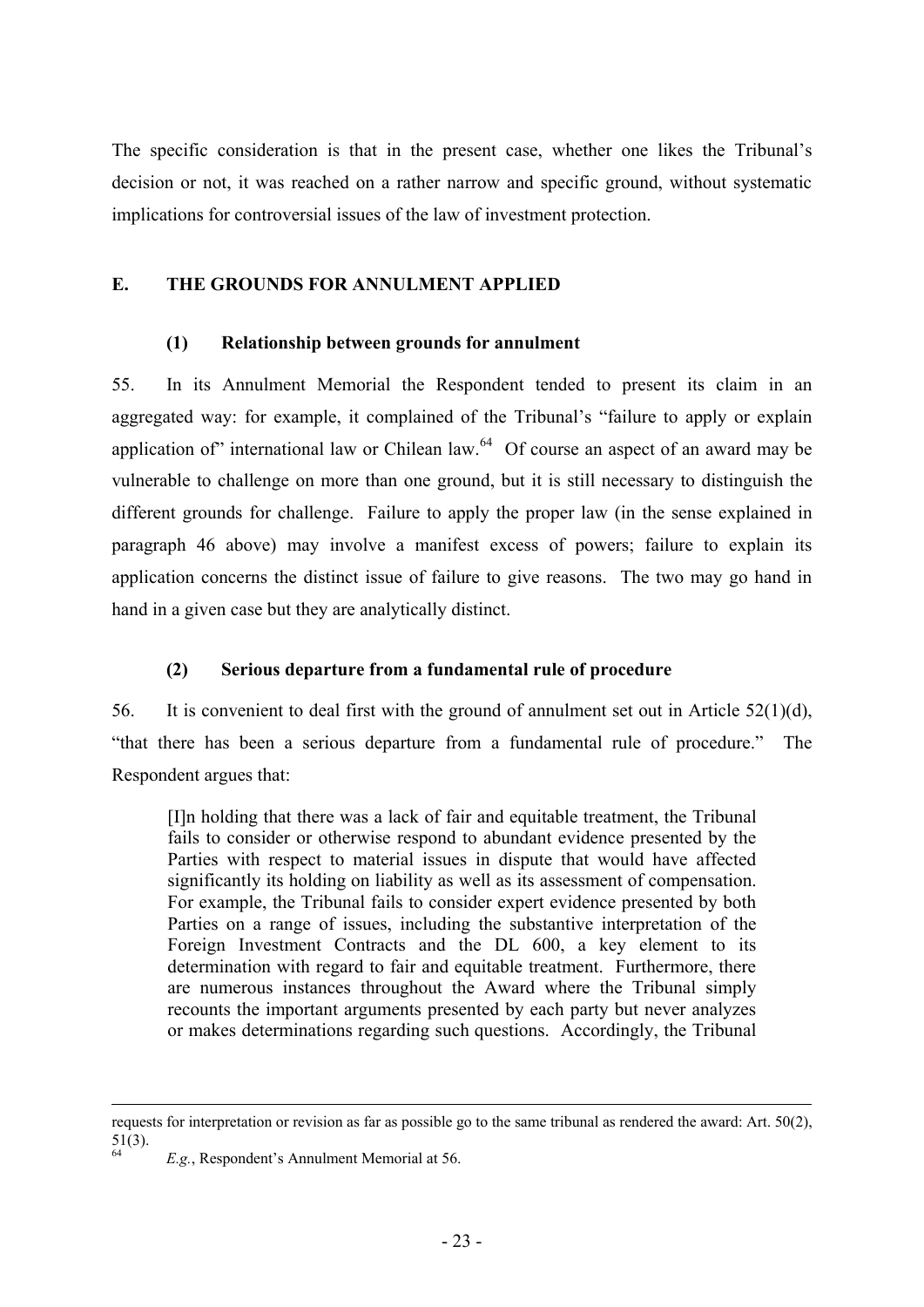The specific consideration is that in the present case, whether one likes the Tribunal's decision or not, it was reached on a rather narrow and specific ground, without systematic implications for controversial issues of the law of investment protection.

#### **E. THE GROUNDS FOR ANNULMENT APPLIED**

#### **(1) Relationship between grounds for annulment**

55. In its Annulment Memorial the Respondent tended to present its claim in an aggregated way: for example, it complained of the Tribunal's "failure to apply or explain application of" international law or Chilean law.<sup>[64](#page-24-0)</sup> Of course an aspect of an award may be vulnerable to challenge on more than one ground, but it is still necessary to distinguish the different grounds for challenge. Failure to apply the proper law (in the sense explained in paragraph 46 above) may involve a manifest excess of powers; failure to explain its application concerns the distinct issue of failure to give reasons. The two may go hand in hand in a given case but they are analytically distinct.

### **(2) Serious departure from a fundamental rule of procedure**

56. It is convenient to deal first with the ground of annulment set out in Article 52(1)(d), "that there has been a serious departure from a fundamental rule of procedure." The Respondent argues that:

[I]n holding that there was a lack of fair and equitable treatment, the Tribunal fails to consider or otherwise respond to abundant evidence presented by the Parties with respect to material issues in dispute that would have affected significantly its holding on liability as well as its assessment of compensation. For example, the Tribunal fails to consider expert evidence presented by both Parties on a range of issues, including the substantive interpretation of the Foreign Investment Contracts and the DL 600, a key element to its determination with regard to fair and equitable treatment. Furthermore, there are numerous instances throughout the Award where the Tribunal simply recounts the important arguments presented by each party but never analyzes or makes determinations regarding such questions. Accordingly, the Tribunal

<span id="page-24-0"></span>requests for interpretation or revision as far as possible go to the same tribunal as rendered the award: Art. 50(2),  $\frac{51(3)}{64}$ .

<sup>64</sup> *E.g.*, Respondent's Annulment Memorial at 56.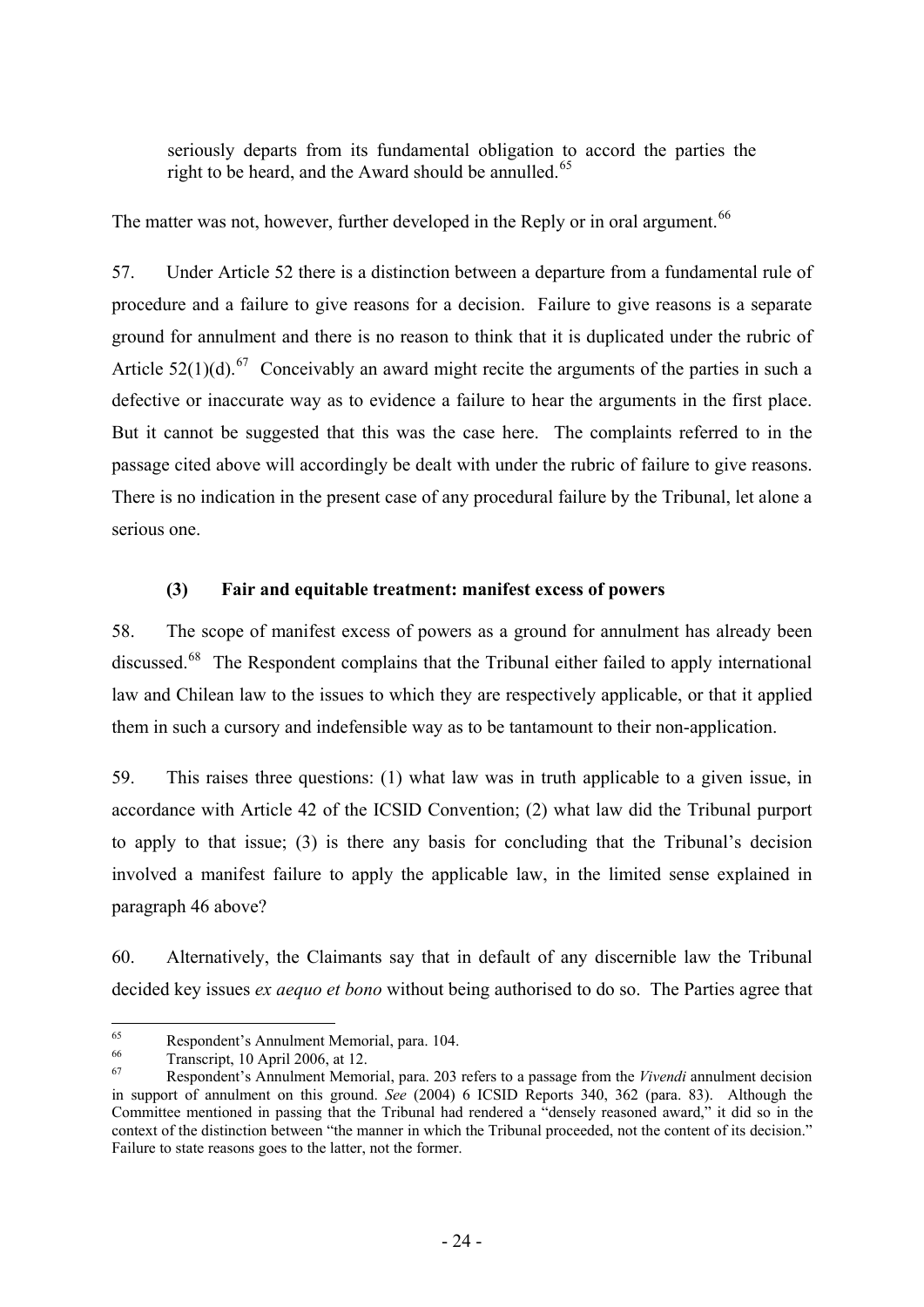seriously departs from its fundamental obligation to accord the parties the right to be heard, and the Award should be annulled.<sup>[65](#page-25-1)</sup>

The matter was not, however, further developed in the Reply or in oral argument.<sup>[66](#page-25-2)</sup>

57. Under Article 52 there is a distinction between a departure from a fundamental rule of procedure and a failure to give reasons for a decision. Failure to give reasons is a separate ground for annulment and there is no reason to think that it is duplicated under the rubric of Article  $52(1)(d)$ .<sup>[67](#page-25-3)</sup> Conceivably an award might recite the arguments of the parties in such a defective or inaccurate way as to evidence a failure to hear the arguments in the first place. But it cannot be suggested that this was the case here. The complaints referred to in the passage cited above will accordingly be dealt with under the rubric of failure to give reasons. There is no indication in the present case of any procedural failure by the Tribunal, let alone a serious one.

### **(3) Fair and equitable treatment: manifest excess of powers**

58. The scope of manifest excess of powers as a ground for annulment has already been discussed.<sup>[68](#page-25-0)</sup> The Respondent complains that the Tribunal either failed to apply international law and Chilean law to the issues to which they are respectively applicable, or that it applied them in such a cursory and indefensible way as to be tantamount to their non-application.

59. This raises three questions: (1) what law was in truth applicable to a given issue, in accordance with Article 42 of the ICSID Convention; (2) what law did the Tribunal purport to apply to that issue; (3) is there any basis for concluding that the Tribunal's decision involved a manifest failure to apply the applicable law, in the limited sense explained in paragraph 46 above?

60. Alternatively, the Claimants say that in default of any discernible law the Tribunal decided key issues *ex aequo et bono* without being authorised to do so. The Parties agree that

<span id="page-25-1"></span><span id="page-25-0"></span><sup>65</sup>  $^{65}$  Respondent's Annulment Memorial, para. 104.

<span id="page-25-2"></span> $^{66}$  Transcript, 10 April 2006, at 12.

<span id="page-25-3"></span><sup>67</sup> Respondent's Annulment Memorial, para. 203 refers to a passage from the *Vivendi* annulment decision in support of annulment on this ground. *See* (2004) 6 ICSID Reports 340, 362 (para. 83). Although the Committee mentioned in passing that the Tribunal had rendered a "densely reasoned award," it did so in the context of the distinction between "the manner in which the Tribunal proceeded, not the content of its decision." Failure to state reasons goes to the latter, not the former.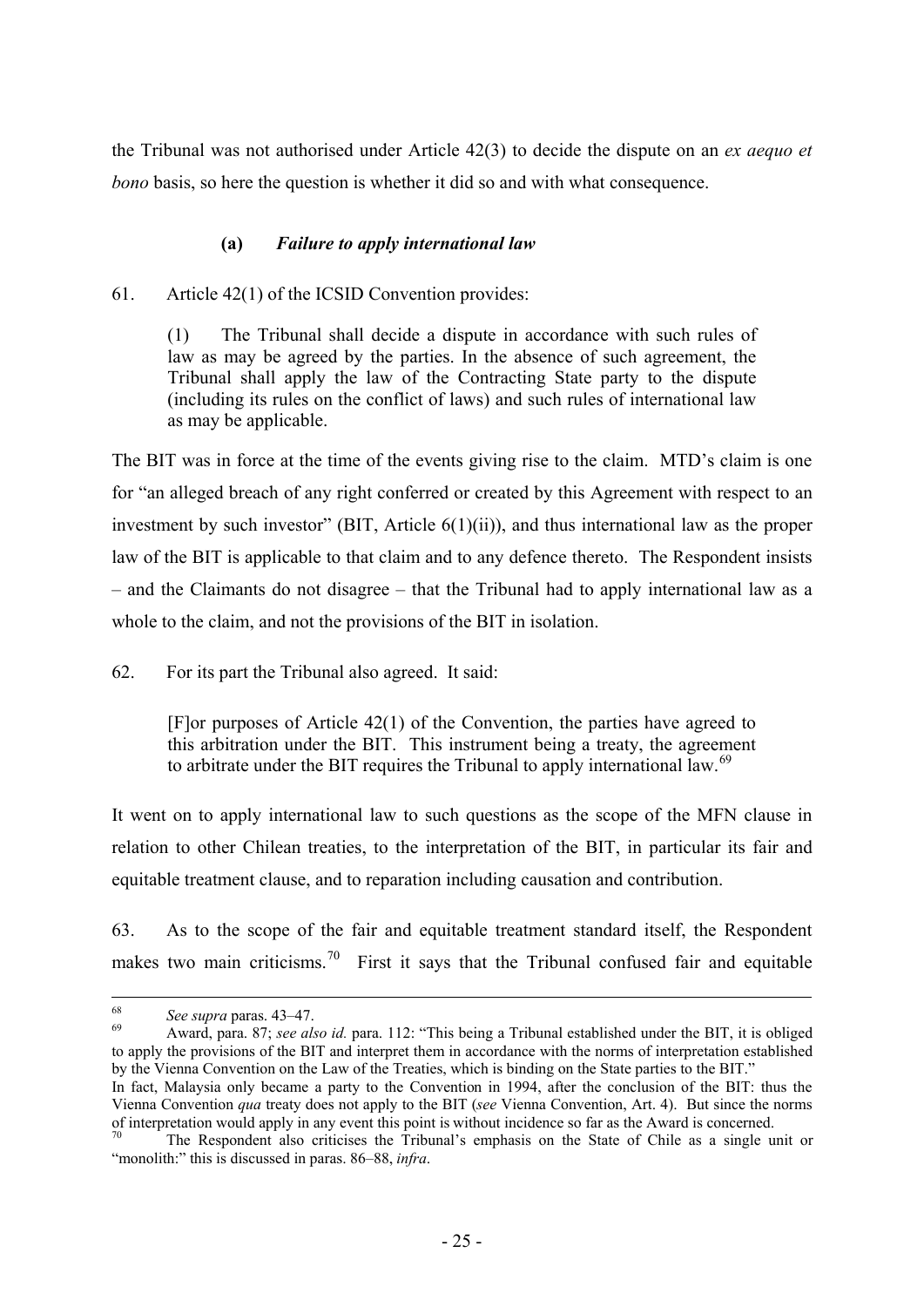the Tribunal was not authorised under Article 42(3) to decide the dispute on an *ex aequo et bono* basis, so here the question is whether it did so and with what consequence.

### **(a)** *Failure to apply international law*

61. Article 42(1) of the ICSID Convention provides:

(1) The Tribunal shall decide a dispute in accordance with such rules of law as may be agreed by the parties. In the absence of such agreement, the Tribunal shall apply the law of the Contracting State party to the dispute (including its rules on the conflict of laws) and such rules of international law as may be applicable.

The BIT was in force at the time of the events giving rise to the claim. MTD's claim is one for "an alleged breach of any right conferred or created by this Agreement with respect to an investment by such investor" (BIT, Article 6(1)(ii)), and thus international law as the proper law of the BIT is applicable to that claim and to any defence thereto. The Respondent insists – and the Claimants do not disagree – that the Tribunal had to apply international law as a whole to the claim, and not the provisions of the BIT in isolation.

62. For its part the Tribunal also agreed. It said:

[F]or purposes of Article 42(1) of the Convention, the parties have agreed to this arbitration under the BIT. This instrument being a treaty, the agreement to arbitrate under the BIT requires the Tribunal to apply international law.<sup>[69](#page-26-1)</sup>

It went on to apply international law to such questions as the scope of the MFN clause in relation to other Chilean treaties, to the interpretation of the BIT, in particular its fair and equitable treatment clause, and to reparation including causation and contribution.

63. As to the scope of the fair and equitable treatment standard itself, the Respondent makes two main criticisms.<sup>[70](#page-26-0)</sup> First it says that the Tribunal confused fair and equitable

<span id="page-26-1"></span><sup>68</sup> *See supra* paras. 43–47. 69 Award, para. 87; *see also id.* para. 112: "This being a Tribunal established under the BIT, it is obliged to apply the provisions of the BIT and interpret them in accordance with the norms of interpretation established by the Vienna Convention on the Law of the Treaties, which is binding on the State parties to the BIT."

In fact, Malaysia only became a party to the Convention in 1994, after the conclusion of the BIT: thus the Vienna Convention *qua* treaty does not apply to the BIT (*see* Vienna Convention, Art. 4). But since the norms

<span id="page-26-0"></span>The Respondent also criticises the Tribunal's emphasis on the State of Chile as a single unit or "monolith:" this is discussed in paras. 86–88, *infra*.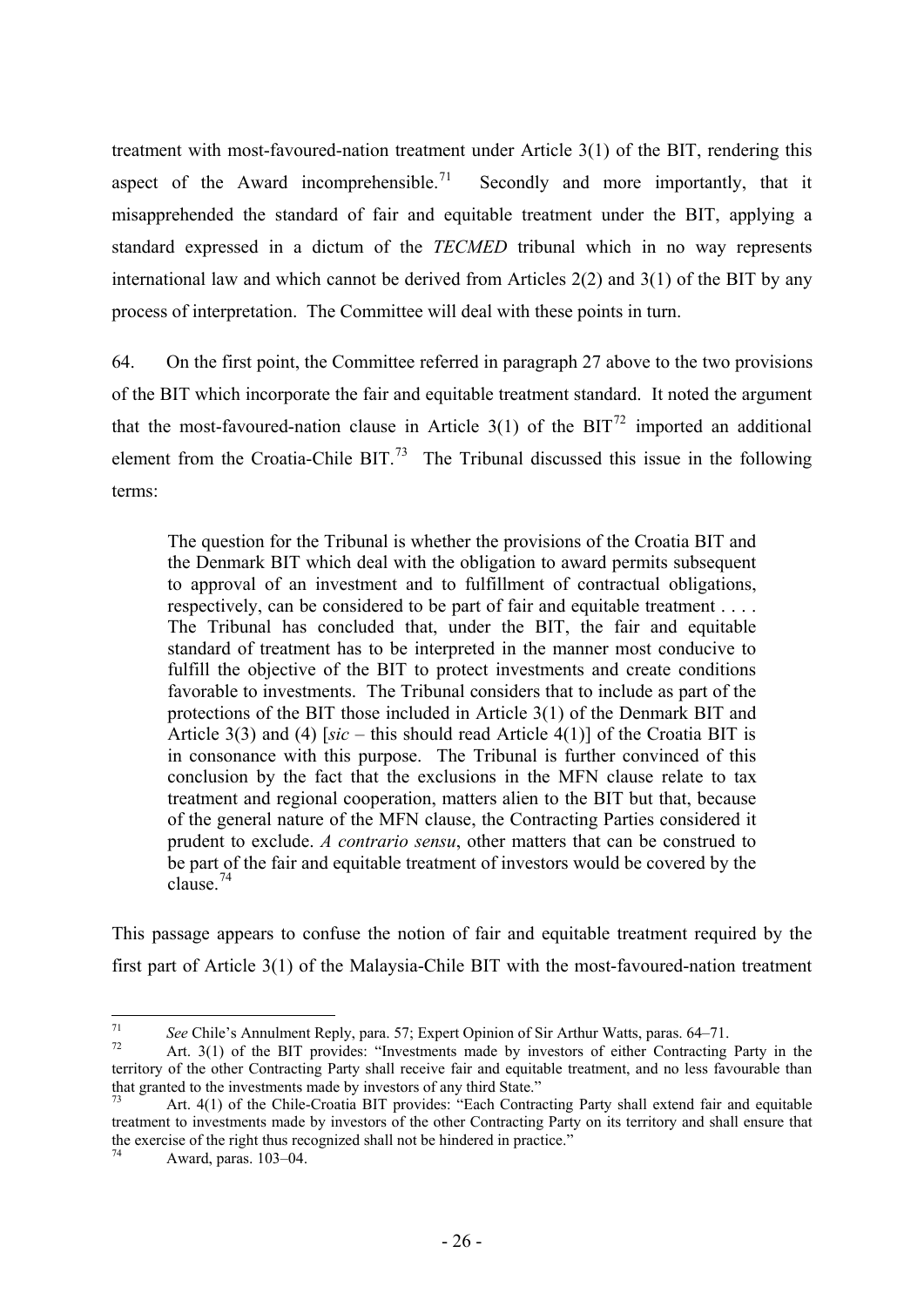treatment with most-favoured-nation treatment under Article 3(1) of the BIT, rendering this aspect of the Award incomprehensible.<sup>[71](#page-27-1)</sup> Secondly and more importantly, that it misapprehended the standard of fair and equitable treatment under the BIT, applying a standard expressed in a dictum of the *TECMED* tribunal which in no way represents international law and which cannot be derived from Articles 2(2) and 3(1) of the BIT by any process of interpretation. The Committee will deal with these points in turn.

64. On the first point, the Committee referred in paragraph 27 above to the two provisions of the BIT which incorporate the fair and equitable treatment standard. It noted the argument that the most-favoured-nation clause in Article  $3(1)$  of the BIT<sup>[72](#page-27-2)</sup> imported an additional element from the Croatia-Chile BIT.<sup>[73](#page-27-3)</sup> The Tribunal discussed this issue in the following terms:

The question for the Tribunal is whether the provisions of the Croatia BIT and the Denmark BIT which deal with the obligation to award permits subsequent to approval of an investment and to fulfillment of contractual obligations, respectively, can be considered to be part of fair and equitable treatment . . . . The Tribunal has concluded that, under the BIT, the fair and equitable standard of treatment has to be interpreted in the manner most conducive to fulfill the objective of the BIT to protect investments and create conditions favorable to investments. The Tribunal considers that to include as part of the protections of the BIT those included in Article 3(1) of the Denmark BIT and Article 3(3) and (4) [*sic* – this should read Article 4(1)] of the Croatia BIT is in consonance with this purpose. The Tribunal is further convinced of this conclusion by the fact that the exclusions in the MFN clause relate to tax treatment and regional cooperation, matters alien to the BIT but that, because of the general nature of the MFN clause, the Contracting Parties considered it prudent to exclude. *A contrario sensu*, other matters that can be construed to be part of the fair and equitable treatment of investors would be covered by the clause.[74](#page-27-0)

This passage appears to confuse the notion of fair and equitable treatment required by the first part of Article 3(1) of the Malaysia-Chile BIT with the most-favoured-nation treatment

<span id="page-27-1"></span> $71\,$ <sup>71</sup> *See* Chile's Annulment Reply, para. 57; Expert Opinion of Sir Arthur Watts, paras. 64–71.<br><sup>72</sup> Art. 3(1) of the BIT provides: "Investments made by investors of either Contracting Party in the

<span id="page-27-2"></span>territory of the other Contracting Party shall receive fair and equitable treatment, and no less favourable than that granted to the investments made by investors of any third State."

<span id="page-27-3"></span>Art. 4(1) of the Chile-Croatia BIT provides: "Each Contracting Party shall extend fair and equitable treatment to investments made by investors of the other Contracting Party on its territory and shall ensure that the exercise of the right thus recognized shall not be hindered in practice."<br>Award, paras. 103–04.

<span id="page-27-0"></span>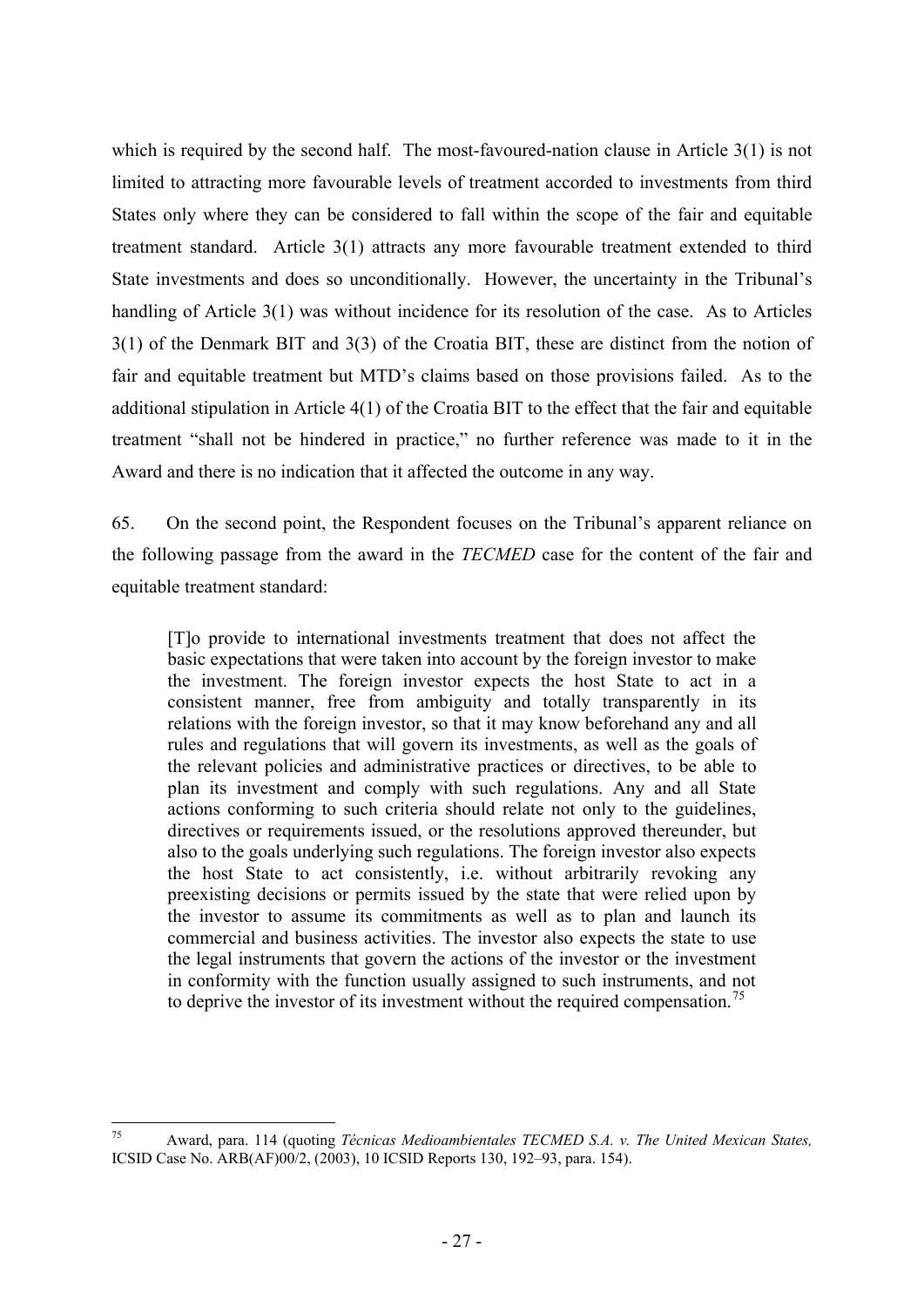which is required by the second half. The most-favoured-nation clause in Article 3(1) is not limited to attracting more favourable levels of treatment accorded to investments from third States only where they can be considered to fall within the scope of the fair and equitable treatment standard. Article 3(1) attracts any more favourable treatment extended to third State investments and does so unconditionally. However, the uncertainty in the Tribunal's handling of Article 3(1) was without incidence for its resolution of the case. As to Articles 3(1) of the Denmark BIT and 3(3) of the Croatia BIT, these are distinct from the notion of fair and equitable treatment but MTD's claims based on those provisions failed. As to the additional stipulation in Article 4(1) of the Croatia BIT to the effect that the fair and equitable treatment "shall not be hindered in practice," no further reference was made to it in the Award and there is no indication that it affected the outcome in any way.

65. On the second point, the Respondent focuses on the Tribunal's apparent reliance on the following passage from the award in the *TECMED* case for the content of the fair and equitable treatment standard:

[T]o provide to international investments treatment that does not affect the basic expectations that were taken into account by the foreign investor to make the investment. The foreign investor expects the host State to act in a consistent manner, free from ambiguity and totally transparently in its relations with the foreign investor, so that it may know beforehand any and all rules and regulations that will govern its investments, as well as the goals of the relevant policies and administrative practices or directives, to be able to plan its investment and comply with such regulations. Any and all State actions conforming to such criteria should relate not only to the guidelines, directives or requirements issued, or the resolutions approved thereunder, but also to the goals underlying such regulations. The foreign investor also expects the host State to act consistently, i.e. without arbitrarily revoking any preexisting decisions or permits issued by the state that were relied upon by the investor to assume its commitments as well as to plan and launch its commercial and business activities. The investor also expects the state to use the legal instruments that govern the actions of the investor or the investment in conformity with the function usually assigned to such instruments, and not to deprive the investor of its investment without the required compensation.<sup>[75](#page-28-0)</sup>

<span id="page-28-0"></span><sup>75</sup> 75 Award, para. 114 (quoting *Técnicas Medioambientales TECMED S.A. v. The United Mexican States,* ICSID Case No. ARB(AF)00/2, (2003), 10 ICSID Reports 130, 192–93, para. 154).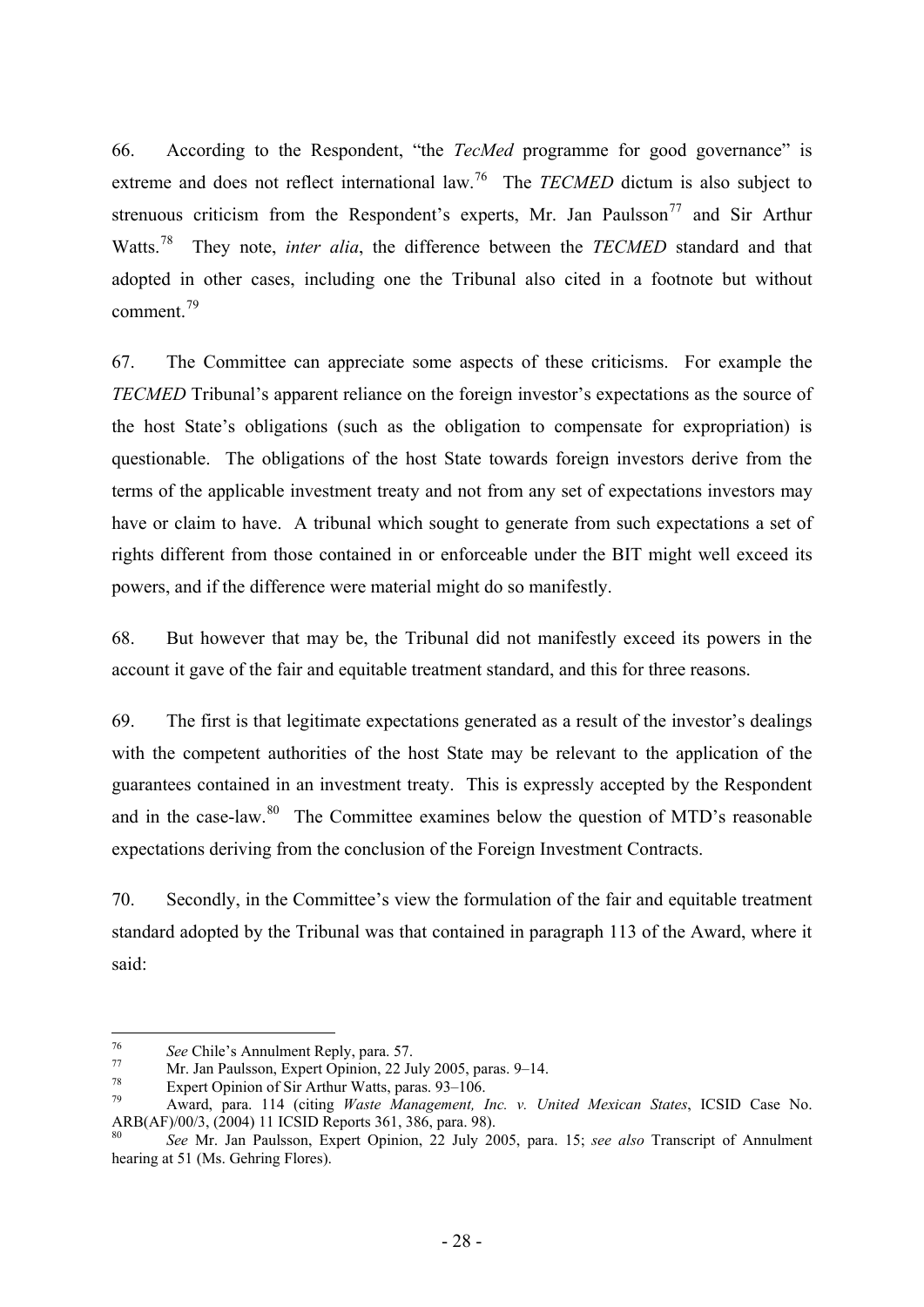66. According to the Respondent, "the *TecMed* programme for good governance" is extreme and does not reflect international law.<sup>[76](#page-29-1)</sup> The *TECMED* dictum is also subject to strenuous criticism from the Respondent's experts, Mr. Jan Paulsson<sup>77</sup> and Sir Arthur Watts.<sup>[78](#page-29-3)</sup> They note, *inter alia*, the difference between the *TECMED* standard and that adopted in other cases, including one the Tribunal also cited in a footnote but without comment<sup>[79](#page-29-4)</sup>

67. The Committee can appreciate some aspects of these criticisms. For example the *TECMED* Tribunal's apparent reliance on the foreign investor's expectations as the source of the host State's obligations (such as the obligation to compensate for expropriation) is questionable. The obligations of the host State towards foreign investors derive from the terms of the applicable investment treaty and not from any set of expectations investors may have or claim to have. A tribunal which sought to generate from such expectations a set of rights different from those contained in or enforceable under the BIT might well exceed its powers, and if the difference were material might do so manifestly.

68. But however that may be, the Tribunal did not manifestly exceed its powers in the account it gave of the fair and equitable treatment standard, and this for three reasons.

69. The first is that legitimate expectations generated as a result of the investor's dealings with the competent authorities of the host State may be relevant to the application of the guarantees contained in an investment treaty. This is expressly accepted by the Respondent and in the case-law.<sup>[80](#page-29-0)</sup> The Committee examines below the question of MTD's reasonable expectations deriving from the conclusion of the Foreign Investment Contracts.

70. Secondly, in the Committee's view the formulation of the fair and equitable treatment standard adopted by the Tribunal was that contained in paragraph 113 of the Award, where it said:

<sup>76</sup> 

<span id="page-29-1"></span><sup>&</sup>lt;sup>76</sup> *See* Chile's Annulment Reply, para. 57.<br><sup>77</sup> Mr. Jan Paulsson, Expert Opinion, 22 July 2005, paras. 9–14.

<span id="page-29-3"></span><span id="page-29-2"></span><sup>&</sup>lt;sup>78</sup> Expert Opinion of Sir Arthur Watts, paras. 93–106.

<span id="page-29-4"></span><sup>79</sup> Award, para. 114 (citing *Waste Management, Inc. v. United Mexican States*, ICSID Case No. ARB(AF)/00/3, (2004) 11 ICSID Reports 361, 386, para. 98).

<span id="page-29-0"></span>See Mr. Jan Paulsson, Expert Opinion, 22 July 2005, para. 15; *see also* Transcript of Annulment hearing at 51 (Ms. Gehring Flores).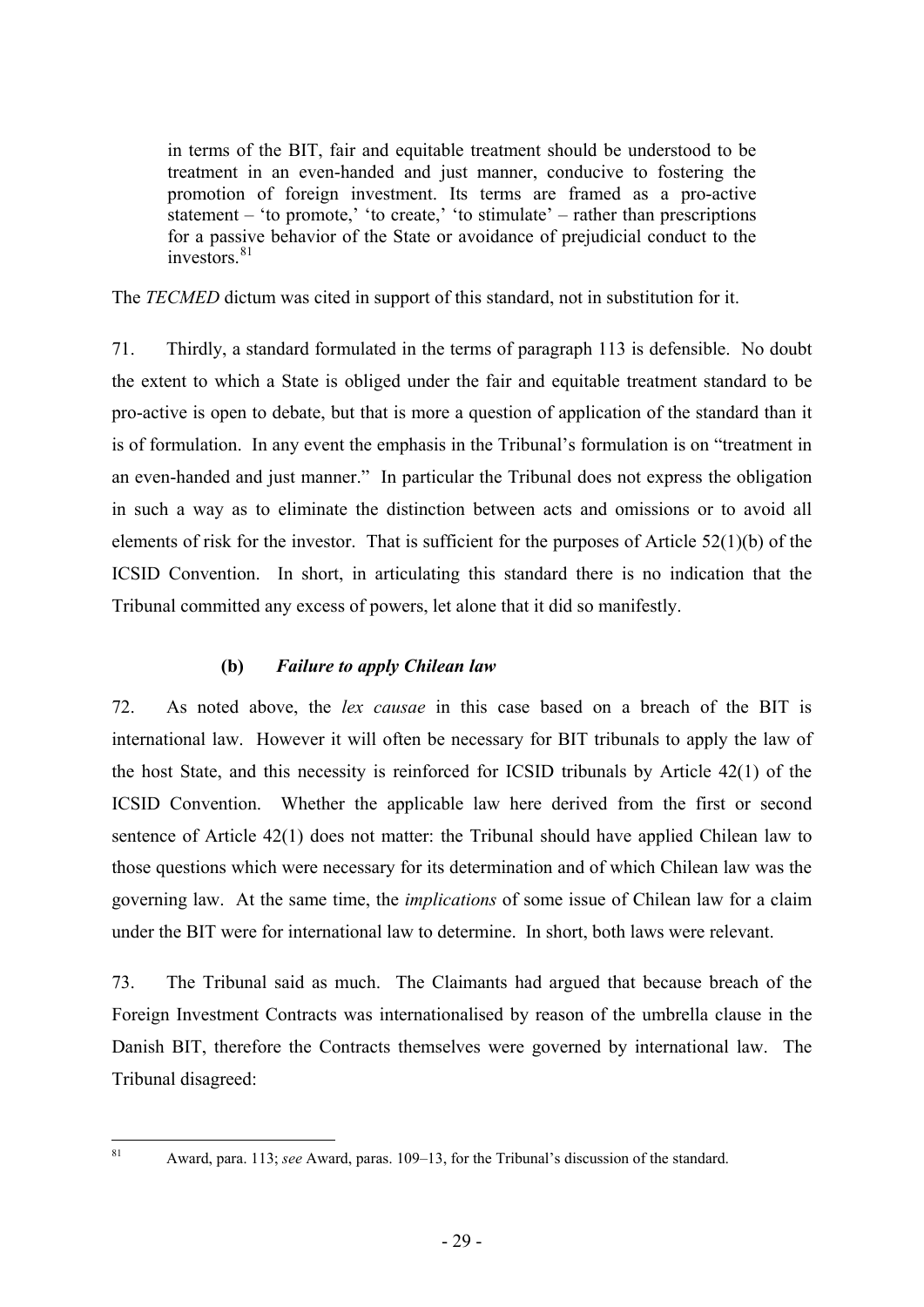in terms of the BIT, fair and equitable treatment should be understood to be treatment in an even-handed and just manner, conducive to fostering the promotion of foreign investment. Its terms are framed as a pro-active statement – 'to promote,' 'to create,' 'to stimulate' – rather than prescriptions for a passive behavior of the State or avoidance of prejudicial conduct to the investors<sup>[81](#page-30-0)</sup>

The *TECMED* dictum was cited in support of this standard, not in substitution for it.

71. Thirdly, a standard formulated in the terms of paragraph 113 is defensible. No doubt the extent to which a State is obliged under the fair and equitable treatment standard to be pro-active is open to debate, but that is more a question of application of the standard than it is of formulation. In any event the emphasis in the Tribunal's formulation is on "treatment in an even-handed and just manner." In particular the Tribunal does not express the obligation in such a way as to eliminate the distinction between acts and omissions or to avoid all elements of risk for the investor. That is sufficient for the purposes of Article 52(1)(b) of the ICSID Convention. In short, in articulating this standard there is no indication that the Tribunal committed any excess of powers, let alone that it did so manifestly.

# **(b)** *Failure to apply Chilean law*

72. As noted above, the *lex causae* in this case based on a breach of the BIT is international law. However it will often be necessary for BIT tribunals to apply the law of the host State, and this necessity is reinforced for ICSID tribunals by Article 42(1) of the ICSID Convention. Whether the applicable law here derived from the first or second sentence of Article 42(1) does not matter: the Tribunal should have applied Chilean law to those questions which were necessary for its determination and of which Chilean law was the governing law. At the same time, the *implications* of some issue of Chilean law for a claim under the BIT were for international law to determine. In short, both laws were relevant.

73. The Tribunal said as much. The Claimants had argued that because breach of the Foreign Investment Contracts was internationalised by reason of the umbrella clause in the Danish BIT, therefore the Contracts themselves were governed by international law. The Tribunal disagreed:

<span id="page-30-0"></span> $\overline{81}$ 

<sup>81</sup> Award, para. 113; *see* Award, paras. 109–13, for the Tribunal's discussion of the standard.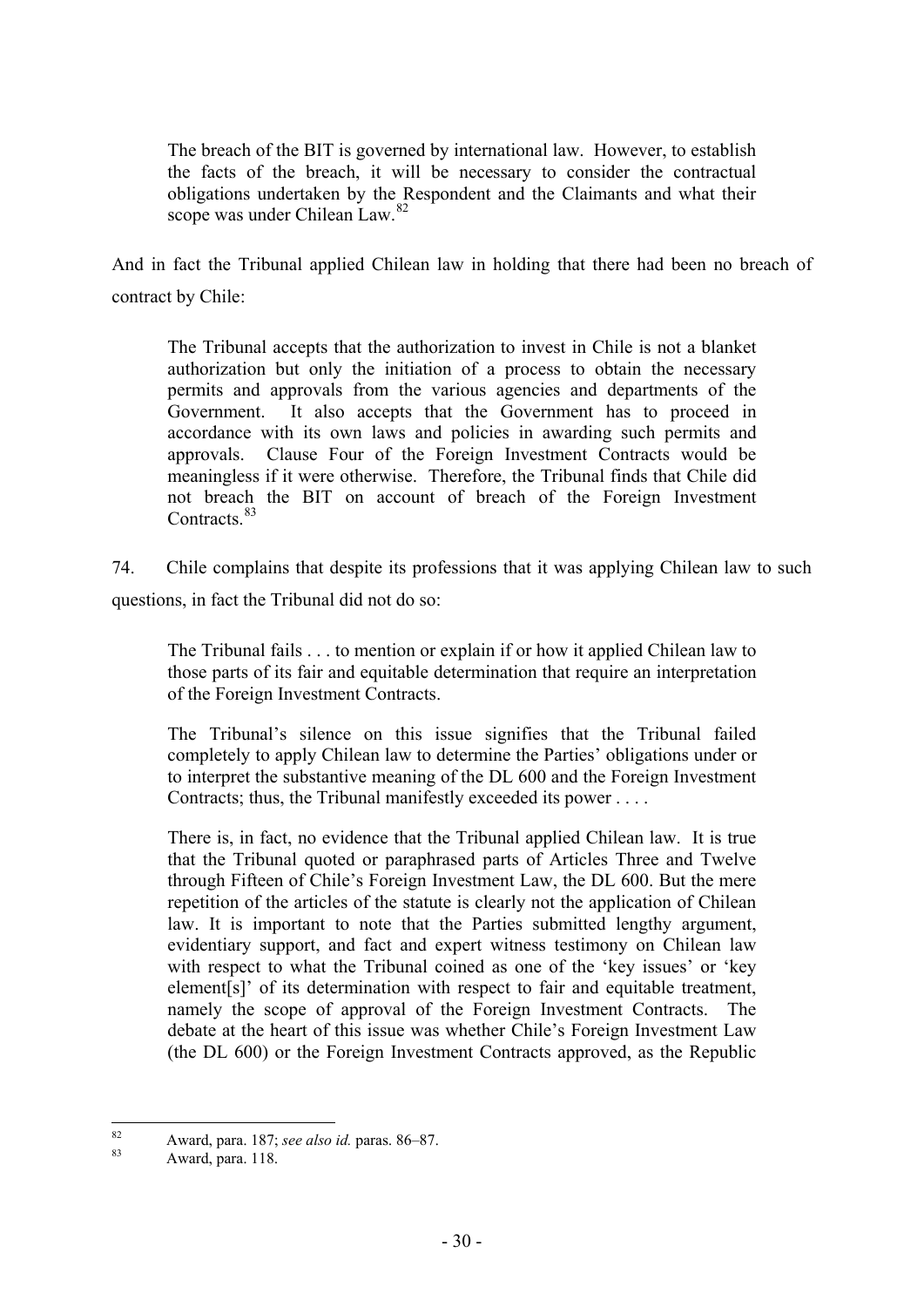The breach of the BIT is governed by international law. However, to establish the facts of the breach, it will be necessary to consider the contractual obligations undertaken by the Respondent and the Claimants and what their scope was under Chilean Law.<sup>[82](#page-31-1)</sup>

And in fact the Tribunal applied Chilean law in holding that there had been no breach of contract by Chile:

The Tribunal accepts that the authorization to invest in Chile is not a blanket authorization but only the initiation of a process to obtain the necessary permits and approvals from the various agencies and departments of the Government. It also accepts that the Government has to proceed in accordance with its own laws and policies in awarding such permits and approvals. Clause Four of the Foreign Investment Contracts would be meaningless if it were otherwise. Therefore, the Tribunal finds that Chile did not breach the BIT on account of breach of the Foreign Investment Contracts<sup>[83](#page-31-0)</sup>

74. Chile complains that despite its professions that it was applying Chilean law to such questions, in fact the Tribunal did not do so:

The Tribunal fails . . . to mention or explain if or how it applied Chilean law to those parts of its fair and equitable determination that require an interpretation of the Foreign Investment Contracts.

The Tribunal's silence on this issue signifies that the Tribunal failed completely to apply Chilean law to determine the Parties' obligations under or to interpret the substantive meaning of the DL 600 and the Foreign Investment Contracts; thus, the Tribunal manifestly exceeded its power . . . .

There is, in fact, no evidence that the Tribunal applied Chilean law. It is true that the Tribunal quoted or paraphrased parts of Articles Three and Twelve through Fifteen of Chile's Foreign Investment Law, the DL 600. But the mere repetition of the articles of the statute is clearly not the application of Chilean law. It is important to note that the Parties submitted lengthy argument, evidentiary support, and fact and expert witness testimony on Chilean law with respect to what the Tribunal coined as one of the 'key issues' or 'key element[s]' of its determination with respect to fair and equitable treatment, namely the scope of approval of the Foreign Investment Contracts. The debate at the heart of this issue was whether Chile's Foreign Investment Law (the DL 600) or the Foreign Investment Contracts approved, as the Republic

<span id="page-31-1"></span> $82$ <sup>82</sup> Award, para. 187; *see also id.* paras. 86–87.<br>Award, para. 118.

<span id="page-31-0"></span>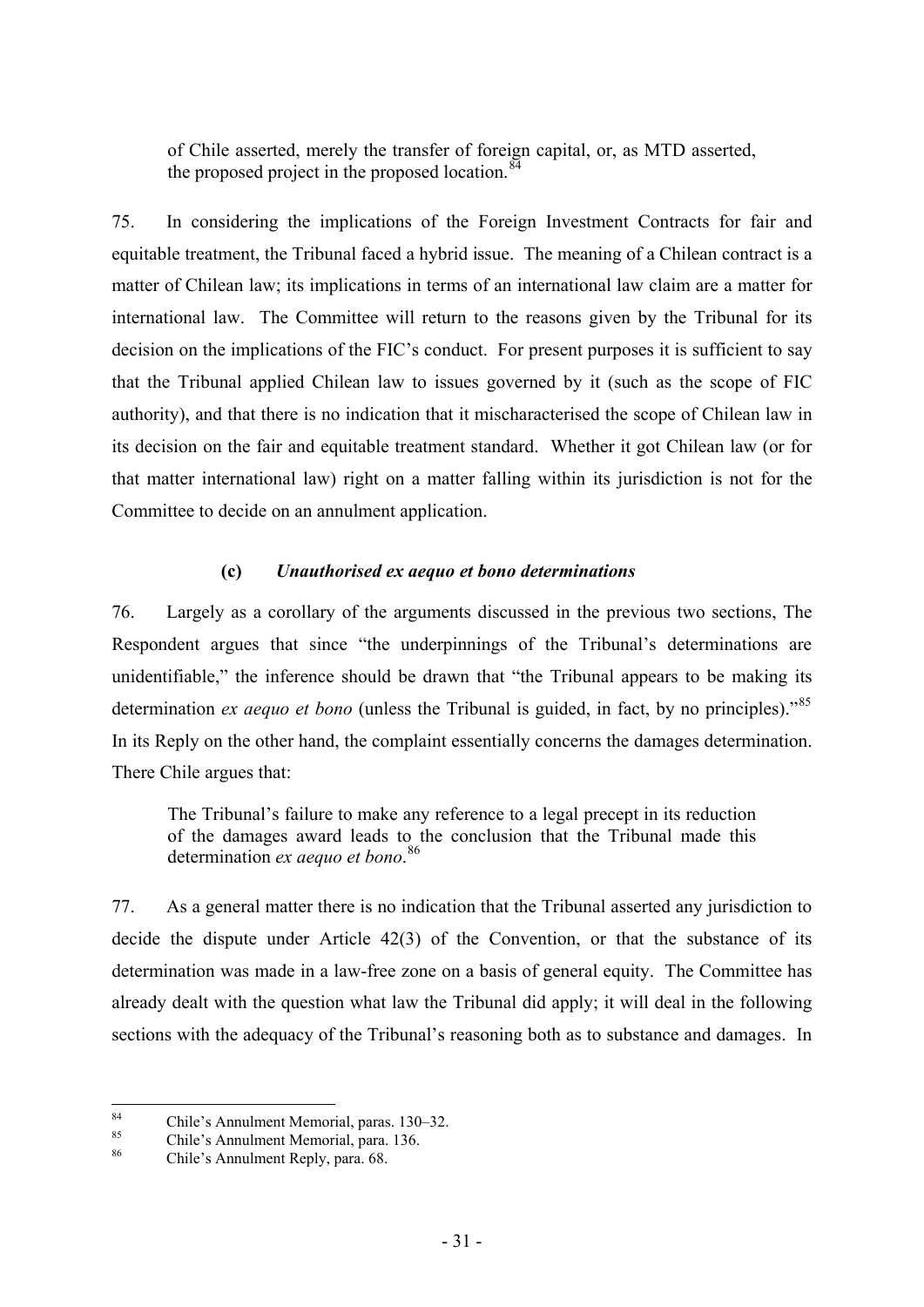of Chile asserted, merely the transfer of foreign capital, or, as MTD asserted, the proposed project in the proposed location.<sup>[84](#page-32-1)</sup>

75. In considering the implications of the Foreign Investment Contracts for fair and equitable treatment, the Tribunal faced a hybrid issue. The meaning of a Chilean contract is a matter of Chilean law; its implications in terms of an international law claim are a matter for international law. The Committee will return to the reasons given by the Tribunal for its decision on the implications of the FIC's conduct. For present purposes it is sufficient to say that the Tribunal applied Chilean law to issues governed by it (such as the scope of FIC authority), and that there is no indication that it mischaracterised the scope of Chilean law in its decision on the fair and equitable treatment standard. Whether it got Chilean law (or for that matter international law) right on a matter falling within its jurisdiction is not for the Committee to decide on an annulment application.

#### **(c)** *Unauthorised ex aequo et bono determinations*

76. Largely as a corollary of the arguments discussed in the previous two sections, The Respondent argues that since "the underpinnings of the Tribunal's determinations are unidentifiable," the inference should be drawn that "the Tribunal appears to be making its determination *ex aequo et bono* (unless the Tribunal is guided, in fact, by no principles)."[85](#page-32-2) In its Reply on the other hand, the complaint essentially concerns the damages determination. There Chile argues that:

The Tribunal's failure to make any reference to a legal precept in its reduction of the damages award leads to the conclusion that the Tribunal made this determination *ex aequo et bono*. [86](#page-32-0)

77. As a general matter there is no indication that the Tribunal asserted any jurisdiction to decide the dispute under Article 42(3) of the Convention, or that the substance of its determination was made in a law-free zone on a basis of general equity. The Committee has already dealt with the question what law the Tribunal did apply; it will deal in the following sections with the adequacy of the Tribunal's reasoning both as to substance and damages. In

<span id="page-32-1"></span> $84$ <sup>84</sup> Chile's Annulment Memorial, paras. 130–32.

<span id="page-32-2"></span><sup>&</sup>lt;sup>85</sup> Chile's Annulment Memorial, para. 136.

<span id="page-32-0"></span><sup>86</sup> Chile's Annulment Reply, para. 68.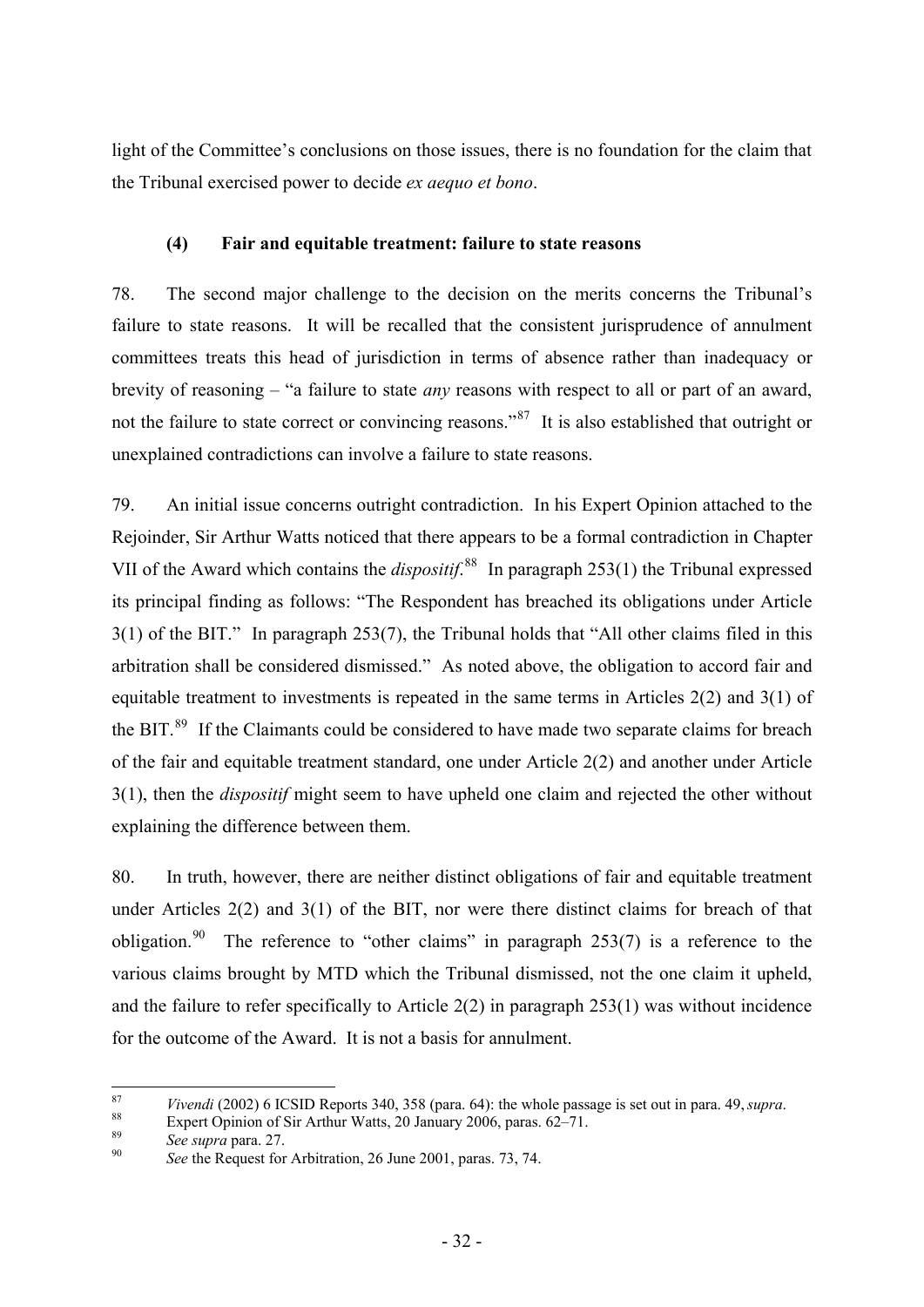light of the Committee's conclusions on those issues, there is no foundation for the claim that the Tribunal exercised power to decide *ex aequo et bono*.

#### **(4) Fair and equitable treatment: failure to state reasons**

78. The second major challenge to the decision on the merits concerns the Tribunal's failure to state reasons. It will be recalled that the consistent jurisprudence of annulment committees treats this head of jurisdiction in terms of absence rather than inadequacy or brevity of reasoning – "a failure to state *any* reasons with respect to all or part of an award, not the failure to state correct or convincing reasons."<sup>[87](#page-33-1)</sup> It is also established that outright or unexplained contradictions can involve a failure to state reasons.

79. An initial issue concerns outright contradiction. In his Expert Opinion attached to the Rejoinder, Sir Arthur Watts noticed that there appears to be a formal contradiction in Chapter VII of the Award which contains the *dispositif*. [88](#page-33-2) In paragraph 253(1) the Tribunal expressed its principal finding as follows: "The Respondent has breached its obligations under Article 3(1) of the BIT." In paragraph 253(7), the Tribunal holds that "All other claims filed in this arbitration shall be considered dismissed." As noted above, the obligation to accord fair and equitable treatment to investments is repeated in the same terms in Articles 2(2) and 3(1) of the BIT.<sup>[89](#page-33-3)</sup> If the Claimants could be considered to have made two separate claims for breach of the fair and equitable treatment standard, one under Article 2(2) and another under Article 3(1), then the *dispositif* might seem to have upheld one claim and rejected the other without explaining the difference between them.

80. In truth, however, there are neither distinct obligations of fair and equitable treatment under Articles 2(2) and 3(1) of the BIT, nor were there distinct claims for breach of that obligation.<sup>[90](#page-33-0)</sup> The reference to "other claims" in paragraph 253(7) is a reference to the various claims brought by MTD which the Tribunal dismissed, not the one claim it upheld, and the failure to refer specifically to Article 2(2) in paragraph 253(1) was without incidence for the outcome of the Award. It is not a basis for annulment.

 $87$ <sup>87</sup> *Vivendi* (2002) 6 ICSID Reports 340, 358 (para. 64): the whole passage is set out in para. 49, *supra*. Expert Opinion of Sir Arthur Watts, 20 January 2006, paras. 62–71.

<span id="page-33-3"></span><span id="page-33-2"></span><span id="page-33-1"></span>

<span id="page-33-0"></span><sup>89</sup> *See supra* para. 27. 90 *See* the Request for Arbitration, 26 June 2001, paras. 73, 74.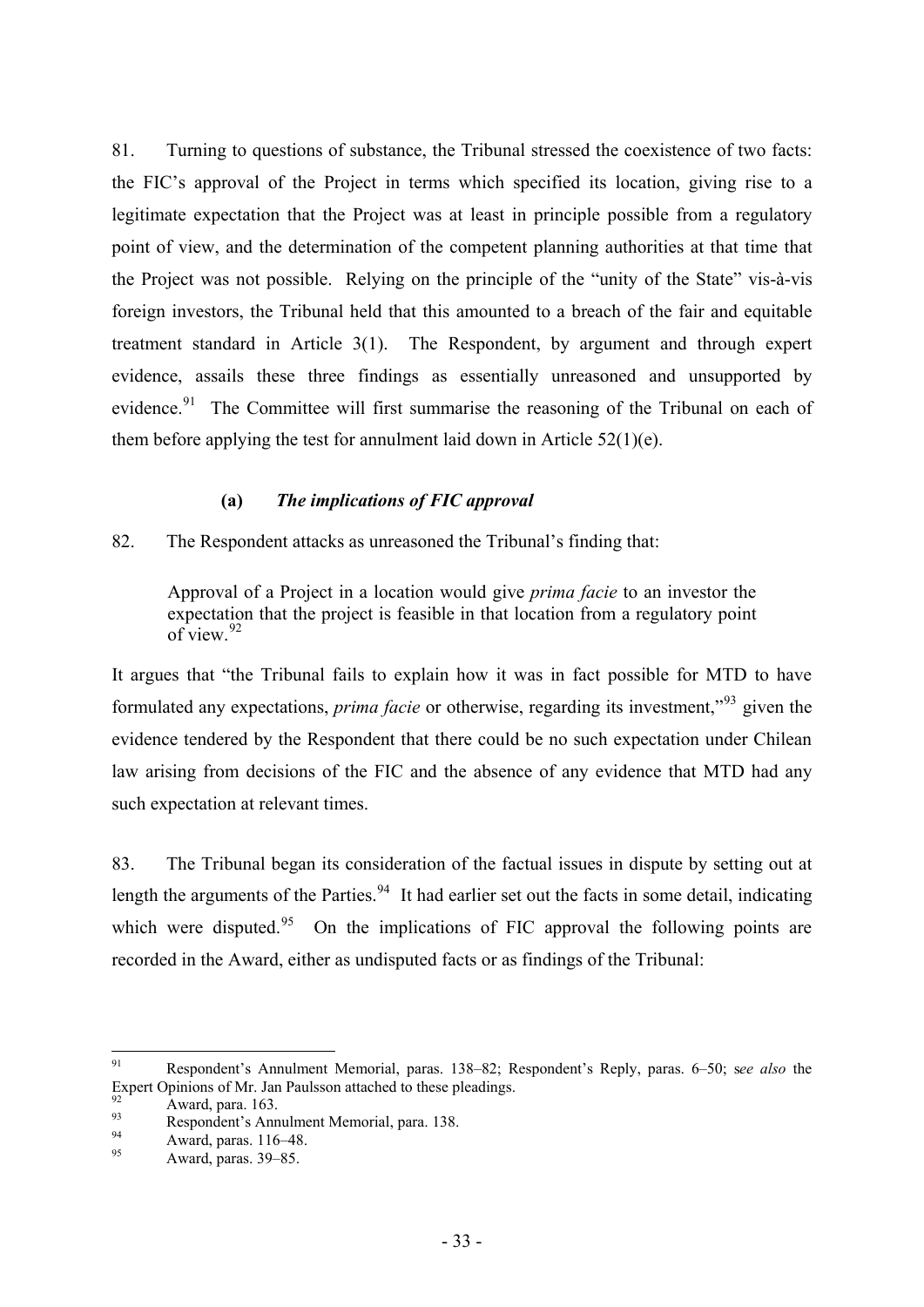81. Turning to questions of substance, the Tribunal stressed the coexistence of two facts: the FIC's approval of the Project in terms which specified its location, giving rise to a legitimate expectation that the Project was at least in principle possible from a regulatory point of view, and the determination of the competent planning authorities at that time that the Project was not possible. Relying on the principle of the "unity of the State" vis-à-vis foreign investors, the Tribunal held that this amounted to a breach of the fair and equitable treatment standard in Article 3(1). The Respondent, by argument and through expert evidence, assails these three findings as essentially unreasoned and unsupported by evidence.<sup>[91](#page-34-1)</sup> The Committee will first summarise the reasoning of the Tribunal on each of them before applying the test for annulment laid down in Article  $52(1)(e)$ .

#### **(a)** *The implications of FIC approval*

82. The Respondent attacks as unreasoned the Tribunal's finding that:

Approval of a Project in a location would give *prima facie* to an investor the expectation that the project is feasible in that location from a regulatory point of view.[92](#page-34-2)

It argues that "the Tribunal fails to explain how it was in fact possible for MTD to have formulated any expectations, *prima facie* or otherwise, regarding its investment,"[93](#page-34-3) given the evidence tendered by the Respondent that there could be no such expectation under Chilean law arising from decisions of the FIC and the absence of any evidence that MTD had any such expectation at relevant times.

83. The Tribunal began its consideration of the factual issues in dispute by setting out at length the arguments of the Parties. $94$  It had earlier set out the facts in some detail, indicating which were disputed.<sup>[95](#page-34-0)</sup> On the implications of FIC approval the following points are recorded in the Award, either as undisputed facts or as findings of the Tribunal:

<span id="page-34-1"></span><sup>91</sup> 91 Respondent's Annulment Memorial, paras. 138–82; Respondent's Reply, paras. 6–50; s*ee also* the Expert Opinions of Mr. Jan Paulsson attached to these pleadings.

<span id="page-34-2"></span> $\frac{92}{93}$  Award, para. 163.

<span id="page-34-3"></span> $\frac{93}{94}$  Respondent's Annulment Memorial, para. 138.

<span id="page-34-4"></span> $^{94}_{95}$  Award, paras. 116–48.

<span id="page-34-0"></span>Award, paras. 39-85.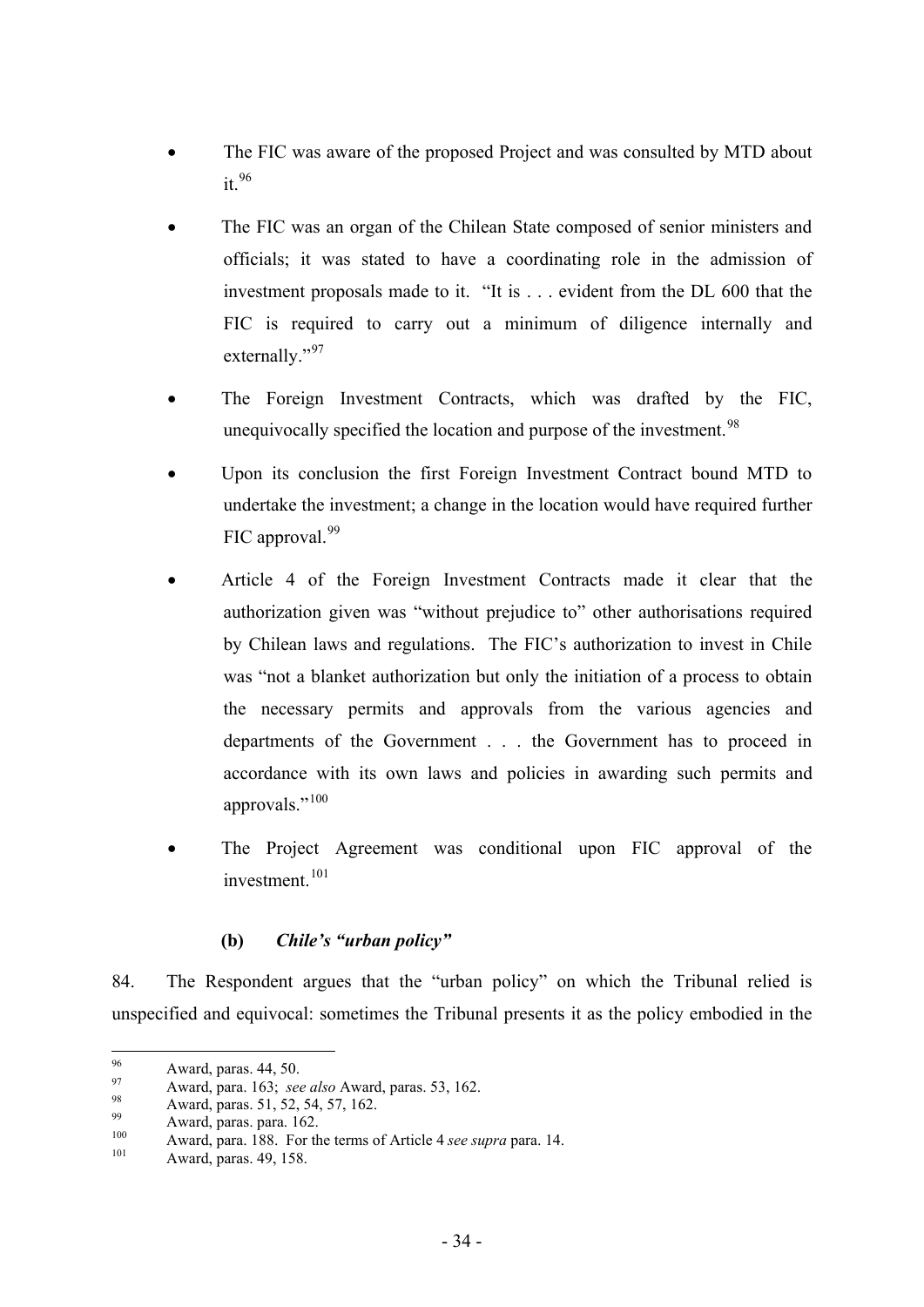- ! The FIC was aware of the proposed Project and was consulted by MTD about  $it.96$  $it.96$
- ! The FIC was an organ of the Chilean State composed of senior ministers and officials; it was stated to have a coordinating role in the admission of investment proposals made to it. "It is . . . evident from the DL 600 that the FIC is required to carry out a minimum of diligence internally and externally."[97](#page-35-2)
- The Foreign Investment Contracts, which was drafted by the FIC, unequivocally specified the location and purpose of the investment.<sup>[98](#page-35-3)</sup>
- ! Upon its conclusion the first Foreign Investment Contract bound MTD to undertake the investment; a change in the location would have required further FIC approval.  $99$
- ! Article 4 of the Foreign Investment Contracts made it clear that the authorization given was "without prejudice to" other authorisations required by Chilean laws and regulations. The FIC's authorization to invest in Chile was "not a blanket authorization but only the initiation of a process to obtain the necessary permits and approvals from the various agencies and departments of the Government . . . the Government has to proceed in accordance with its own laws and policies in awarding such permits and approvals."[100](#page-35-5)
- ! The Project Agreement was conditional upon FIC approval of the investment.<sup>[101](#page-35-0)</sup>

# **(b)** *Chile's "urban policy"*

84. The Respondent argues that the "urban policy" on which the Tribunal relied is unspecified and equivocal: sometimes the Tribunal presents it as the policy embodied in the

<span id="page-35-1"></span><sup>96</sup>  $^{96}_{97}$  Award, paras. 44, 50.

<span id="page-35-2"></span><sup>97</sup> Award, para. 163; *see also* Award, paras. 53, 162.<br>Award, paras. 51, 52, 54, 57, 162.

<span id="page-35-4"></span><span id="page-35-3"></span> $99$  Award, paras. para. 162.

<span id="page-35-5"></span><sup>&</sup>lt;sup>100</sup> Award, para. 188. For the terms of Article 4 *see supra* para. 14.<br><sup>101</sup> Award, paras. 49, 158.

<span id="page-35-0"></span>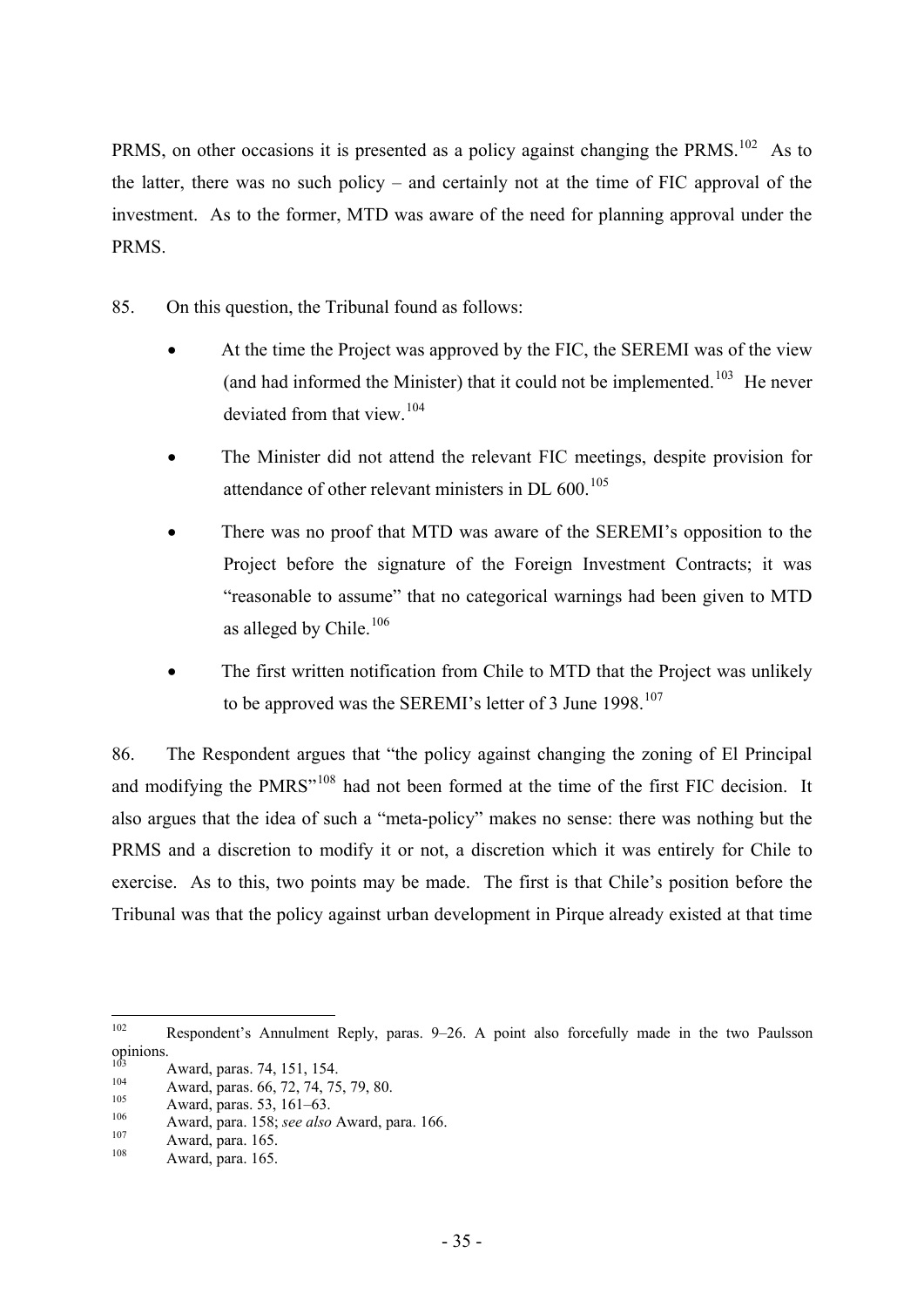PRMS, on other occasions it is presented as a policy against changing the PRMS.<sup>[102](#page-36-1)</sup> As to the latter, there was no such policy – and certainly not at the time of FIC approval of the investment. As to the former, MTD was aware of the need for planning approval under the PRMS.

- 85. On this question, the Tribunal found as follows:
	- At the time the Project was approved by the FIC, the SEREMI was of the view (and had informed the Minister) that it could not be implemented.<sup>[103](#page-36-2)</sup> He never deviated from that view.[104](#page-36-3)
	- ! The Minister did not attend the relevant FIC meetings, despite provision for attendance of other relevant ministers in DL  $600^{105}$  $600^{105}$  $600^{105}$
	- ! There was no proof that MTD was aware of the SEREMI's opposition to the Project before the signature of the Foreign Investment Contracts; it was "reasonable to assume" that no categorical warnings had been given to MTD as alleged by Chile.<sup>[106](#page-36-5)</sup>
	- The first written notification from Chile to MTD that the Project was unlikely to be approved was the SEREMI's letter of 3 June 1998.<sup>[107](#page-36-6)</sup>

86. The Respondent argues that "the policy against changing the zoning of El Principal and modifying the PMRS"<sup>[108](#page-36-0)</sup> had not been formed at the time of the first FIC decision. It also argues that the idea of such a "meta-policy" makes no sense: there was nothing but the PRMS and a discretion to modify it or not, a discretion which it was entirely for Chile to exercise. As to this, two points may be made. The first is that Chile's position before the Tribunal was that the policy against urban development in Pirque already existed at that time

<span id="page-36-1"></span><sup>102</sup> 102 Respondent's Annulment Reply, paras. 9–26. A point also forcefully made in the two Paulsson opinions.<br>Award, paras. 74, 151, 154.

<span id="page-36-5"></span><span id="page-36-4"></span>

<span id="page-36-3"></span><span id="page-36-2"></span><sup>104</sup> Award, paras. 66, 72, 74, 75, 79, 80.<br>
105 Award, paras. 53, 161–63.<br>
106 Award, para. 158; *see also* Award, para. 166.<br>
107 Award, para. 165.<br>
Award, para. 165.

<span id="page-36-6"></span>

<span id="page-36-0"></span>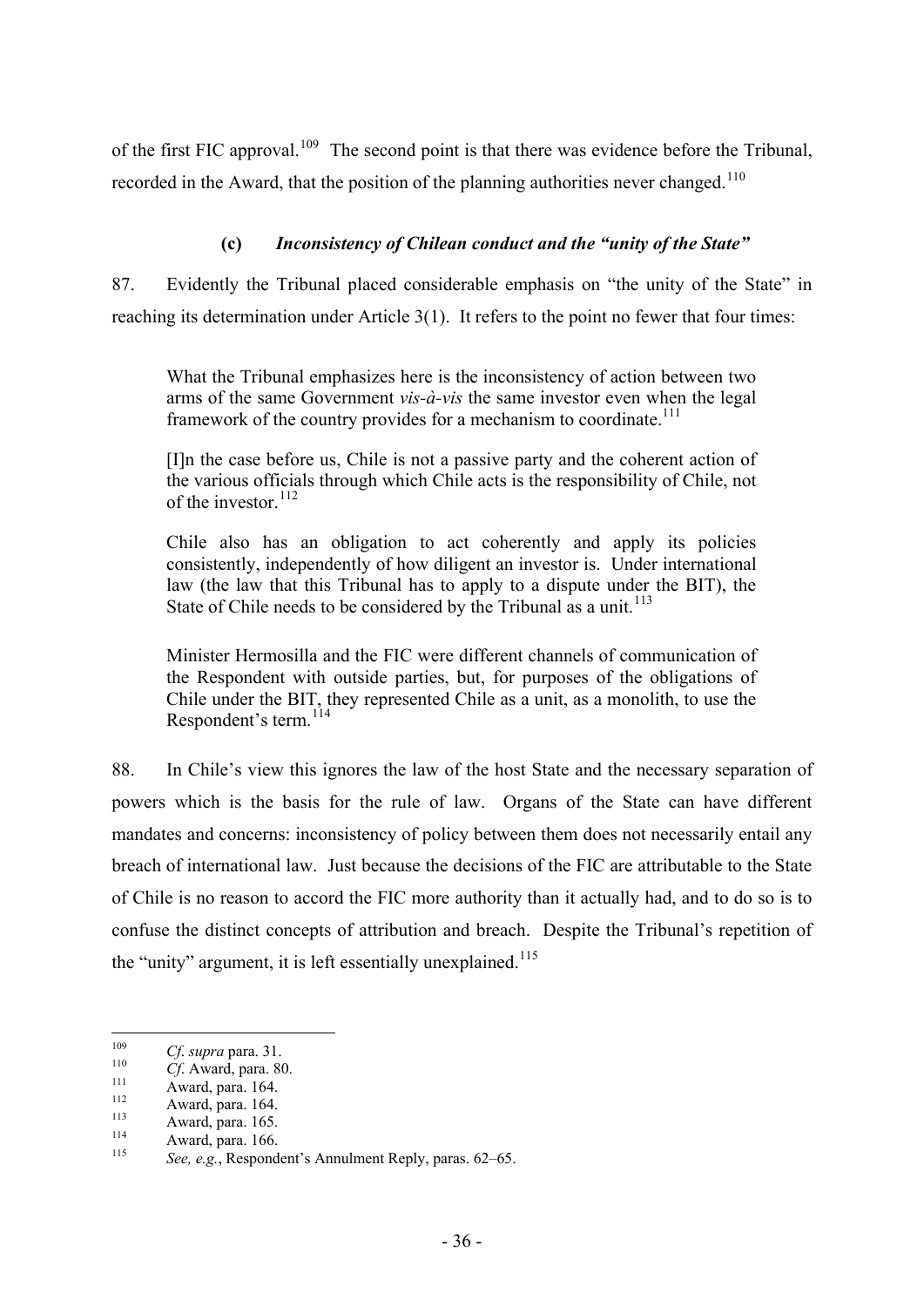of the first FIC approval.<sup>[109](#page-37-1)</sup> The second point is that there was evidence before the Tribunal, recorded in the Award, that the position of the planning authorities never changed.<sup>[110](#page-37-2)</sup>

# **(c)** *Inconsistency of Chilean conduct and the "unity of the State"*

87. Evidently the Tribunal placed considerable emphasis on "the unity of the State" in reaching its determination under Article 3(1). It refers to the point no fewer that four times:

What the Tribunal emphasizes here is the inconsistency of action between two arms of the same Government *vis-à-vis* the same investor even when the legal framework of the country provides for a mechanism to coordinate.<sup>[111](#page-37-3)</sup>

[I]n the case before us, Chile is not a passive party and the coherent action of the various officials through which Chile acts is the responsibility of Chile, not of the investor  $^{112}$  $^{112}$  $^{112}$ 

Chile also has an obligation to act coherently and apply its policies consistently, independently of how diligent an investor is. Under international law (the law that this Tribunal has to apply to a dispute under the BIT), the State of Chile needs to be considered by the Tribunal as a unit.<sup>[113](#page-37-5)</sup>

Minister Hermosilla and the FIC were different channels of communication of the Respondent with outside parties, but, for purposes of the obligations of Chile under the BIT, they represented Chile as a unit, as a monolith, to use the Respondent's term.<sup>[114](#page-37-6)</sup>

88. In Chile's view this ignores the law of the host State and the necessary separation of powers which is the basis for the rule of law. Organs of the State can have different mandates and concerns: inconsistency of policy between them does not necessarily entail any breach of international law. Just because the decisions of the FIC are attributable to the State of Chile is no reason to accord the FIC more authority than it actually had, and to do so is to confuse the distinct concepts of attribution and breach. Despite the Tribunal's repetition of the "unity" argument, it is left essentially unexplained.<sup>[115](#page-37-0)</sup>

<sup>109</sup> 

<span id="page-37-2"></span>

<span id="page-37-3"></span>

<span id="page-37-4"></span>

<span id="page-37-5"></span>

<span id="page-37-6"></span><span id="page-37-0"></span>

<span id="page-37-1"></span><sup>109</sup> *Cf. supra* para. 31.<br>
110 *Cf.* Award, para. 160.<br>
<sup>111</sup> Award, para. 164.<br>
<sup>113</sup> Award, para. 165.<br>
<sup>114</sup> Award, para. 166.<br> *See, e.g.*, Respondent's Annulment Reply, paras. 62–65.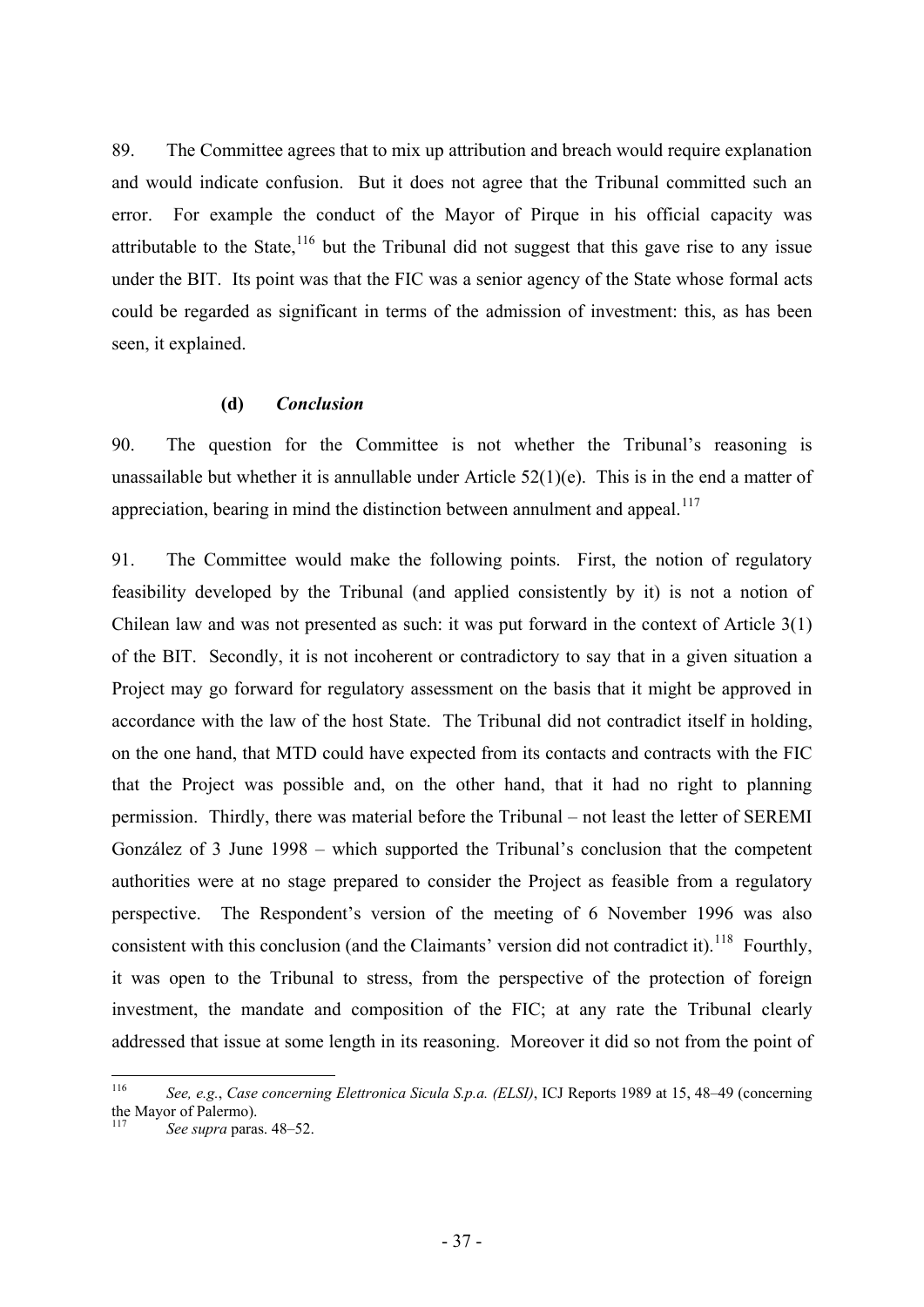89. The Committee agrees that to mix up attribution and breach would require explanation and would indicate confusion. But it does not agree that the Tribunal committed such an error. For example the conduct of the Mayor of Pirque in his official capacity was attributable to the State,  $116$  but the Tribunal did not suggest that this gave rise to any issue under the BIT. Its point was that the FIC was a senior agency of the State whose formal acts could be regarded as significant in terms of the admission of investment: this, as has been seen, it explained.

### **(d)** *Conclusion*

90. The question for the Committee is not whether the Tribunal's reasoning is unassailable but whether it is annullable under Article 52(1)(e). This is in the end a matter of appreciation, bearing in mind the distinction between annulment and appeal.<sup>[117](#page-38-2)</sup>

91. The Committee would make the following points. First, the notion of regulatory feasibility developed by the Tribunal (and applied consistently by it) is not a notion of Chilean law and was not presented as such: it was put forward in the context of Article 3(1) of the BIT. Secondly, it is not incoherent or contradictory to say that in a given situation a Project may go forward for regulatory assessment on the basis that it might be approved in accordance with the law of the host State. The Tribunal did not contradict itself in holding, on the one hand, that MTD could have expected from its contacts and contracts with the FIC that the Project was possible and, on the other hand, that it had no right to planning permission. Thirdly, there was material before the Tribunal – not least the letter of SEREMI González of 3 June 1998 – which supported the Tribunal's conclusion that the competent authorities were at no stage prepared to consider the Project as feasible from a regulatory perspective. The Respondent's version of the meeting of 6 November 1996 was also consistent with this conclusion (and the Claimants' version did not contradict it).<sup>[118](#page-38-0)</sup> Fourthly, it was open to the Tribunal to stress, from the perspective of the protection of foreign investment, the mandate and composition of the FIC; at any rate the Tribunal clearly addressed that issue at some length in its reasoning. Moreover it did so not from the point of

<span id="page-38-1"></span><sup>116</sup> <sup>116</sup> *See, e.g.*, *Case concerning Elettronica Sicula S.p.a. (ELSI)*, ICJ Reports 1989 at 15, 48–49 (concerning the Mayor of Palermo).

<span id="page-38-2"></span><span id="page-38-0"></span><sup>117</sup> *See supra* paras. 48–52.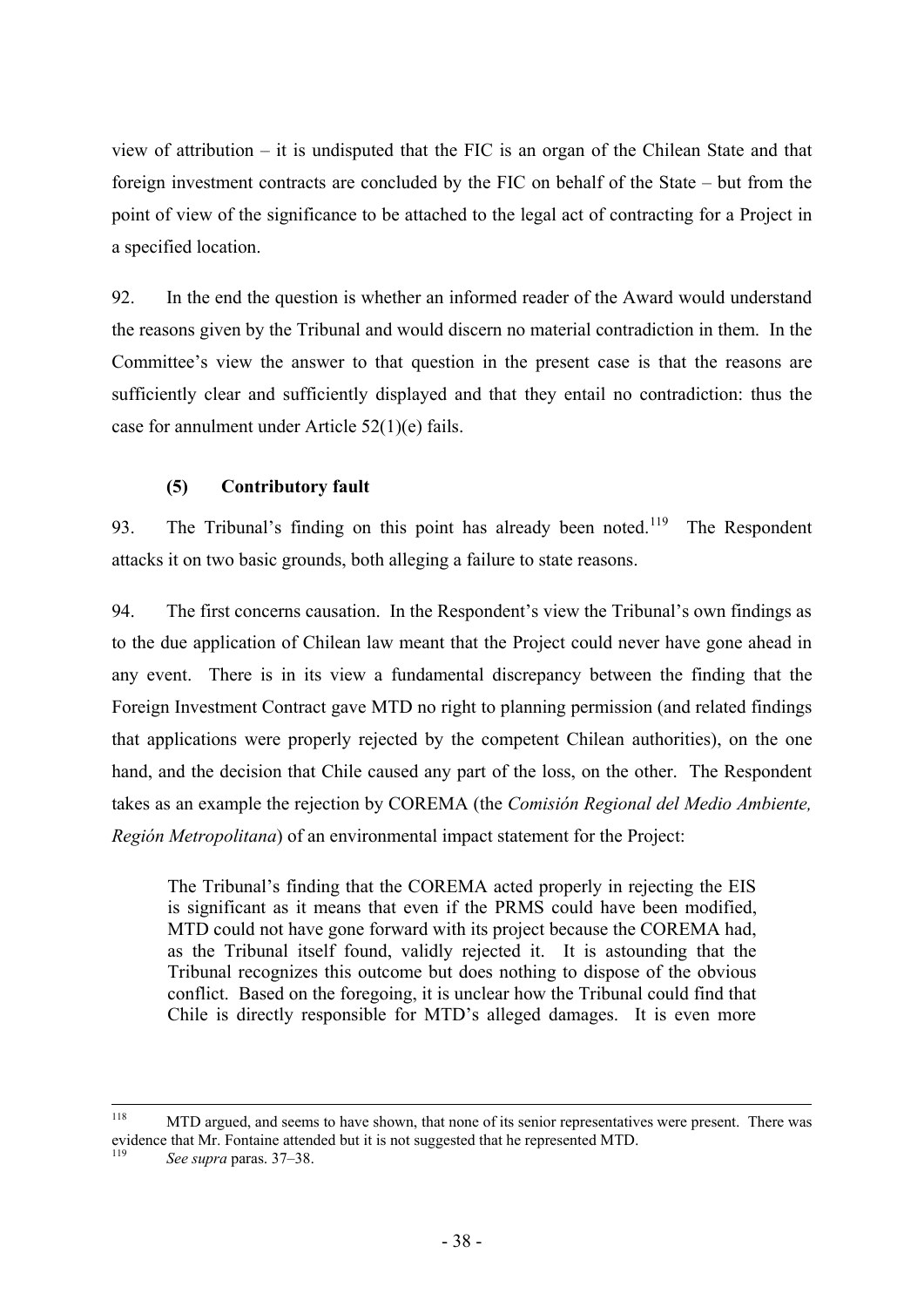view of attribution – it is undisputed that the FIC is an organ of the Chilean State and that foreign investment contracts are concluded by the FIC on behalf of the State – but from the point of view of the significance to be attached to the legal act of contracting for a Project in a specified location.

92. In the end the question is whether an informed reader of the Award would understand the reasons given by the Tribunal and would discern no material contradiction in them. In the Committee's view the answer to that question in the present case is that the reasons are sufficiently clear and sufficiently displayed and that they entail no contradiction: thus the case for annulment under Article 52(1)(e) fails.

# **(5) Contributory fault**

93. The Tribunal's finding on this point has already been noted.<sup>[119](#page-39-0)</sup> The Respondent attacks it on two basic grounds, both alleging a failure to state reasons.

94. The first concerns causation. In the Respondent's view the Tribunal's own findings as to the due application of Chilean law meant that the Project could never have gone ahead in any event. There is in its view a fundamental discrepancy between the finding that the Foreign Investment Contract gave MTD no right to planning permission (and related findings that applications were properly rejected by the competent Chilean authorities), on the one hand, and the decision that Chile caused any part of the loss, on the other. The Respondent takes as an example the rejection by COREMA (the *Comisión Regional del Medio Ambiente, Región Metropolitana*) of an environmental impact statement for the Project:

The Tribunal's finding that the COREMA acted properly in rejecting the EIS is significant as it means that even if the PRMS could have been modified, MTD could not have gone forward with its project because the COREMA had, as the Tribunal itself found, validly rejected it. It is astounding that the Tribunal recognizes this outcome but does nothing to dispose of the obvious conflict. Based on the foregoing, it is unclear how the Tribunal could find that Chile is directly responsible for MTD's alleged damages. It is even more

<span id="page-39-0"></span>See *supra* paras. 37–38.

<sup>&</sup>lt;sup>118</sup> MTD argued, and seems to have shown, that none of its senior representatives were present. There was evidence that Mr. Fontaine attended but it is not suggested that he represented MTD.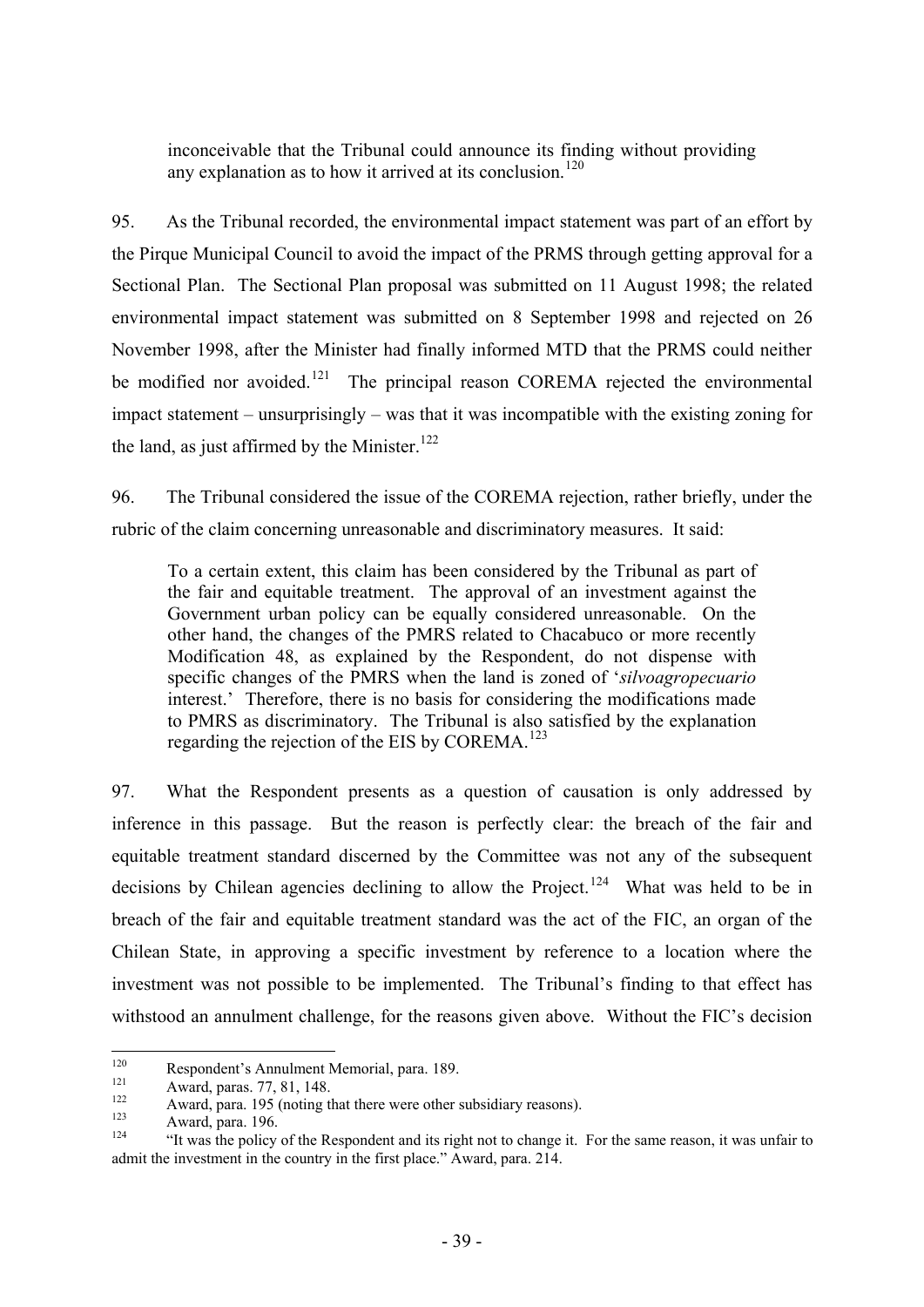inconceivable that the Tribunal could announce its finding without providing any explanation as to how it arrived at its conclusion.<sup>[120](#page-40-1)</sup>

95. As the Tribunal recorded, the environmental impact statement was part of an effort by the Pirque Municipal Council to avoid the impact of the PRMS through getting approval for a Sectional Plan. The Sectional Plan proposal was submitted on 11 August 1998; the related environmental impact statement was submitted on 8 September 1998 and rejected on 26 November 1998, after the Minister had finally informed MTD that the PRMS could neither be modified nor avoided.<sup>[121](#page-40-2)</sup> The principal reason COREMA rejected the environmental impact statement – unsurprisingly – was that it was incompatible with the existing zoning for the land, as just affirmed by the Minister.<sup>[122](#page-40-3)</sup>

96. The Tribunal considered the issue of the COREMA rejection, rather briefly, under the rubric of the claim concerning unreasonable and discriminatory measures. It said:

To a certain extent, this claim has been considered by the Tribunal as part of the fair and equitable treatment. The approval of an investment against the Government urban policy can be equally considered unreasonable. On the other hand, the changes of the PMRS related to Chacabuco or more recently Modification 48, as explained by the Respondent, do not dispense with specific changes of the PMRS when the land is zoned of '*silvoagropecuario*  interest.' Therefore, there is no basis for considering the modifications made to PMRS as discriminatory. The Tribunal is also satisfied by the explanation regarding the rejection of the EIS by COREMA.[123](#page-40-4)

97. What the Respondent presents as a question of causation is only addressed by inference in this passage. But the reason is perfectly clear: the breach of the fair and equitable treatment standard discerned by the Committee was not any of the subsequent decisions by Chilean agencies declining to allow the Project.<sup>[124](#page-40-0)</sup> What was held to be in breach of the fair and equitable treatment standard was the act of the FIC, an organ of the Chilean State, in approving a specific investment by reference to a location where the investment was not possible to be implemented. The Tribunal's finding to that effect has withstood an annulment challenge, for the reasons given above. Without the FIC's decision

<sup>120</sup> 

<span id="page-40-3"></span>

<span id="page-40-4"></span><span id="page-40-0"></span>

<span id="page-40-2"></span><span id="page-40-1"></span>Respondent's Annulment Memorial, para. 189.<br>
Award, paras. 77, 81, 148.<br>
Award, para. 195 (noting that there were other subsidiary reasons).<br>
Award, para. 196.<br>
"It was the policy of the Respondent and its right not to ch admit the investment in the country in the first place." Award, para. 214.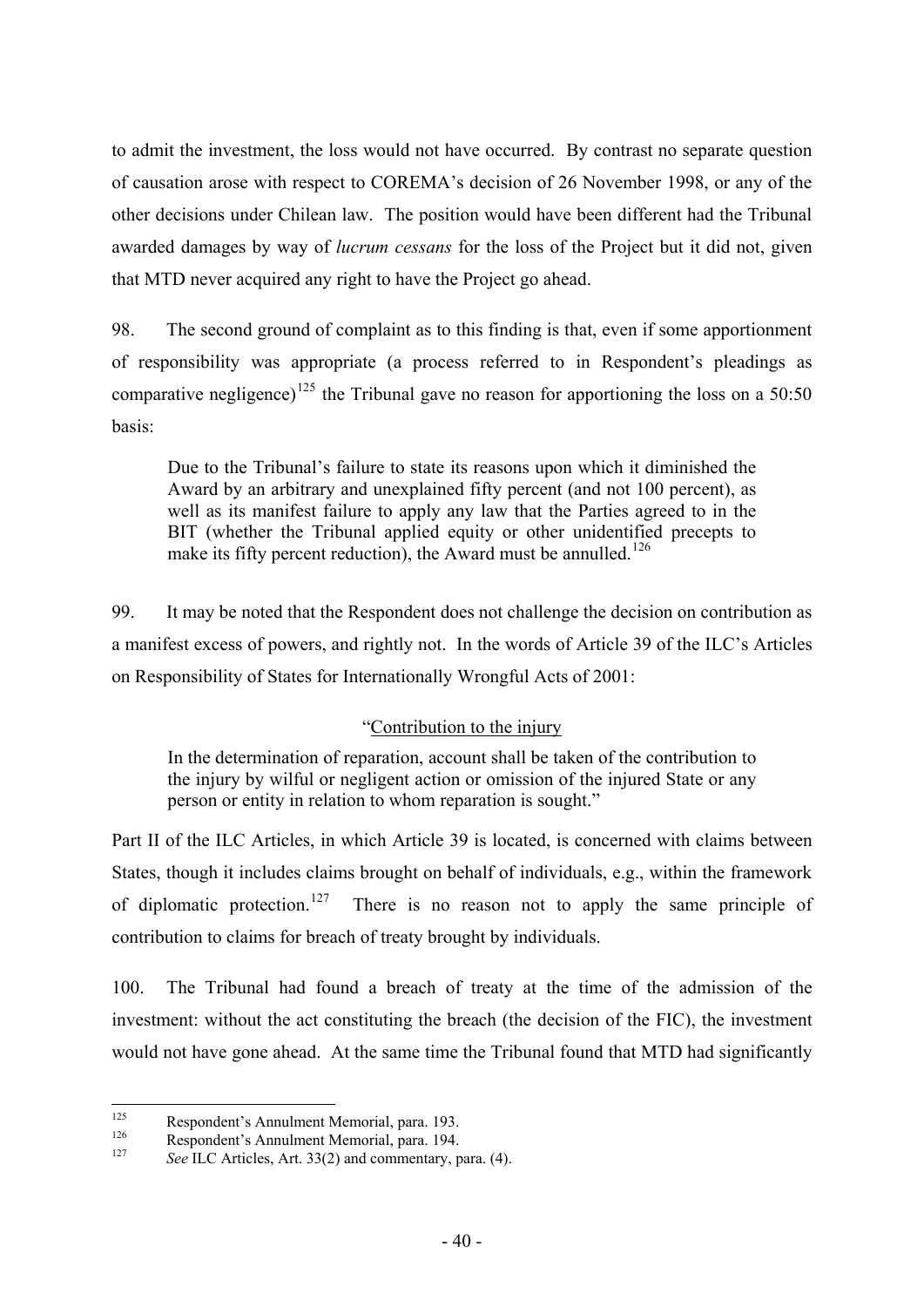to admit the investment, the loss would not have occurred. By contrast no separate question of causation arose with respect to COREMA's decision of 26 November 1998, or any of the other decisions under Chilean law. The position would have been different had the Tribunal awarded damages by way of *lucrum cessans* for the loss of the Project but it did not, given that MTD never acquired any right to have the Project go ahead.

98. The second ground of complaint as to this finding is that, even if some apportionment of responsibility was appropriate (a process referred to in Respondent's pleadings as comparative negligence)<sup>[125](#page-41-1)</sup> the Tribunal gave no reason for apportioning the loss on a 50:50 basis:

Due to the Tribunal's failure to state its reasons upon which it diminished the Award by an arbitrary and unexplained fifty percent (and not 100 percent), as well as its manifest failure to apply any law that the Parties agreed to in the BIT (whether the Tribunal applied equity or other unidentified precepts to make its fifty percent reduction), the Award must be annulled.<sup>[126](#page-41-2)</sup>

99. It may be noted that the Respondent does not challenge the decision on contribution as a manifest excess of powers, and rightly not. In the words of Article 39 of the ILC's Articles on Responsibility of States for Internationally Wrongful Acts of 2001:

# "Contribution to the injury

In the determination of reparation, account shall be taken of the contribution to the injury by wilful or negligent action or omission of the injured State or any person or entity in relation to whom reparation is sought."

Part II of the ILC Articles, in which Article 39 is located, is concerned with claims between States, though it includes claims brought on behalf of individuals, e.g., within the framework of diplomatic protection.<sup>[127](#page-41-0)</sup> There is no reason not to apply the same principle of contribution to claims for breach of treaty brought by individuals.

100. The Tribunal had found a breach of treaty at the time of the admission of the investment: without the act constituting the breach (the decision of the FIC), the investment would not have gone ahead. At the same time the Tribunal found that MTD had significantly

<sup>125</sup> 

<span id="page-41-0"></span>

<span id="page-41-2"></span><span id="page-41-1"></span><sup>125</sup> Respondent's Annulment Memorial, para. 193.<br>
126 Respondent's Annulment Memorial, para. 194.<br>
127 *See* ILC Articles, Art. 33(2) and commentary, para. (4).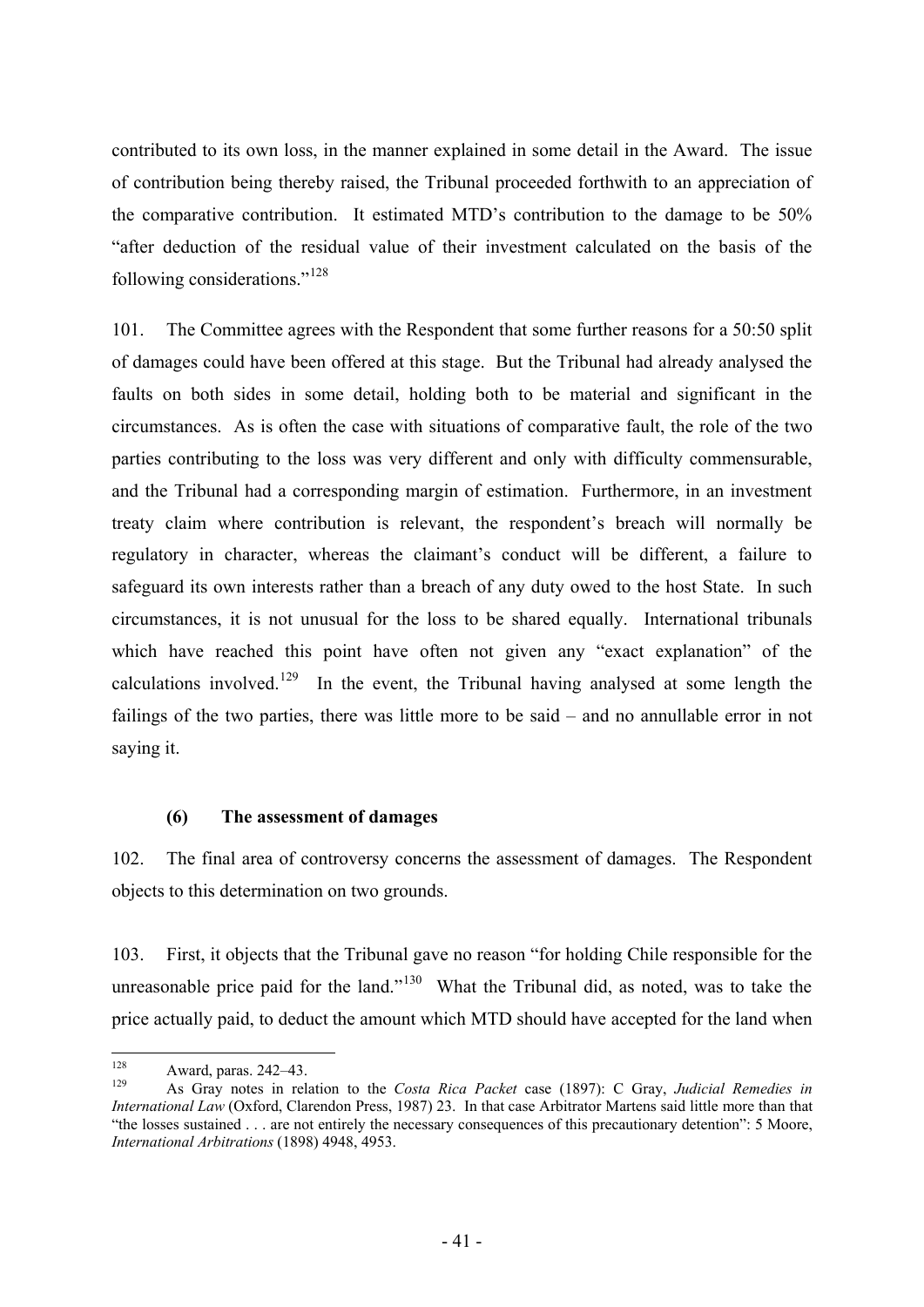contributed to its own loss, in the manner explained in some detail in the Award. The issue of contribution being thereby raised, the Tribunal proceeded forthwith to an appreciation of the comparative contribution. It estimated MTD's contribution to the damage to be 50% "after deduction of the residual value of their investment calculated on the basis of the following considerations."[128](#page-42-1)

101. The Committee agrees with the Respondent that some further reasons for a 50:50 split of damages could have been offered at this stage. But the Tribunal had already analysed the faults on both sides in some detail, holding both to be material and significant in the circumstances. As is often the case with situations of comparative fault, the role of the two parties contributing to the loss was very different and only with difficulty commensurable, and the Tribunal had a corresponding margin of estimation. Furthermore, in an investment treaty claim where contribution is relevant, the respondent's breach will normally be regulatory in character, whereas the claimant's conduct will be different, a failure to safeguard its own interests rather than a breach of any duty owed to the host State. In such circumstances, it is not unusual for the loss to be shared equally. International tribunals which have reached this point have often not given any "exact explanation" of the calculations involved.[129](#page-42-2) In the event, the Tribunal having analysed at some length the failings of the two parties, there was little more to be said – and no annullable error in not saying it.

# **(6) The assessment of damages**

102. The final area of controversy concerns the assessment of damages. The Respondent objects to this determination on two grounds.

103. First, it objects that the Tribunal gave no reason "for holding Chile responsible for the unreasonable price paid for the land."<sup>[130](#page-42-0)</sup> What the Tribunal did, as noted, was to take the price actually paid, to deduct the amount which MTD should have accepted for the land when

<span id="page-42-0"></span> $128$ 

<span id="page-42-2"></span><span id="page-42-1"></span><sup>128</sup> Award, paras. 242–43. 129 As Gray notes in relation to the *Costa Rica Packet* case (1897): C Gray, *Judicial Remedies in International Law* (Oxford, Clarendon Press, 1987) 23. In that case Arbitrator Martens said little more than that "the losses sustained . . . are not entirely the necessary consequences of this precautionary detention": 5 Moore, *International Arbitrations* (1898) 4948, 4953.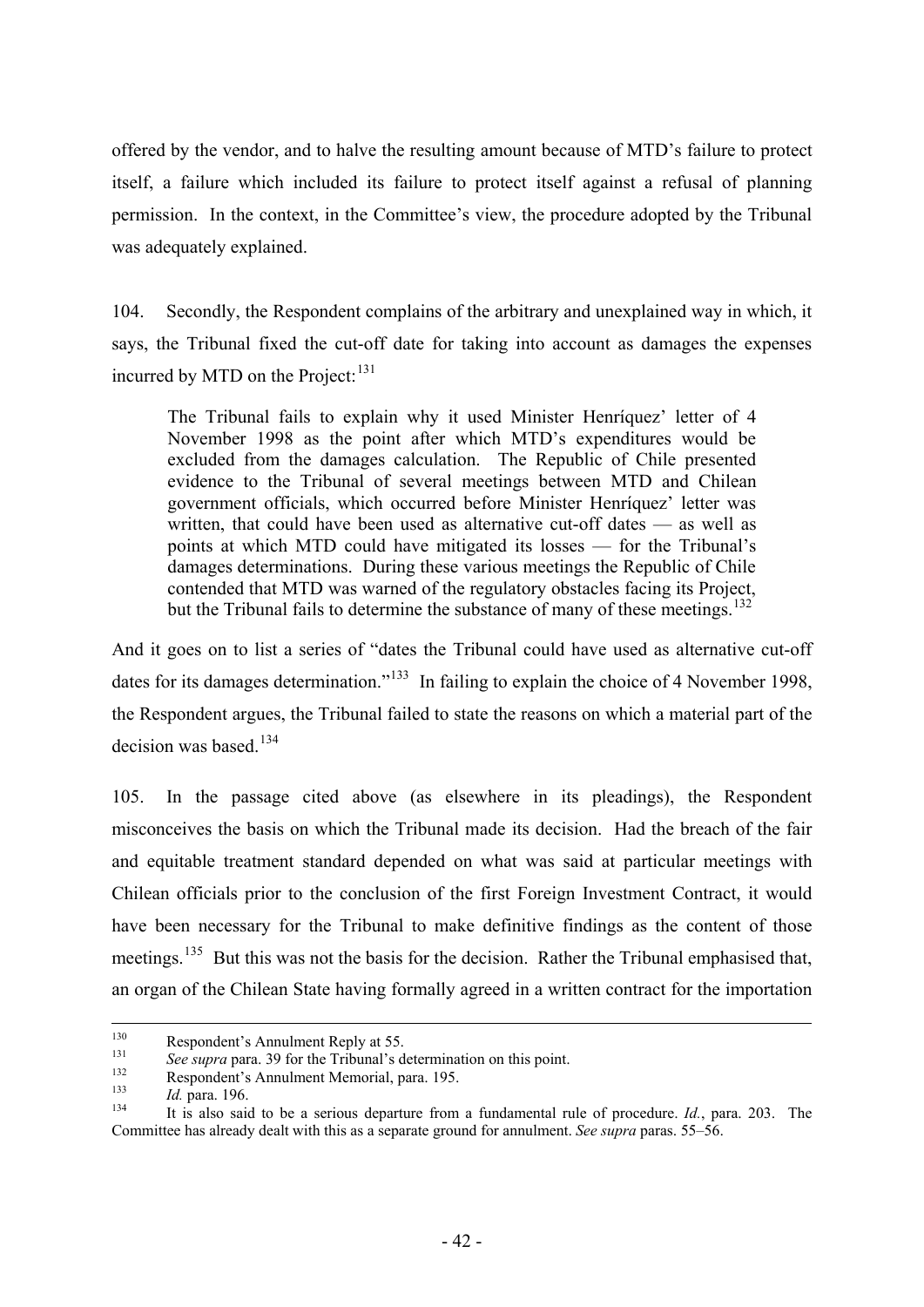offered by the vendor, and to halve the resulting amount because of MTD's failure to protect itself, a failure which included its failure to protect itself against a refusal of planning permission. In the context, in the Committee's view, the procedure adopted by the Tribunal was adequately explained.

104. Secondly, the Respondent complains of the arbitrary and unexplained way in which, it says, the Tribunal fixed the cut-off date for taking into account as damages the expenses incurred by MTD on the Project:<sup>[131](#page-43-1)</sup>

The Tribunal fails to explain why it used Minister Henríquez' letter of 4 November 1998 as the point after which MTD's expenditures would be excluded from the damages calculation. The Republic of Chile presented evidence to the Tribunal of several meetings between MTD and Chilean government officials, which occurred before Minister Henríquez' letter was written, that could have been used as alternative cut-off dates — as well as points at which MTD could have mitigated its losses — for the Tribunal's damages determinations. During these various meetings the Republic of Chile contended that MTD was warned of the regulatory obstacles facing its Project, but the Tribunal fails to determine the substance of many of these meetings.<sup>[132](#page-43-2)</sup>

And it goes on to list a series of "dates the Tribunal could have used as alternative cut-off dates for its damages determination."<sup>[133](#page-43-3)</sup> In failing to explain the choice of 4 November 1998, the Respondent argues, the Tribunal failed to state the reasons on which a material part of the decision was based  $^{134}$  $^{134}$  $^{134}$ 

105. In the passage cited above (as elsewhere in its pleadings), the Respondent misconceives the basis on which the Tribunal made its decision. Had the breach of the fair and equitable treatment standard depended on what was said at particular meetings with Chilean officials prior to the conclusion of the first Foreign Investment Contract, it would have been necessary for the Tribunal to make definitive findings as the content of those meetings.<sup>[135](#page-43-0)</sup> But this was not the basis for the decision. Rather the Tribunal emphasised that, an organ of the Chilean State having formally agreed in a written contract for the importation

<span id="page-43-1"></span>

<span id="page-43-2"></span>

<span id="page-43-4"></span><span id="page-43-3"></span><span id="page-43-0"></span>

Respondent's Annulment Reply at 55.<br>
See supra para. 39 for the Tribunal's determination on this point.<br>
Respondent's Annulment Memorial, para. 195.<br> *Id.* para. 196.<br>
It is also said to be a serious departure from a fund Committee has already dealt with this as a separate ground for annulment. *See supra* paras. 55–56.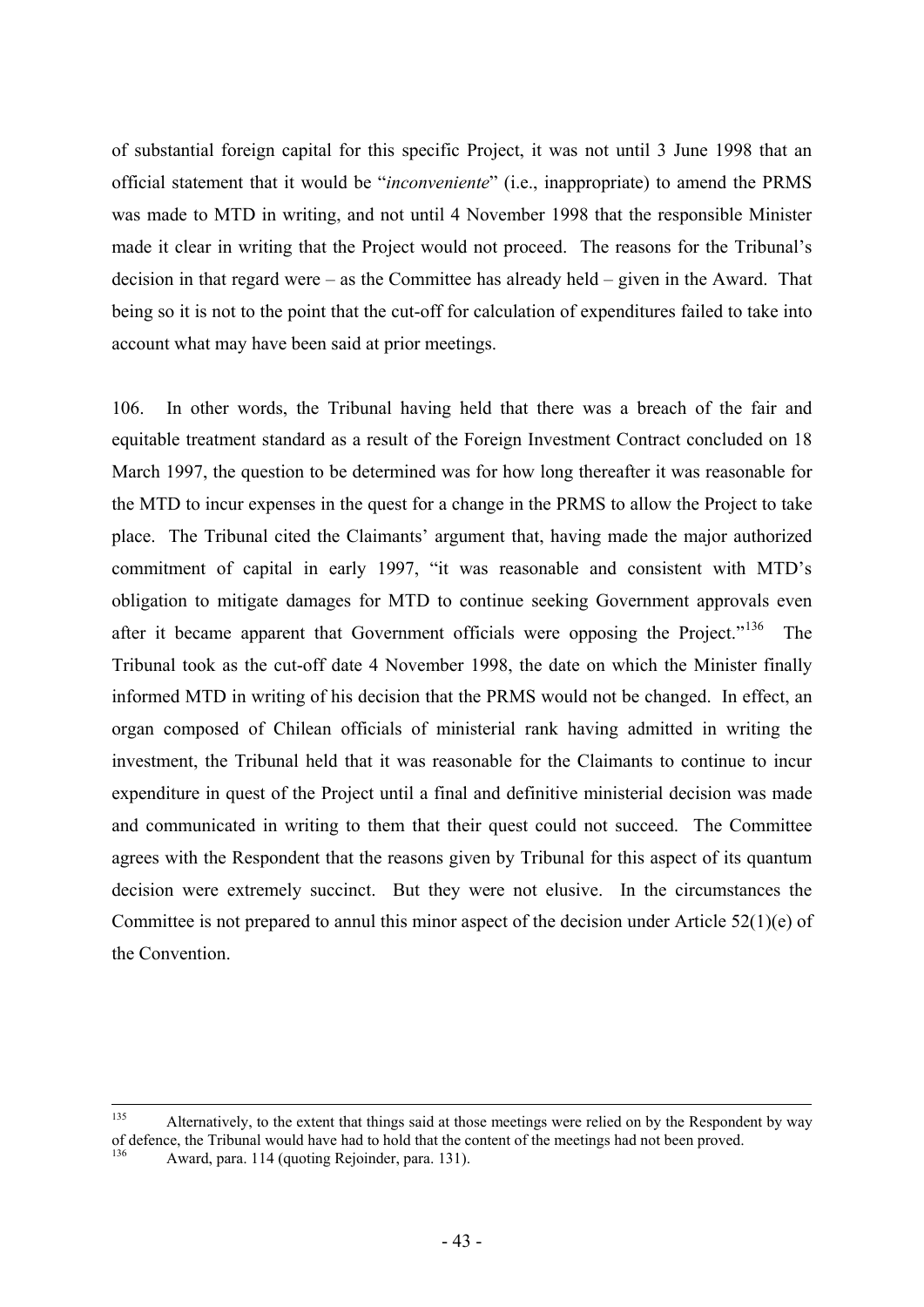of substantial foreign capital for this specific Project, it was not until 3 June 1998 that an official statement that it would be "*inconveniente*" (i.e., inappropriate) to amend the PRMS was made to MTD in writing, and not until 4 November 1998 that the responsible Minister made it clear in writing that the Project would not proceed. The reasons for the Tribunal's decision in that regard were – as the Committee has already held – given in the Award. That being so it is not to the point that the cut-off for calculation of expenditures failed to take into account what may have been said at prior meetings.

106. In other words, the Tribunal having held that there was a breach of the fair and equitable treatment standard as a result of the Foreign Investment Contract concluded on 18 March 1997, the question to be determined was for how long thereafter it was reasonable for the MTD to incur expenses in the quest for a change in the PRMS to allow the Project to take place. The Tribunal cited the Claimants' argument that, having made the major authorized commitment of capital in early 1997, "it was reasonable and consistent with MTD's obligation to mitigate damages for MTD to continue seeking Government approvals even after it became apparent that Government officials were opposing the Project."<sup>[136](#page-44-0)</sup> The Tribunal took as the cut-off date 4 November 1998, the date on which the Minister finally informed MTD in writing of his decision that the PRMS would not be changed. In effect, an organ composed of Chilean officials of ministerial rank having admitted in writing the investment, the Tribunal held that it was reasonable for the Claimants to continue to incur expenditure in quest of the Project until a final and definitive ministerial decision was made and communicated in writing to them that their quest could not succeed. The Committee agrees with the Respondent that the reasons given by Tribunal for this aspect of its quantum decision were extremely succinct. But they were not elusive. In the circumstances the Committee is not prepared to annul this minor aspect of the decision under Article 52(1)(e) of the Convention.

<sup>&</sup>lt;sup>135</sup> Alternatively, to the extent that things said at those meetings were relied on by the Respondent by way of defence, the Tribunal would have had to hold that the content of the meetings had not been proved.

<span id="page-44-0"></span>Award, para. 114 (quoting Rejoinder, para. 131).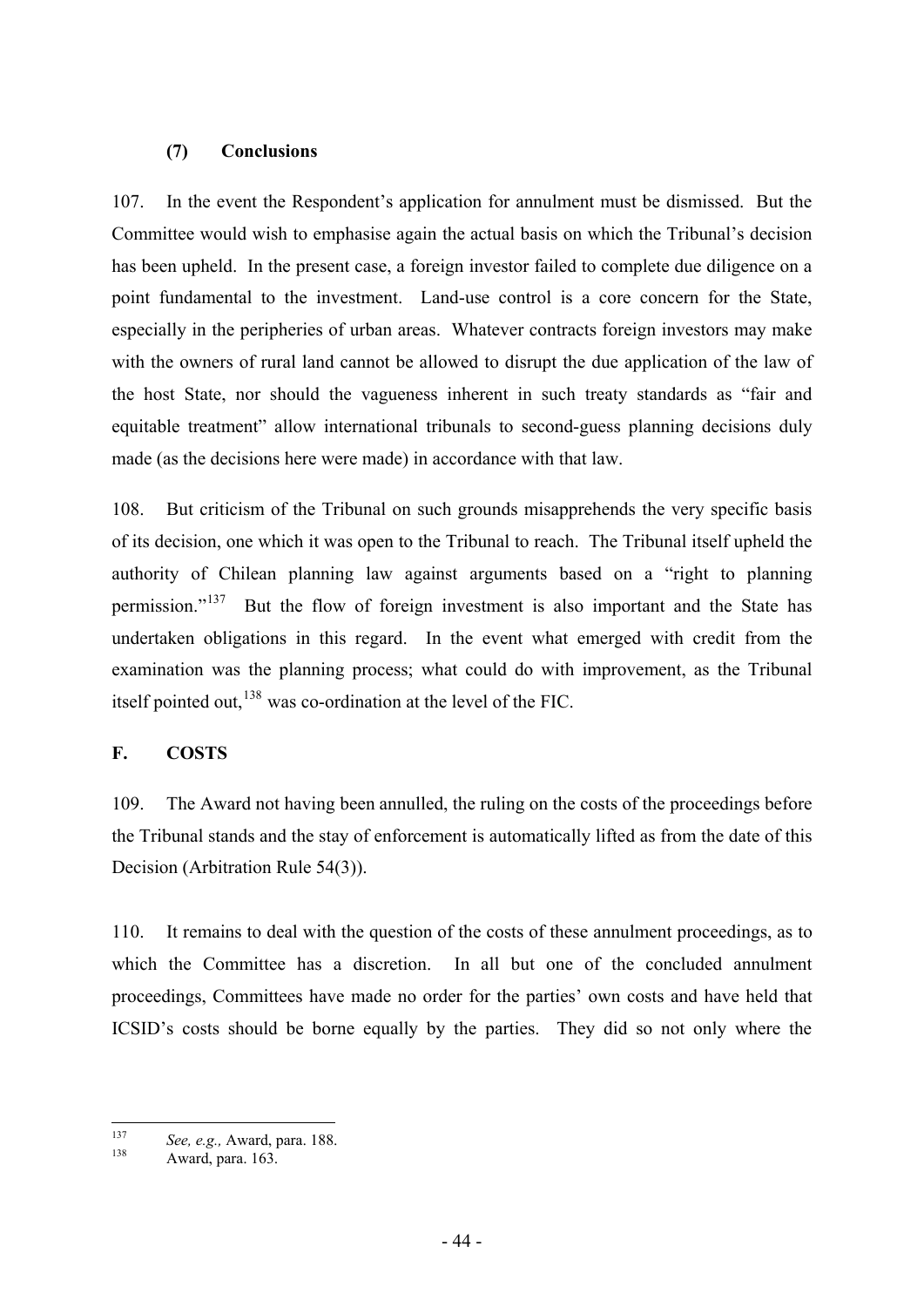### **(7) Conclusions**

107. In the event the Respondent's application for annulment must be dismissed. But the Committee would wish to emphasise again the actual basis on which the Tribunal's decision has been upheld. In the present case, a foreign investor failed to complete due diligence on a point fundamental to the investment. Land-use control is a core concern for the State, especially in the peripheries of urban areas. Whatever contracts foreign investors may make with the owners of rural land cannot be allowed to disrupt the due application of the law of the host State, nor should the vagueness inherent in such treaty standards as "fair and equitable treatment" allow international tribunals to second-guess planning decisions duly made (as the decisions here were made) in accordance with that law.

108. But criticism of the Tribunal on such grounds misapprehends the very specific basis of its decision, one which it was open to the Tribunal to reach. The Tribunal itself upheld the authority of Chilean planning law against arguments based on a "right to planning permission."[137](#page-45-1) But the flow of foreign investment is also important and the State has undertaken obligations in this regard. In the event what emerged with credit from the examination was the planning process; what could do with improvement, as the Tribunal itself pointed out,<sup>[138](#page-45-0)</sup> was co-ordination at the level of the FIC.

# **F. COSTS**

109. The Award not having been annulled, the ruling on the costs of the proceedings before the Tribunal stands and the stay of enforcement is automatically lifted as from the date of this Decision (Arbitration Rule 54(3)).

110. It remains to deal with the question of the costs of these annulment proceedings, as to which the Committee has a discretion. In all but one of the concluded annulment proceedings, Committees have made no order for the parties' own costs and have held that ICSID's costs should be borne equally by the parties. They did so not only where the

<span id="page-45-1"></span><span id="page-45-0"></span> $137$ 137 *See, e.g., Award, para.* 188.<br>Award, para. 163.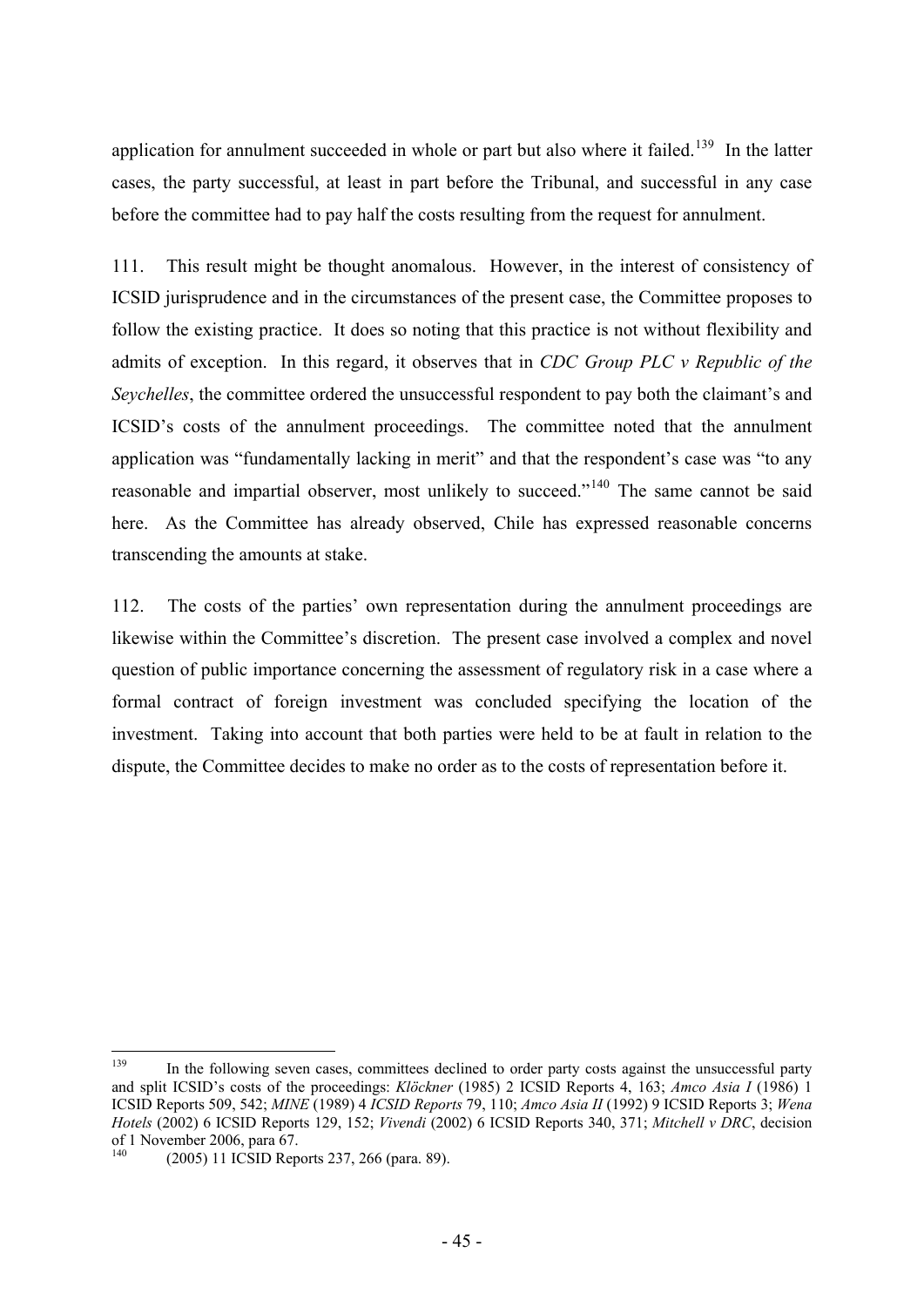application for annulment succeeded in whole or part but also where it failed.<sup>[139](#page-46-1)</sup> In the latter cases, the party successful, at least in part before the Tribunal, and successful in any case before the committee had to pay half the costs resulting from the request for annulment.

111. This result might be thought anomalous. However, in the interest of consistency of ICSID jurisprudence and in the circumstances of the present case, the Committee proposes to follow the existing practice. It does so noting that this practice is not without flexibility and admits of exception. In this regard, it observes that in *CDC Group PLC v Republic of the Seychelles*, the committee ordered the unsuccessful respondent to pay both the claimant's and ICSID's costs of the annulment proceedings. The committee noted that the annulment application was "fundamentally lacking in merit" and that the respondent's case was "to any reasonable and impartial observer, most unlikely to succeed."<sup>[140](#page-46-0)</sup> The same cannot be said here. As the Committee has already observed, Chile has expressed reasonable concerns transcending the amounts at stake.

112. The costs of the parties' own representation during the annulment proceedings are likewise within the Committee's discretion. The present case involved a complex and novel question of public importance concerning the assessment of regulatory risk in a case where a formal contract of foreign investment was concluded specifying the location of the investment. Taking into account that both parties were held to be at fault in relation to the dispute, the Committee decides to make no order as to the costs of representation before it.

<span id="page-46-1"></span><sup>139</sup> In the following seven cases, committees declined to order party costs against the unsuccessful party and split ICSID's costs of the proceedings: *Klöckner* (1985) 2 ICSID Reports 4, 163; *Amco Asia I* (1986) 1 ICSID Reports 509, 542; *MINE* (1989) 4 *ICSID Reports* 79, 110; *Amco Asia II* (1992) 9 ICSID Reports 3; *Wena Hotels* (2002) 6 ICSID Reports 129, 152; *Vivendi* (2002) 6 ICSID Reports 340, 371; *Mitchell v DRC*, decision of 1 November 2006, para 67.

<span id="page-46-0"></span><sup>(2005) 11</sup> ICSID Reports 237, 266 (para. 89).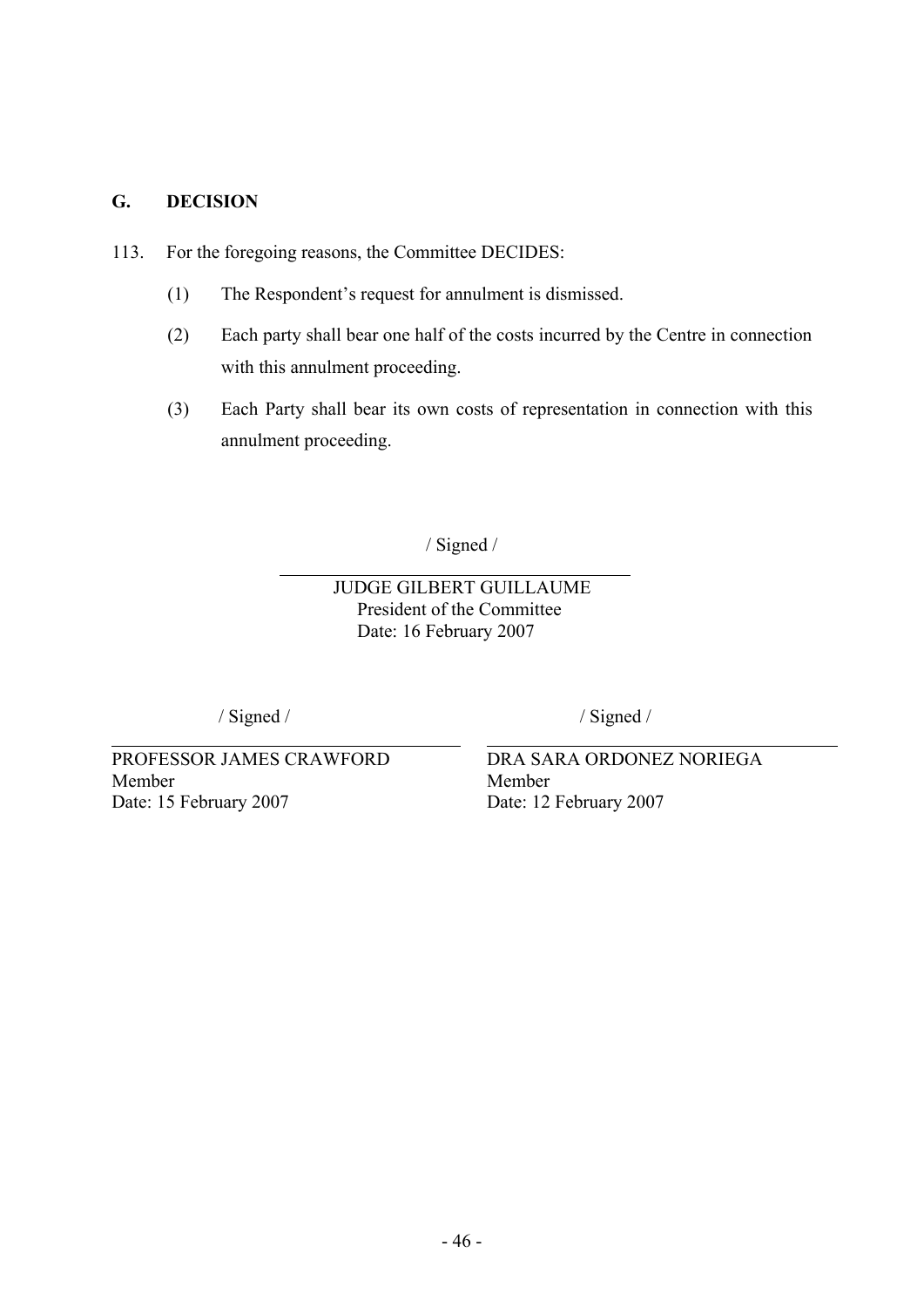# **G. DECISION**

- 113. For the foregoing reasons, the Committee DECIDES:
	- (1) The Respondent's request for annulment is dismissed.
	- (2) Each party shall bear one half of the costs incurred by the Centre in connection with this annulment proceeding.
	- (3) Each Party shall bear its own costs of representation in connection with this annulment proceeding.

/ Signed /

JUDGE GILBERT GUILLAUME President of the Committee Date: 16 February 2007

/ Signed / / Signed /

PROFESSOR JAMES CRAWFORD Member Date: 15 February 2007

DRA SARA ORDONEZ NORIEGA Member Date: 12 February 2007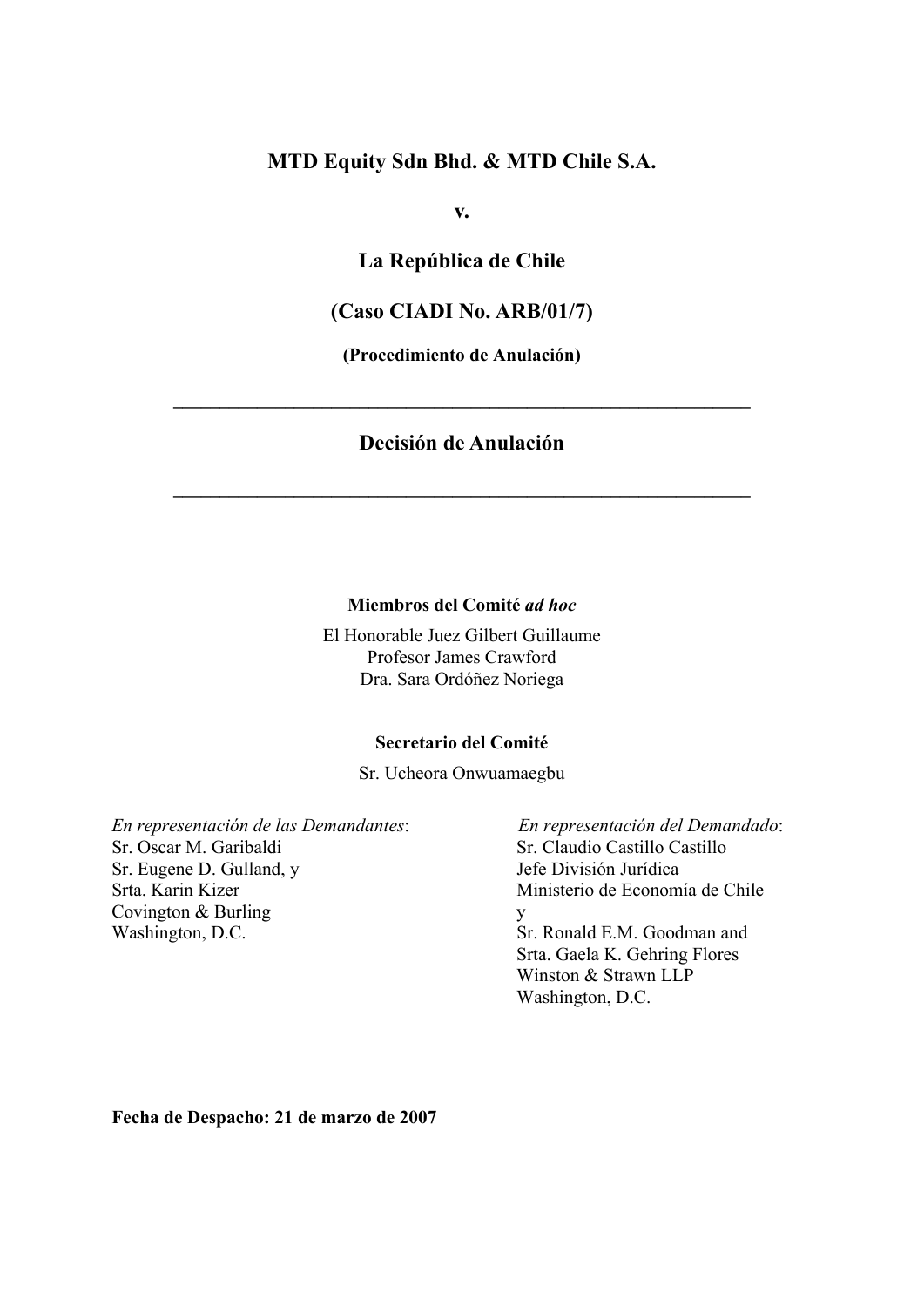# **MTD Equity Sdn Bhd. & MTD Chile S.A.**

**v.** 

# **La República de Chile**

#### **(Caso CIADI No. ARB/01/7)**

### **(Procedimiento de Anulación)**

**\_\_\_\_\_\_\_\_\_\_\_\_\_\_\_\_\_\_\_\_\_\_\_\_\_\_\_\_\_\_\_\_\_\_\_\_\_\_\_\_\_\_\_\_\_\_\_\_\_\_\_\_\_\_\_\_\_\_\_\_\_\_** 

# **Decisión de Anulación**

**\_\_\_\_\_\_\_\_\_\_\_\_\_\_\_\_\_\_\_\_\_\_\_\_\_\_\_\_\_\_\_\_\_\_\_\_\_\_\_\_\_\_\_\_\_\_\_\_\_\_\_\_\_\_\_\_\_\_\_\_\_\_** 

### **Miembros del Comité** *ad hoc*

El Honorable Juez Gilbert Guillaume Profesor James Crawford Dra. Sara Ordóñez Noriega

#### **Secretario del Comité**

Sr. Ucheora Onwuamaegbu

*En representación de las Demandantes*: *En representación del Demandado*: Sr. Oscar M. Garibaldi Sr. Claudio Castillo Castillo Sr. Eugene D. Gulland, y Jefe División Jurídica Srta. Karin Kizer Ministerio de Economía de Chile Covington  $&$  Burling  $&$ Washington, D.C. Sr. Ronald E.M. Goodman and

 Srta. Gaela K. Gehring Flores Winston & Strawn LLP Washington, D.C.

#### **Fecha de Despacho: 21 de marzo de 2007**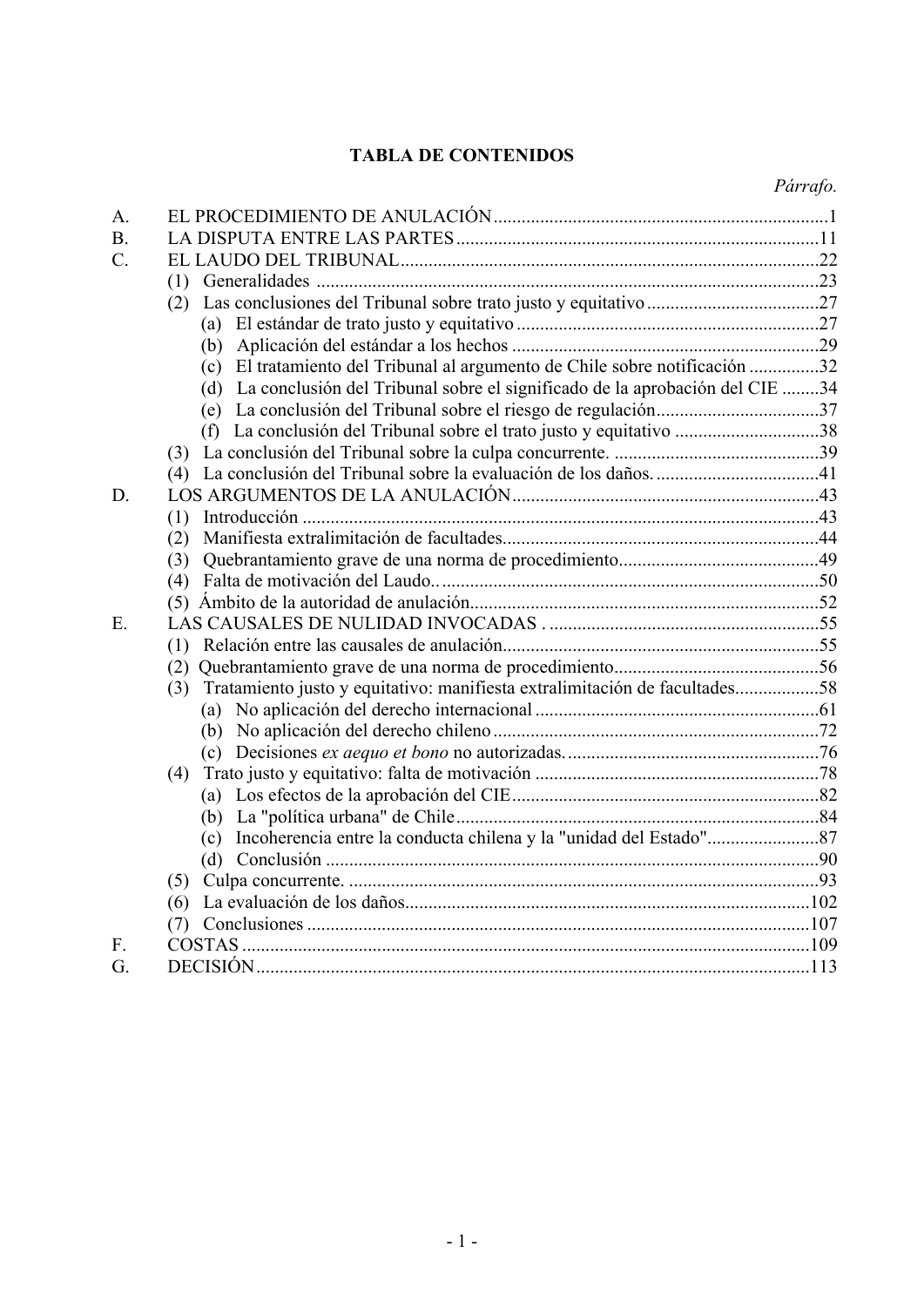# **TABLA DE CONTENIDOS**

| $A_{\cdot}$     |                                                                                   |  |
|-----------------|-----------------------------------------------------------------------------------|--|
| B.              |                                                                                   |  |
| $\mathcal{C}$ . |                                                                                   |  |
|                 |                                                                                   |  |
|                 |                                                                                   |  |
|                 |                                                                                   |  |
|                 |                                                                                   |  |
|                 | (c) El tratamiento del Tribunal al argumento de Chile sobre notificación 32       |  |
|                 | (d) La conclusión del Tribunal sobre el significado de la aprobación del CIE 34   |  |
|                 |                                                                                   |  |
|                 | (f) La conclusión del Tribunal sobre el trato justo y equitativo 38               |  |
|                 | (3)                                                                               |  |
|                 |                                                                                   |  |
| D.              |                                                                                   |  |
|                 | (1)                                                                               |  |
|                 | (2)                                                                               |  |
|                 | (3)                                                                               |  |
|                 |                                                                                   |  |
|                 |                                                                                   |  |
| E.              |                                                                                   |  |
|                 |                                                                                   |  |
|                 |                                                                                   |  |
|                 | Tratamiento justo y equitativo: manifiesta extralimitación de facultades58<br>(3) |  |
|                 |                                                                                   |  |
|                 |                                                                                   |  |
|                 |                                                                                   |  |
|                 | (4)                                                                               |  |
|                 |                                                                                   |  |
|                 |                                                                                   |  |
|                 |                                                                                   |  |
|                 |                                                                                   |  |
|                 | (5)                                                                               |  |
|                 |                                                                                   |  |
|                 |                                                                                   |  |
| F.              |                                                                                   |  |
| G.              |                                                                                   |  |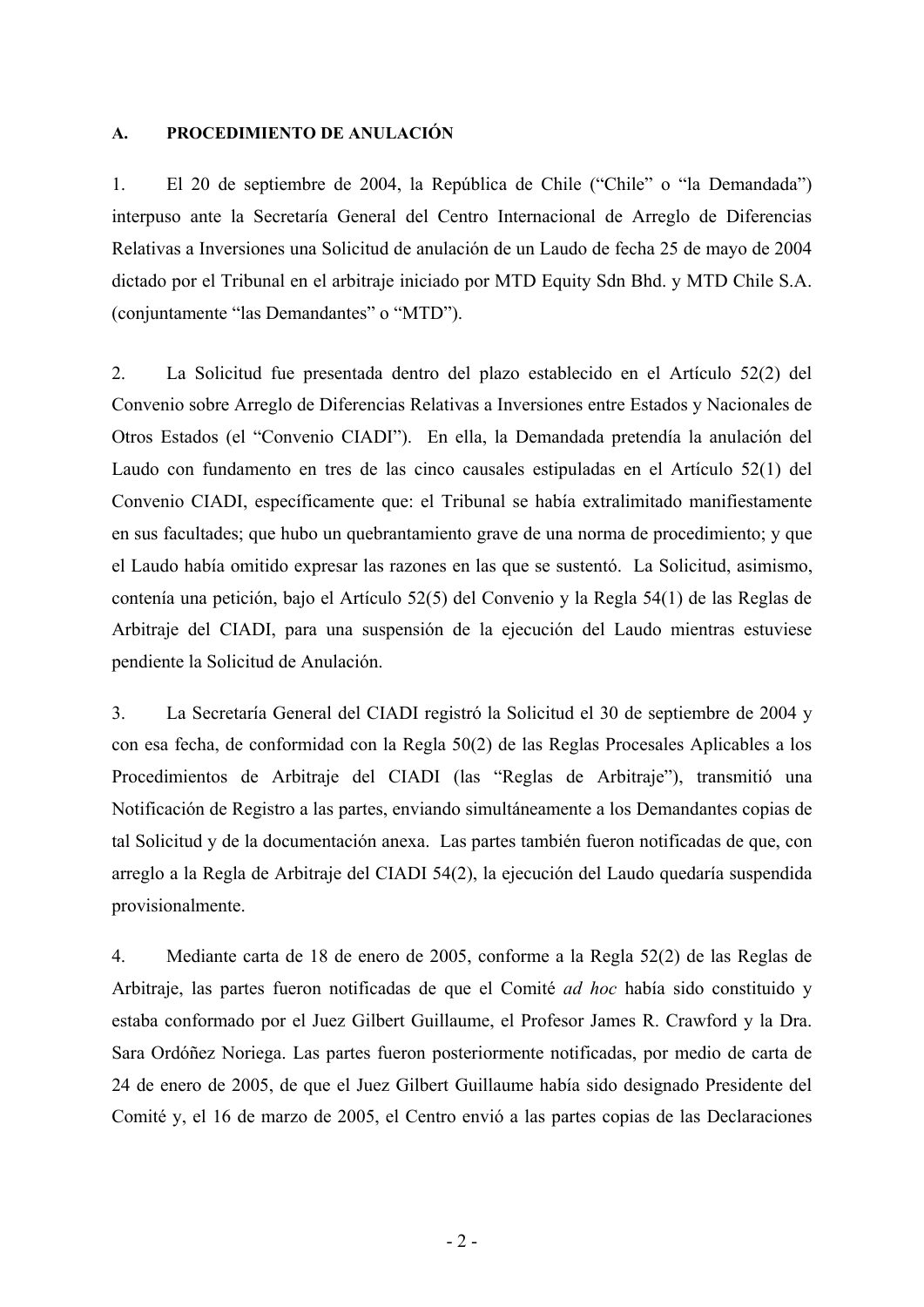#### **A. PROCEDIMIENTO DE ANULACIÓN**

1. El 20 de septiembre de 2004, la República de Chile ("Chile" o "la Demandada") interpuso ante la Secretaría General del Centro Internacional de Arreglo de Diferencias Relativas a Inversiones una Solicitud de anulación de un Laudo de fecha 25 de mayo de 2004 dictado por el Tribunal en el arbitraje iniciado por MTD Equity Sdn Bhd. y MTD Chile S.A. (conjuntamente "las Demandantes" o "MTD").

2. La Solicitud fue presentada dentro del plazo establecido en el Artículo 52(2) del Convenio sobre Arreglo de Diferencias Relativas a Inversiones entre Estados y Nacionales de Otros Estados (el "Convenio CIADI"). En ella, la Demandada pretendía la anulación del Laudo con fundamento en tres de las cinco causales estipuladas en el Artículo 52(1) del Convenio CIADI, específicamente que: el Tribunal se había extralimitado manifiestamente en sus facultades; que hubo un quebrantamiento grave de una norma de procedimiento; y que el Laudo había omitido expresar las razones en las que se sustentó. La Solicitud, asimismo, contenía una petición, bajo el Artículo 52(5) del Convenio y la Regla 54(1) de las Reglas de Arbitraje del CIADI, para una suspensión de la ejecución del Laudo mientras estuviese pendiente la Solicitud de Anulación.

3. La Secretaría General del CIADI registró la Solicitud el 30 de septiembre de 2004 y con esa fecha, de conformidad con la Regla 50(2) de las Reglas Procesales Aplicables a los Procedimientos de Arbitraje del CIADI (las "Reglas de Arbitraje"), transmitió una Notificación de Registro a las partes, enviando simultáneamente a los Demandantes copias de tal Solicitud y de la documentación anexa. Las partes también fueron notificadas de que, con arreglo a la Regla de Arbitraje del CIADI 54(2), la ejecución del Laudo quedaría suspendida provisionalmente.

4. Mediante carta de 18 de enero de 2005, conforme a la Regla 52(2) de las Reglas de Arbitraje, las partes fueron notificadas de que el Comité *ad hoc* había sido constituido y estaba conformado por el Juez Gilbert Guillaume, el Profesor James R. Crawford y la Dra. Sara Ordóñez Noriega. Las partes fueron posteriormente notificadas, por medio de carta de 24 de enero de 2005, de que el Juez Gilbert Guillaume había sido designado Presidente del Comité y, el 16 de marzo de 2005, el Centro envió a las partes copias de las Declaraciones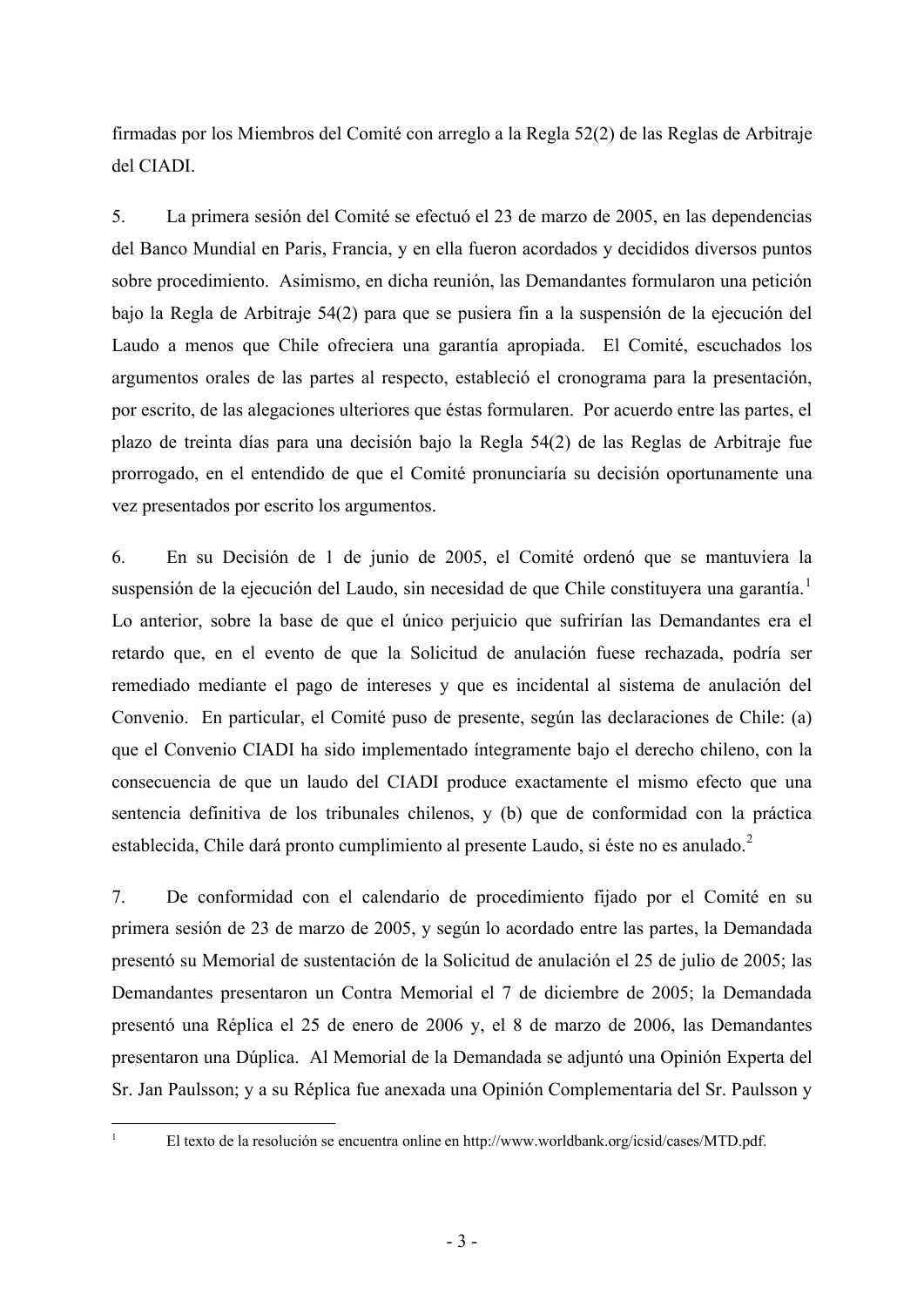firmadas por los Miembros del Comité con arreglo a la Regla 52(2) de las Reglas de Arbitraje del CIADI.

5. La primera sesión del Comité se efectuó el 23 de marzo de 2005, en las dependencias del Banco Mundial en Paris, Francia, y en ella fueron acordados y decididos diversos puntos sobre procedimiento. Asimismo, en dicha reunión, las Demandantes formularon una petición bajo la Regla de Arbitraje 54(2) para que se pusiera fin a la suspensión de la ejecución del Laudo a menos que Chile ofreciera una garantía apropiada. El Comité, escuchados los argumentos orales de las partes al respecto, estableció el cronograma para la presentación, por escrito, de las alegaciones ulteriores que éstas formularen. Por acuerdo entre las partes, el plazo de treinta días para una decisión bajo la Regla 54(2) de las Reglas de Arbitraje fue prorrogado, en el entendido de que el Comité pronunciaría su decisión oportunamente una vez presentados por escrito los argumentos.

6. En su Decisión de 1 de junio de 2005, el Comité ordenó que se mantuviera la suspensión de la ejecución del Laudo, sin necesidad de que Chile constituyera una garantía.<sup>[1](#page-51-1)</sup> Lo anterior, sobre la base de que el único perjuicio que sufrirían las Demandantes era el retardo que, en el evento de que la Solicitud de anulación fuese rechazada, podría ser remediado mediante el pago de intereses y que es incidental al sistema de anulación del Convenio. En particular, el Comité puso de presente, según las declaraciones de Chile: (a) que el Convenio CIADI ha sido implementado íntegramente bajo el derecho chileno, con la consecuencia de que un laudo del CIADI produce exactamente el mismo efecto que una sentencia definitiva de los tribunales chilenos, y (b) que de conformidad con la práctica establecida, Chile dará pronto cumplimiento al presente Laudo, si éste no es anulado.<sup>[2](#page-51-0)</sup>

7. De conformidad con el calendario de procedimiento fijado por el Comité en su primera sesión de 23 de marzo de 2005, y según lo acordado entre las partes, la Demandada presentó su Memorial de sustentación de la Solicitud de anulación el 25 de julio de 2005; las Demandantes presentaron un Contra Memorial el 7 de diciembre de 2005; la Demandada presentó una Réplica el 25 de enero de 2006 y, el 8 de marzo de 2006, las Demandantes presentaron una Dúplica. Al Memorial de la Demandada se adjuntó una Opinión Experta del Sr. Jan Paulsson; y a su Réplica fue anexada una Opinión Complementaria del Sr. Paulsson y

<span id="page-51-1"></span><span id="page-51-0"></span> $\mathbf{1}$ 

<sup>1</sup> El texto de la resolución se encuentra online en http://www.worldbank.org/icsid/cases/MTD.pdf.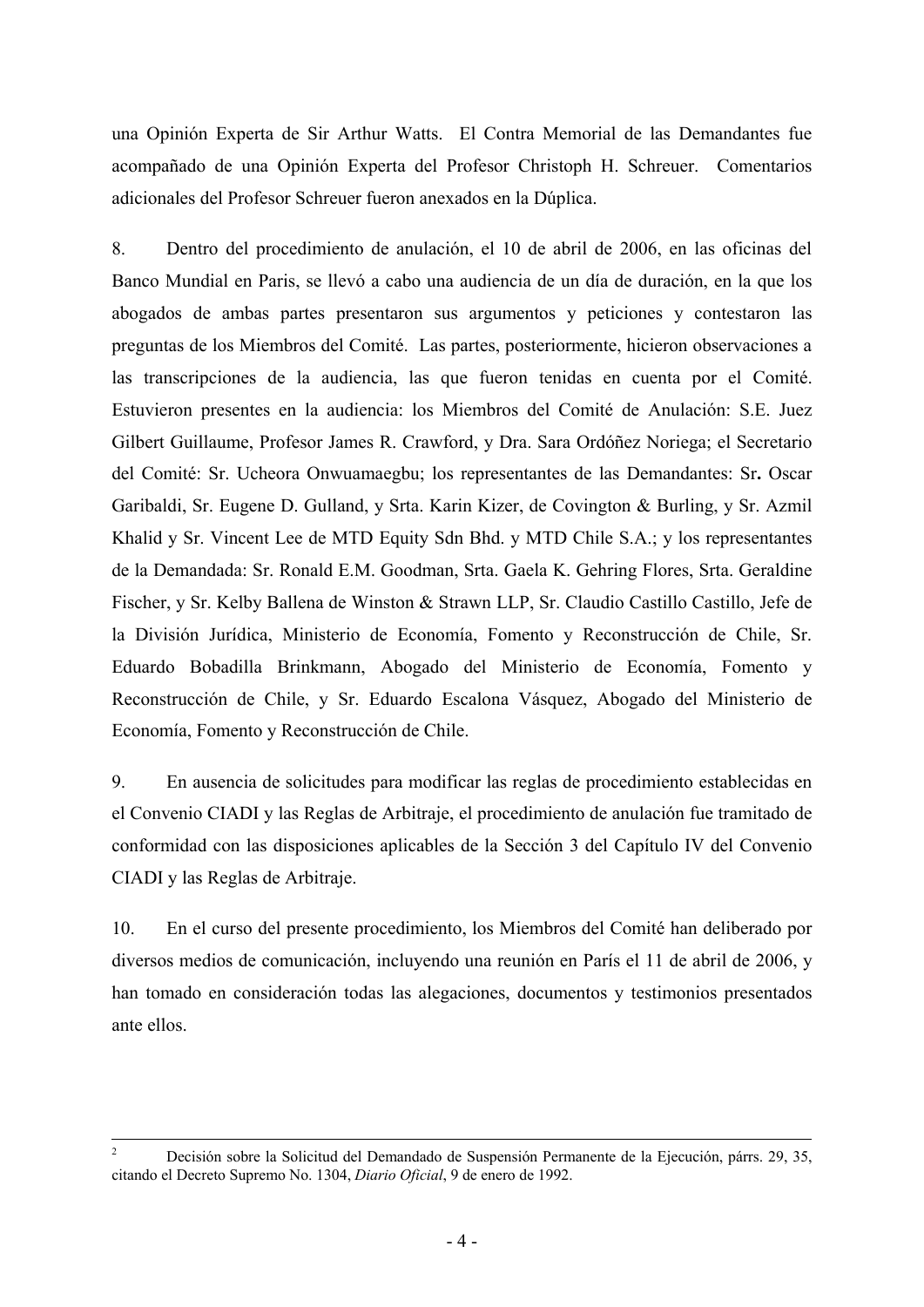una Opinión Experta de Sir Arthur Watts. El Contra Memorial de las Demandantes fue acompañado de una Opinión Experta del Profesor Christoph H. Schreuer. Comentarios adicionales del Profesor Schreuer fueron anexados en la Dúplica.

8. Dentro del procedimiento de anulación, el 10 de abril de 2006, en las oficinas del Banco Mundial en Paris, se llevó a cabo una audiencia de un día de duración, en la que los abogados de ambas partes presentaron sus argumentos y peticiones y contestaron las preguntas de los Miembros del Comité. Las partes, posteriormente, hicieron observaciones a las transcripciones de la audiencia, las que fueron tenidas en cuenta por el Comité. Estuvieron presentes en la audiencia: los Miembros del Comité de Anulación: S.E. Juez Gilbert Guillaume, Profesor James R. Crawford, y Dra. Sara Ordóñez Noriega; el Secretario del Comité: Sr. Ucheora Onwuamaegbu; los representantes de las Demandantes: Sr**.** Oscar Garibaldi, Sr. Eugene D. Gulland, y Srta. Karin Kizer, de Covington & Burling, y Sr. Azmil Khalid y Sr. Vincent Lee de MTD Equity Sdn Bhd. y MTD Chile S.A.; y los representantes de la Demandada: Sr. Ronald E.M. Goodman, Srta. Gaela K. Gehring Flores, Srta. Geraldine Fischer, y Sr. Kelby Ballena de Winston & Strawn LLP, Sr. Claudio Castillo Castillo, Jefe de la División Jurídica, Ministerio de Economía, Fomento y Reconstrucción de Chile, Sr. Eduardo Bobadilla Brinkmann, Abogado del Ministerio de Economía, Fomento y Reconstrucción de Chile, y Sr. Eduardo Escalona Vásquez, Abogado del Ministerio de Economía, Fomento y Reconstrucción de Chile.

9. En ausencia de solicitudes para modificar las reglas de procedimiento establecidas en el Convenio CIADI y las Reglas de Arbitraje, el procedimiento de anulación fue tramitado de conformidad con las disposiciones aplicables de la Sección 3 del Capítulo IV del Convenio CIADI y las Reglas de Arbitraje.

10. En el curso del presente procedimiento, los Miembros del Comité han deliberado por diversos medios de comunicación, incluyendo una reunión en París el 11 de abril de 2006, y han tomado en consideración todas las alegaciones, documentos y testimonios presentados ante ellos.

 $\frac{1}{2}$  Decisión sobre la Solicitud del Demandado de Suspensión Permanente de la Ejecución, párrs. 29, 35, citando el Decreto Supremo No. 1304, *Diario Oficial*, 9 de enero de 1992.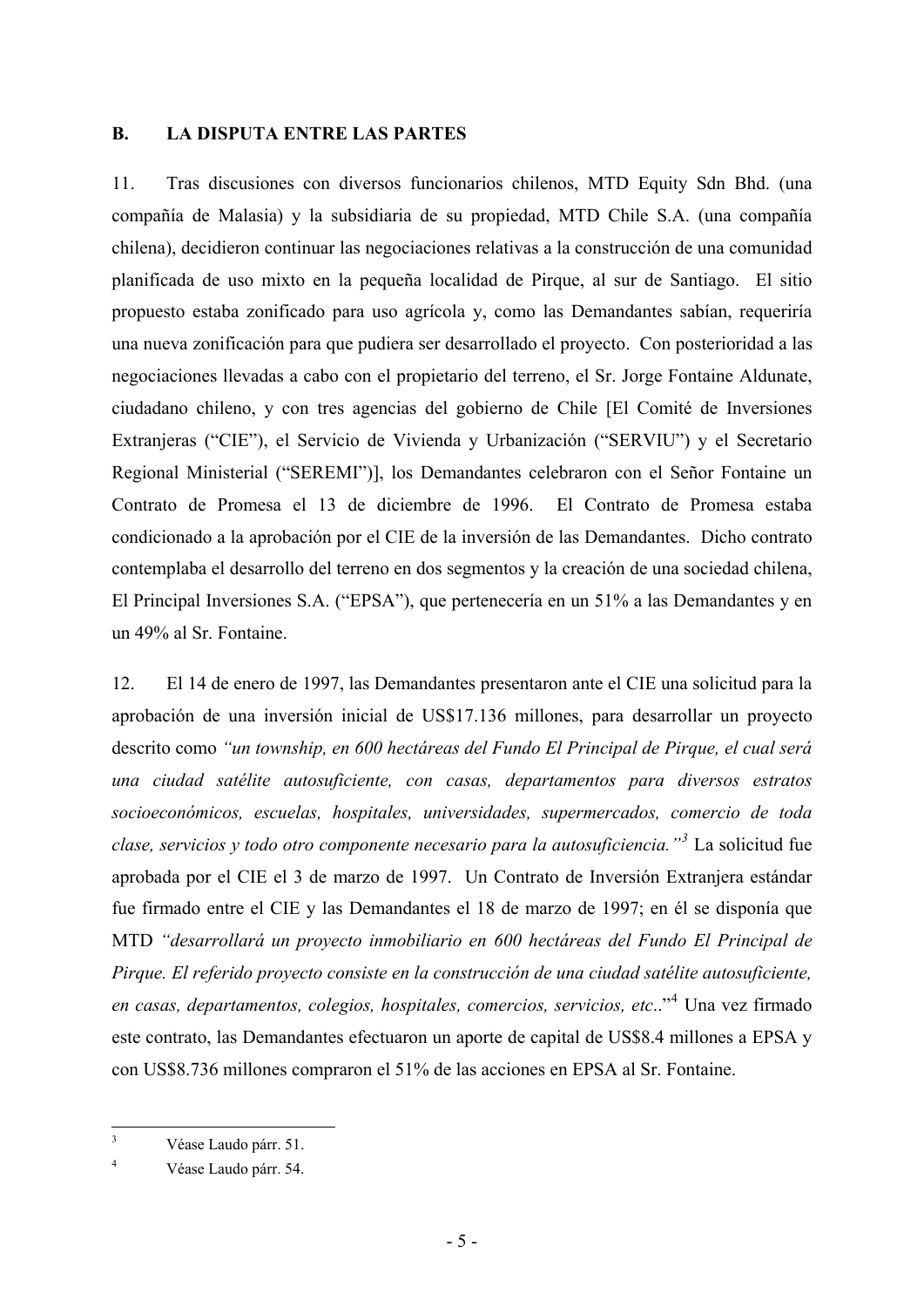### **B. LA DISPUTA ENTRE LAS PARTES**

11. Tras discusiones con diversos funcionarios chilenos, MTD Equity Sdn Bhd. (una compañía de Malasia) y la subsidiaria de su propiedad, MTD Chile S.A. (una compañía chilena), decidieron continuar las negociaciones relativas a la construcción de una comunidad planificada de uso mixto en la pequeña localidad de Pirque, al sur de Santiago. El sitio propuesto estaba zonificado para uso agrícola y, como las Demandantes sabían, requeriría una nueva zonificación para que pudiera ser desarrollado el proyecto. Con posterioridad a las negociaciones llevadas a cabo con el propietario del terreno, el Sr. Jorge Fontaine Aldunate, ciudadano chileno, y con tres agencias del gobierno de Chile [El Comité de Inversiones Extranjeras ("CIE"), el Servicio de Vivienda y Urbanización ("SERVIU") y el Secretario Regional Ministerial ("SEREMI")], los Demandantes celebraron con el Señor Fontaine un Contrato de Promesa el 13 de diciembre de 1996. El Contrato de Promesa estaba condicionado a la aprobación por el CIE de la inversión de las Demandantes. Dicho contrato contemplaba el desarrollo del terreno en dos segmentos y la creación de una sociedad chilena, El Principal Inversiones S.A. ("EPSA"), que pertenecería en un 51% a las Demandantes y en un 49% al Sr. Fontaine.

12. El 14 de enero de 1997, las Demandantes presentaron ante el CIE una solicitud para la aprobación de una inversión inicial de US\$17.136 millones, para desarrollar un proyecto descrito como *"un township, en 600 hectáreas del Fundo El Principal de Pirque, el cual será una ciudad satélite autosuficiente, con casas, departamentos para diversos estratos socioeconómicos, escuelas, hospitales, universidades, supermercados, comercio de toda clase, servicios y todo otro componente necesario para la autosuficiencia."[3](#page-53-1)* La solicitud fue aprobada por el CIE el 3 de marzo de 1997. Un Contrato de Inversión Extranjera estándar fue firmado entre el CIE y las Demandantes el 18 de marzo de 1997; en él se disponía que MTD *"desarrollará un proyecto inmobiliario en 600 hectáreas del Fundo El Principal de Pirque. El referido proyecto consiste en la construcción de una ciudad satélite autosuficiente,*  en casas, departamentos, colegios, hospitales, comercios, servicios, etc..<sup>"[4](#page-53-0)</sup> Una vez firmado este contrato, las Demandantes efectuaron un aporte de capital de US\$8.4 millones a EPSA y con US\$8.736 millones compraron el 51% de las acciones en EPSA al Sr. Fontaine.

 $\frac{1}{3}$ Véase Laudo párr. 51.

<span id="page-53-1"></span><span id="page-53-0"></span><sup>4</sup> Véase Laudo párr. 54.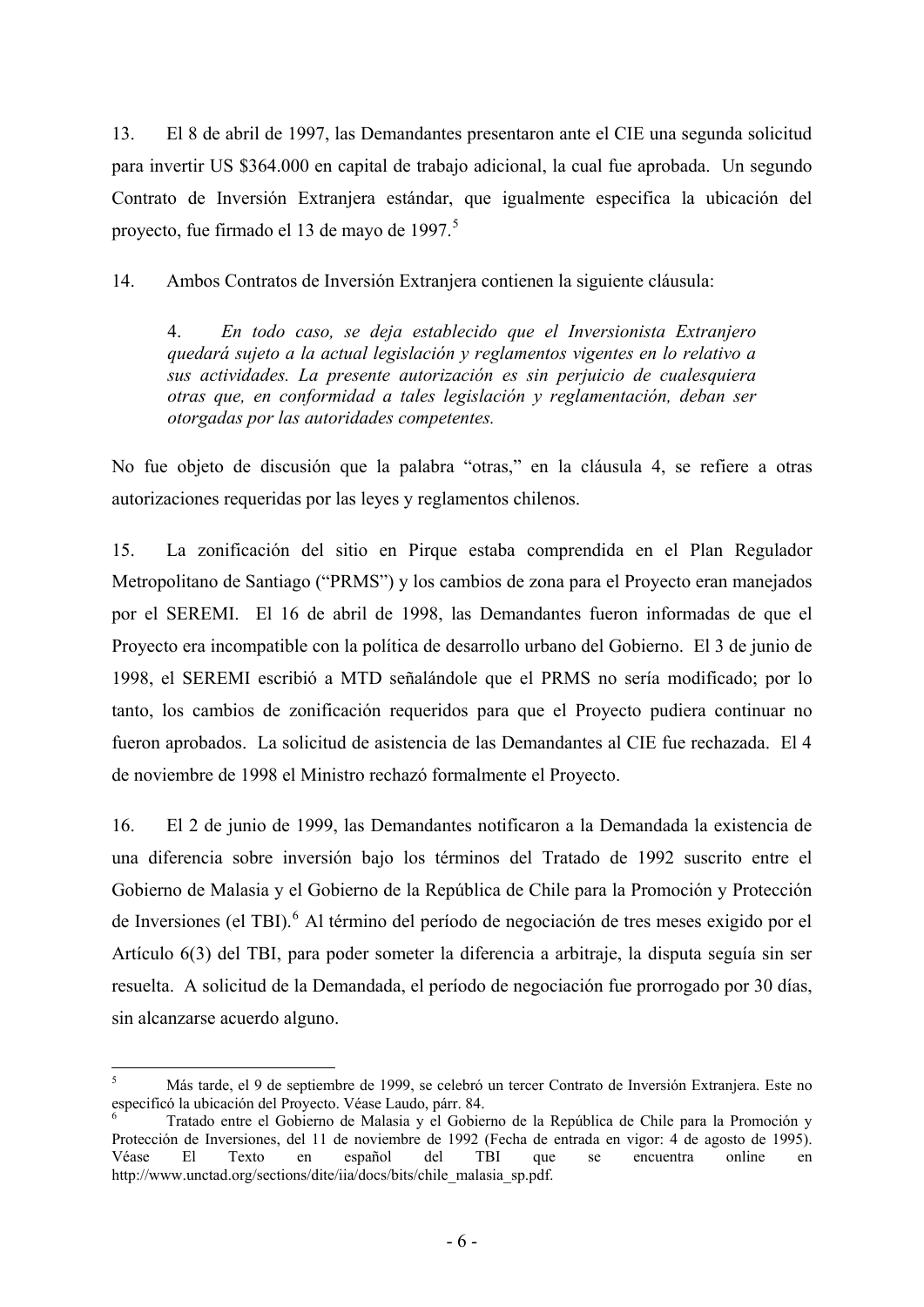13. El 8 de abril de 1997, las Demandantes presentaron ante el CIE una segunda solicitud para invertir US \$364.000 en capital de trabajo adicional, la cual fue aprobada. Un segundo Contrato de Inversión Extranjera estándar, que igualmente especifica la ubicación del proyecto, fue firmado el 13 de mayo de 1997. $5$ 

14. Ambos Contratos de Inversión Extranjera contienen la siguiente cláusula:

4. *En todo caso, se deja establecido que el Inversionista Extranjero quedará sujeto a la actual legislación y reglamentos vigentes en lo relativo a sus actividades. La presente autorización es sin perjuicio de cualesquiera otras que, en conformidad a tales legislación y reglamentación, deban ser otorgadas por las autoridades competentes.*

No fue objeto de discusión que la palabra "otras," en la cláusula 4, se refiere a otras autorizaciones requeridas por las leyes y reglamentos chilenos.

15. La zonificación del sitio en Pirque estaba comprendida en el Plan Regulador Metropolitano de Santiago ("PRMS") y los cambios de zona para el Proyecto eran manejados por el SEREMI. El 16 de abril de 1998, las Demandantes fueron informadas de que el Proyecto era incompatible con la política de desarrollo urbano del Gobierno. El 3 de junio de 1998, el SEREMI escribió a MTD señalándole que el PRMS no sería modificado; por lo tanto, los cambios de zonificación requeridos para que el Proyecto pudiera continuar no fueron aprobados. La solicitud de asistencia de las Demandantes al CIE fue rechazada. El 4 de noviembre de 1998 el Ministro rechazó formalmente el Proyecto.

16. El 2 de junio de 1999, las Demandantes notificaron a la Demandada la existencia de una diferencia sobre inversión bajo los términos del Tratado de 1992 suscrito entre el Gobierno de Malasia y el Gobierno de la República de Chile para la Promoción y Protección de Inversiones (el TBI).<sup>[6](#page-54-0)</sup> Al término del período de negociación de tres meses exigido por el Artículo 6(3) del TBI, para poder someter la diferencia a arbitraje, la disputa seguía sin ser resuelta. A solicitud de la Demandada, el período de negociación fue prorrogado por 30 días, sin alcanzarse acuerdo alguno.

<span id="page-54-1"></span><sup>1</sup> 5 Más tarde, el 9 de septiembre de 1999, se celebró un tercer Contrato de Inversión Extranjera. Este no especificó la ubicación del Proyecto. Véase Laudo, párr. 84. 6

<span id="page-54-0"></span>Tratado entre el Gobierno de Malasia y el Gobierno de la República de Chile para la Promoción y Protección de Inversiones, del 11 de noviembre de 1992 (Fecha de entrada en vigor: 4 de agosto de 1995). Véase El Texto en español del TBI que se encuentra online en http://www.unctad.org/sections/dite/iia/docs/bits/chile\_malasia\_sp.pdf.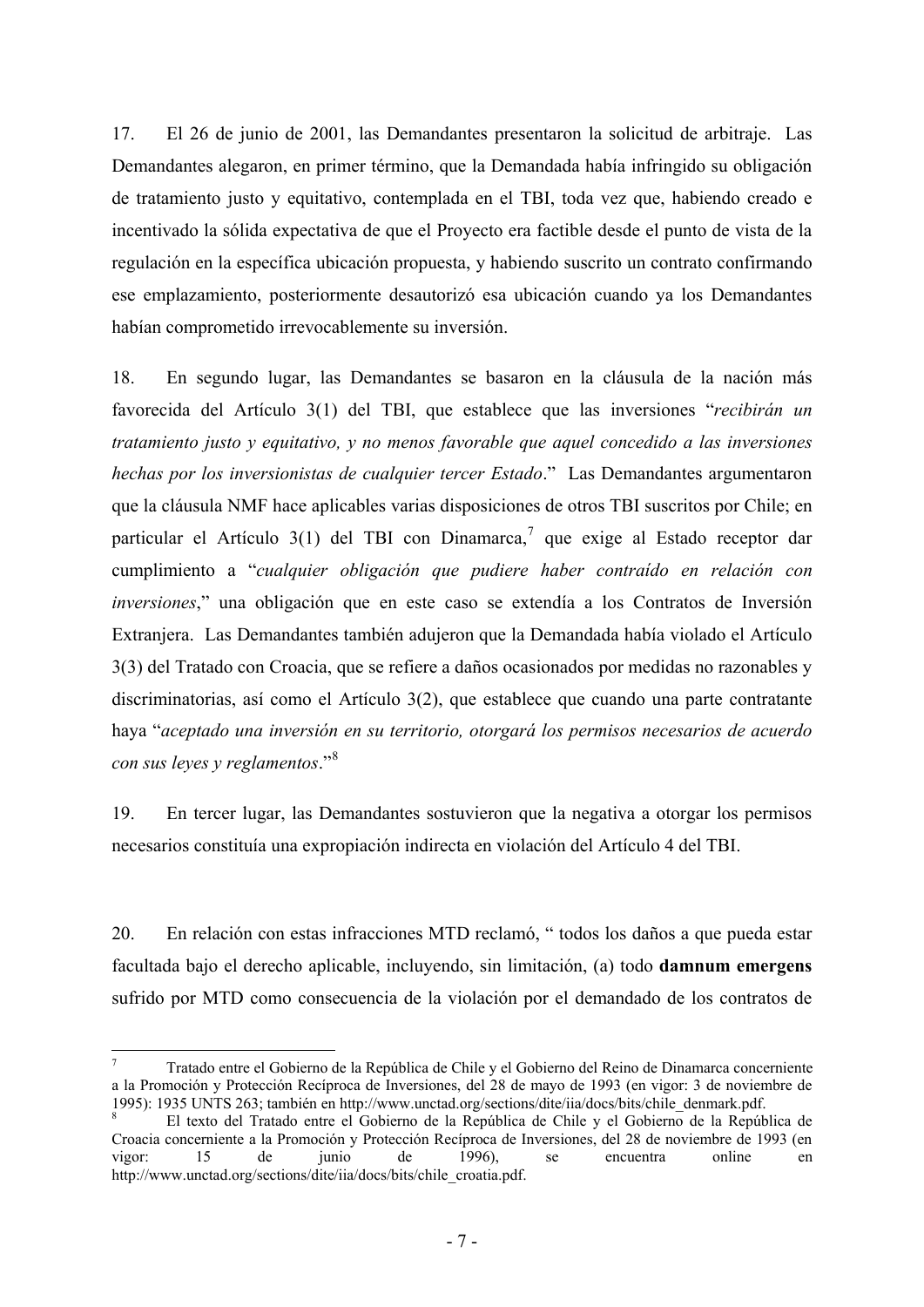17. El 26 de junio de 2001, las Demandantes presentaron la solicitud de arbitraje. Las Demandantes alegaron, en primer término, que la Demandada había infringido su obligación de tratamiento justo y equitativo, contemplada en el TBI, toda vez que, habiendo creado e incentivado la sólida expectativa de que el Proyecto era factible desde el punto de vista de la regulación en la específica ubicación propuesta, y habiendo suscrito un contrato confirmando ese emplazamiento, posteriormente desautorizó esa ubicación cuando ya los Demandantes habían comprometido irrevocablemente su inversión.

18. En segundo lugar, las Demandantes se basaron en la cláusula de la nación más favorecida del Artículo 3(1) del TBI, que establece que las inversiones "*recibirán un tratamiento justo y equitativo, y no menos favorable que aquel concedido a las inversiones hechas por los inversionistas de cualquier tercer Estado*." Las Demandantes argumentaron que la cláusula NMF hace aplicables varias disposiciones de otros TBI suscritos por Chile; en particular el Artículo 3(1) del TBI con Dinamarca,<sup>[7](#page-55-1)</sup> que exige al Estado receptor dar cumplimiento a "*cualquier obligación que pudiere haber contraído en relación con inversiones*," una obligación que en este caso se extendía a los Contratos de Inversión Extranjera. Las Demandantes también adujeron que la Demandada había violado el Artículo 3(3) del Tratado con Croacia, que se refiere a daños ocasionados por medidas no razonables y discriminatorias, así como el Artículo 3(2), que establece que cuando una parte contratante haya "*aceptado una inversión en su territorio, otorgará los permisos necesarios de acuerdo con sus leyes y reglamentos*."[8](#page-55-0)

19. En tercer lugar, las Demandantes sostuvieron que la negativa a otorgar los permisos necesarios constituía una expropiación indirecta en violación del Artículo 4 del TBI.

20. En relación con estas infracciones MTD reclamó, " todos los daños a que pueda estar facultada bajo el derecho aplicable, incluyendo, sin limitación, (a) todo **damnum emergens** sufrido por MTD como consecuencia de la violación por el demandado de los contratos de

<u>.</u>

<span id="page-55-1"></span><sup>7</sup> Tratado entre el Gobierno de la República de Chile y el Gobierno del Reino de Dinamarca concerniente a la Promoción y Protección Recíproca de Inversiones, del 28 de mayo de 1993 (en vigor: 3 de noviembre de 1995): 1935 UNTS 263; también en http://www.unctad.org/sections/dite/iia/docs/bits/chile\_denmark.pdf. 8

<span id="page-55-0"></span>El texto del Tratado entre el Gobierno de la República de Chile y el Gobierno de la República de Croacia concerniente a la Promoción y Protección Recíproca de Inversiones, del 28 de noviembre de 1993 (en vigor: 15 de junio de 1996), se encuentra online en http://www.unctad.org/sections/dite/iia/docs/bits/chile\_croatia.pdf.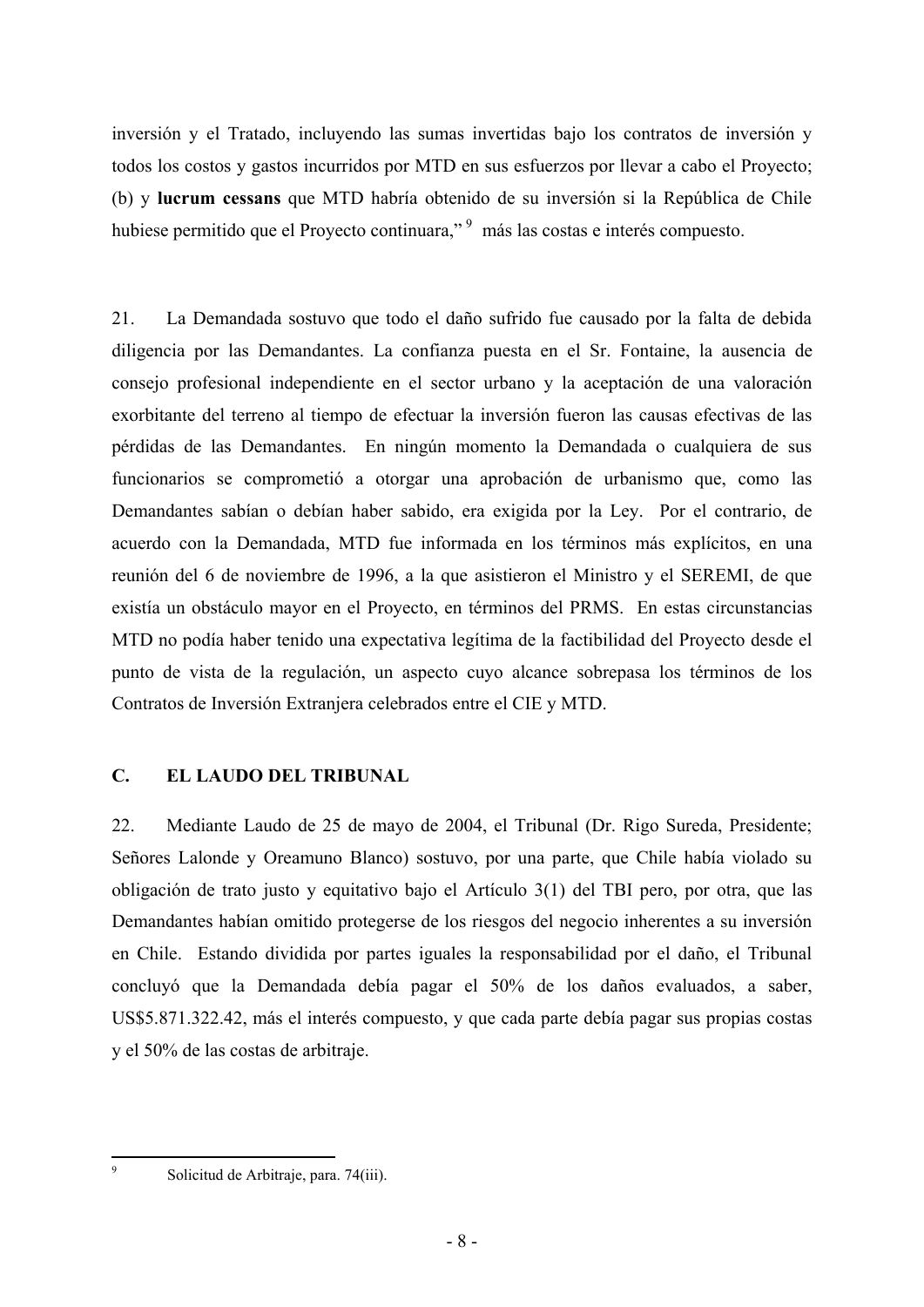inversión y el Tratado, incluyendo las sumas invertidas bajo los contratos de inversión y todos los costos y gastos incurridos por MTD en sus esfuerzos por llevar a cabo el Proyecto; (b) y **lucrum cessans** que MTD habría obtenido de su inversión si la República de Chile hubiese permitido que el Proyecto continuara,"<sup>[9](#page-56-0)</sup> más las costas e interés compuesto.

21. La Demandada sostuvo que todo el daño sufrido fue causado por la falta de debida diligencia por las Demandantes. La confianza puesta en el Sr. Fontaine, la ausencia de consejo profesional independiente en el sector urbano y la aceptación de una valoración exorbitante del terreno al tiempo de efectuar la inversión fueron las causas efectivas de las pérdidas de las Demandantes. En ningún momento la Demandada o cualquiera de sus funcionarios se comprometió a otorgar una aprobación de urbanismo que, como las Demandantes sabían o debían haber sabido, era exigida por la Ley. Por el contrario, de acuerdo con la Demandada, MTD fue informada en los términos más explícitos, en una reunión del 6 de noviembre de 1996, a la que asistieron el Ministro y el SEREMI, de que existía un obstáculo mayor en el Proyecto, en términos del PRMS. En estas circunstancias MTD no podía haber tenido una expectativa legítima de la factibilidad del Proyecto desde el punto de vista de la regulación, un aspecto cuyo alcance sobrepasa los términos de los Contratos de Inversión Extranjera celebrados entre el CIE y MTD.

# **C. EL LAUDO DEL TRIBUNAL**

22. Mediante Laudo de 25 de mayo de 2004, el Tribunal (Dr. Rigo Sureda, Presidente; Señores Lalonde y Oreamuno Blanco) sostuvo, por una parte, que Chile había violado su obligación de trato justo y equitativo bajo el Artículo 3(1) del TBI pero, por otra, que las Demandantes habían omitido protegerse de los riesgos del negocio inherentes a su inversión en Chile. Estando dividida por partes iguales la responsabilidad por el daño, el Tribunal concluyó que la Demandada debía pagar el 50% de los daños evaluados, a saber, US\$5.871.322.42, más el interés compuesto, y que cada parte debía pagar sus propias costas y el 50% de las costas de arbitraje.

<span id="page-56-0"></span>–<br>9

Solicitud de Arbitraje, para. 74(iii).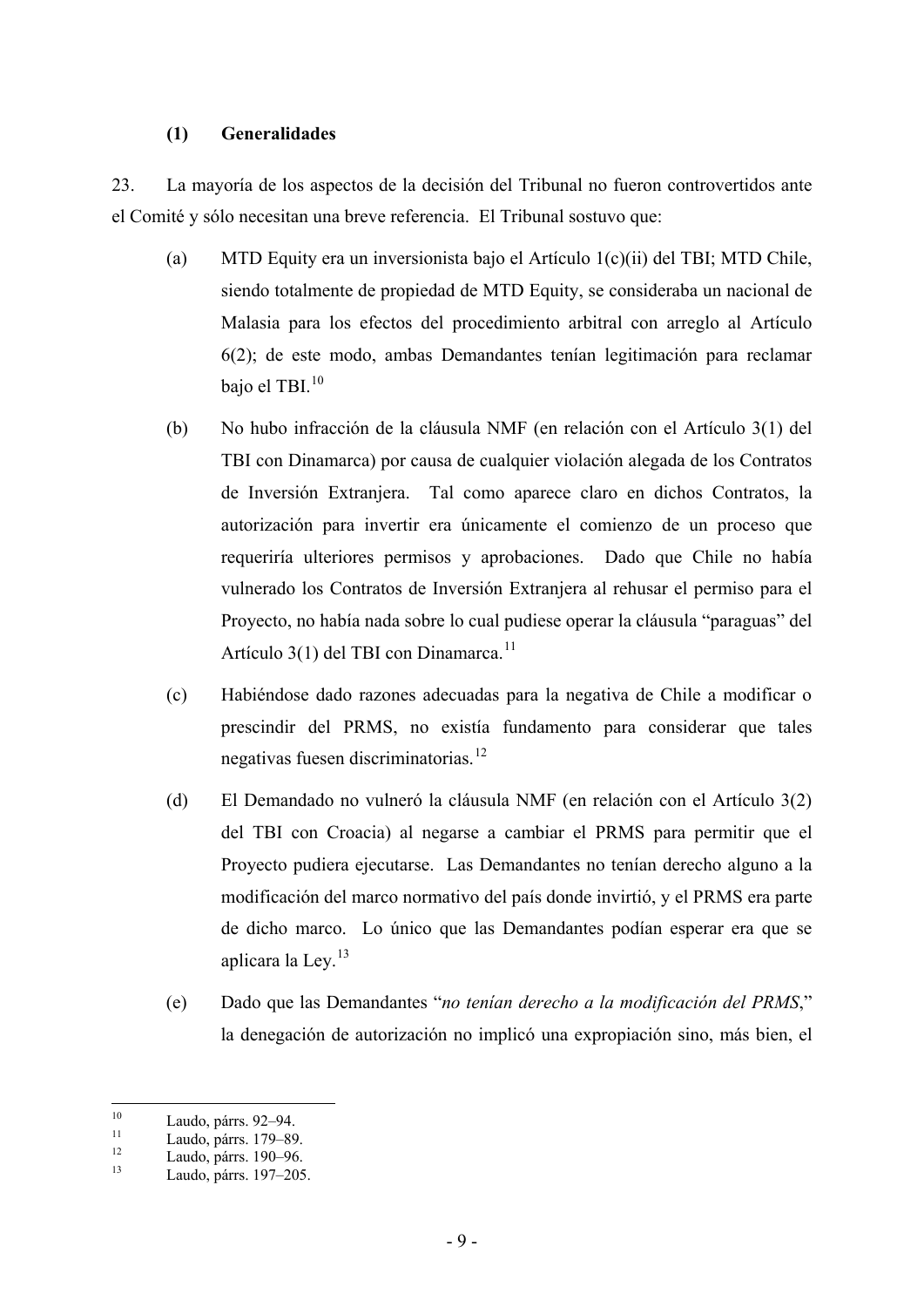### **(1) Generalidades**

23. La mayoría de los aspectos de la decisión del Tribunal no fueron controvertidos ante el Comité y sólo necesitan una breve referencia. El Tribunal sostuvo que:

- (a) MTD Equity era un inversionista bajo el Artículo 1(c)(ii) del TBI; MTD Chile, siendo totalmente de propiedad de MTD Equity, se consideraba un nacional de Malasia para los efectos del procedimiento arbitral con arreglo al Artículo 6(2); de este modo, ambas Demandantes tenían legitimación para reclamar bajo el TBI.<sup>[10](#page-57-1)</sup>
- (b) No hubo infracción de la cláusula NMF (en relación con el Artículo 3(1) del TBI con Dinamarca) por causa de cualquier violación alegada de los Contratos de Inversión Extranjera. Tal como aparece claro en dichos Contratos, la autorización para invertir era únicamente el comienzo de un proceso que requeriría ulteriores permisos y aprobaciones. Dado que Chile no había vulnerado los Contratos de Inversión Extranjera al rehusar el permiso para el Proyecto, no había nada sobre lo cual pudiese operar la cláusula "paraguas" del Artículo 3(1) del TBI con Dinamarca.<sup>[11](#page-57-2)</sup>
- (c) Habiéndose dado razones adecuadas para la negativa de Chile a modificar o prescindir del PRMS, no existía fundamento para considerar que tales negativas fuesen discriminatorias.[12](#page-57-3)
- (d) El Demandado no vulneró la cláusula NMF (en relación con el Artículo 3(2) del TBI con Croacia) al negarse a cambiar el PRMS para permitir que el Proyecto pudiera ejecutarse. Las Demandantes no tenían derecho alguno a la modificación del marco normativo del país donde invirtió, y el PRMS era parte de dicho marco. Lo único que las Demandantes podían esperar era que se aplicara la Lev. $^{13}$  $^{13}$  $^{13}$
- (e) Dado que las Demandantes "*no tenían derecho a la modificación del PRMS*," la denegación de autorización no implicó una expropiación sino, más bien, el

<span id="page-57-1"></span> $10$  $10$  Laudo, párrs. 92–94.

<span id="page-57-2"></span> $11$  Laudo, párrs. 179–89.

<span id="page-57-3"></span> $12$  Laudo, párrs. 190–96.

<span id="page-57-0"></span><sup>13</sup> Laudo, párrs. 197–205.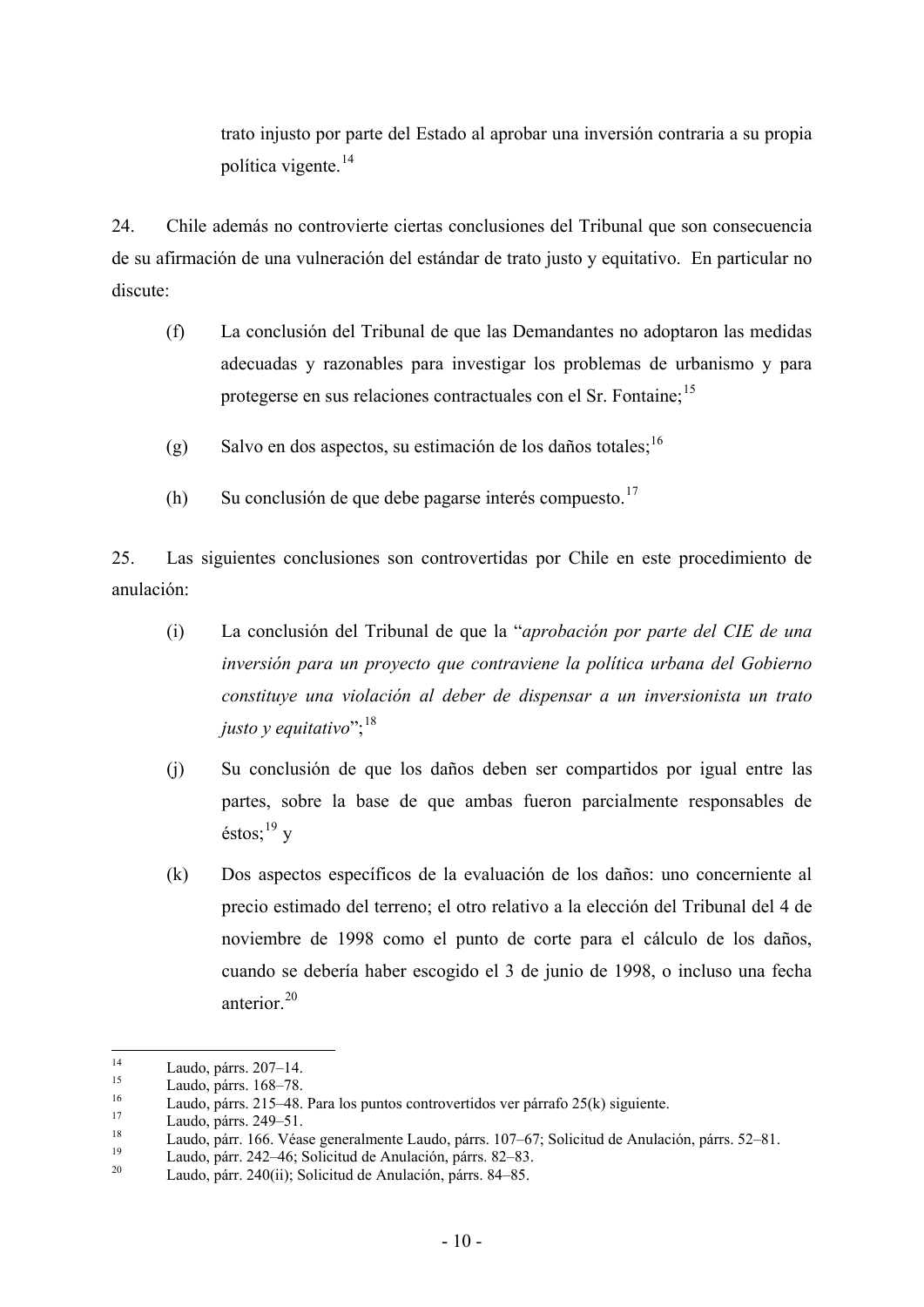trato injusto por parte del Estado al aprobar una inversión contraria a su propia política vigente.[14](#page-58-1)

24. Chile además no controvierte ciertas conclusiones del Tribunal que son consecuencia de su afirmación de una vulneración del estándar de trato justo y equitativo. En particular no discute:

- (f) La conclusión del Tribunal de que las Demandantes no adoptaron las medidas adecuadas y razonables para investigar los problemas de urbanismo y para protegerse en sus relaciones contractuales con el Sr. Fontaine;<sup>[15](#page-58-2)</sup>
- (g) Salvo en dos aspectos, su estimación de los daños totales;<sup>[16](#page-58-3)</sup>
- (h) Su conclusión de que debe pagarse interés compuesto.<sup>[17](#page-58-4)</sup>

25. Las siguientes conclusiones son controvertidas por Chile en este procedimiento de anulación:

- (i) La conclusión del Tribunal de que la "*aprobación por parte del CIE de una inversión para un proyecto que contraviene la política urbana del Gobierno constituye una violación al deber de dispensar a un inversionista un trato justo y equitativo*";<sup>[18](#page-58-5)</sup>
- (j) Su conclusión de que los daños deben ser compartidos por igual entre las partes, sobre la base de que ambas fueron parcialmente responsables de éstos;  $^{19}$  $^{19}$  $^{19}$  y
- (k) Dos aspectos específicos de la evaluación de los daños: uno concerniente al precio estimado del terreno; el otro relativo a la elección del Tribunal del 4 de noviembre de 1998 como el punto de corte para el cálculo de los daños, cuando se debería haber escogido el 3 de junio de 1998, o incluso una fecha anterior  $^{20}$  $^{20}$  $^{20}$

<span id="page-58-1"></span> $14$  $14$  Laudo, párrs. 207–14.

<span id="page-58-2"></span> $\frac{15}{16}$  Laudo, párrs. 168–78.

<span id="page-58-3"></span><sup>&</sup>lt;sup>16</sup> Laudo, párrs. 215–48. Para los puntos controvertidos ver párrafo 25(k) siguiente.

<span id="page-58-4"></span> $\frac{17}{18}$  Laudo, párrs. 249–51.

<span id="page-58-5"></span><sup>&</sup>lt;sup>18</sup> Laudo, párr. 166. Véase generalmente Laudo, párrs. 107–67; Solicitud de Anulación, párrs. 52–81.

<span id="page-58-6"></span><sup>&</sup>lt;sup>19</sup> Laudo, párr. 242–46; Solicitud de Anulación, párrs. 82–83.

<span id="page-58-0"></span>Laudo, párr. 240(ii); Solicitud de Anulación, párrs. 84–85.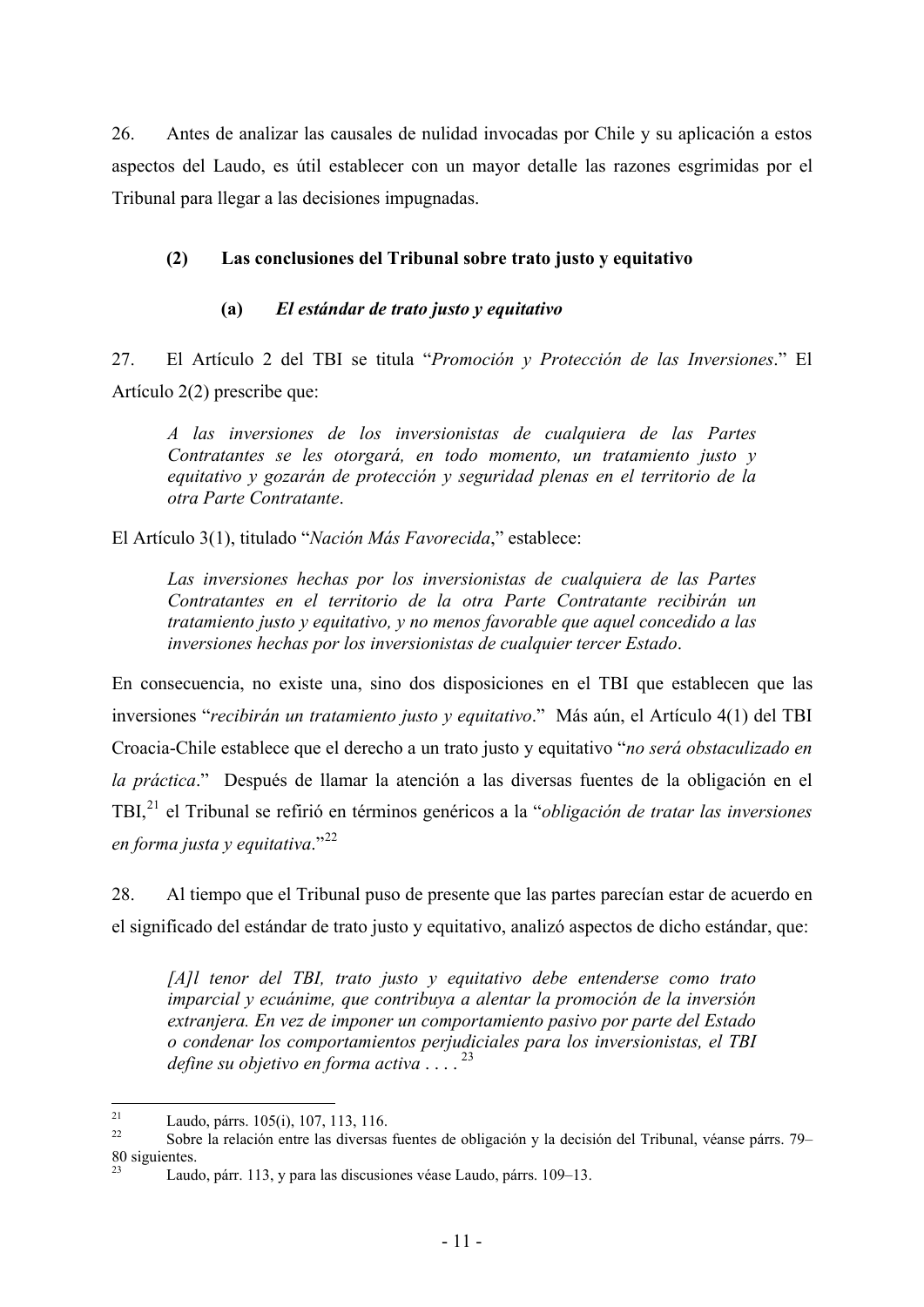26. Antes de analizar las causales de nulidad invocadas por Chile y su aplicación a estos aspectos del Laudo, es útil establecer con un mayor detalle las razones esgrimidas por el Tribunal para llegar a las decisiones impugnadas.

# **(2) Las conclusiones del Tribunal sobre trato justo y equitativo**

# **(a)** *El estándar de trato justo y equitativo*

27. El Artículo 2 del TBI se titula "*Promoción y Protección de las Inversiones*." El Artículo 2(2) prescribe que:

*A las inversiones de los inversionistas de cualquiera de las Partes Contratantes se les otorgará, en todo momento, un tratamiento justo y equitativo y gozarán de protección y seguridad plenas en el territorio de la otra Parte Contratante*.

El Artículo 3(1), titulado "*Nación Más Favorecida*," establece:

*Las inversiones hechas por los inversionistas de cualquiera de las Partes Contratantes en el territorio de la otra Parte Contratante recibirán un tratamiento justo y equitativo, y no menos favorable que aquel concedido a las inversiones hechas por los inversionistas de cualquier tercer Estado*.

En consecuencia, no existe una, sino dos disposiciones en el TBI que establecen que las inversiones "*recibirán un tratamiento justo y equitativo*." Más aún, el Artículo 4(1) del TBI Croacia-Chile establece que el derecho a un trato justo y equitativo "*no será obstaculizado en la práctica*." Después de llamar la atención a las diversas fuentes de la obligación en el TBI,[21](#page-59-1) el Tribunal se refirió en términos genéricos a la "*obligación de tratar las inversiones en forma justa y equitativa*."[22](#page-59-2)

28. Al tiempo que el Tribunal puso de presente que las partes parecían estar de acuerdo en el significado del estándar de trato justo y equitativo, analizó aspectos de dicho estándar, que:

*[A]l tenor del TBI, trato justo y equitativo debe entenderse como trato imparcial y ecuánime, que contribuya a alentar la promoción de la inversión extranjera. En vez de imponer un comportamiento pasivo por parte del Estado o condenar los comportamientos perjudiciales para los inversionistas, el TBI define su objetivo en forma activa* . . . . [23](#page-59-0)

<span id="page-59-1"></span> $21$ <sup>21</sup> Laudo, párrs. 105(i), 107, 113, 116.

<span id="page-59-2"></span><span id="page-59-0"></span><sup>22</sup> Sobre la relación entre las diversas fuentes de obligación y la decisión del Tribunal, véanse párrs. 79– 80 siguientes.

Laudo, párr. 113, y para las discusiones véase Laudo, párrs. 109–13.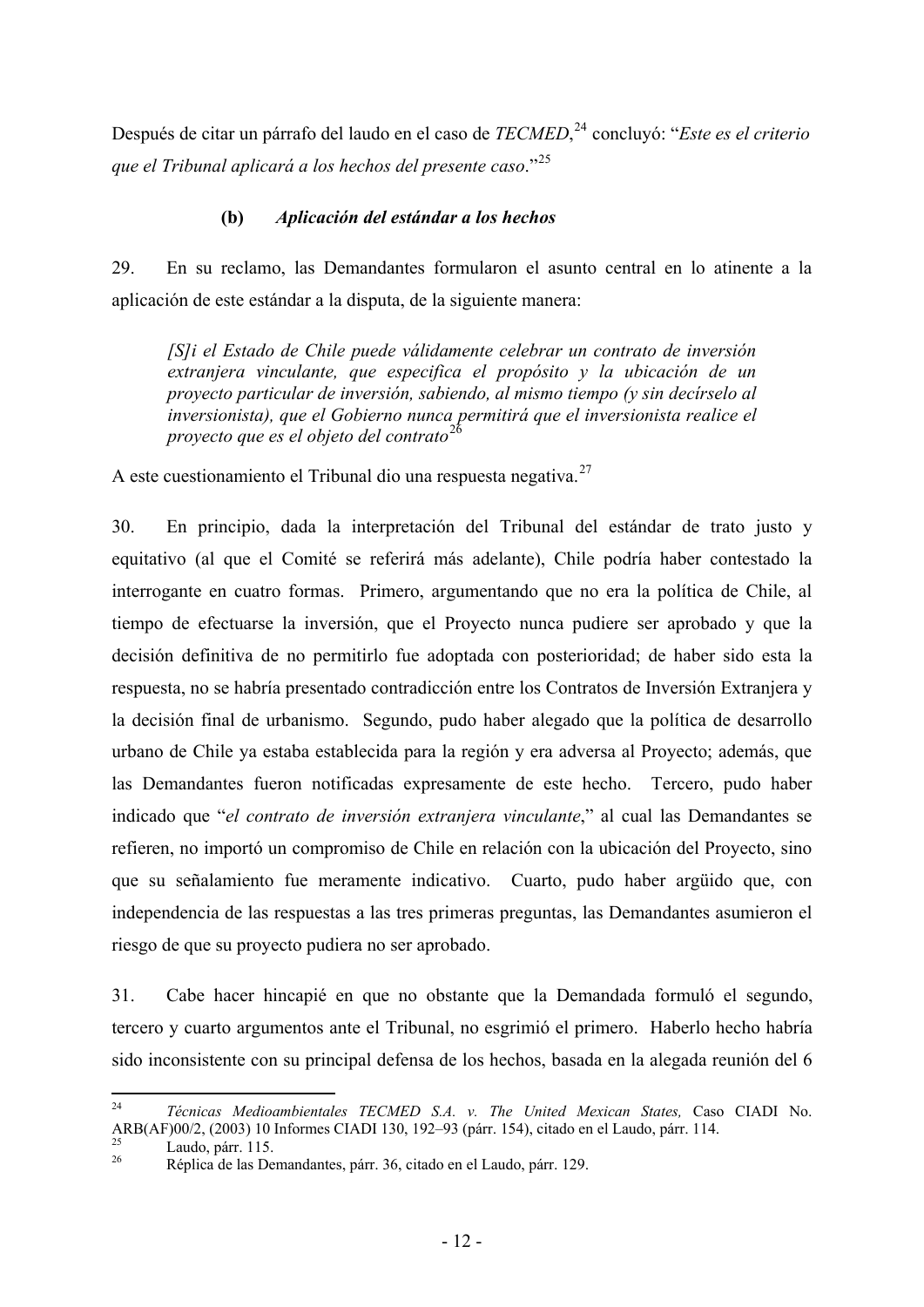Después de citar un párrafo del laudo en el caso de *TECMED*, [24](#page-60-1) concluyó: "*Este es el criterio que el Tribunal aplicará a los hechos del presente caso*."[25](#page-60-2)

# **(b)** *Aplicación del estándar a los hechos*

29. En su reclamo, las Demandantes formularon el asunto central en lo atinente a la aplicación de este estándar a la disputa, de la siguiente manera:

*[S]i el Estado de Chile puede válidamente celebrar un contrato de inversión extranjera vinculante, que especifica el propósito y la ubicación de un proyecto particular de inversión, sabiendo, al mismo tiempo (y sin decírselo al inversionista), que el Gobierno nunca permitirá que el inversionista realice el proyecto que es el objeto del contrato*[26](#page-60-3)

A este cuestionamiento el Tribunal dio una respuesta negativa.[27](#page-60-0)

30. En principio, dada la interpretación del Tribunal del estándar de trato justo y equitativo (al que el Comité se referirá más adelante), Chile podría haber contestado la interrogante en cuatro formas. Primero, argumentando que no era la política de Chile, al tiempo de efectuarse la inversión, que el Proyecto nunca pudiere ser aprobado y que la decisión definitiva de no permitirlo fue adoptada con posterioridad; de haber sido esta la respuesta, no se habría presentado contradicción entre los Contratos de Inversión Extranjera y la decisión final de urbanismo. Segundo, pudo haber alegado que la política de desarrollo urbano de Chile ya estaba establecida para la región y era adversa al Proyecto; además, que las Demandantes fueron notificadas expresamente de este hecho. Tercero, pudo haber indicado que "*el contrato de inversión extranjera vinculante*," al cual las Demandantes se refieren, no importó un compromiso de Chile en relación con la ubicación del Proyecto, sino que su señalamiento fue meramente indicativo. Cuarto, pudo haber argüido que, con independencia de las respuestas a las tres primeras preguntas, las Demandantes asumieron el riesgo de que su proyecto pudiera no ser aprobado.

<span id="page-60-0"></span>31. Cabe hacer hincapié en que no obstante que la Demandada formuló el segundo, tercero y cuarto argumentos ante el Tribunal, no esgrimió el primero. Haberlo hecho habría sido inconsistente con su principal defensa de los hechos, basada en la alegada reunión del 6

<span id="page-60-1"></span><sup>24</sup> <sup>24</sup> *Técnicas Medioambientales TECMED S.A. v. The United Mexican States,* Caso CIADI No. ARB(AF)00/2, (2003) 10 Informes CIADI 130, 192–93 (párr. 154), citado en el Laudo, párr. 114.

 $25$  Laudo, párr. 115.

<span id="page-60-3"></span><span id="page-60-2"></span><sup>26</sup> Réplica de las Demandantes, párr. 36, citado en el Laudo, párr. 129.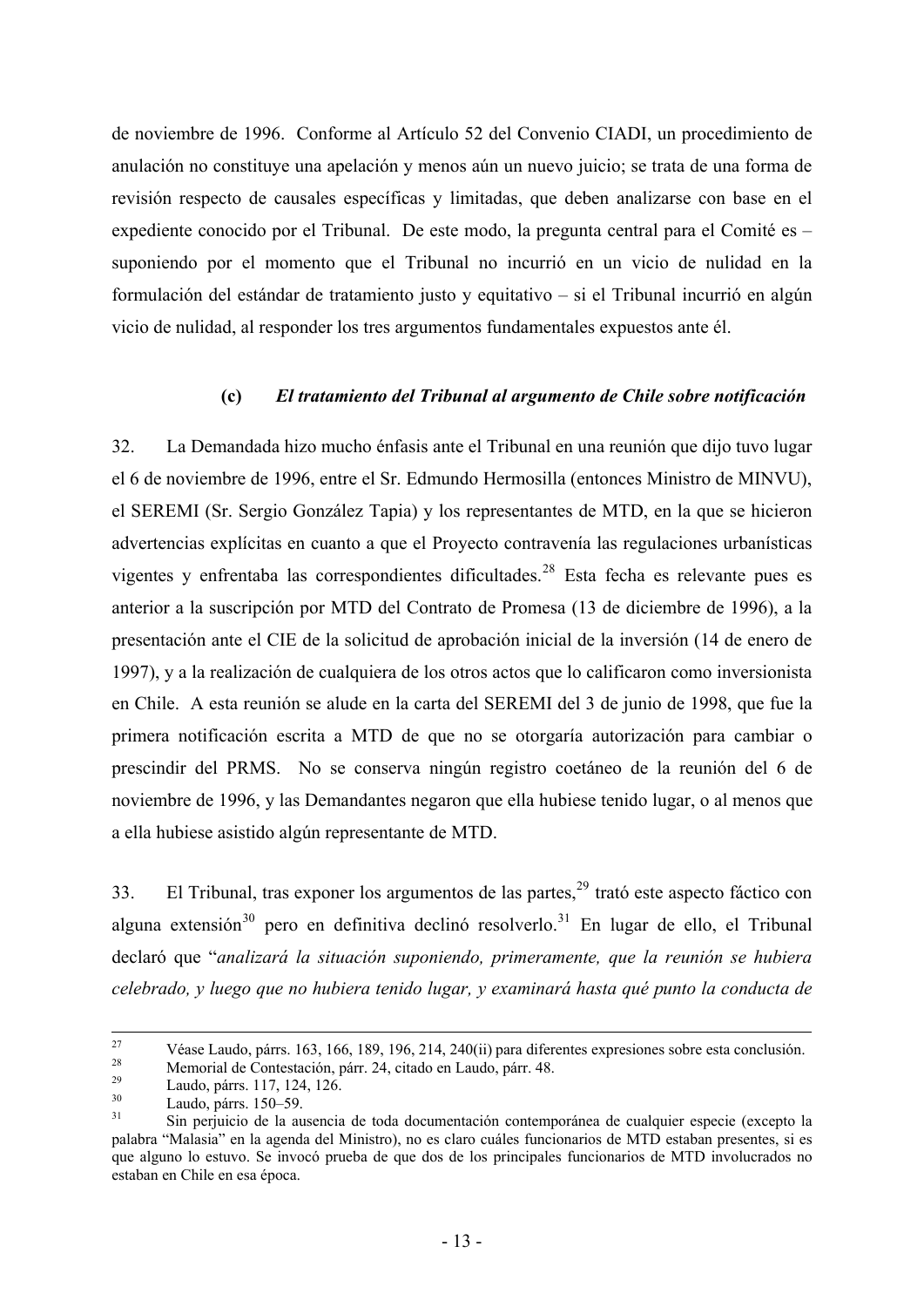de noviembre de 1996. Conforme al Artículo 52 del Convenio CIADI, un procedimiento de anulación no constituye una apelación y menos aún un nuevo juicio; se trata de una forma de revisión respecto de causales específicas y limitadas, que deben analizarse con base en el expediente conocido por el Tribunal. De este modo, la pregunta central para el Comité es – suponiendo por el momento que el Tribunal no incurrió en un vicio de nulidad en la formulación del estándar de tratamiento justo y equitativo – si el Tribunal incurrió en algún vicio de nulidad, al responder los tres argumentos fundamentales expuestos ante él.

#### **(c)** *El tratamiento del Tribunal al argumento de Chile sobre notificación*

32. La Demandada hizo mucho énfasis ante el Tribunal en una reunión que dijo tuvo lugar el 6 de noviembre de 1996, entre el Sr. Edmundo Hermosilla (entonces Ministro de MINVU), el SEREMI (Sr. Sergio González Tapia) y los representantes de MTD, en la que se hicieron advertencias explícitas en cuanto a que el Proyecto contravenía las regulaciones urbanísticas vigentes y enfrentaba las correspondientes dificultades.[28](#page-61-1) Esta fecha es relevante pues es anterior a la suscripción por MTD del Contrato de Promesa (13 de diciembre de 1996), a la presentación ante el CIE de la solicitud de aprobación inicial de la inversión (14 de enero de 1997), y a la realización de cualquiera de los otros actos que lo calificaron como inversionista en Chile. A esta reunión se alude en la carta del SEREMI del 3 de junio de 1998, que fue la primera notificación escrita a MTD de que no se otorgaría autorización para cambiar o prescindir del PRMS. No se conserva ningún registro coetáneo de la reunión del 6 de noviembre de 1996, y las Demandantes negaron que ella hubiese tenido lugar, o al menos que a ella hubiese asistido algún representante de MTD.

33. El Tribunal, tras exponer los argumentos de las partes,  $^{29}$  $^{29}$  $^{29}$  trató este aspecto fáctico con alguna extensión<sup>[30](#page-61-3)</sup> pero en definitiva declinó resolverlo.<sup>[31](#page-61-0)</sup> En lugar de ello, el Tribunal declaró que "*analizará la situación suponiendo, primeramente, que la reunión se hubiera celebrado, y luego que no hubiera tenido lugar, y examinará hasta qué punto la conducta de* 

<sup>&</sup>lt;sup>27</sup> Véase Laudo, párrs. 163, 166, 189, 196, 214, 240(ii) para diferentes expresiones sobre esta conclusión.<br>Memorial de Contestación, párr. 24, citado en Laudo, párr. 48.<br> $\frac{129}{5}$  J audo, párr. 117, 124, 126

<span id="page-61-1"></span>

<span id="page-61-2"></span><sup>&</sup>lt;sup>29</sup> Laudo, párrs. 117, 124, 126.

<span id="page-61-3"></span> $\frac{30}{31}$  Laudo, párrs. 150–59.

<span id="page-61-0"></span><sup>31</sup> Sin perjuicio de la ausencia de toda documentación contemporánea de cualquier especie (excepto la palabra "Malasia" en la agenda del Ministro), no es claro cuáles funcionarios de MTD estaban presentes, si es que alguno lo estuvo. Se invocó prueba de que dos de los principales funcionarios de MTD involucrados no estaban en Chile en esa época.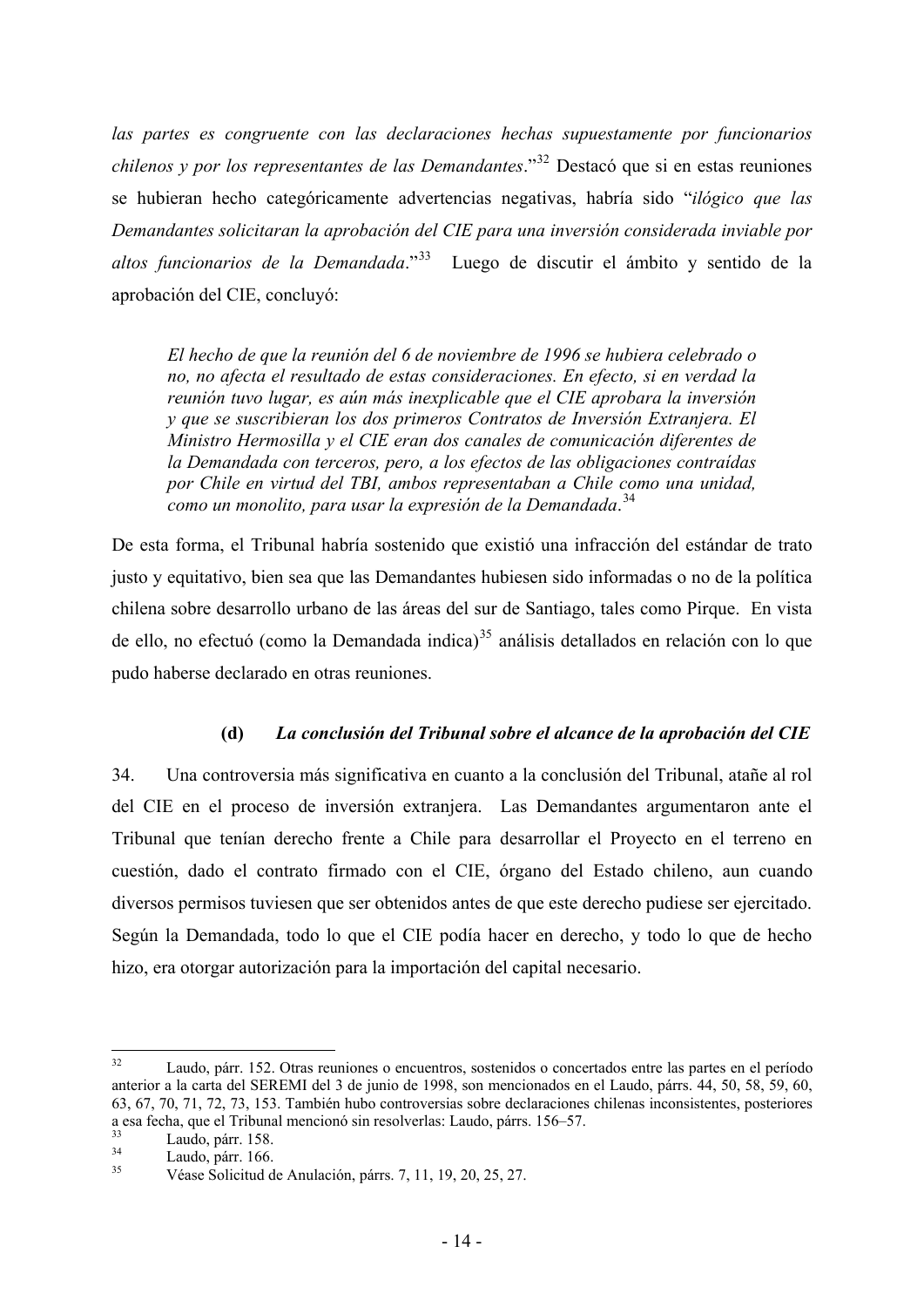*las partes es congruente con las declaraciones hechas supuestamente por funcionarios chilenos y por los representantes de las Demandantes*."[32](#page-62-1) Destacó que si en estas reuniones se hubieran hecho categóricamente advertencias negativas, habría sido "*ilógico que las Demandantes solicitaran la aprobación del CIE para una inversión considerada inviable por altos funcionarios de la Demandada*."[33](#page-62-2) Luego de discutir el ámbito y sentido de la aprobación del CIE, concluyó:

*El hecho de que la reunión del 6 de noviembre de 1996 se hubiera celebrado o no, no afecta el resultado de estas consideraciones. En efecto, si en verdad la reunión tuvo lugar, es aún más inexplicable que el CIE aprobara la inversión y que se suscribieran los dos primeros Contratos de Inversión Extranjera. El Ministro Hermosilla y el CIE eran dos canales de comunicación diferentes de la Demandada con terceros, pero, a los efectos de las obligaciones contraídas por Chile en virtud del TBI, ambos representaban a Chile como una unidad, como un monolito, para usar la expresión de la Demandada*. [34](#page-62-3)

De esta forma, el Tribunal habría sostenido que existió una infracción del estándar de trato justo y equitativo, bien sea que las Demandantes hubiesen sido informadas o no de la política chilena sobre desarrollo urbano de las áreas del sur de Santiago, tales como Pirque. En vista de ello, no efectuó (como la Demandada indica) $35$  análisis detallados en relación con lo que pudo haberse declarado en otras reuniones.

#### **(d)** *La conclusión del Tribunal sobre el alcance de la aprobación del CIE*

34. Una controversia más significativa en cuanto a la conclusión del Tribunal, atañe al rol del CIE en el proceso de inversión extranjera. Las Demandantes argumentaron ante el Tribunal que tenían derecho frente a Chile para desarrollar el Proyecto en el terreno en cuestión, dado el contrato firmado con el CIE, órgano del Estado chileno, aun cuando diversos permisos tuviesen que ser obtenidos antes de que este derecho pudiese ser ejercitado. Según la Demandada, todo lo que el CIE podía hacer en derecho, y todo lo que de hecho hizo, era otorgar autorización para la importación del capital necesario.

<span id="page-62-1"></span><sup>32</sup> Laudo, párr. 152. Otras reuniones o encuentros, sostenidos o concertados entre las partes en el período anterior a la carta del SEREMI del 3 de junio de 1998, son mencionados en el Laudo, párrs. 44, 50, 58, 59, 60, 63, 67, 70, 71, 72, 73, 153. También hubo controversias sobre declaraciones chilenas inconsistentes, posteriores a esa fecha, que el Tribunal mencionó sin resolverlas: Laudo, párrs. 156–57.

<span id="page-62-2"></span> $\frac{33}{34}$  Laudo, párr. 158.

<span id="page-62-3"></span> $\frac{34}{35}$  Laudo, párr. 166.

<span id="page-62-0"></span><sup>35</sup> Véase Solicitud de Anulación, párrs. 7, 11, 19, 20, 25, 27.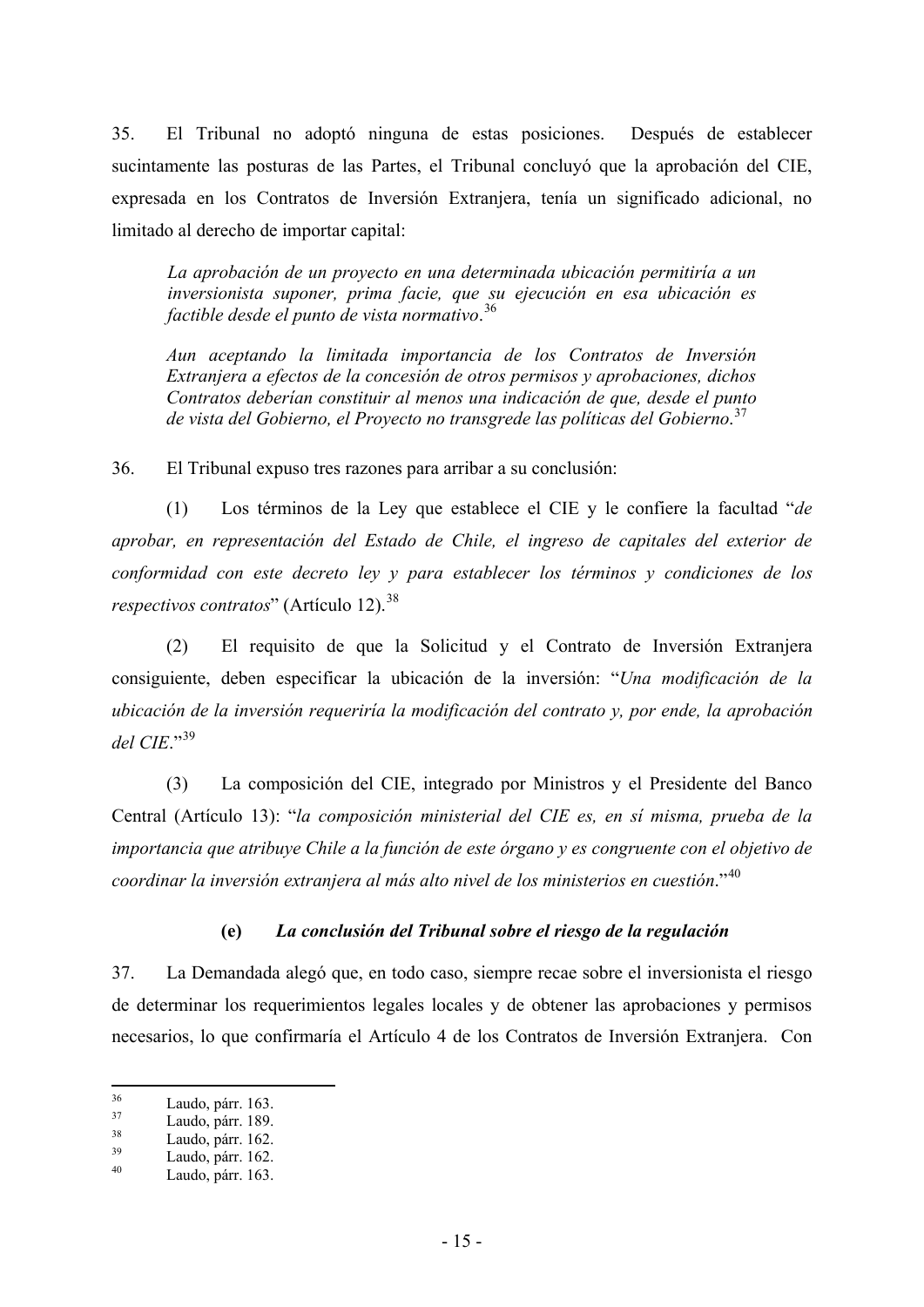35. El Tribunal no adoptó ninguna de estas posiciones. Después de establecer sucintamente las posturas de las Partes, el Tribunal concluyó que la aprobación del CIE, expresada en los Contratos de Inversión Extranjera, tenía un significado adicional, no limitado al derecho de importar capital:

*La aprobación de un proyecto en una determinada ubicación permitiría a un inversionista suponer, prima facie, que su ejecución en esa ubicación es factible desde el punto de vista normativo*. [36](#page-63-1)

*Aun aceptando la limitada importancia de los Contratos de Inversión Extranjera a efectos de la concesión de otros permisos y aprobaciones, dichos Contratos deberían constituir al menos una indicación de que, desde el punto de vista del Gobierno, el Proyecto no transgrede las políticas del Gobierno*. [37](#page-63-2)

36. El Tribunal expuso tres razones para arribar a su conclusión:

(1) Los términos de la Ley que establece el CIE y le confiere la facultad "*de aprobar, en representación del Estado de Chile, el ingreso de capitales del exterior de conformidad con este decreto ley y para establecer los términos y condiciones de los respectivos contratos*" (Artículo 12).[38](#page-63-3)

(2) El requisito de que la Solicitud y el Contrato de Inversión Extranjera consiguiente, deben especificar la ubicación de la inversión: "*Una modificación de la ubicación de la inversión requeriría la modificación del contrato y, por ende, la aprobación del CIE*."[39](#page-63-4)

(3) La composición del CIE, integrado por Ministros y el Presidente del Banco Central (Artículo 13): "*la composición ministerial del CIE es, en sí misma, prueba de la importancia que atribuye Chile a la función de este órgano y es congruente con el objetivo de coordinar la inversión extranjera al más alto nivel de los ministerios en cuestión*."[40](#page-63-0)

#### **(e)** *La conclusión del Tribunal sobre el riesgo de la regulación*

37. La Demandada alegó que, en todo caso, siempre recae sobre el inversionista el riesgo de determinar los requerimientos legales locales y de obtener las aprobaciones y permisos necesarios, lo que confirmaría el Artículo 4 de los Contratos de Inversión Extranjera. Con

<span id="page-63-1"></span><sup>36</sup>  $\frac{36}{37}$  Laudo, párr. 163.

<span id="page-63-2"></span> $\frac{37}{38}$  Laudo, párr. 189.

<span id="page-63-3"></span> $\frac{38}{39}$  Laudo, párr. 162.

<span id="page-63-4"></span> $\frac{39}{40}$  Laudo, párr. 162.

<span id="page-63-0"></span>Laudo, párr. 163.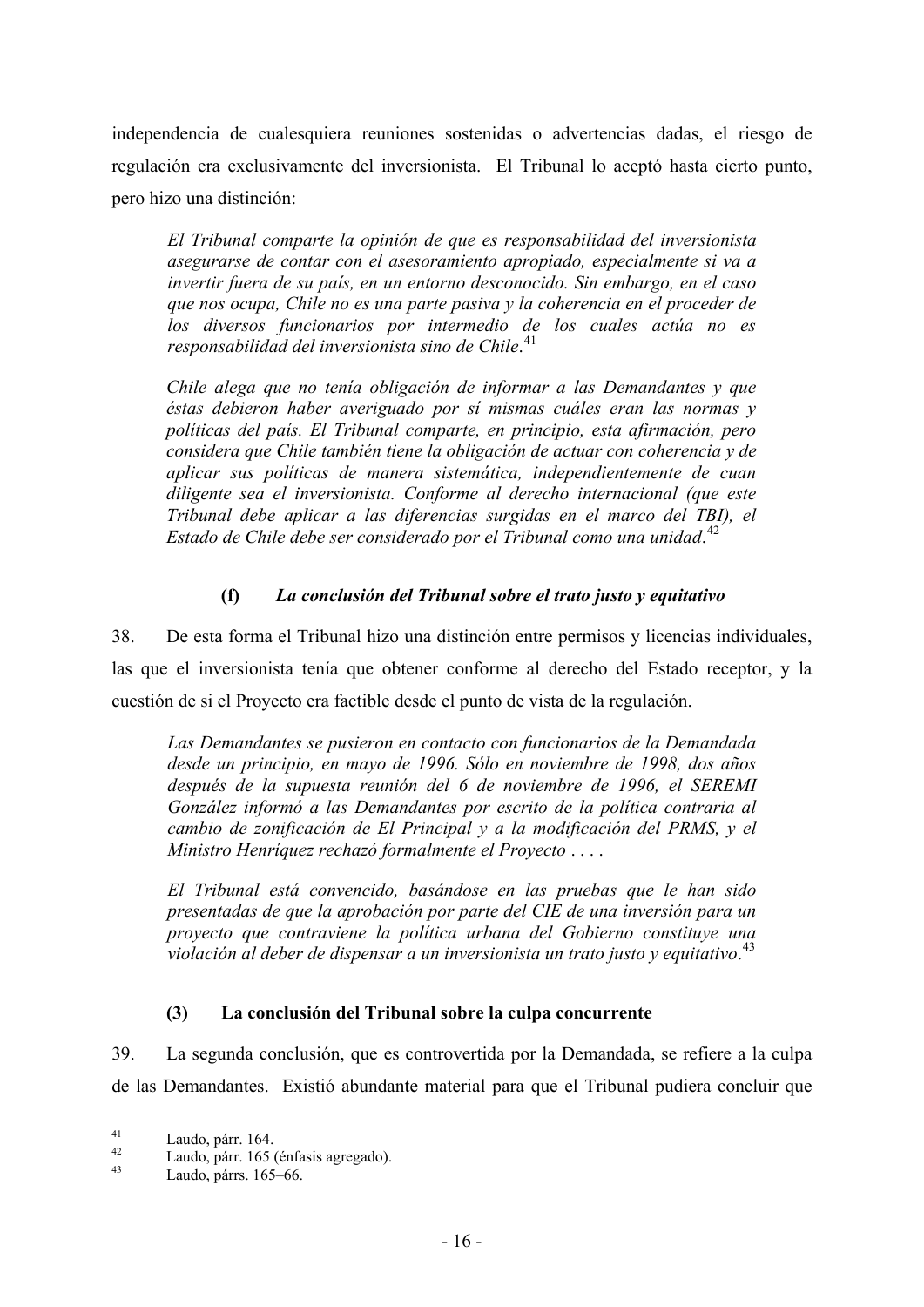independencia de cualesquiera reuniones sostenidas o advertencias dadas, el riesgo de regulación era exclusivamente del inversionista. El Tribunal lo aceptó hasta cierto punto, pero hizo una distinción:

*El Tribunal comparte la opinión de que es responsabilidad del inversionista asegurarse de contar con el asesoramiento apropiado, especialmente si va a invertir fuera de su país, en un entorno desconocido. Sin embargo, en el caso que nos ocupa, Chile no es una parte pasiva y la coherencia en el proceder de los diversos funcionarios por intermedio de los cuales actúa no es responsabilidad del inversionista sino de Chile*. [41](#page-64-1)

*Chile alega que no tenía obligación de informar a las Demandantes y que éstas debieron haber averiguado por sí mismas cuáles eran las normas y políticas del país. El Tribunal comparte, en principio, esta afirmación, pero considera que Chile también tiene la obligación de actuar con coherencia y de aplicar sus políticas de manera sistemática, independientemente de cuan diligente sea el inversionista. Conforme al derecho internacional (que este Tribunal debe aplicar a las diferencias surgidas en el marco del TBI), el Estado de Chile debe ser considerado por el Tribunal como una unidad*. [42](#page-64-2)

# **(f)** *La conclusión del Tribunal sobre el trato justo y equitativo*

38. De esta forma el Tribunal hizo una distinción entre permisos y licencias individuales, las que el inversionista tenía que obtener conforme al derecho del Estado receptor, y la cuestión de si el Proyecto era factible desde el punto de vista de la regulación.

*Las Demandantes se pusieron en contacto con funcionarios de la Demandada desde un principio, en mayo de 1996. Sólo en noviembre de 1998, dos años después de la supuesta reunión del 6 de noviembre de 1996, el SEREMI González informó a las Demandantes por escrito de la política contraria al cambio de zonificación de El Principal y a la modificación del PRMS, y el Ministro Henríquez rechazó formalmente el Proyecto* . . . .

*El Tribunal está convencido, basándose en las pruebas que le han sido presentadas de que la aprobación por parte del CIE de una inversión para un proyecto que contraviene la política urbana del Gobierno constituye una violación al deber de dispensar a un inversionista un trato justo y equitativo*. [43](#page-64-0)

# **(3) La conclusión del Tribunal sobre la culpa concurrente**

39. La segunda conclusión, que es controvertida por la Demandada, se refiere a la culpa de las Demandantes. Existió abundante material para que el Tribunal pudiera concluir que

<span id="page-64-1"></span> $41$  $\frac{41}{42}$  Laudo, párr. 164.

<span id="page-64-2"></span><span id="page-64-0"></span><sup>&</sup>lt;sup>42</sup> Laudo, párr. 165 (énfasis agregado).

Laudo, párrs. 165–66.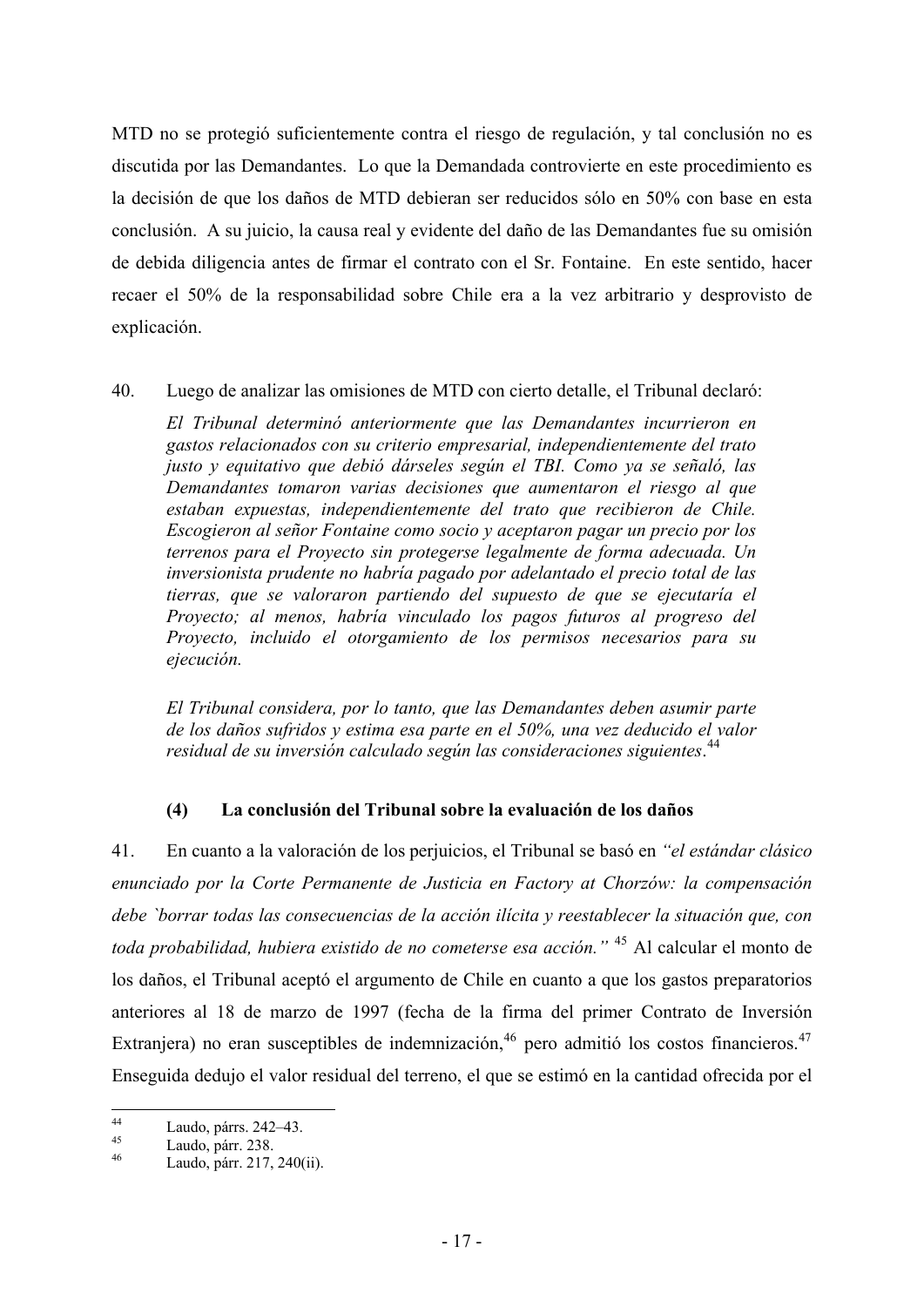MTD no se protegió suficientemente contra el riesgo de regulación, y tal conclusión no es discutida por las Demandantes. Lo que la Demandada controvierte en este procedimiento es la decisión de que los daños de MTD debieran ser reducidos sólo en 50% con base en esta conclusión. A su juicio, la causa real y evidente del daño de las Demandantes fue su omisión de debida diligencia antes de firmar el contrato con el Sr. Fontaine. En este sentido, hacer recaer el 50% de la responsabilidad sobre Chile era a la vez arbitrario y desprovisto de explicación.

40. Luego de analizar las omisiones de MTD con cierto detalle, el Tribunal declaró:

*El Tribunal determinó anteriormente que las Demandantes incurrieron en gastos relacionados con su criterio empresarial, independientemente del trato justo y equitativo que debió dárseles según el TBI. Como ya se señaló, las Demandantes tomaron varias decisiones que aumentaron el riesgo al que estaban expuestas, independientemente del trato que recibieron de Chile. Escogieron al señor Fontaine como socio y aceptaron pagar un precio por los terrenos para el Proyecto sin protegerse legalmente de forma adecuada. Un inversionista prudente no habría pagado por adelantado el precio total de las tierras, que se valoraron partiendo del supuesto de que se ejecutaría el Proyecto; al menos, habría vinculado los pagos futuros al progreso del Proyecto, incluido el otorgamiento de los permisos necesarios para su ejecución.* 

*El Tribunal considera, por lo tanto, que las Demandantes deben asumir parte de los daños sufridos y estima esa parte en el 50%, una vez deducido el valor residual de su inversión calculado según las consideraciones siguientes*. [44](#page-65-1)

# **(4) La conclusión del Tribunal sobre la evaluación de los daños**

41. En cuanto a la valoración de los perjuicios, el Tribunal se basó en *"el estándar clásico enunciado por la Corte Permanente de Justicia en Factory at Chorzów: la compensación debe `borrar todas las consecuencias de la acción ilícita y reestablecer la situación que, con toda probabilidad, hubiera existido de no cometerse esa acción."* [45](#page-65-2) Al calcular el monto de los daños, el Tribunal aceptó el argumento de Chile en cuanto a que los gastos preparatorios anteriores al 18 de marzo de 1997 (fecha de la firma del primer Contrato de Inversión Extranjera) no eran susceptibles de indemnización,  $46$  pero admitió los costos financieros.  $47$ Enseguida dedujo el valor residual del terreno, el que se estimó en la cantidad ofrecida por el

<span id="page-65-1"></span> $44$  $\frac{44}{45}$  Laudo, párrs. 242–43.

<span id="page-65-2"></span><span id="page-65-0"></span> $\frac{45}{46}$  Laudo, párr. 238.

<span id="page-65-3"></span>Laudo, párr. 217, 240(ii).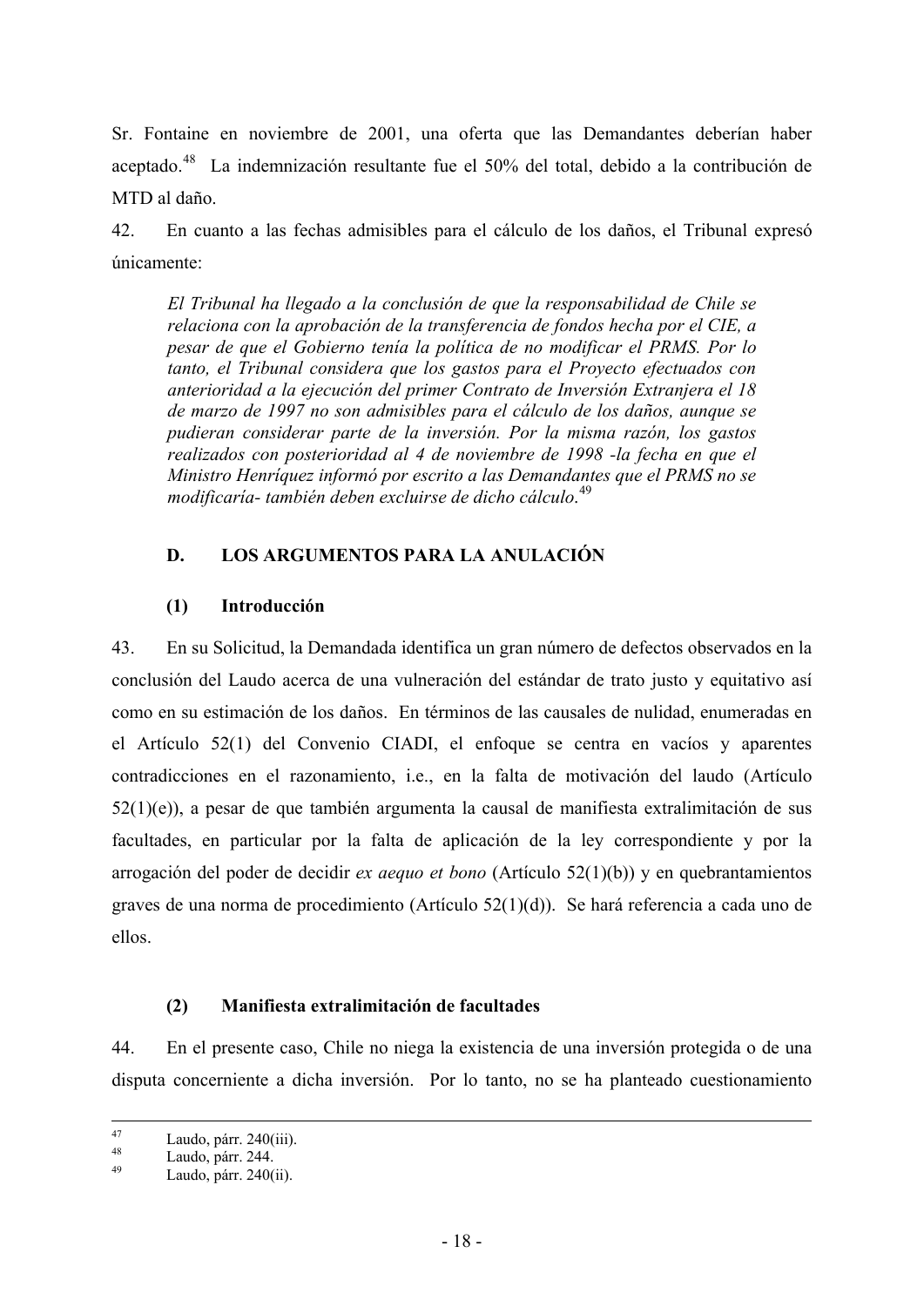Sr. Fontaine en noviembre de 2001, una oferta que las Demandantes deberían haber aceptado.[48](#page-66-1) La indemnización resultante fue el 50% del total, debido a la contribución de MTD al daño.

42. En cuanto a las fechas admisibles para el cálculo de los daños, el Tribunal expresó únicamente:

*El Tribunal ha llegado a la conclusión de que la responsabilidad de Chile se relaciona con la aprobación de la transferencia de fondos hecha por el CIE, a pesar de que el Gobierno tenía la política de no modificar el PRMS. Por lo tanto, el Tribunal considera que los gastos para el Proyecto efectuados con anterioridad a la ejecución del primer Contrato de Inversión Extranjera el 18 de marzo de 1997 no son admisibles para el cálculo de los daños, aunque se pudieran considerar parte de la inversión. Por la misma razón, los gastos realizados con posterioridad al 4 de noviembre de 1998 -la fecha en que el Ministro Henríquez informó por escrito a las Demandantes que el PRMS no se modificaría- también deben excluirse de dicho cálculo*. [49](#page-66-0)

# **D. LOS ARGUMENTOS PARA LA ANULACIÓN**

### **(1) Introducción**

43. En su Solicitud, la Demandada identifica un gran número de defectos observados en la conclusión del Laudo acerca de una vulneración del estándar de trato justo y equitativo así como en su estimación de los daños. En términos de las causales de nulidad, enumeradas en el Artículo 52(1) del Convenio CIADI, el enfoque se centra en vacíos y aparentes contradicciones en el razonamiento, i.e., en la falta de motivación del laudo (Artículo 52(1)(e)), a pesar de que también argumenta la causal de manifiesta extralimitación de sus facultades, en particular por la falta de aplicación de la ley correspondiente y por la arrogación del poder de decidir *ex aequo et bono* (Artículo 52(1)(b)) y en quebrantamientos graves de una norma de procedimiento (Artículo 52(1)(d)). Se hará referencia a cada uno de ellos.

#### **(2) Manifiesta extralimitación de facultades**

44. En el presente caso, Chile no niega la existencia de una inversión protegida o de una disputa concerniente a dicha inversión. Por lo tanto, no se ha planteado cuestionamiento

 $\frac{47}{48}$  Laudo, párr. 240(iii).

<span id="page-66-1"></span> $\frac{48}{49}$  Laudo, párr. 244.

<span id="page-66-0"></span>Laudo, párr. 240(ii).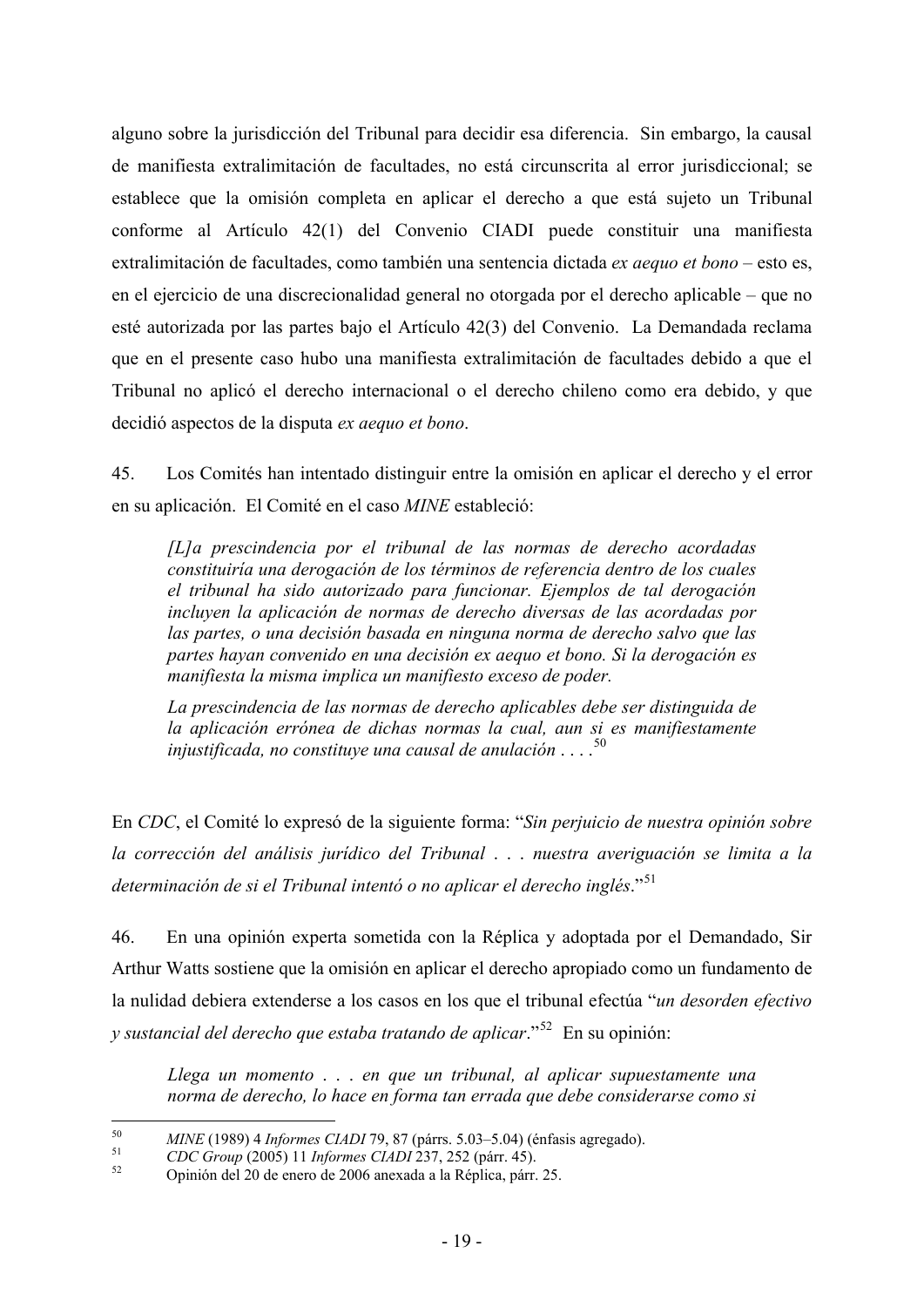alguno sobre la jurisdicción del Tribunal para decidir esa diferencia. Sin embargo, la causal de manifiesta extralimitación de facultades, no está circunscrita al error jurisdiccional; se establece que la omisión completa en aplicar el derecho a que está sujeto un Tribunal conforme al Artículo 42(1) del Convenio CIADI puede constituir una manifiesta extralimitación de facultades, como también una sentencia dictada *ex aequo et bono* – esto es, en el ejercicio de una discrecionalidad general no otorgada por el derecho aplicable – que no esté autorizada por las partes bajo el Artículo 42(3) del Convenio. La Demandada reclama que en el presente caso hubo una manifiesta extralimitación de facultades debido a que el Tribunal no aplicó el derecho internacional o el derecho chileno como era debido, y que decidió aspectos de la disputa *ex aequo et bono*.

45. Los Comités han intentado distinguir entre la omisión en aplicar el derecho y el error en su aplicación. El Comité en el caso *MINE* estableció:

*[L]a prescindencia por el tribunal de las normas de derecho acordadas constituiría una derogación de los términos de referencia dentro de los cuales el tribunal ha sido autorizado para funcionar. Ejemplos de tal derogación incluyen la aplicación de normas de derecho diversas de las acordadas por las partes, o una decisión basada en ninguna norma de derecho salvo que las partes hayan convenido en una decisión ex aequo et bono. Si la derogación es manifiesta la misma implica un manifiesto exceso de poder.* 

*La prescindencia de las normas de derecho aplicables debe ser distinguida de la aplicación errónea de dichas normas la cual, aun si es manifiestamente injustificada, no constituye una causal de anulación* . . . .[50](#page-67-1)

En *CDC*, el Comité lo expresó de la siguiente forma: "*Sin perjuicio de nuestra opinión sobre la corrección del análisis jurídico del Tribunal* . . . *nuestra averiguación se limita a la determinación de si el Tribunal intentó o no aplicar el derecho inglés*."[51](#page-67-2)

46. En una opinión experta sometida con la Réplica y adoptada por el Demandado, Sir Arthur Watts sostiene que la omisión en aplicar el derecho apropiado como un fundamento de la nulidad debiera extenderse a los casos en los que el tribunal efectúa "*un desorden efectivo y sustancial del derecho que estaba tratando de aplicar*."[52](#page-67-0) En su opinión:

*Llega un momento* . . . *en que un tribunal, al aplicar supuestamente una norma de derecho, lo hace en forma tan errada que debe considerarse como si* 

<span id="page-67-1"></span><sup>50</sup> <sup>50</sup> MINE (1989) 4 *Informes CIADI* 79, 87 (párrs. 5.03–5.04) (énfasis agregado).<br> *CDC Group* (2005) 11 *Informes CIADI* 237, 252 (párr. 45).<br>
Opinión del 20 de enero de 2006 anexada a la Réplica, párr. 25.

<span id="page-67-2"></span>

<span id="page-67-0"></span>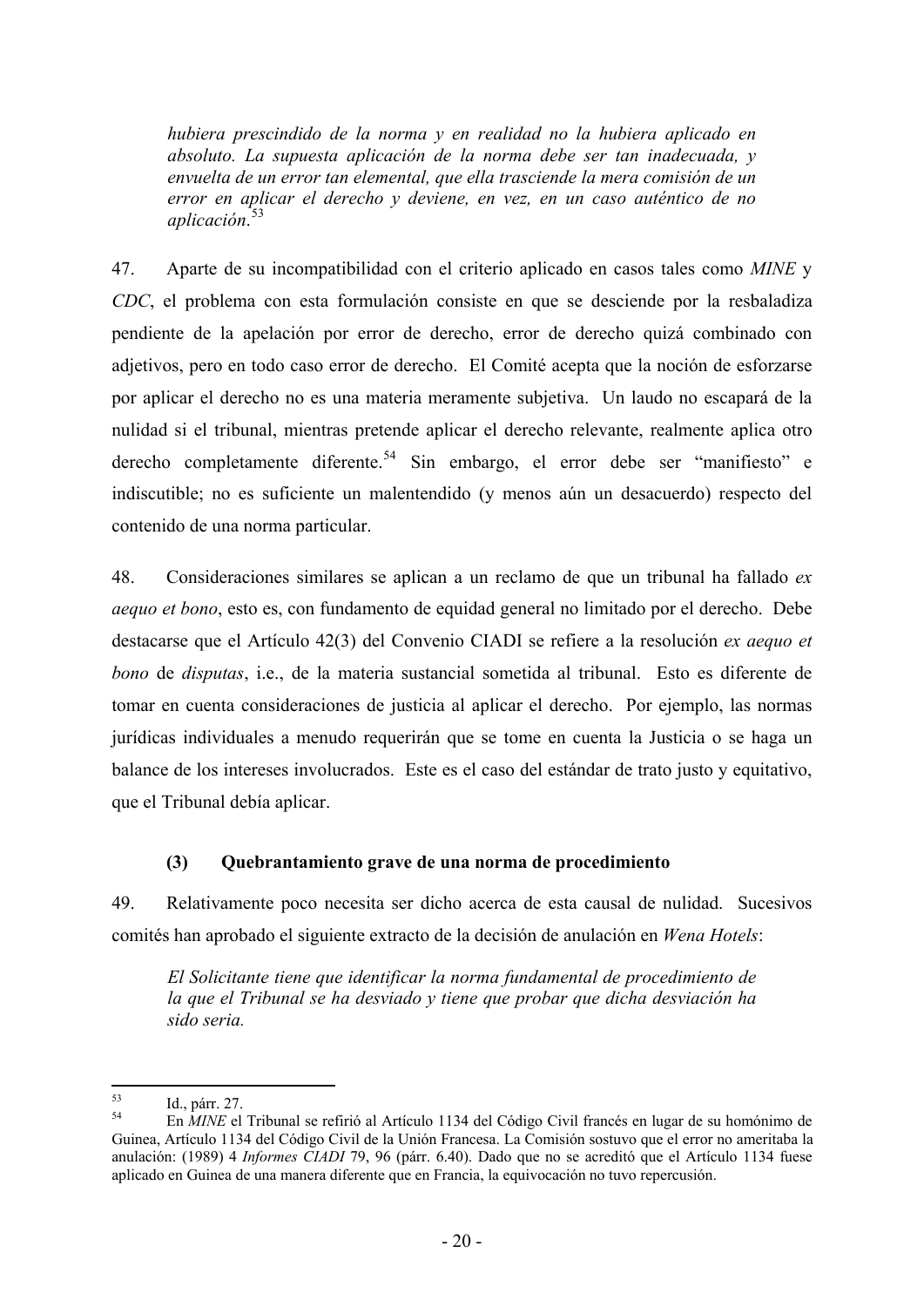*hubiera prescindido de la norma y en realidad no la hubiera aplicado en absoluto. La supuesta aplicación de la norma debe ser tan inadecuada, y envuelta de un error tan elemental, que ella trasciende la mera comisión de un error en aplicar el derecho y deviene, en vez, en un caso auténtico de no aplicación*. [53](#page-68-1)

47. Aparte de su incompatibilidad con el criterio aplicado en casos tales como *MINE* y *CDC*, el problema con esta formulación consiste en que se desciende por la resbaladiza pendiente de la apelación por error de derecho, error de derecho quizá combinado con adjetivos, pero en todo caso error de derecho. El Comité acepta que la noción de esforzarse por aplicar el derecho no es una materia meramente subjetiva. Un laudo no escapará de la nulidad si el tribunal, mientras pretende aplicar el derecho relevante, realmente aplica otro derecho completamente diferente.<sup>[54](#page-68-0)</sup> Sin embargo, el error debe ser "manifiesto" e indiscutible; no es suficiente un malentendido (y menos aún un desacuerdo) respecto del contenido de una norma particular.

48. Consideraciones similares se aplican a un reclamo de que un tribunal ha fallado *ex aequo et bono*, esto es, con fundamento de equidad general no limitado por el derecho. Debe destacarse que el Artículo 42(3) del Convenio CIADI se refiere a la resolución *ex aequo et bono* de *disputas*, i.e., de la materia sustancial sometida al tribunal. Esto es diferente de tomar en cuenta consideraciones de justicia al aplicar el derecho. Por ejemplo, las normas jurídicas individuales a menudo requerirán que se tome en cuenta la Justicia o se haga un balance de los intereses involucrados. Este es el caso del estándar de trato justo y equitativo, que el Tribunal debía aplicar.

# **(3) Quebrantamiento grave de una norma de procedimiento**

49. Relativamente poco necesita ser dicho acerca de esta causal de nulidad. Sucesivos comités han aprobado el siguiente extracto de la decisión de anulación en *Wena Hotels*:

*El Solicitante tiene que identificar la norma fundamental de procedimiento de la que el Tribunal se ha desviado y tiene que probar que dicha desviación ha sido seria.* 

<span id="page-68-1"></span><sup>53</sup>  $\frac{53}{54}$  Id., párr. 27.

<span id="page-68-0"></span><sup>54</sup> En *MINE* el Tribunal se refirió al Artículo 1134 del Código Civil francés en lugar de su homónimo de Guinea, Artículo 1134 del Código Civil de la Unión Francesa. La Comisión sostuvo que el error no ameritaba la anulación: (1989) 4 *Informes CIADI* 79, 96 (párr. 6.40). Dado que no se acreditó que el Artículo 1134 fuese aplicado en Guinea de una manera diferente que en Francia, la equivocación no tuvo repercusión.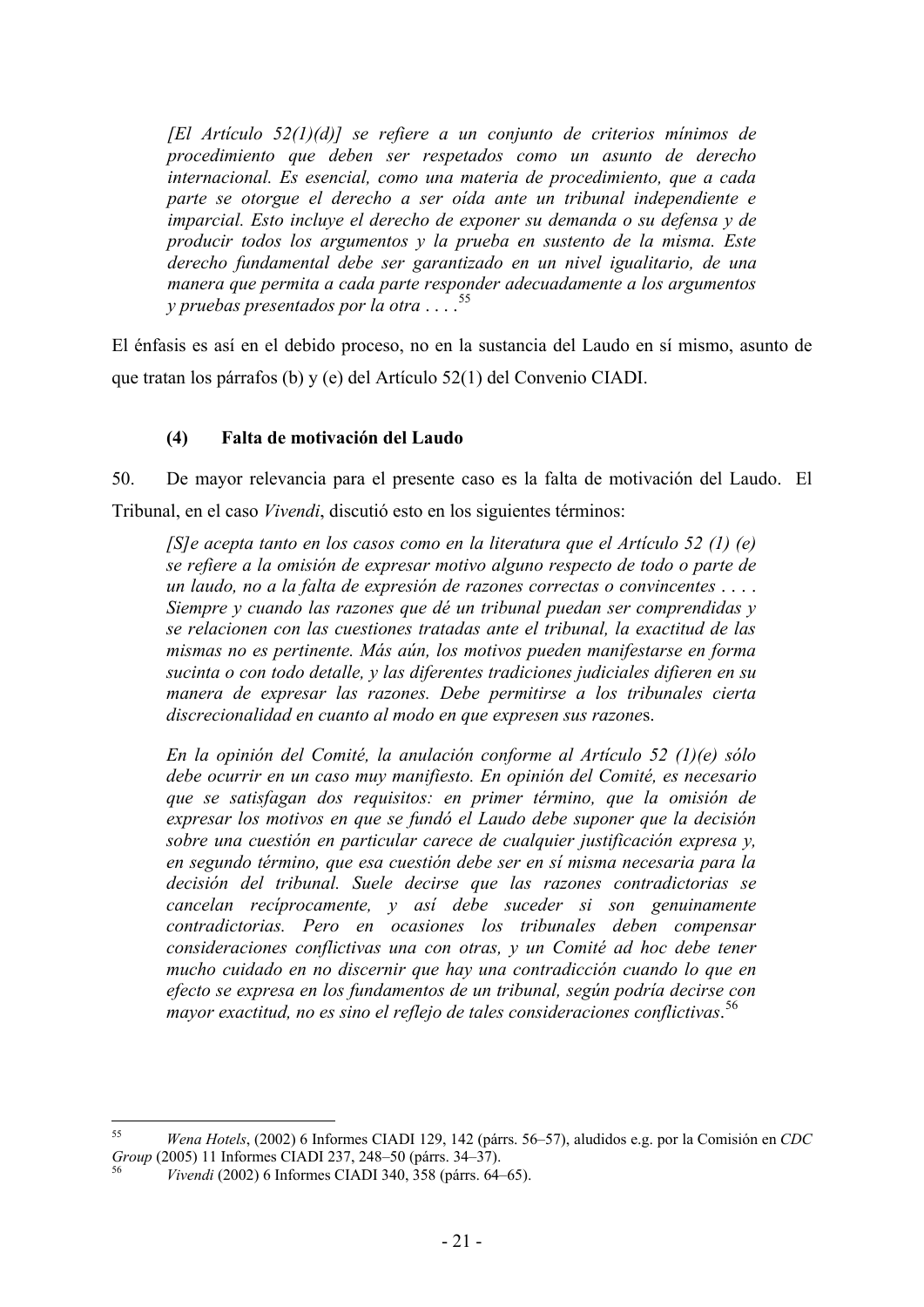*[El Artículo 52(1)(d)] se refiere a un conjunto de criterios mínimos de procedimiento que deben ser respetados como un asunto de derecho internacional. Es esencial, como una materia de procedimiento, que a cada parte se otorgue el derecho a ser oída ante un tribunal independiente e imparcial. Esto incluye el derecho de exponer su demanda o su defensa y de producir todos los argumentos y la prueba en sustento de la misma. Este derecho fundamental debe ser garantizado en un nivel igualitario, de una manera que permita a cada parte responder adecuadamente a los argumentos y pruebas presentados por la otra* . . . .[55](#page-69-1)

El énfasis es así en el debido proceso, no en la sustancia del Laudo en sí mismo, asunto de que tratan los párrafos (b) y (e) del Artículo 52(1) del Convenio CIADI.

### **(4) Falta de motivación del Laudo**

50. De mayor relevancia para el presente caso es la falta de motivación del Laudo. El Tribunal, en el caso *Vivendi*, discutió esto en los siguientes términos:

*[S]e acepta tanto en los casos como en la literatura que el Artículo 52 (1) (e) se refiere a la omisión de expresar motivo alguno respecto de todo o parte de un laudo, no a la falta de expresión de razones correctas o convincentes* . . . . *Siempre y cuando las razones que dé un tribunal puedan ser comprendidas y se relacionen con las cuestiones tratadas ante el tribunal, la exactitud de las mismas no es pertinente. Más aún, los motivos pueden manifestarse en forma sucinta o con todo detalle, y las diferentes tradiciones judiciales difieren en su manera de expresar las razones. Debe permitirse a los tribunales cierta discrecionalidad en cuanto al modo en que expresen sus razone*s.

*En la opinión del Comité, la anulación conforme al Artículo 52 (1)(e) sólo debe ocurrir en un caso muy manifiesto. En opinión del Comité, es necesario que se satisfagan dos requisitos: en primer término, que la omisión de expresar los motivos en que se fundó el Laudo debe suponer que la decisión sobre una cuestión en particular carece de cualquier justificación expresa y, en segundo término, que esa cuestión debe ser en sí misma necesaria para la decisión del tribunal. Suele decirse que las razones contradictorias se cancelan recíprocamente, y así debe suceder si son genuinamente contradictorias. Pero en ocasiones los tribunales deben compensar consideraciones conflictivas una con otras, y un Comité ad hoc debe tener mucho cuidado en no discernir que hay una contradicción cuando lo que en efecto se expresa en los fundamentos de un tribunal, según podría decirse con mayor exactitud, no es sino el reflejo de tales consideraciones conflictivas*. [56](#page-69-0)

<span id="page-69-1"></span><sup>55</sup> <sup>55</sup> *Wena Hotels*, (2002) 6 Informes CIADI 129, 142 (párrs. 56–57), aludidos e.g. por la Comisión en *CDC Group* (2005) 11 Informes CIADI 237, 248–50 (párrs. 34–37). 56 *Vivendi* (2002) 6 Informes CIADI 340, 358 (párrs. 64–65).

<span id="page-69-0"></span>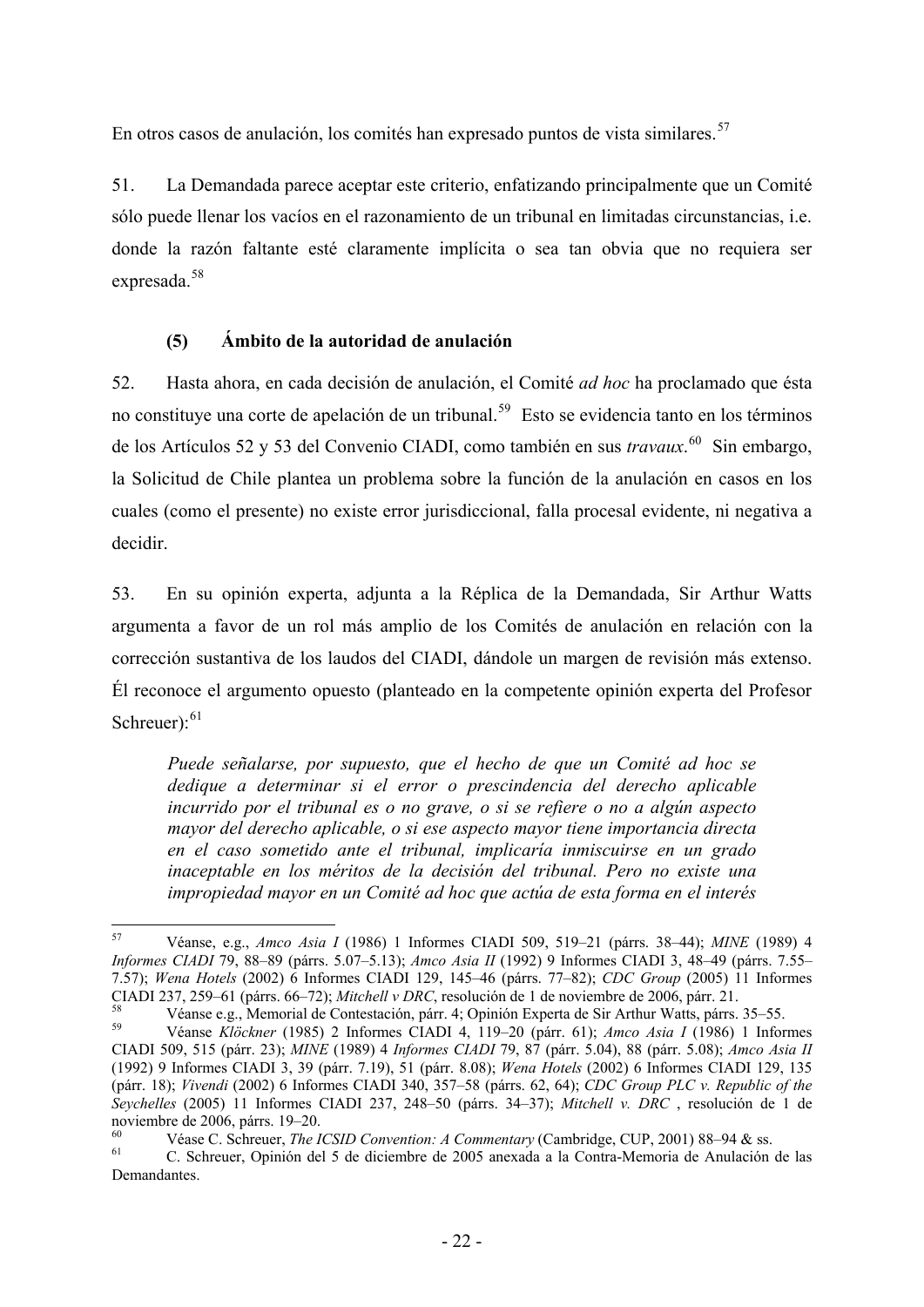En otros casos de anulación, los comités han expresado puntos de vista similares.<sup>[57](#page-70-1)</sup>

51. La Demandada parece aceptar este criterio, enfatizando principalmente que un Comité sólo puede llenar los vacíos en el razonamiento de un tribunal en limitadas circunstancias, i.e. donde la razón faltante esté claramente implícita o sea tan obvia que no requiera ser expresada.[58](#page-70-2)

# **(5) Ámbito de la autoridad de anulación**

52. Hasta ahora, en cada decisión de anulación, el Comité *ad hoc* ha proclamado que ésta no constituye una corte de apelación de un tribunal.<sup>[59](#page-70-3)</sup> Esto se evidencia tanto en los términos de los Artículos 52 y 53 del Convenio CIADI, como también en sus *travaux*. [60](#page-70-4) Sin embargo, la Solicitud de Chile plantea un problema sobre la función de la anulación en casos en los cuales (como el presente) no existe error jurisdiccional, falla procesal evidente, ni negativa a decidir.

53. En su opinión experta, adjunta a la Réplica de la Demandada, Sir Arthur Watts argumenta a favor de un rol más amplio de los Comités de anulación en relación con la corrección sustantiva de los laudos del CIADI, dándole un margen de revisión más extenso. Él reconoce el argumento opuesto (planteado en la competente opinión experta del Profesor Schreuer):<sup>[61](#page-70-0)</sup>

*Puede señalarse, por supuesto, que el hecho de que un Comité ad hoc se dedique a determinar si el error o prescindencia del derecho aplicable incurrido por el tribunal es o no grave, o si se refiere o no a algún aspecto mayor del derecho aplicable, o si ese aspecto mayor tiene importancia directa en el caso sometido ante el tribunal, implicaría inmiscuirse en un grado inaceptable en los méritos de la decisión del tribunal. Pero no existe una impropiedad mayor en un Comité ad hoc que actúa de esta forma en el interés* 

<span id="page-70-1"></span><sup>57</sup> 57 Véanse, e.g., *Amco Asia I* (1986) 1 Informes CIADI 509, 519–21 (párrs. 38–44); *MINE* (1989) 4 *Informes CIADI* 79, 88–89 (párrs. 5.07–5.13); *Amco Asia II* (1992) 9 Informes CIADI 3, 48–49 (párrs. 7.55– 7.57); *Wena Hotels* (2002) 6 Informes CIADI 129, 145–46 (párrs. 77–82); *CDC Group* (2005) 11 Informes CIADI 237, 259–61 (párrs. 66–72); *Mitchell v DRC*, resolución de 1 de noviembre de 2006, párr. 21.<br>
Véanse e.g., Memorial de Contestación, párr. 4; Opinión Experta de Sir Arthur Watts, párrs. 35–55.<br>
Véanse *Visebras* (10

<span id="page-70-3"></span><span id="page-70-2"></span><sup>59</sup> Véanse *Klöckner* (1985) 2 Informes CIADI 4, 119–20 (párr. 61); *Amco Asia I* (1986) 1 Informes CIADI 509, 515 (párr. 23); *MINE* (1989) 4 *Informes CIADI* 79, 87 (párr. 5.04), 88 (párr. 5.08); *Amco Asia II* (1992) 9 Informes CIADI 3, 39 (párr. 7.19), 51 (párr. 8.08); *Wena Hotels* (2002) 6 Informes CIADI 129, 135 (párr. 18); *Vivendi* (2002) 6 Informes CIADI 340, 357–58 (párrs. 62, 64); *CDC Group PLC v. Republic of the Seychelles* (2005) 11 Informes CIADI 237, 248–50 (párrs. 34–37); *Mitchell v. DRC* , resolución de 1 de noviembre de 2006, párrs. 19–20.

<span id="page-70-4"></span><span id="page-70-0"></span><sup>60</sup> Véase C. Schreuer, *The ICSID Convention: A Commentary* (Cambridge, CUP, 2001) 88–94 & ss. 61 C. Schreuer, Opinión del 5 de diciembre de 2005 anexada a la Contra-Memoria de Anulación de las Demandantes.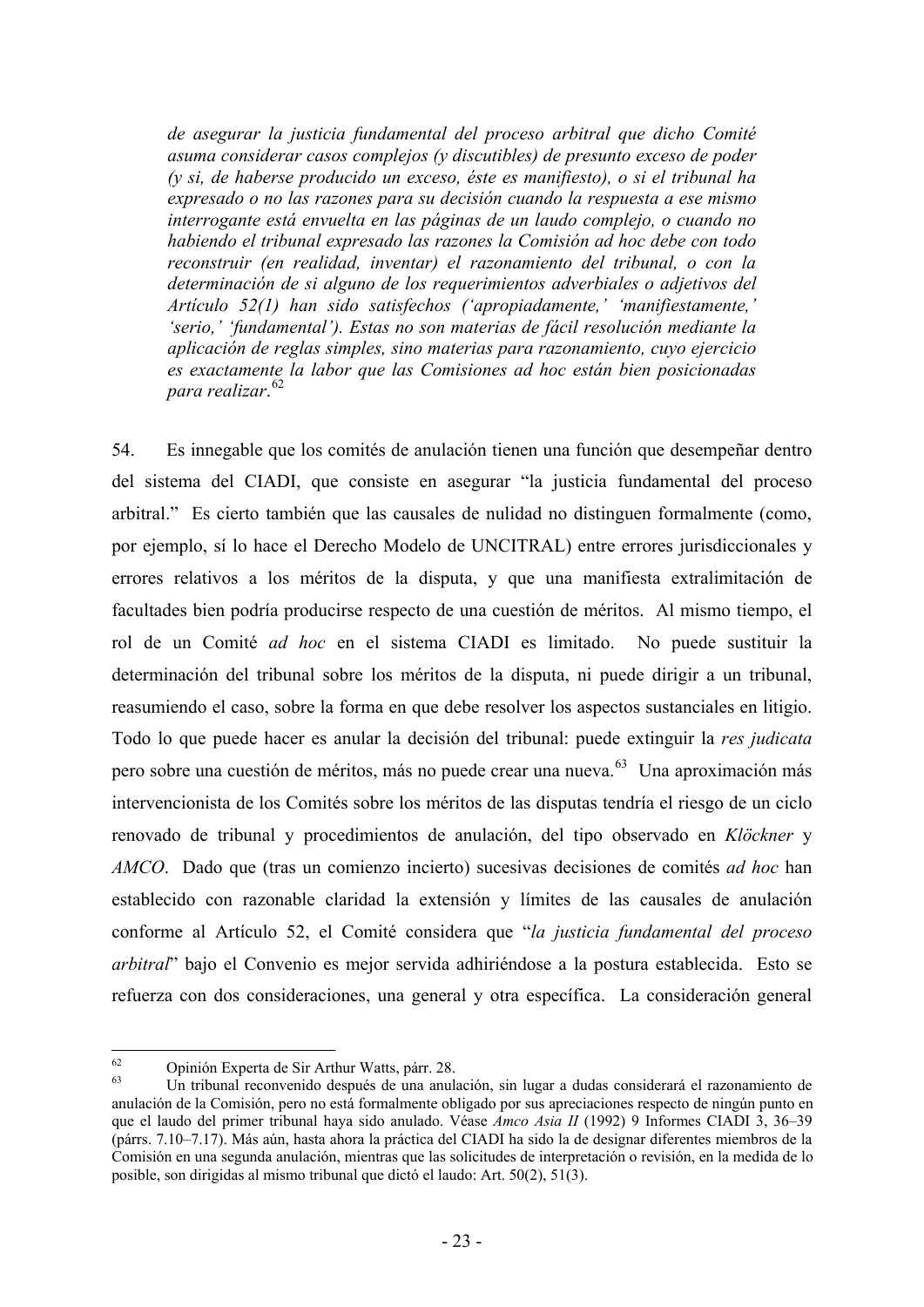*de asegurar la justicia fundamental del proceso arbitral que dicho Comité asuma considerar casos complejos (y discutibles) de presunto exceso de poder (y si, de haberse producido un exceso, éste es manifiesto), o si el tribunal ha expresado o no las razones para su decisión cuando la respuesta a ese mismo interrogante está envuelta en las páginas de un laudo complejo, o cuando no habiendo el tribunal expresado las razones la Comisión ad hoc debe con todo reconstruir (en realidad, inventar) el razonamiento del tribunal, o con la determinación de si alguno de los requerimientos adverbiales o adjetivos del Artículo 52(1) han sido satisfechos ('apropiadamente,' 'manifiestamente,' 'serio,' 'fundamental'). Estas no son materias de fácil resolución mediante la aplicación de reglas simples, sino materias para razonamiento, cuyo ejercicio es exactamente la labor que las Comisiones ad hoc están bien posicionadas para realizar*. [62](#page-71-1)

54. Es innegable que los comités de anulación tienen una función que desempeñar dentro del sistema del CIADI, que consiste en asegurar "la justicia fundamental del proceso arbitral." Es cierto también que las causales de nulidad no distinguen formalmente (como, por ejemplo, sí lo hace el Derecho Modelo de UNCITRAL) entre errores jurisdiccionales y errores relativos a los méritos de la disputa, y que una manifiesta extralimitación de facultades bien podría producirse respecto de una cuestión de méritos. Al mismo tiempo, el rol de un Comité *ad hoc* en el sistema CIADI es limitado. No puede sustituir la determinación del tribunal sobre los méritos de la disputa, ni puede dirigir a un tribunal, reasumiendo el caso, sobre la forma en que debe resolver los aspectos sustanciales en litigio. Todo lo que puede hacer es anular la decisión del tribunal: puede extinguir la *res judicata* pero sobre una cuestión de méritos, más no puede crear una nueva.<sup>[63](#page-71-0)</sup> Una aproximación más intervencionista de los Comités sobre los méritos de las disputas tendría el riesgo de un ciclo renovado de tribunal y procedimientos de anulación, del tipo observado en *Klöckner* y *AMCO*. Dado que (tras un comienzo incierto) sucesivas decisiones de comités *ad hoc* han establecido con razonable claridad la extensión y límites de las causales de anulación conforme al Artículo 52, el Comité considera que "*la justicia fundamental del proceso arbitral*" bajo el Convenio es mejor servida adhiriéndose a la postura establecida. Esto se refuerza con dos consideraciones, una general y otra específica. La consideración general

<span id="page-71-1"></span><sup>62</sup>  $^{62}$  Opinión Experta de Sir Arthur Watts, párr. 28.

<span id="page-71-0"></span><sup>63</sup> Un tribunal reconvenido después de una anulación, sin lugar a dudas considerará el razonamiento de anulación de la Comisión, pero no está formalmente obligado por sus apreciaciones respecto de ningún punto en que el laudo del primer tribunal haya sido anulado. Véase *Amco Asia II* (1992) 9 Informes CIADI 3, 36–39 (párrs. 7.10–7.17). Más aún, hasta ahora la práctica del CIADI ha sido la de designar diferentes miembros de la Comisión en una segunda anulación, mientras que las solicitudes de interpretación o revisión, en la medida de lo posible, son dirigidas al mismo tribunal que dictó el laudo: Art. 50(2), 51(3).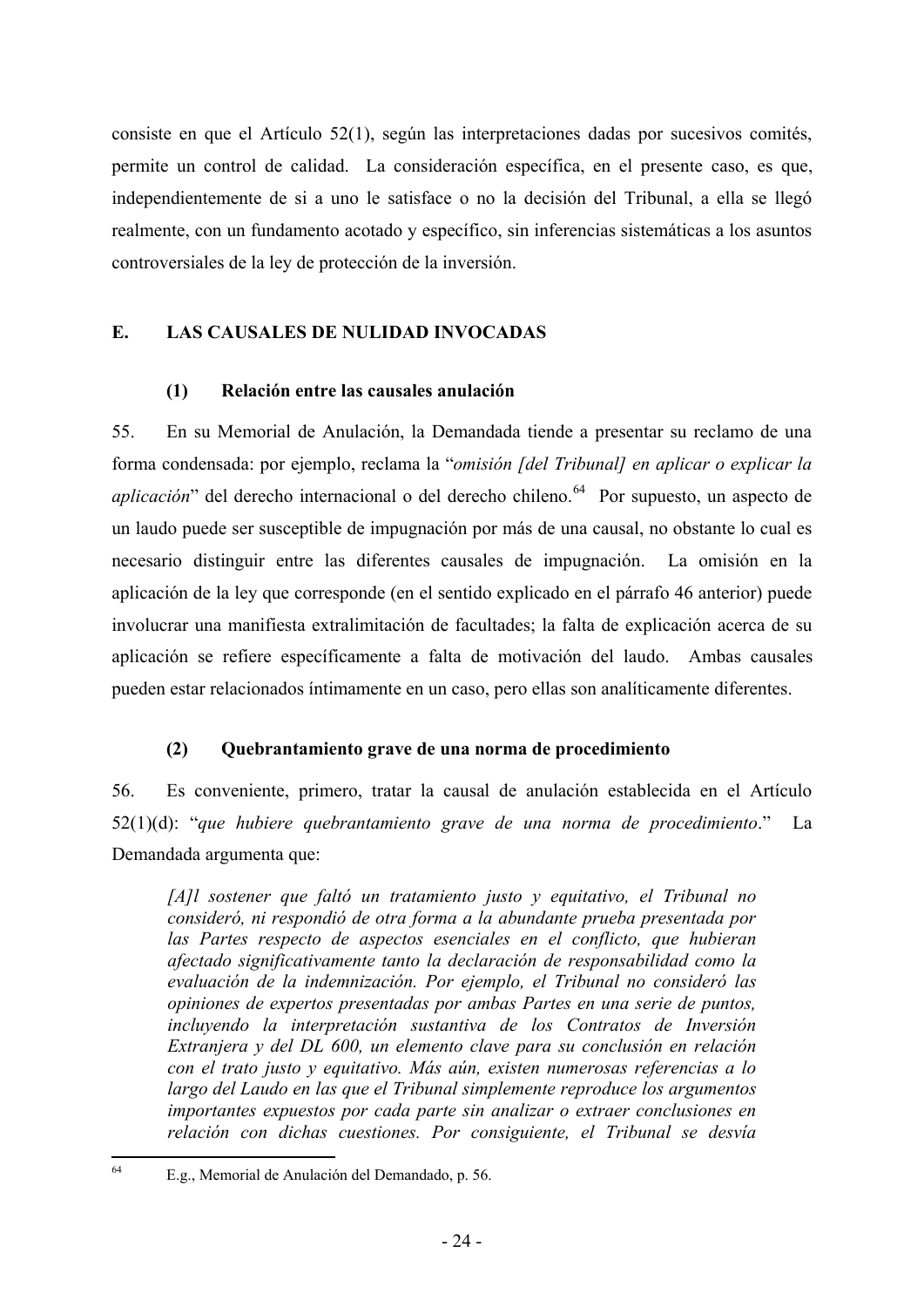consiste en que el Artículo 52(1), según las interpretaciones dadas por sucesivos comités, permite un control de calidad. La consideración específica, en el presente caso, es que, independientemente de si a uno le satisface o no la decisión del Tribunal, a ella se llegó realmente, con un fundamento acotado y específico, sin inferencias sistemáticas a los asuntos controversiales de la ley de protección de la inversión.

# **E. LAS CAUSALES DE NULIDAD INVOCADAS**

## **(1) Relación entre las causales anulación**

55. En su Memorial de Anulación, la Demandada tiende a presentar su reclamo de una forma condensada: por ejemplo, reclama la "*omisión [del Tribunal] en aplicar o explicar la aplicación*" del derecho internacional o del derecho chileno.<sup>[64](#page-72-0)</sup> Por supuesto, un aspecto de un laudo puede ser susceptible de impugnación por más de una causal, no obstante lo cual es necesario distinguir entre las diferentes causales de impugnación. La omisión en la aplicación de la ley que corresponde (en el sentido explicado en el párrafo 46 anterior) puede involucrar una manifiesta extralimitación de facultades; la falta de explicación acerca de su aplicación se refiere específicamente a falta de motivación del laudo. Ambas causales pueden estar relacionados íntimamente en un caso, pero ellas son analíticamente diferentes.

## **(2) Quebrantamiento grave de una norma de procedimiento**

56. Es conveniente, primero, tratar la causal de anulación establecida en el Artículo 52(1)(d): "*que hubiere quebrantamiento grave de una norma de procedimiento*." La Demandada argumenta que:

*[A]l sostener que faltó un tratamiento justo y equitativo, el Tribunal no consideró, ni respondió de otra forma a la abundante prueba presentada por las Partes respecto de aspectos esenciales en el conflicto, que hubieran afectado significativamente tanto la declaración de responsabilidad como la evaluación de la indemnización. Por ejemplo, el Tribunal no consideró las opiniones de expertos presentadas por ambas Partes en una serie de puntos, incluyendo la interpretación sustantiva de los Contratos de Inversión Extranjera y del DL 600, un elemento clave para su conclusión en relación con el trato justo y equitativo. Más aún, existen numerosas referencias a lo largo del Laudo en las que el Tribunal simplemente reproduce los argumentos importantes expuestos por cada parte sin analizar o extraer conclusiones en relación con dichas cuestiones. Por consiguiente, el Tribunal se desvía* 

<span id="page-72-0"></span> $64$ 64 E.g., Memorial de Anulación del Demandado, p. 56.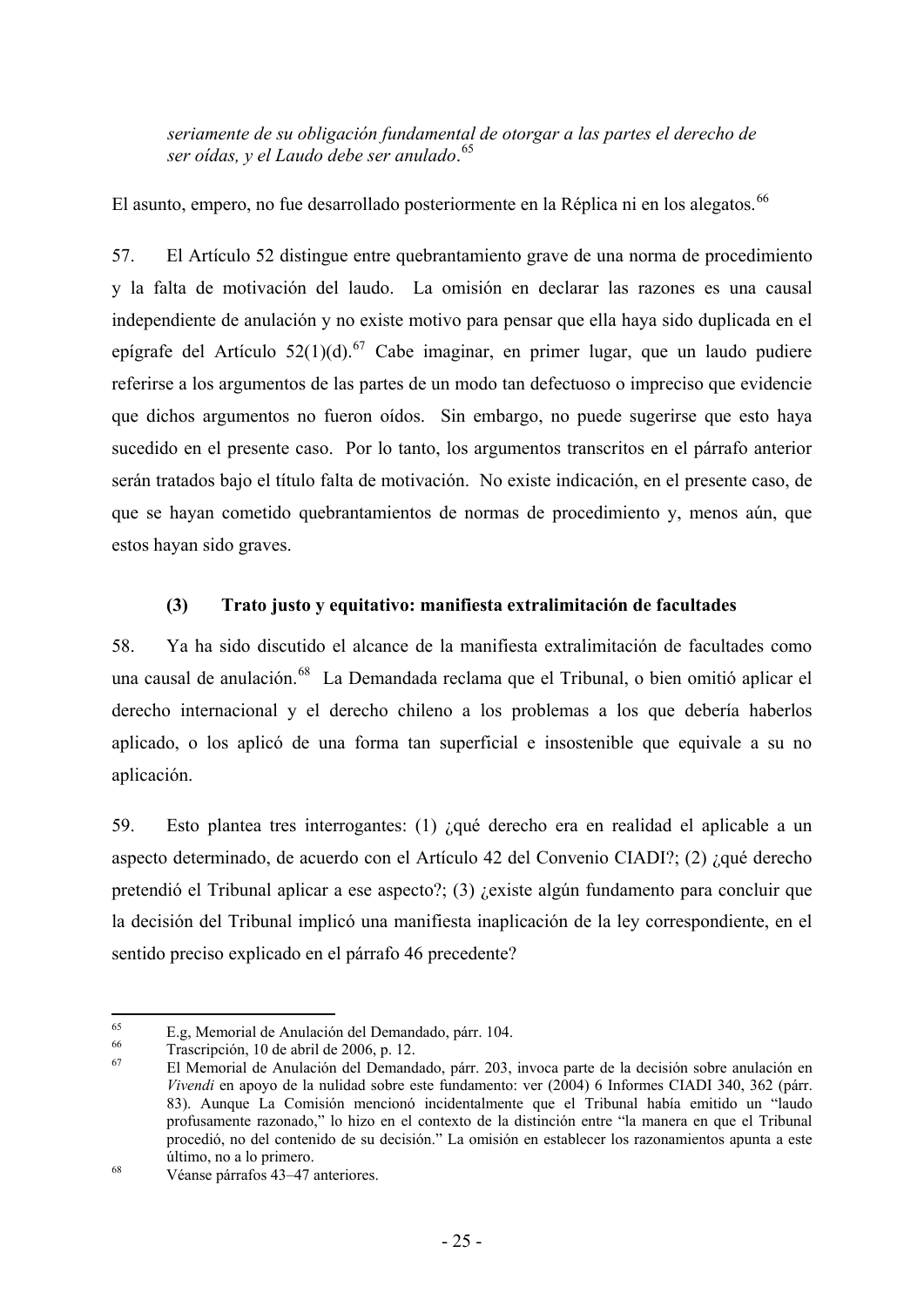*seriamente de su obligación fundamental de otorgar a las partes el derecho de ser oídas, y el Laudo debe ser anulado*. [65](#page-73-1)

El asunto, empero, no fue desarrollado posteriormente en la Réplica ni en los alegatos.<sup>[66](#page-73-2)</sup>

57. El Artículo 52 distingue entre quebrantamiento grave de una norma de procedimiento y la falta de motivación del laudo. La omisión en declarar las razones es una causal independiente de anulación y no existe motivo para pensar que ella haya sido duplicada en el epígrafe del Artículo 52(1)(d).<sup>[67](#page-73-3)</sup> Cabe imaginar, en primer lugar, que un laudo pudiere referirse a los argumentos de las partes de un modo tan defectuoso o impreciso que evidencie que dichos argumentos no fueron oídos. Sin embargo, no puede sugerirse que esto haya sucedido en el presente caso. Por lo tanto, los argumentos transcritos en el párrafo anterior serán tratados bajo el título falta de motivación. No existe indicación, en el presente caso, de que se hayan cometido quebrantamientos de normas de procedimiento y, menos aún, que estos hayan sido graves.

#### **(3) Trato justo y equitativo: manifiesta extralimitación de facultades**

58. Ya ha sido discutido el alcance de la manifiesta extralimitación de facultades como una causal de anulación.<sup>[68](#page-73-0)</sup> La Demandada reclama que el Tribunal, o bien omitió aplicar el derecho internacional y el derecho chileno a los problemas a los que debería haberlos aplicado, o los aplicó de una forma tan superficial e insostenible que equivale a su no aplicación.

59. Esto plantea tres interrogantes: (1) ¿qué derecho era en realidad el aplicable a un aspecto determinado, de acuerdo con el Artículo 42 del Convenio CIADI?; (2) ¿qué derecho pretendió el Tribunal aplicar a ese aspecto?; (3) ¿existe algún fundamento para concluir que la decisión del Tribunal implicó una manifiesta inaplicación de la ley correspondiente, en el sentido preciso explicado en el párrafo 46 precedente?

<span id="page-73-1"></span><sup>65</sup>  $^{65}$  E.g, Memorial de Anulación del Demandado, párr. 104.

<span id="page-73-2"></span> $^{66}$  Trascripción, 10 de abril de 2006, p. 12.

<span id="page-73-3"></span><sup>67</sup> El Memorial de Anulación del Demandado, párr. 203, invoca parte de la decisión sobre anulación en *Vivendi* en apoyo de la nulidad sobre este fundamento: ver (2004) 6 Informes CIADI 340, 362 (párr. 83). Aunque La Comisión mencionó incidentalmente que el Tribunal había emitido un "laudo profusamente razonado," lo hizo en el contexto de la distinción entre "la manera en que el Tribunal procedió, no del contenido de su decisión." La omisión en establecer los razonamientos apunta a este

<span id="page-73-0"></span>último, no a lo primero. 68 Véanse párrafos 43–47 anteriores.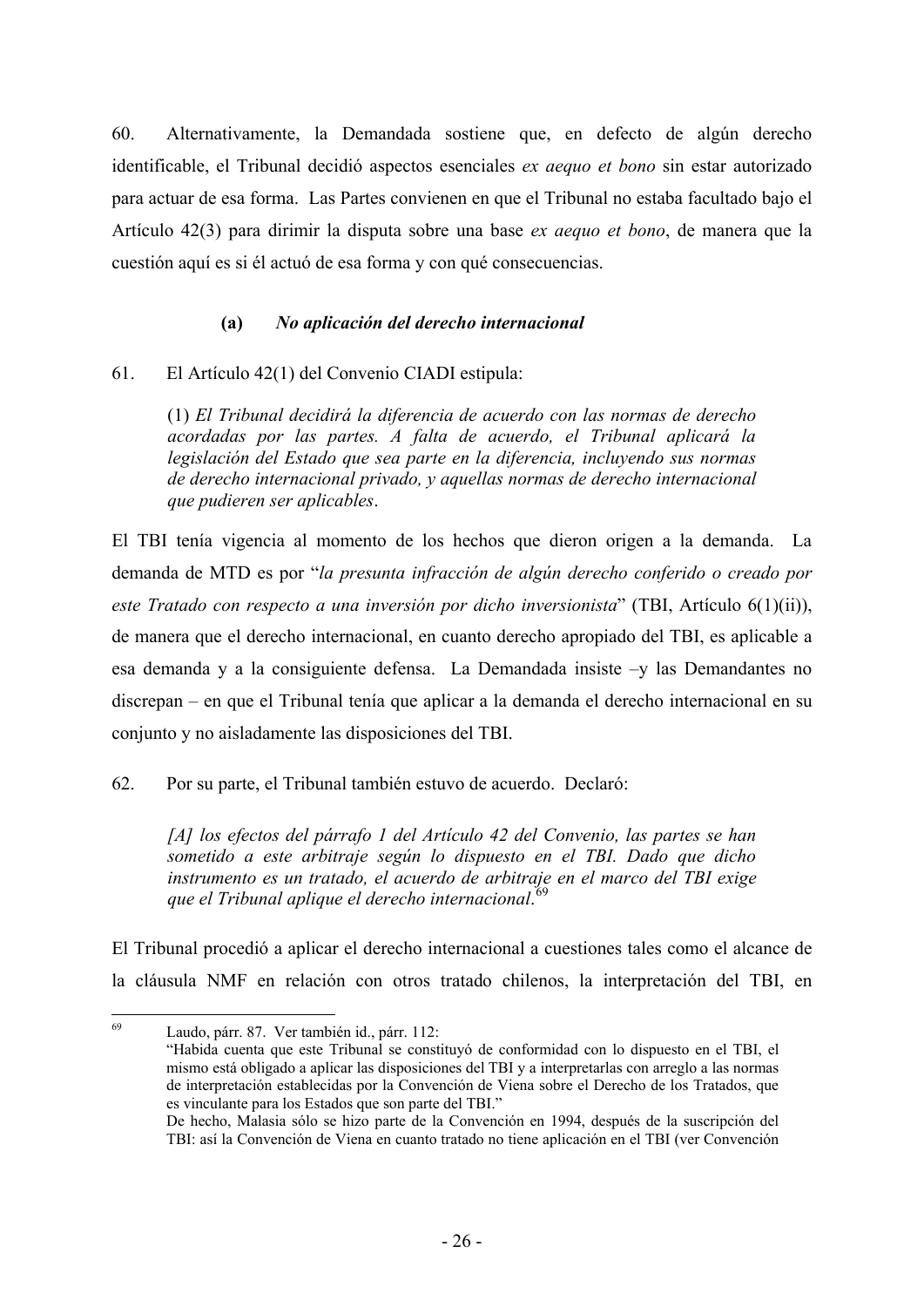60. Alternativamente, la Demandada sostiene que, en defecto de algún derecho identificable, el Tribunal decidió aspectos esenciales *ex aequo et bono* sin estar autorizado para actuar de esa forma. Las Partes convienen en que el Tribunal no estaba facultado bajo el Artículo 42(3) para dirimir la disputa sobre una base *ex aequo et bono*, de manera que la cuestión aquí es si él actuó de esa forma y con qué consecuencias.

### **(a)** *No aplicación del derecho internacional*

61. El Artículo 42(1) del Convenio CIADI estipula:

(1) *El Tribunal decidirá la diferencia de acuerdo con las normas de derecho acordadas por las partes. A falta de acuerdo, el Tribunal aplicará la legislación del Estado que sea parte en la diferencia, incluyendo sus normas de derecho internacional privado, y aquellas normas de derecho internacional que pudieren ser aplicables*.

El TBI tenía vigencia al momento de los hechos que dieron origen a la demanda. La demanda de MTD es por "*la presunta infracción de algún derecho conferido o creado por este Tratado con respecto a una inversión por dicho inversionista*" (TBI, Artículo 6(1)(ii)), de manera que el derecho internacional, en cuanto derecho apropiado del TBI, es aplicable a esa demanda y a la consiguiente defensa. La Demandada insiste –y las Demandantes no discrepan – en que el Tribunal tenía que aplicar a la demanda el derecho internacional en su conjunto y no aisladamente las disposiciones del TBI.

62. Por su parte, el Tribunal también estuvo de acuerdo. Declaró:

*[A] los efectos del párrafo 1 del Artículo 42 del Convenio, las partes se han sometido a este arbitraje según lo dispuesto en el TBI. Dado que dicho instrumento es un tratado, el acuerdo de arbitraje en el marco del TBI exige que el Tribunal aplique el derecho internacional*. [69](#page-74-0)

El Tribunal procedió a aplicar el derecho internacional a cuestiones tales como el alcance de la cláusula NMF en relación con otros tratado chilenos, la interpretación del TBI, en

<span id="page-74-0"></span><sup>69</sup> Laudo, párr. 87. Ver también id., párr. 112: "Habida cuenta que este Tribunal se constituyó de conformidad con lo dispuesto en el TBI, el mismo está obligado a aplicar las disposiciones del TBI y a interpretarlas con arreglo a las normas de interpretación establecidas por la Convención de Viena sobre el Derecho de los Tratados, que es vinculante para los Estados que son parte del TBI." De hecho, Malasia sólo se hizo parte de la Convención en 1994, después de la suscripción del

TBI: así la Convención de Viena en cuanto tratado no tiene aplicación en el TBI (ver Convención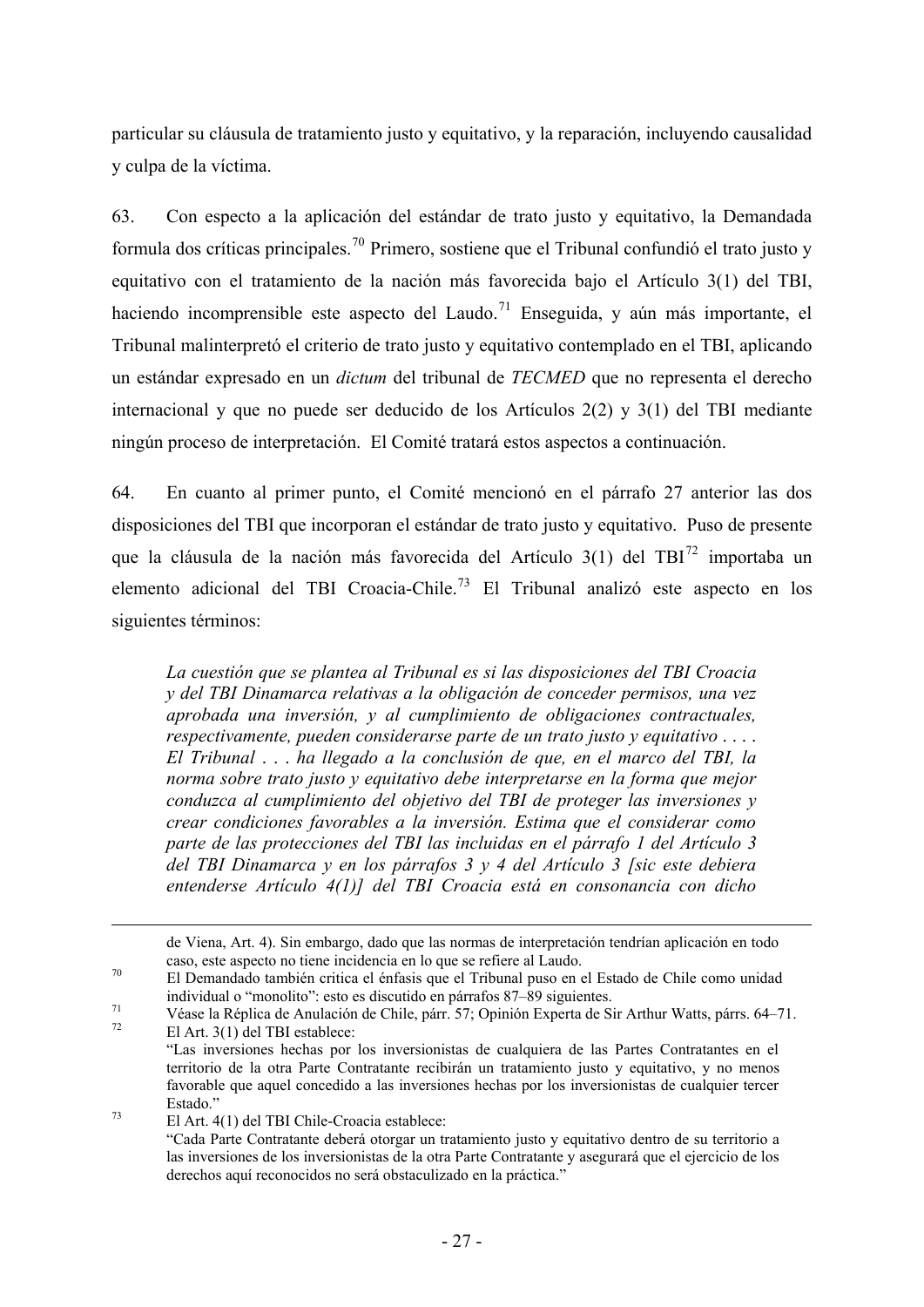particular su cláusula de tratamiento justo y equitativo, y la reparación, incluyendo causalidad y culpa de la víctima.

63. Con especto a la aplicación del estándar de trato justo y equitativo, la Demandada formula dos críticas principales.[70](#page-75-1) Primero, sostiene que el Tribunal confundió el trato justo y equitativo con el tratamiento de la nación más favorecida bajo el Artículo 3(1) del TBI, haciendo incomprensible este aspecto del Laudo.<sup>[71](#page-75-2)</sup> Enseguida, y aún más importante, el Tribunal malinterpretó el criterio de trato justo y equitativo contemplado en el TBI, aplicando un estándar expresado en un *dictum* del tribunal de *TECMED* que no representa el derecho internacional y que no puede ser deducido de los Artículos 2(2) y 3(1) del TBI mediante ningún proceso de interpretación. El Comité tratará estos aspectos a continuación.

64. En cuanto al primer punto, el Comité mencionó en el párrafo 27 anterior las dos disposiciones del TBI que incorporan el estándar de trato justo y equitativo. Puso de presente que la cláusula de la nación más favorecida del Artículo 3(1) del TBI<sup>[72](#page-75-3)</sup> importaba un elemento adicional del TBI Croacia-Chile.<sup>[73](#page-75-0)</sup> El Tribunal analizó este aspecto en los siguientes términos:

*La cuestión que se plantea al Tribunal es si las disposiciones del TBI Croacia y del TBI Dinamarca relativas a la obligación de conceder permisos, una vez aprobada una inversión, y al cumplimiento de obligaciones contractuales, respectivamente, pueden considerarse parte de un trato justo y equitativo* . . . . *El Tribunal* . . . *ha llegado a la conclusión de que, en el marco del TBI, la norma sobre trato justo y equitativo debe interpretarse en la forma que mejor conduzca al cumplimiento del objetivo del TBI de proteger las inversiones y crear condiciones favorables a la inversión. Estima que el considerar como parte de las protecciones del TBI las incluidas en el párrafo 1 del Artículo 3 del TBI Dinamarca y en los párrafos 3 y 4 del Artículo 3 [sic este debiera entenderse Artículo 4(1)] del TBI Croacia está en consonancia con dicho* 

<span id="page-75-2"></span> $\frac{71}{72}$  Véase la Réplica de Anulación de Chile, párr. 57; Opinión Experta de Sir Arthur Watts, párrs. 64–71. El Art. 3(1) del TBI establece:

"Cada Parte Contratante deberá otorgar un tratamiento justo y equitativo dentro de su territorio a las inversiones de los inversionistas de la otra Parte Contratante y asegurará que el ejercicio de los derechos aquí reconocidos no será obstaculizado en la práctica."

de Viena, Art. 4). Sin embargo, dado que las normas de interpretación tendrían aplicación en todo

<span id="page-75-1"></span><sup>&</sup>lt;sup>70</sup> El Demandado también critica el énfasis que el Tribunal puso en el Estado de Chile como unidad individual o "monolito": esto es discutido en párrafos 87–89 siguientes.

<span id="page-75-3"></span><span id="page-75-0"></span><sup>&</sup>quot;Las inversiones hechas por los inversionistas de cualquiera de las Partes Contratantes en el territorio de la otra Parte Contratante recibirán un tratamiento justo y equitativo, y no menos favorable que aquel concedido a las inversiones hechas por los inversionistas de cualquier tercer Estado." 73 El Art. 4(1) del TBI Chile-Croacia establece: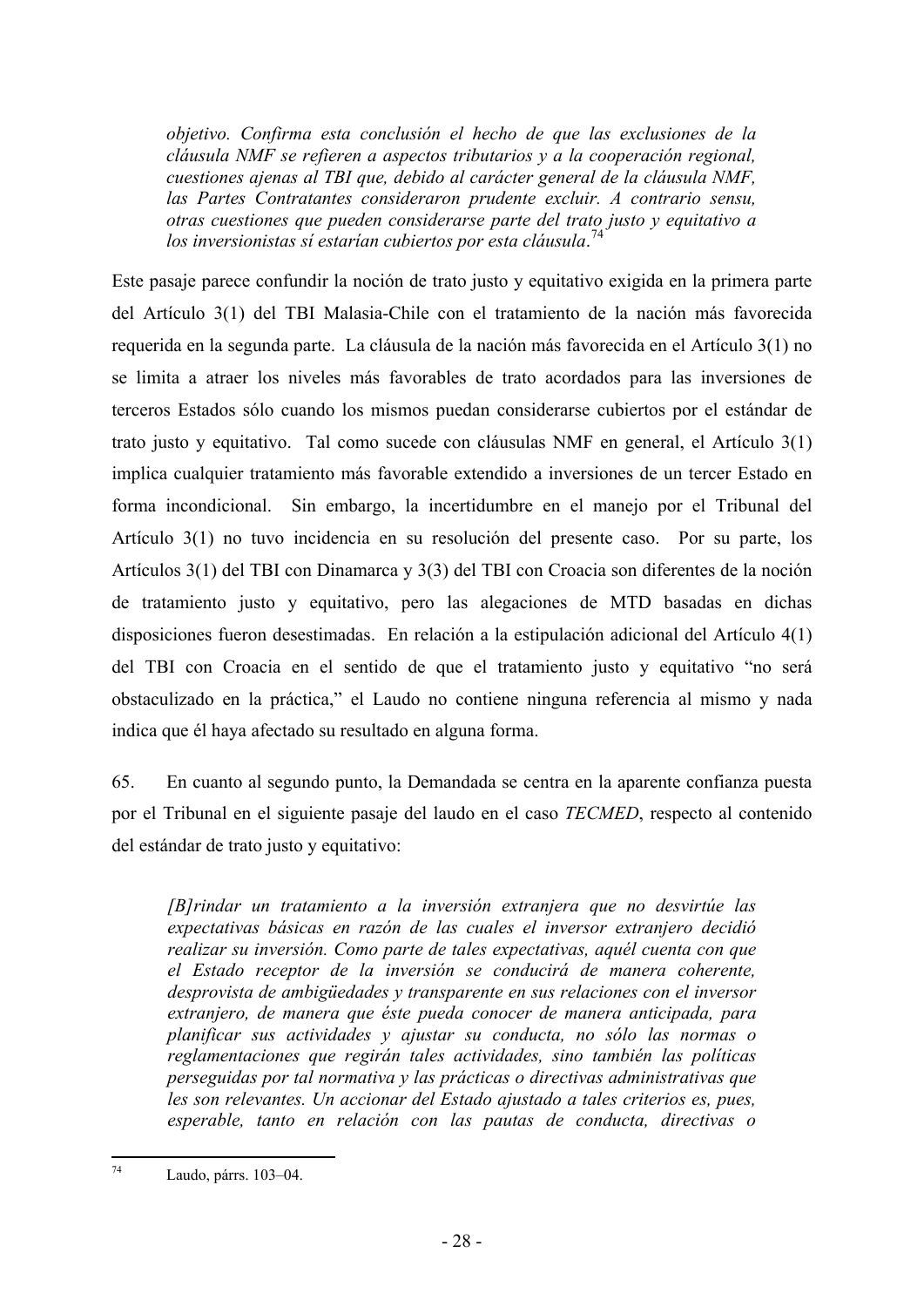*objetivo. Confirma esta conclusión el hecho de que las exclusiones de la cláusula NMF se refieren a aspectos tributarios y a la cooperación regional, cuestiones ajenas al TBI que, debido al carácter general de la cláusula NMF, las Partes Contratantes consideraron prudente excluir. A contrario sensu, otras cuestiones que pueden considerarse parte del trato justo y equitativo a*  los inversionistas sí estarían cubiertos por esta cláusula.<sup>[74](#page-76-0)</sup>

Este pasaje parece confundir la noción de trato justo y equitativo exigida en la primera parte del Artículo 3(1) del TBI Malasia-Chile con el tratamiento de la nación más favorecida requerida en la segunda parte. La cláusula de la nación más favorecida en el Artículo 3(1) no se limita a atraer los niveles más favorables de trato acordados para las inversiones de terceros Estados sólo cuando los mismos puedan considerarse cubiertos por el estándar de trato justo y equitativo. Tal como sucede con cláusulas NMF en general, el Artículo 3(1) implica cualquier tratamiento más favorable extendido a inversiones de un tercer Estado en forma incondicional. Sin embargo, la incertidumbre en el manejo por el Tribunal del Artículo 3(1) no tuvo incidencia en su resolución del presente caso. Por su parte, los Artículos 3(1) del TBI con Dinamarca y 3(3) del TBI con Croacia son diferentes de la noción de tratamiento justo y equitativo, pero las alegaciones de MTD basadas en dichas disposiciones fueron desestimadas. En relación a la estipulación adicional del Artículo 4(1) del TBI con Croacia en el sentido de que el tratamiento justo y equitativo "no será obstaculizado en la práctica," el Laudo no contiene ninguna referencia al mismo y nada indica que él haya afectado su resultado en alguna forma.

65. En cuanto al segundo punto, la Demandada se centra en la aparente confianza puesta por el Tribunal en el siguiente pasaje del laudo en el caso *TECMED*, respecto al contenido del estándar de trato justo y equitativo:

*[B]rindar un tratamiento a la inversión extranjera que no desvirtúe las expectativas básicas en razón de las cuales el inversor extranjero decidió realizar su inversión. Como parte de tales expectativas, aquél cuenta con que el Estado receptor de la inversión se conducirá de manera coherente, desprovista de ambigüedades y transparente en sus relaciones con el inversor extranjero, de manera que éste pueda conocer de manera anticipada, para planificar sus actividades y ajustar su conducta, no sólo las normas o reglamentaciones que regirán tales actividades, sino también las políticas perseguidas por tal normativa y las prácticas o directivas administrativas que les son relevantes. Un accionar del Estado ajustado a tales criterios es, pues, esperable, tanto en relación con las pautas de conducta, directivas o* 

<span id="page-76-0"></span> $74$ Laudo, párrs. 103-04.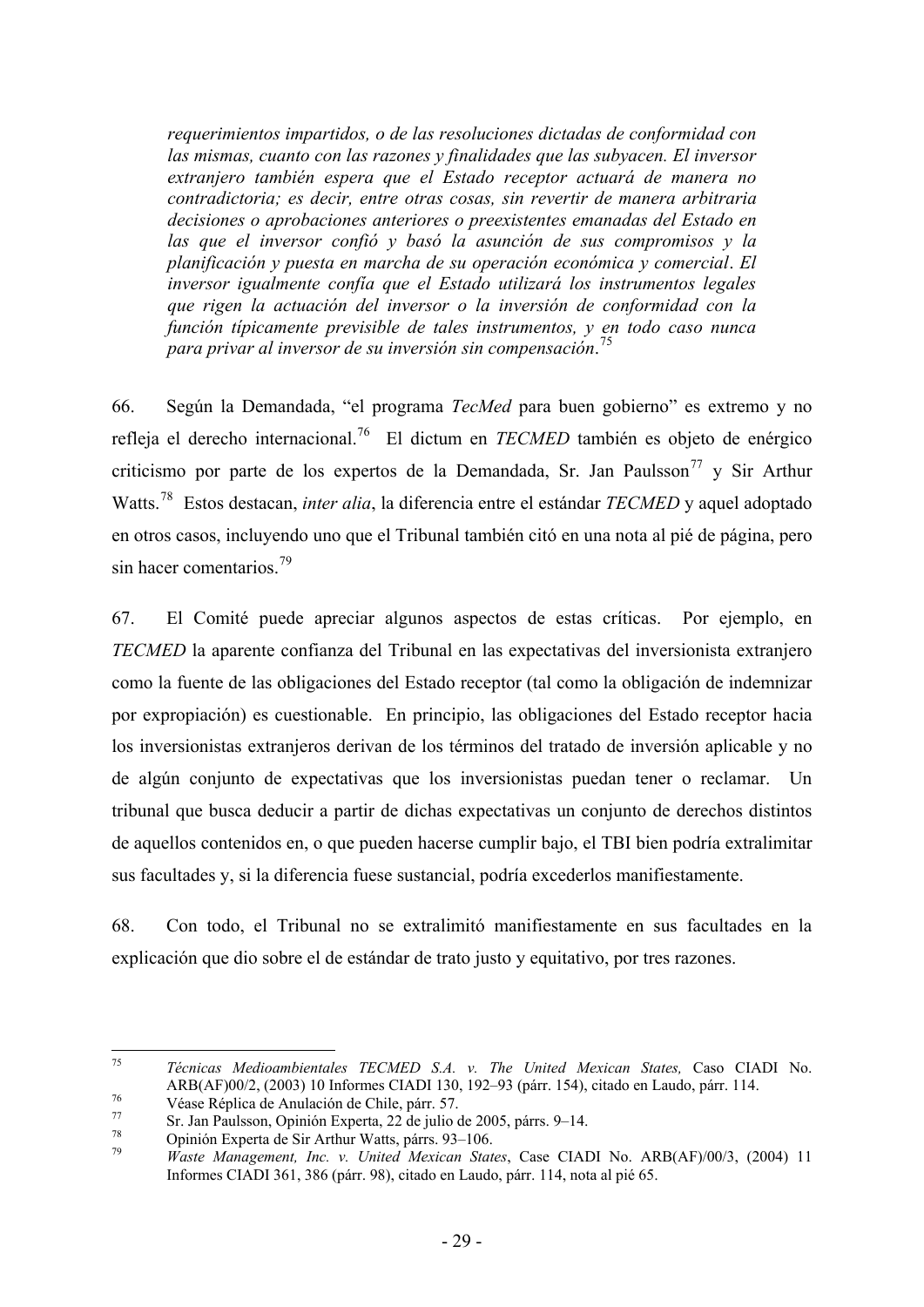*requerimientos impartidos, o de las resoluciones dictadas de conformidad con las mismas, cuanto con las razones y finalidades que las subyacen. El inversor extranjero también espera que el Estado receptor actuará de manera no contradictoria; es decir, entre otras cosas, sin revertir de manera arbitraria decisiones o aprobaciones anteriores o preexistentes emanadas del Estado en las que el inversor confió y basó la asunción de sus compromisos y la planificación y puesta en marcha de su operación económica y comercial*. *El inversor igualmente confía que el Estado utilizará los instrumentos legales que rigen la actuación del inversor o la inversión de conformidad con la función típicamente previsible de tales instrumentos, y en todo caso nunca para privar al inversor de su inversión sin compensación*. [75](#page-77-1)

66. Según la Demandada, "el programa *TecMed* para buen gobierno" es extremo y no refleja el derecho internacional.[76](#page-77-2) El dictum en *TECMED* también es objeto de enérgico criticismo por parte de los expertos de la Demandada, Sr. Jan Paulsson<sup>[77](#page-77-3)</sup> y Sir Arthur Watts.[78](#page-77-4) Estos destacan, *inter alia*, la diferencia entre el estándar *TECMED* y aquel adoptado en otros casos, incluyendo uno que el Tribunal también citó en una nota al pié de página, pero sin hacer comentarios.<sup>[79](#page-77-0)</sup>

67. El Comité puede apreciar algunos aspectos de estas críticas. Por ejemplo, en *TECMED* la aparente confianza del Tribunal en las expectativas del inversionista extranjero como la fuente de las obligaciones del Estado receptor (tal como la obligación de indemnizar por expropiación) es cuestionable. En principio, las obligaciones del Estado receptor hacia los inversionistas extranjeros derivan de los términos del tratado de inversión aplicable y no de algún conjunto de expectativas que los inversionistas puedan tener o reclamar. Un tribunal que busca deducir a partir de dichas expectativas un conjunto de derechos distintos de aquellos contenidos en, o que pueden hacerse cumplir bajo, el TBI bien podría extralimitar sus facultades y, si la diferencia fuese sustancial, podría excederlos manifiestamente.

68. Con todo, el Tribunal no se extralimitó manifiestamente en sus facultades en la explicación que dio sobre el de estándar de trato justo y equitativo, por tres razones.

<span id="page-77-1"></span><sup>75</sup> <sup>75</sup> *Técnicas Medioambientales TECMED S.A. v. The United Mexican States,* Caso CIADI No. ARB(AF)00/2, (2003) 10 Informes CIADI 130, 192–93 (párr. 154), citado en Laudo, párr. 114.<br>Véase Réplica de Anulación de Chile, párr. 57.

<span id="page-77-2"></span>

<span id="page-77-3"></span><sup>&</sup>lt;sup>77</sup> Sr. Jan Paulsson, Opinión Experta, 22 de julio de 2005, párrs. 9–14.<br><sup>78</sup> Opinión Experte de Sin Arthur Wette, pérre 03, 106

<span id="page-77-4"></span><sup>78</sup> Opinión Experta de Sir Arthur Watts, párrs. 93–106.

<span id="page-77-0"></span><sup>79</sup> *Waste Management, Inc. v. United Mexican States*, Case CIADI No. ARB(AF)/00/3, (2004) 11 Informes CIADI 361, 386 (párr. 98), citado en Laudo, párr. 114, nota al pié 65.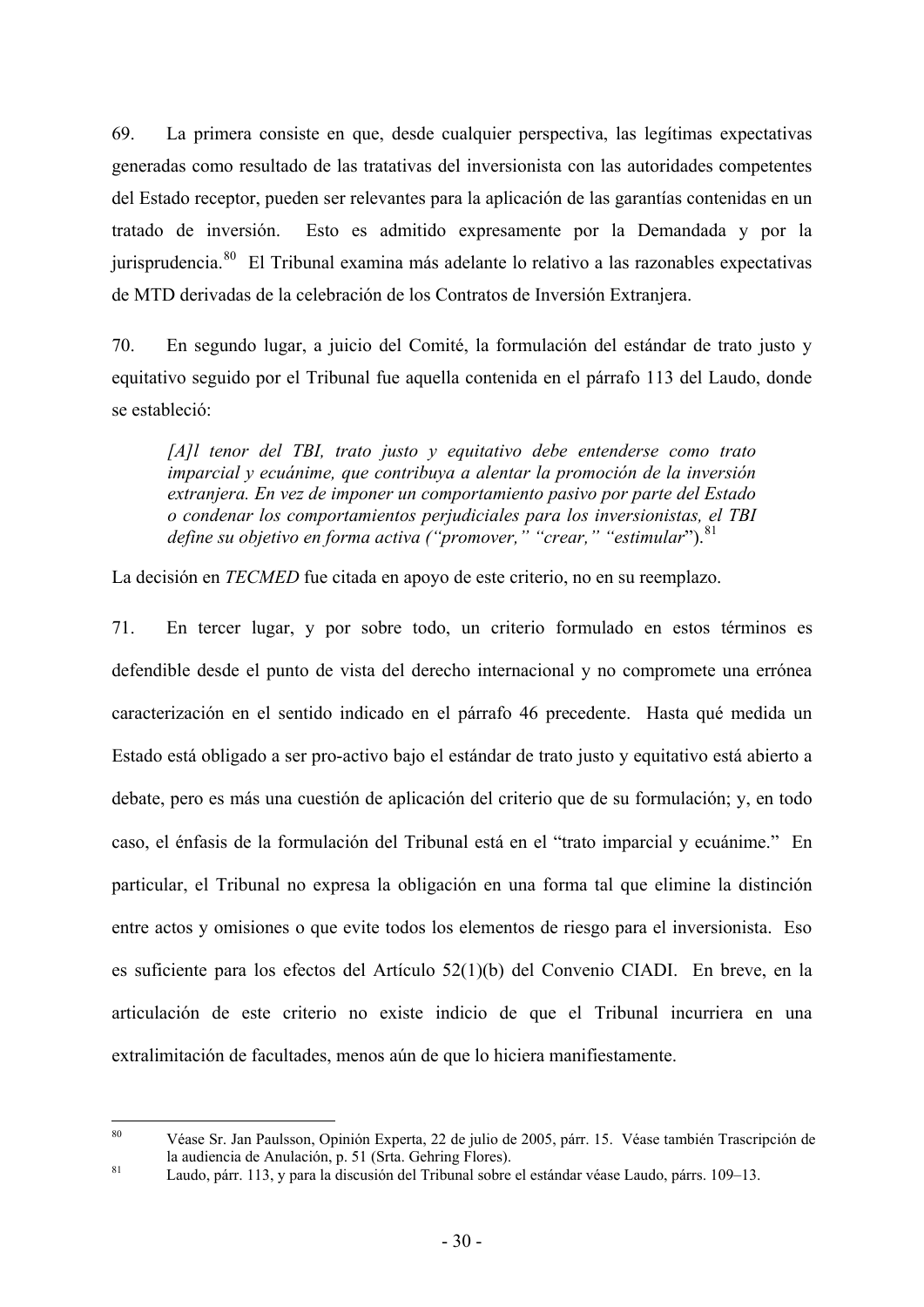69. La primera consiste en que, desde cualquier perspectiva, las legítimas expectativas generadas como resultado de las tratativas del inversionista con las autoridades competentes del Estado receptor, pueden ser relevantes para la aplicación de las garantías contenidas en un tratado de inversión. Esto es admitido expresamente por la Demandada y por la jurisprudencia.<sup>[80](#page-78-1)</sup> El Tribunal examina más adelante lo relativo a las razonables expectativas de MTD derivadas de la celebración de los Contratos de Inversión Extranjera.

70. En segundo lugar, a juicio del Comité, la formulación del estándar de trato justo y equitativo seguido por el Tribunal fue aquella contenida en el párrafo 113 del Laudo, donde se estableció:

*[A]l tenor del TBI, trato justo y equitativo debe entenderse como trato imparcial y ecuánime, que contribuya a alentar la promoción de la inversión extranjera. En vez de imponer un comportamiento pasivo por parte del Estado o condenar los comportamientos perjudiciales para los inversionistas, el TBI*  define su objetivo en forma activa ("promover," "crear," "estimular").<sup>[81](#page-78-0)</sup>

La decisión en *TECMED* fue citada en apoyo de este criterio, no en su reemplazo.

71. En tercer lugar, y por sobre todo, un criterio formulado en estos términos es defendible desde el punto de vista del derecho internacional y no compromete una errónea caracterización en el sentido indicado en el párrafo 46 precedente. Hasta qué medida un Estado está obligado a ser pro-activo bajo el estándar de trato justo y equitativo está abierto a debate, pero es más una cuestión de aplicación del criterio que de su formulación; y, en todo caso, el énfasis de la formulación del Tribunal está en el "trato imparcial y ecuánime." En particular, el Tribunal no expresa la obligación en una forma tal que elimine la distinción entre actos y omisiones o que evite todos los elementos de riesgo para el inversionista. Eso es suficiente para los efectos del Artículo 52(1)(b) del Convenio CIADI. En breve, en la articulación de este criterio no existe indicio de que el Tribunal incurriera en una extralimitación de facultades, menos aún de que lo hiciera manifiestamente.

<span id="page-78-1"></span><sup>80</sup> 80 Véase Sr. Jan Paulsson, Opinión Experta, 22 de julio de 2005, párr. 15. Véase también Trascripción de la audiencia de Anulación, p. 51 (Srta. Gehring Flores). 81 Laudo, párr. 113, y para la discusión del Tribunal sobre el estándar véase Laudo, párrs. 109–13.

<span id="page-78-0"></span>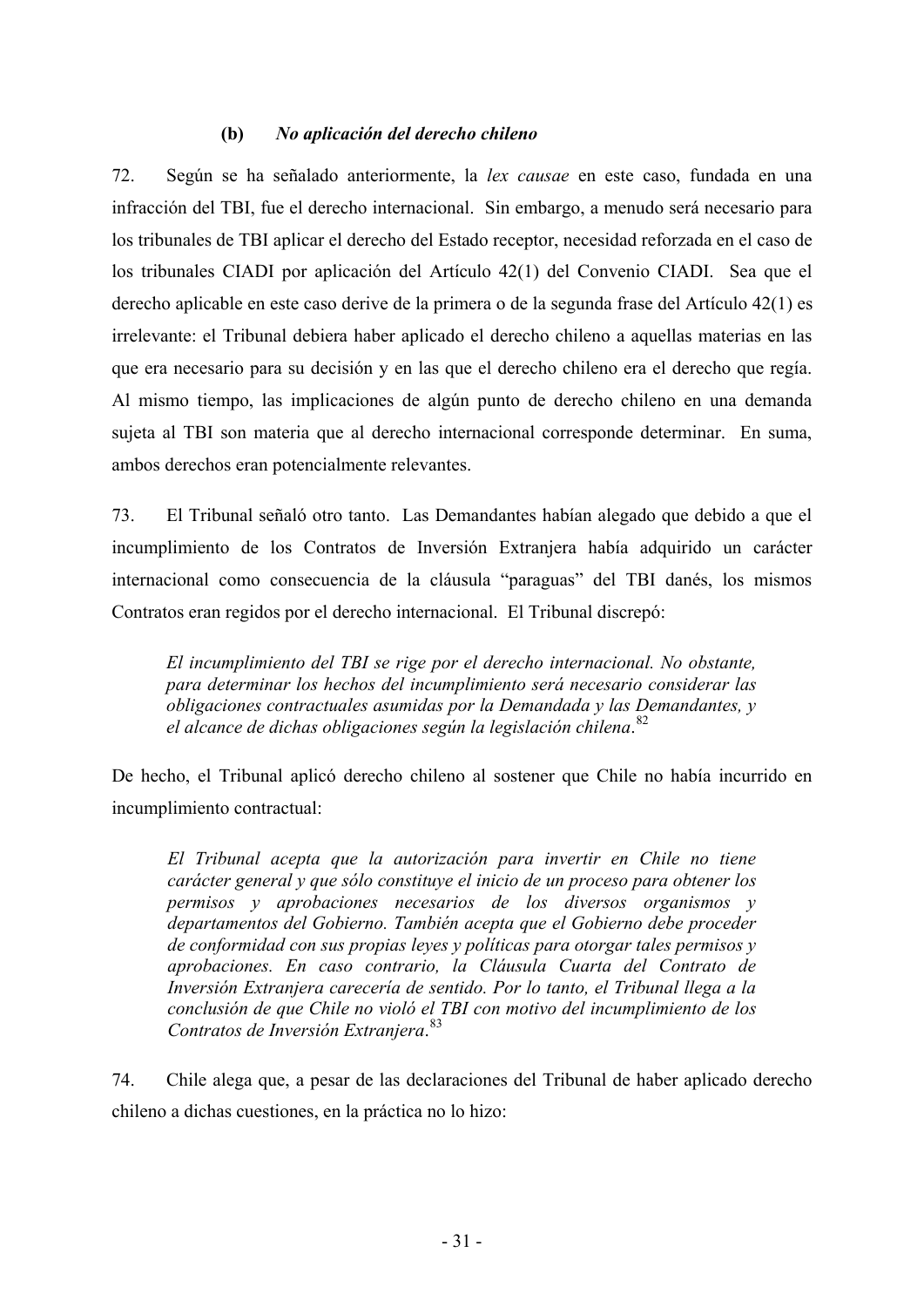## **(b)** *No aplicación del derecho chileno*

<span id="page-79-0"></span>72. Según se ha señalado anteriormente, la *lex causae* en este caso, fundada en una infracción del TBI, fue el derecho internacional. Sin embargo, a menudo será necesario para los tribunales de TBI aplicar el derecho del Estado receptor, necesidad reforzada en el caso de los tribunales CIADI por aplicación del Artículo 42(1) del Convenio CIADI. Sea que el derecho aplicable en este caso derive de la primera o de la segunda frase del Artículo 42(1) es irrelevante: el Tribunal debiera haber aplicado el derecho chileno a aquellas materias en las que era necesario para su decisión y en las que el derecho chileno era el derecho que regía. Al mismo tiempo, las implicaciones de algún punto de derecho chileno en una demanda sujeta al TBI son materia que al derecho internacional corresponde determinar. En suma, ambos derechos eran potencialmente relevantes.

73. El Tribunal señaló otro tanto. Las Demandantes habían alegado que debido a que el incumplimiento de los Contratos de Inversión Extranjera había adquirido un carácter internacional como consecuencia de la cláusula "paraguas" del TBI danés, los mismos Contratos eran regidos por el derecho internacional. El Tribunal discrepó:

*El incumplimiento del TBI se rige por el derecho internacional. No obstante, para determinar los hechos del incumplimiento será necesario considerar las obligaciones contractuales asumidas por la Demandada y las Demandantes, y el alcance de dichas obligaciones según la legislación chilena*. [82](#page-79-1)

De hecho, el Tribunal aplicó derecho chileno al sostener que Chile no había incurrido en incumplimiento contractual:

*El Tribunal acepta que la autorización para invertir en Chile no tiene carácter general y que sólo constituye el inicio de un proceso para obtener los permisos y aprobaciones necesarios de los diversos organismos y departamentos del Gobierno. También acepta que el Gobierno debe proceder de conformidad con sus propias leyes y políticas para otorgar tales permisos y aprobaciones. En caso contrario, la Cláusula Cuarta del Contrato de Inversión Extranjera carecería de sentido. Por lo tanto, el Tribunal llega a la conclusión de que Chile no violó el TBI con motivo del incumplimiento de los Contratos de Inversión Extranjera*. [83](#page-79-0)

<span id="page-79-1"></span>74. Chile alega que, a pesar de las declaraciones del Tribunal de haber aplicado derecho chileno a dichas cuestiones, en la práctica no lo hizo: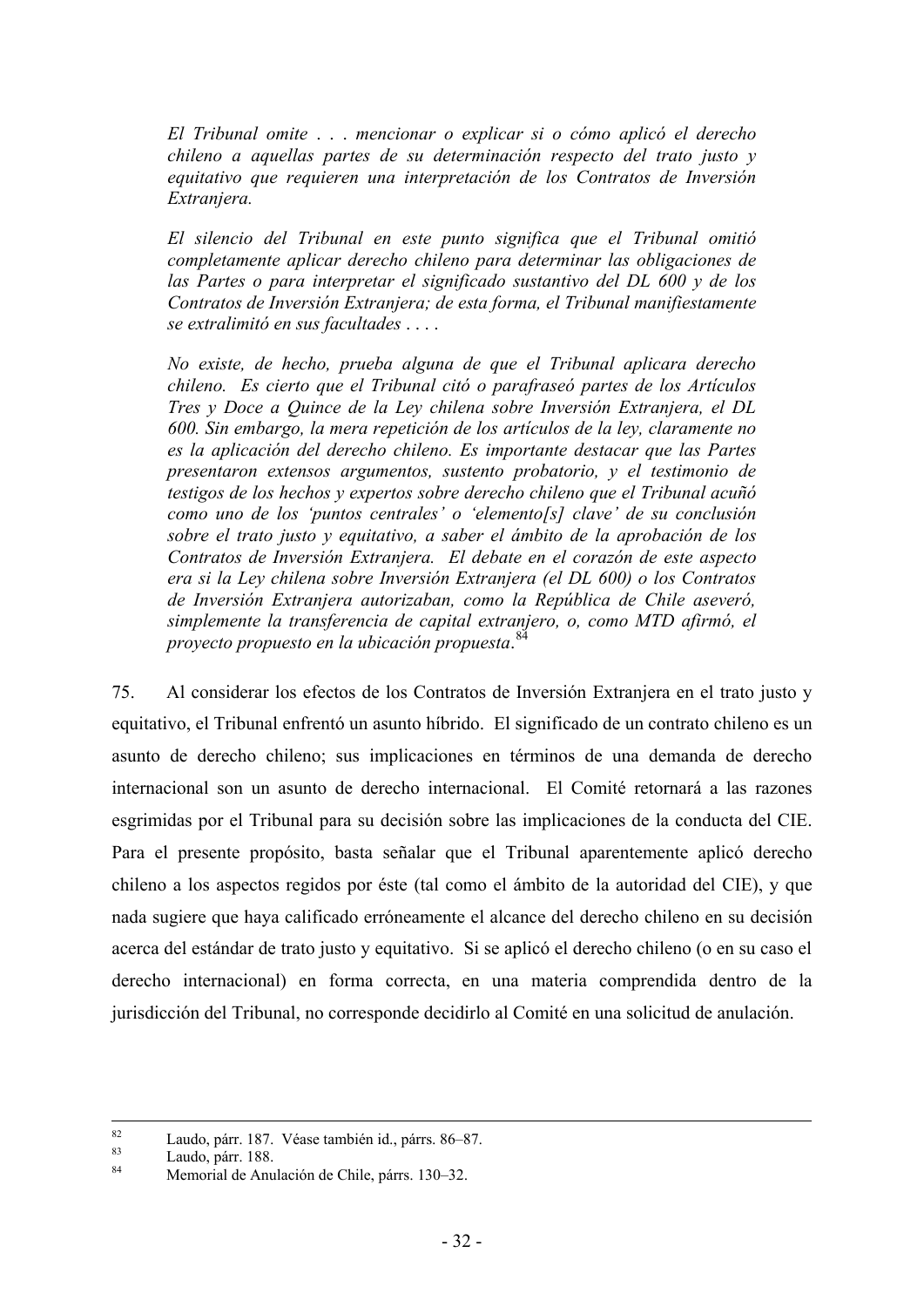<span id="page-80-0"></span>*El Tribunal omite* . . . *mencionar o explicar si o cómo aplicó el derecho chileno a aquellas partes de su determinación respecto del trato justo y equitativo que requieren una interpretación de los Contratos de Inversión Extranjera.* 

*El silencio del Tribunal en este punto significa que el Tribunal omitió completamente aplicar derecho chileno para determinar las obligaciones de las Partes o para interpretar el significado sustantivo del DL 600 y de los Contratos de Inversión Extranjera; de esta forma, el Tribunal manifiestamente se extralimitó en sus facultades* . . . .

*No existe, de hecho, prueba alguna de que el Tribunal aplicara derecho chileno. Es cierto que el Tribunal citó o parafraseó partes de los Artículos Tres y Doce a Quince de la Ley chilena sobre Inversión Extranjera, el DL 600. Sin embargo, la mera repetición de los artículos de la ley, claramente no es la aplicación del derecho chileno. Es importante destacar que las Partes presentaron extensos argumentos, sustento probatorio, y el testimonio de testigos de los hechos y expertos sobre derecho chileno que el Tribunal acuñó como uno de los 'puntos centrales' o 'elemento[s] clave' de su conclusión sobre el trato justo y equitativo, a saber el ámbito de la aprobación de los Contratos de Inversión Extranjera. El debate en el corazón de este aspecto era si la Ley chilena sobre Inversión Extranjera (el DL 600) o los Contratos de Inversión Extranjera autorizaban, como la República de Chile aseveró, simplemente la transferencia de capital extranjero, o, como MTD afirmó, el proyecto propuesto en la ubicación propuesta*. [84](#page-80-0)

75. Al considerar los efectos de los Contratos de Inversión Extranjera en el trato justo y equitativo, el Tribunal enfrentó un asunto híbrido. El significado de un contrato chileno es un asunto de derecho chileno; sus implicaciones en términos de una demanda de derecho internacional son un asunto de derecho internacional. El Comité retornará a las razones esgrimidas por el Tribunal para su decisión sobre las implicaciones de la conducta del CIE. Para el presente propósito, basta señalar que el Tribunal aparentemente aplicó derecho chileno a los aspectos regidos por éste (tal como el ámbito de la autoridad del CIE), y que nada sugiere que haya calificado erróneamente el alcance del derecho chileno en su decisión acerca del estándar de trato justo y equitativo. Si se aplicó el derecho chileno (o en su caso el derecho internacional) en forma correcta, en una materia comprendida dentro de la jurisdicción del Tribunal, no corresponde decidirlo al Comité en una solicitud de anulación.

 <sup>82</sup> Laudo, párr. 187. Véase también id., párrs. 86–87.

 $\frac{83}{84}$  Laudo, párr. 188.

<sup>84</sup> Memorial de Anulación de Chile, párrs. 130–32.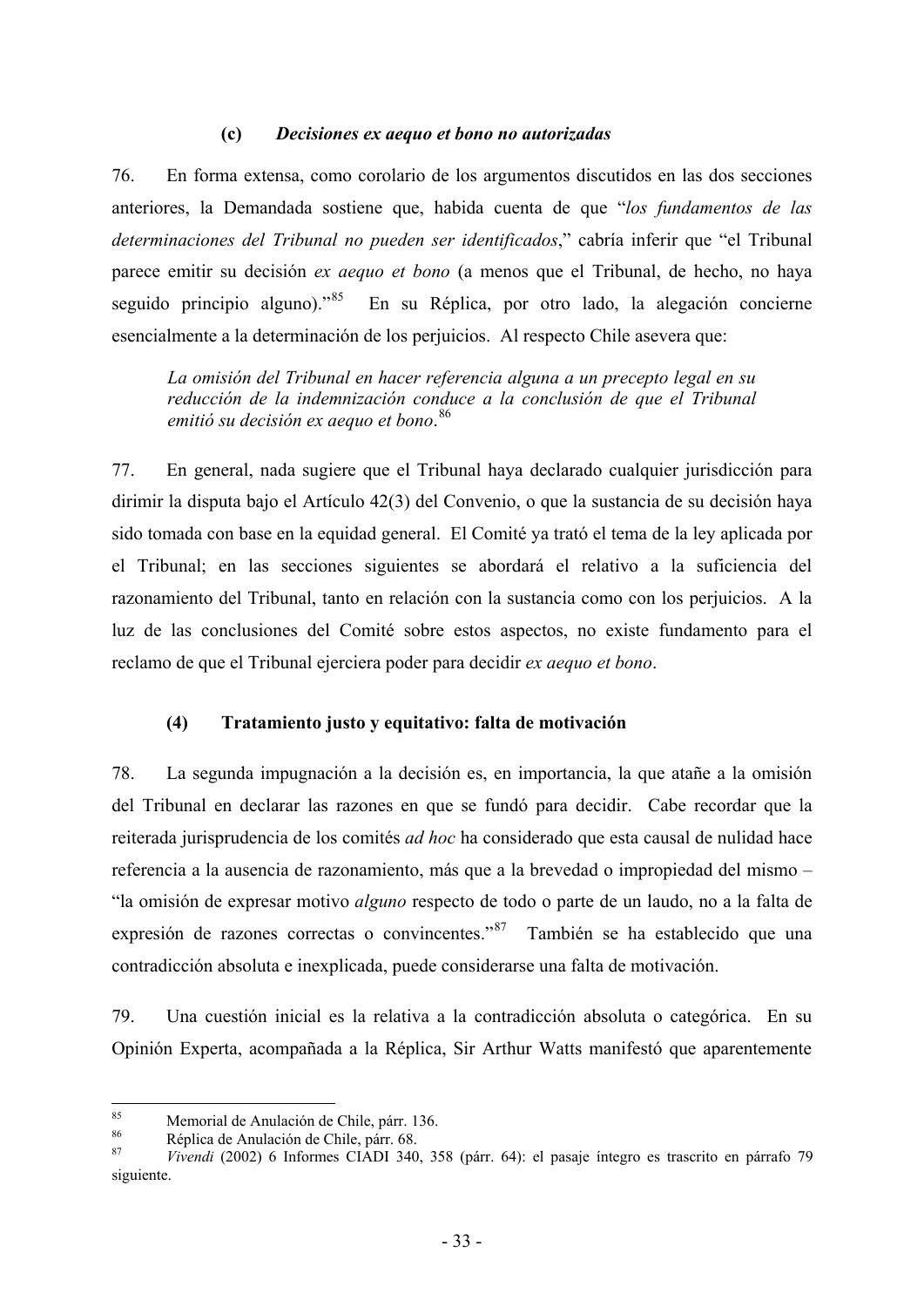#### **(c)** *Decisiones ex aequo et bono no autorizadas*

76. En forma extensa, como corolario de los argumentos discutidos en las dos secciones anteriores, la Demandada sostiene que, habida cuenta de que "*los fundamentos de las determinaciones del Tribunal no pueden ser identificados*," cabría inferir que "el Tribunal parece emitir su decisión *ex aequo et bono* (a menos que el Tribunal, de hecho, no haya seguido principio alguno).<sup>[85](#page-81-1)</sup> En su Réplica, por otro lado, la alegación concierne esencialmente a la determinación de los perjuicios. Al respecto Chile asevera que:

*La omisión del Tribunal en hacer referencia alguna a un precepto legal en su reducción de la indemnización conduce a la conclusión de que el Tribunal emitió su decisión ex aequo et bono*. [86](#page-81-2)

77. En general, nada sugiere que el Tribunal haya declarado cualquier jurisdicción para dirimir la disputa bajo el Artículo 42(3) del Convenio, o que la sustancia de su decisión haya sido tomada con base en la equidad general. El Comité ya trató el tema de la ley aplicada por el Tribunal; en las secciones siguientes se abordará el relativo a la suficiencia del razonamiento del Tribunal, tanto en relación con la sustancia como con los perjuicios. A la luz de las conclusiones del Comité sobre estos aspectos, no existe fundamento para el reclamo de que el Tribunal ejerciera poder para decidir *ex aequo et bono*.

## **(4) Tratamiento justo y equitativo: falta de motivación**

78. La segunda impugnación a la decisión es, en importancia, la que atañe a la omisión del Tribunal en declarar las razones en que se fundó para decidir. Cabe recordar que la reiterada jurisprudencia de los comités *ad hoc* ha considerado que esta causal de nulidad hace referencia a la ausencia de razonamiento, más que a la brevedad o impropiedad del mismo – "la omisión de expresar motivo *alguno* respecto de todo o parte de un laudo, no a la falta de expresión de razones correctas o convincentes."[87](#page-81-0) También se ha establecido que una contradicción absoluta e inexplicada, puede considerarse una falta de motivación.

79. Una cuestión inicial es la relativa a la contradicción absoluta o categórica. En su Opinión Experta, acompañada a la Réplica, Sir Arthur Watts manifestó que aparentemente

<span id="page-81-1"></span><sup>85</sup> <sup>85</sup> Memorial de Anulación de Chile, párr. 136.

<span id="page-81-2"></span> $^{86}$  Réplica de Anulación de Chile, párr. 68.

<span id="page-81-0"></span><sup>87</sup> *Vivendi* (2002) 6 Informes CIADI 340, 358 (párr. 64): el pasaje íntegro es trascrito en párrafo 79 siguiente.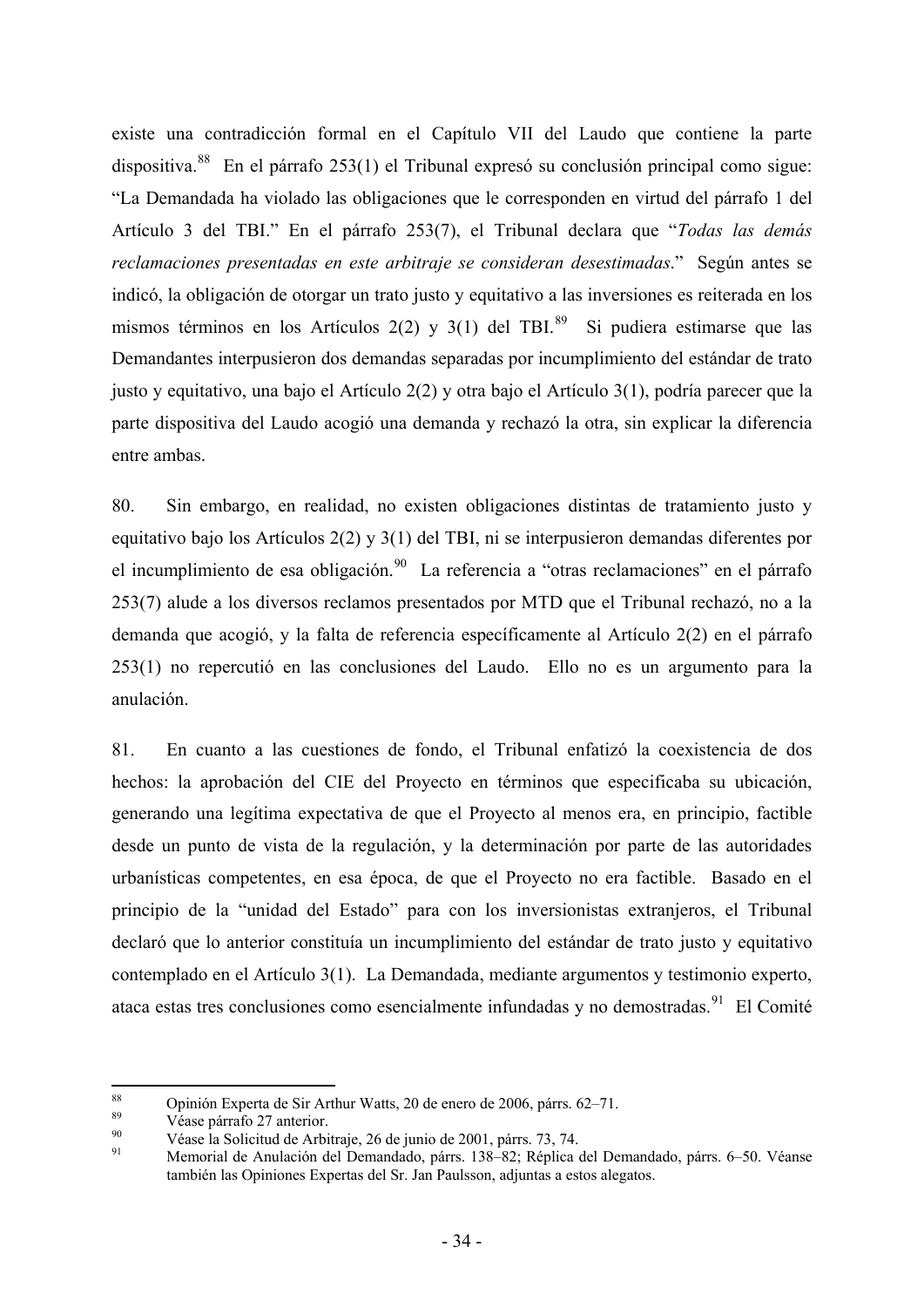existe una contradicción formal en el Capítulo VII del Laudo que contiene la parte dispositiva.<sup>[88](#page-82-1)</sup> En el párrafo 253(1) el Tribunal expresó su conclusión principal como sigue: "La Demandada ha violado las obligaciones que le corresponden en virtud del párrafo 1 del Artículo 3 del TBI." En el párrafo 253(7), el Tribunal declara que "*Todas las demás reclamaciones presentadas en este arbitraje se consideran desestimadas*." Según antes se indicó, la obligación de otorgar un trato justo y equitativo a las inversiones es reiterada en los mismos términos en los Artículos 2(2) y 3(1) del TBI.<sup>[89](#page-82-2)</sup> Si pudiera estimarse que las Demandantes interpusieron dos demandas separadas por incumplimiento del estándar de trato justo y equitativo, una bajo el Artículo 2(2) y otra bajo el Artículo 3(1), podría parecer que la parte dispositiva del Laudo acogió una demanda y rechazó la otra, sin explicar la diferencia entre ambas.

80. Sin embargo, en realidad, no existen obligaciones distintas de tratamiento justo y equitativo bajo los Artículos 2(2) y 3(1) del TBI, ni se interpusieron demandas diferentes por el incumplimiento de esa obligación.<sup>[90](#page-82-3)</sup> La referencia a "otras reclamaciones" en el párrafo 253(7) alude a los diversos reclamos presentados por MTD que el Tribunal rechazó, no a la demanda que acogió, y la falta de referencia específicamente al Artículo 2(2) en el párrafo 253(1) no repercutió en las conclusiones del Laudo. Ello no es un argumento para la anulación.

81. En cuanto a las cuestiones de fondo, el Tribunal enfatizó la coexistencia de dos hechos: la aprobación del CIE del Proyecto en términos que especificaba su ubicación, generando una legítima expectativa de que el Proyecto al menos era, en principio, factible desde un punto de vista de la regulación, y la determinación por parte de las autoridades urbanísticas competentes, en esa época, de que el Proyecto no era factible. Basado en el principio de la "unidad del Estado" para con los inversionistas extranjeros, el Tribunal declaró que lo anterior constituía un incumplimiento del estándar de trato justo y equitativo contemplado en el Artículo 3(1). La Demandada, mediante argumentos y testimonio experto, ataca estas tres conclusiones como esencialmente infundadas y no demostradas.<sup>[91](#page-82-0)</sup> El Comité

<span id="page-82-1"></span><sup>88</sup> <sup>88</sup> Opinión Experta de Sir Arthur Watts, 20 de enero de 2006, párrs. 62–71.

<span id="page-82-2"></span> $\frac{89}{90}$  Véase párrafo 27 anterior.

<span id="page-82-3"></span><sup>90</sup> Véase la Solicitud de Arbitraje, 26 de junio de 2001, párrs. 73, 74.

<span id="page-82-0"></span>Memorial de Anulación del Demandado, párrs. 138–82; Réplica del Demandado, párrs. 6–50. Véanse también las Opiniones Expertas del Sr. Jan Paulsson, adjuntas a estos alegatos.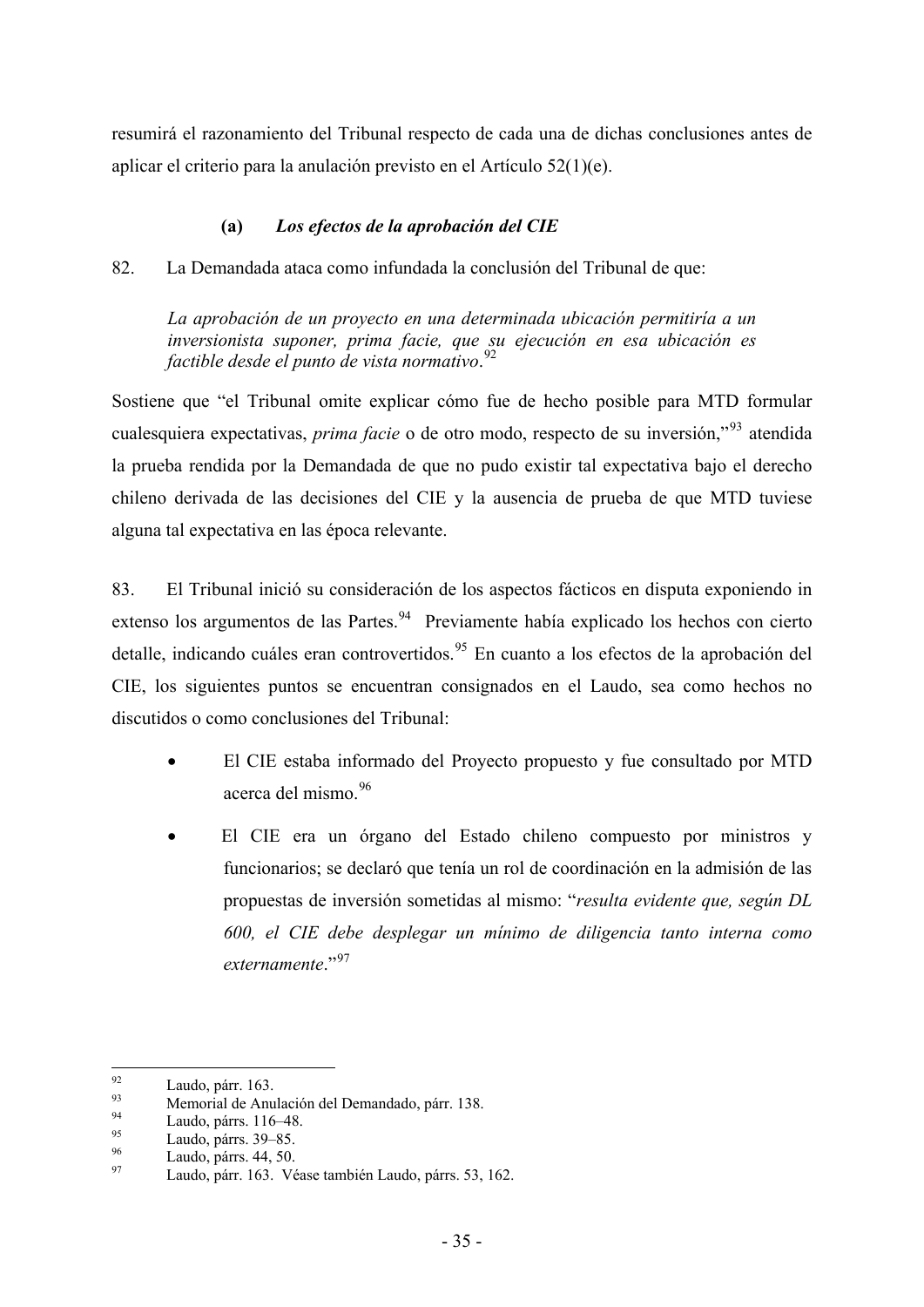resumirá el razonamiento del Tribunal respecto de cada una de dichas conclusiones antes de aplicar el criterio para la anulación previsto en el Artículo 52(1)(e).

#### **(a)** *Los efectos de la aprobación del CIE*

82. La Demandada ataca como infundada la conclusión del Tribunal de que:

*La aprobación de un proyecto en una determinada ubicación permitiría a un inversionista suponer, prima facie, que su ejecución en esa ubicación es factible desde el punto de vista normativo*. [92](#page-83-1)

Sostiene que "el Tribunal omite explicar cómo fue de hecho posible para MTD formular cualesquiera expectativas, *prima facie* o de otro modo, respecto de su inversión,"[93](#page-83-2) atendida la prueba rendida por la Demandada de que no pudo existir tal expectativa bajo el derecho chileno derivada de las decisiones del CIE y la ausencia de prueba de que MTD tuviese alguna tal expectativa en las época relevante.

83. El Tribunal inició su consideración de los aspectos fácticos en disputa exponiendo in extenso los argumentos de las Partes.<sup>[94](#page-83-3)</sup> Previamente había explicado los hechos con cierto detalle, indicando cuáles eran controvertidos.<sup>[95](#page-83-4)</sup> En cuanto a los efectos de la aprobación del CIE, los siguientes puntos se encuentran consignados en el Laudo, sea como hechos no discutidos o como conclusiones del Tribunal:

- ! El CIE estaba informado del Proyecto propuesto y fue consultado por MTD acerca del mismo.<sup>[96](#page-83-5)</sup>
- ! El CIE era un órgano del Estado chileno compuesto por ministros y funcionarios; se declaró que tenía un rol de coordinación en la admisión de las propuestas de inversión sometidas al mismo: "*resulta evidente que, según DL 600, el CIE debe desplegar un mínimo de diligencia tanto interna como externamente*."[97](#page-83-0)

<span id="page-83-1"></span><sup>92</sup>  $\frac{92}{93}$  Laudo, párr. 163.

<span id="page-83-2"></span><sup>&</sup>lt;sup>93</sup> Memorial de Anulación del Demandado, párr. 138.

<span id="page-83-3"></span> $\frac{94}{95}$  Laudo, párrs. 116–48.

<span id="page-83-4"></span> $\frac{95}{96}$  Laudo, párrs. 39–85.

<span id="page-83-5"></span> $\frac{96}{97}$  Laudo, párrs. 44, 50.

<span id="page-83-0"></span>Laudo, párr. 163. Véase también Laudo, párrs. 53, 162.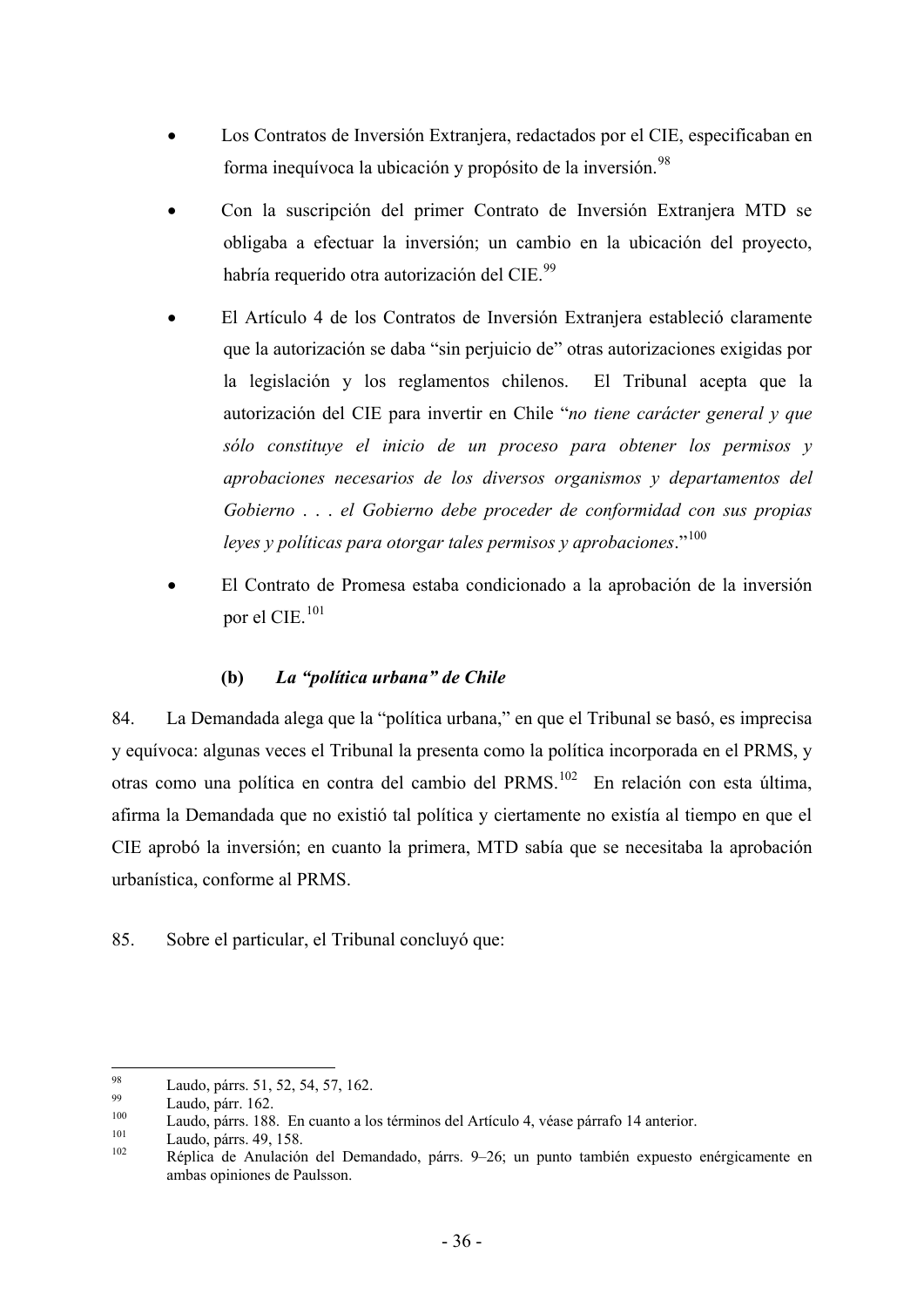- ! Los Contratos de Inversión Extranjera, redactados por el CIE, especificaban en forma inequívoca la ubicación y propósito de la inversión.<sup>[98](#page-84-1)</sup>
- ! Con la suscripción del primer Contrato de Inversión Extranjera MTD se obligaba a efectuar la inversión; un cambio en la ubicación del proyecto, habría requerido otra autorización del CIE.<sup>[99](#page-84-2)</sup>
- ! El Artículo 4 de los Contratos de Inversión Extranjera estableció claramente que la autorización se daba "sin perjuicio de" otras autorizaciones exigidas por la legislación y los reglamentos chilenos. El Tribunal acepta que la autorización del CIE para invertir en Chile "*no tiene carácter general y que sólo constituye el inicio de un proceso para obtener los permisos y aprobaciones necesarios de los diversos organismos y departamentos del Gobierno* . . . *el Gobierno debe proceder de conformidad con sus propias leyes y políticas para otorgar tales permisos y aprobaciones*."[100](#page-84-3)
- ! El Contrato de Promesa estaba condicionado a la aprobación de la inversión por el CIE.[101](#page-84-4)

# **(b)** *La "política urbana" de Chile*

84. La Demandada alega que la "política urbana," en que el Tribunal se basó, es imprecisa y equívoca: algunas veces el Tribunal la presenta como la política incorporada en el PRMS, y otras como una política en contra del cambio del PRMS.[102](#page-84-0) En relación con esta última, afirma la Demandada que no existió tal política y ciertamente no existía al tiempo en que el CIE aprobó la inversión; en cuanto la primera, MTD sabía que se necesitaba la aprobación urbanística, conforme al PRMS.

## 85. Sobre el particular, el Tribunal concluyó que:

<span id="page-84-1"></span><sup>98</sup>  $^{98}$  Laudo, párrs. 51, 52, 54, 57, 162.

<span id="page-84-2"></span> $\frac{99}{100}$  Laudo, párr. 162.

<span id="page-84-0"></span>

<span id="page-84-4"></span><span id="page-84-3"></span><sup>100</sup> Laudo, párrs. 188. En cuanto a los términos del Artículo 4, véase párrafo 14 anterior.<br>
101 Laudo, párrs. 49, 158.<br>
Réplica de Anulación del Demandado, párrs. 9–26; un punto también expuesto enérgicamente en ambas opiniones de Paulsson.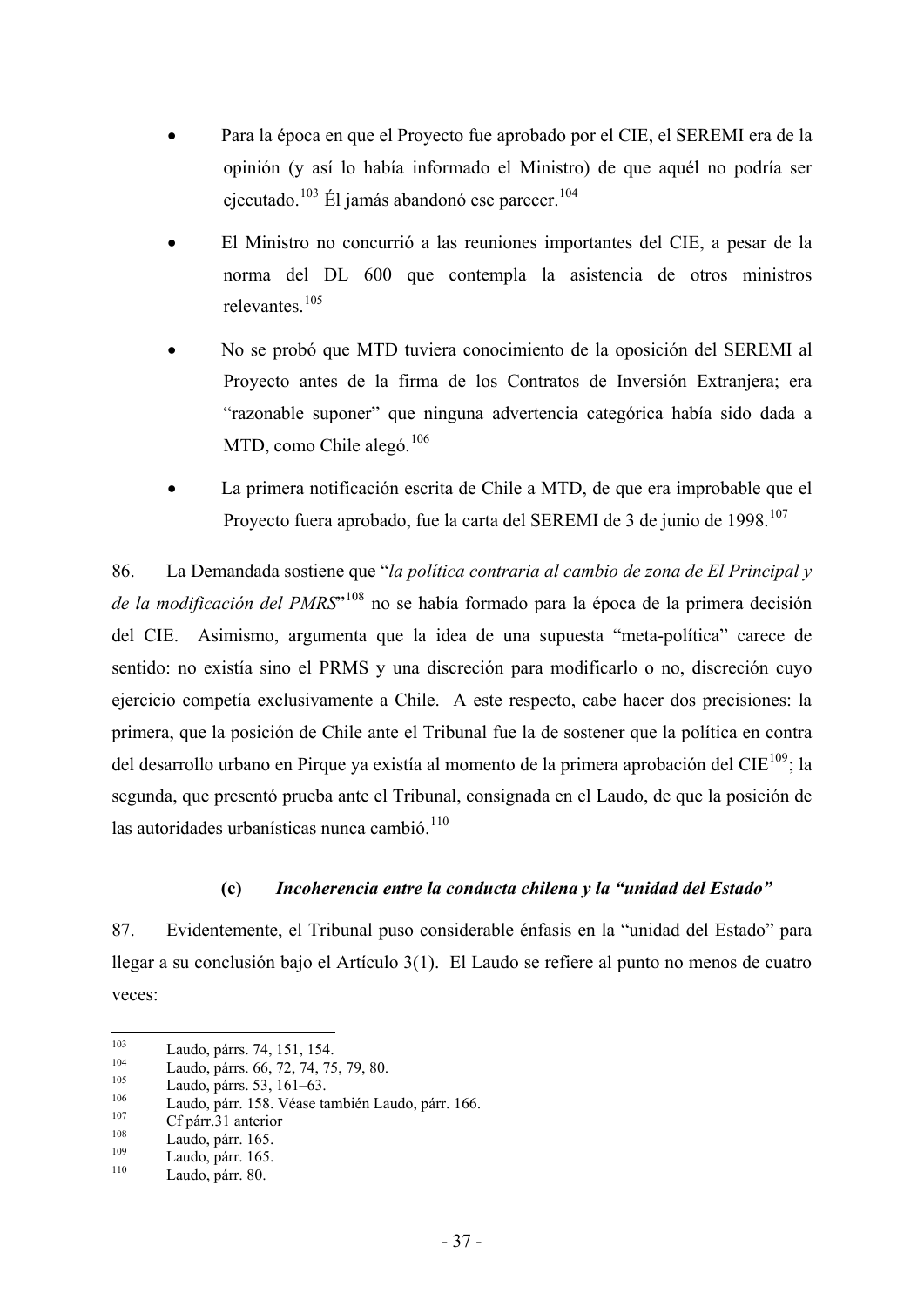- ! Para la época en que el Proyecto fue aprobado por el CIE, el SEREMI era de la opinión (y así lo había informado el Ministro) de que aquél no podría ser ejecutado.<sup>[103](#page-85-1)</sup> Él jamás abandonó ese parecer.<sup>104</sup>
- ! El Ministro no concurrió a las reuniones importantes del CIE, a pesar de la norma del DL 600 que contempla la asistencia de otros ministros relevantes.[105](#page-85-3)
- ! No se probó que MTD tuviera conocimiento de la oposición del SEREMI al Proyecto antes de la firma de los Contratos de Inversión Extranjera; era "razonable suponer" que ninguna advertencia categórica había sido dada a MTD, como Chile alegó.<sup>[106](#page-85-4)</sup>
- La primera notificación escrita de Chile a MTD, de que era improbable que el Proyecto fuera aprobado, fue la carta del SEREMI de 3 de junio de 1998.<sup>[107](#page-85-5)</sup>

86. La Demandada sostiene que "*la política contraria al cambio de zona de El Principal y de la modificación del PMRS*"[108](#page-85-6) no se había formado para la época de la primera decisión del CIE. Asimismo, argumenta que la idea de una supuesta "meta-política" carece de sentido: no existía sino el PRMS y una discreción para modificarlo o no, discreción cuyo ejercicio competía exclusivamente a Chile. A este respecto, cabe hacer dos precisiones: la primera, que la posición de Chile ante el Tribunal fue la de sostener que la política en contra del desarrollo urbano en Pirque ya existía al momento de la primera aprobación del CIE<sup>[109](#page-85-7)</sup>; la segunda, que presentó prueba ante el Tribunal, consignada en el Laudo, de que la posición de las autoridades urbanísticas nunca cambió. $110$ 

## **(c)** *Incoherencia entre la conducta chilena y la "unidad del Estado"*

87. Evidentemente, el Tribunal puso considerable énfasis en la "unidad del Estado" para llegar a su conclusión bajo el Artículo 3(1). El Laudo se refiere al punto no menos de cuatro veces:

<span id="page-85-1"></span><sup>103</sup> 

<span id="page-85-2"></span>

<span id="page-85-4"></span><span id="page-85-3"></span>

<sup>&</sup>lt;sup>103</sup><br>
Laudo, párrs. 74, 151, 154.<br>
Laudo, párrs. 66, 72, 74, 75, 79, 80.<br>
Laudo, párrs. 53, 161–63.<br>
Laudo, párr. 158. Véase también Laudo, párr. 166.<br>
Cf párr. 31 anterior<br>
Laudo, párr. 165.<br>
Laudo, párr. 165.<br>
Laudo, pá

<span id="page-85-5"></span>

<span id="page-85-6"></span>

<span id="page-85-7"></span>

<span id="page-85-0"></span>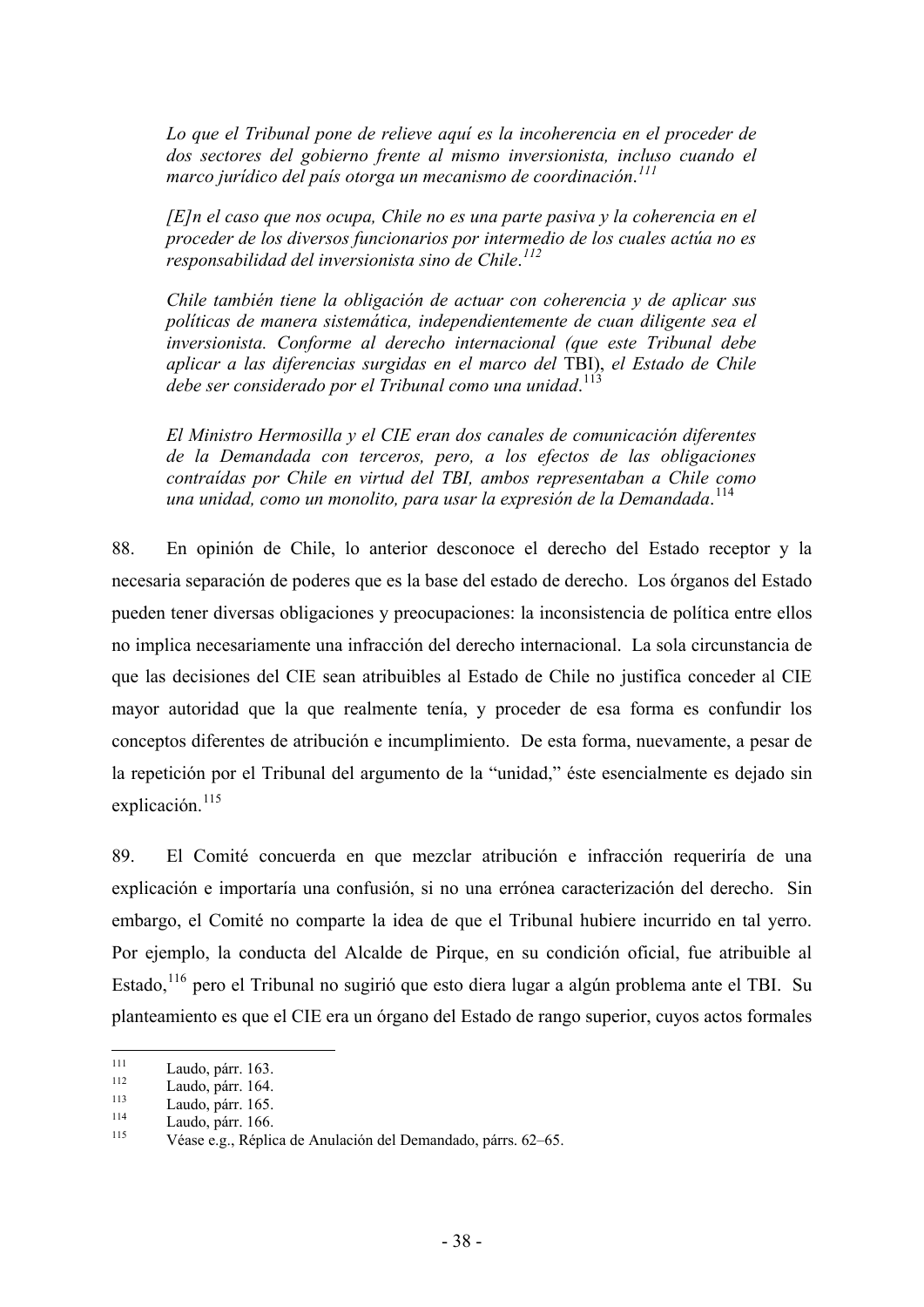*Lo que el Tribunal pone de relieve aquí es la incoherencia en el proceder de dos sectores del gobierno frente al mismo inversionista, incluso cuando el marco jurídico del país otorga un mecanismo de coordinación*. *[111](#page-86-1)*

*[E]n el caso que nos ocupa, Chile no es una parte pasiva y la coherencia en el proceder de los diversos funcionarios por intermedio de los cuales actúa no es responsabilidad del inversionista sino de Chile*. *[112](#page-86-0)*

*Chile también tiene la obligación de actuar con coherencia y de aplicar sus políticas de manera sistemática, independientemente de cuan diligente sea el inversionista. Conforme al derecho internacional (que este Tribunal debe aplicar a las diferencias surgidas en el marco del* TBI), *el Estado de Chile debe ser considerado por el Tribunal como una unidad*. [113](#page-86-2)

*El Ministro Hermosilla y el CIE eran dos canales de comunicación diferentes de la Demandada con terceros, pero, a los efectos de las obligaciones contraídas por Chile en virtud del TBI, ambos representaban a Chile como una unidad, como un monolito, para usar la expresión de la Demandada*. [114](#page-86-3)

88. En opinión de Chile, lo anterior desconoce el derecho del Estado receptor y la necesaria separación de poderes que es la base del estado de derecho. Los órganos del Estado pueden tener diversas obligaciones y preocupaciones: la inconsistencia de política entre ellos no implica necesariamente una infracción del derecho internacional. La sola circunstancia de que las decisiones del CIE sean atribuibles al Estado de Chile no justifica conceder al CIE mayor autoridad que la que realmente tenía, y proceder de esa forma es confundir los conceptos diferentes de atribución e incumplimiento. De esta forma, nuevamente, a pesar de la repetición por el Tribunal del argumento de la "unidad," éste esencialmente es dejado sin explicación. $115$ 

89. El Comité concuerda en que mezclar atribución e infracción requeriría de una explicación e importaría una confusión, si no una errónea caracterización del derecho. Sin embargo, el Comité no comparte la idea de que el Tribunal hubiere incurrido en tal yerro. Por ejemplo, la conducta del Alcalde de Pirque, en su condición oficial, fue atribuible al Estado,<sup>[116](#page-86-0)</sup> pero el Tribunal no sugirió que esto diera lugar a algún problema ante el TBI. Su planteamiento es que el CIE era un órgano del Estado de rango superior, cuyos actos formales

 $111$ 

<span id="page-86-2"></span>

<span id="page-86-4"></span><span id="page-86-3"></span>

<span id="page-86-1"></span><span id="page-86-0"></span><sup>&</sup>lt;sup>111</sup> Laudo, párr. 163.<br>
<sup>112</sup> Laudo, párr. 164.<br>
<sup>113</sup> Laudo, párr. 165.<br>
<sup>114</sup> Laudo, párr. 166.<br>
Véase e.g., Réplica de Anulación del Demandado, párrs. 62–65.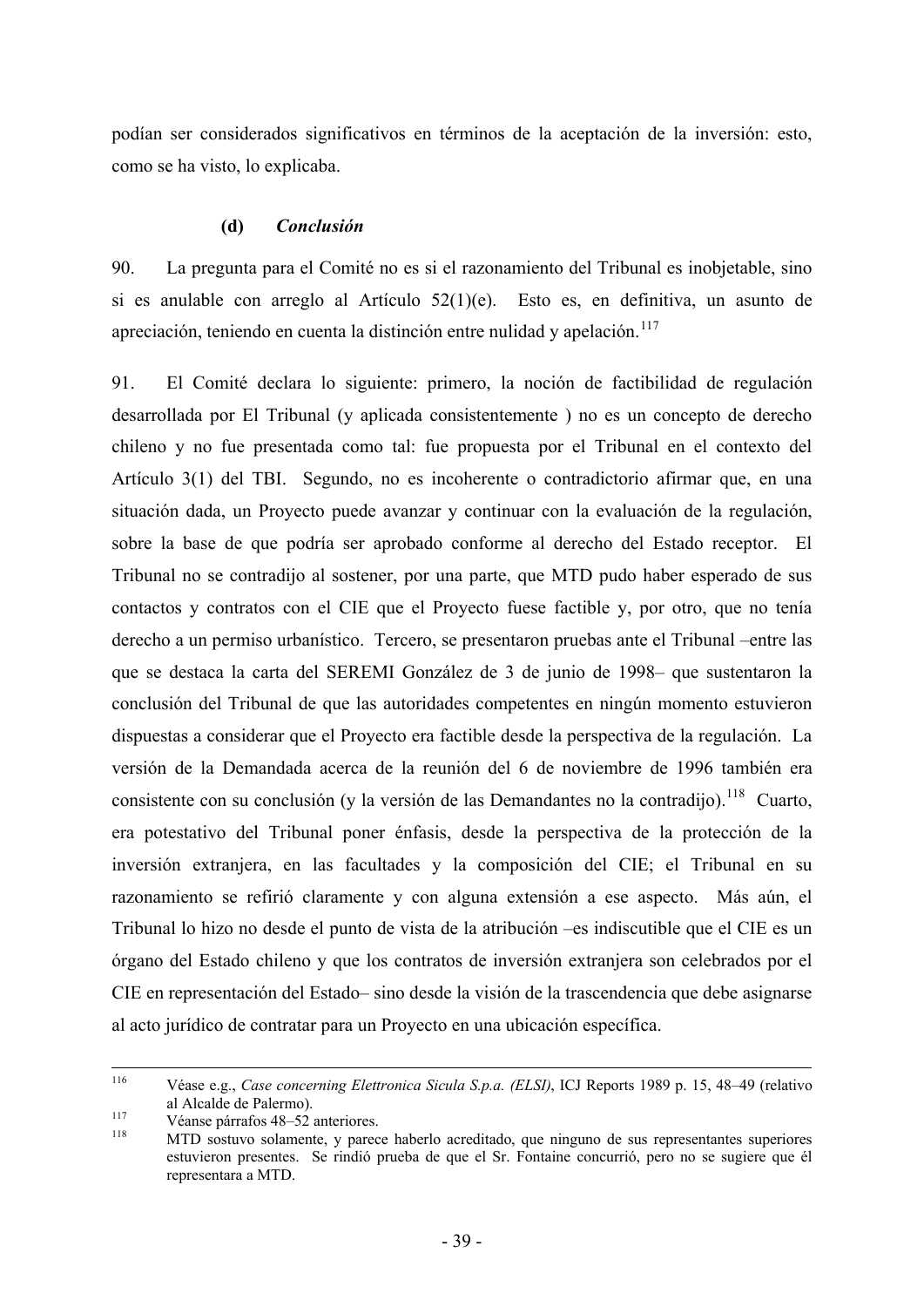podían ser considerados significativos en términos de la aceptación de la inversión: esto, como se ha visto, lo explicaba.

#### **(d)** *Conclusión*

90. La pregunta para el Comité no es si el razonamiento del Tribunal es inobjetable, sino si es anulable con arreglo al Artículo 52(1)(e). Esto es, en definitiva, un asunto de apreciación, teniendo en cuenta la distinción entre nulidad y apelación.<sup>[117](#page-87-1)</sup>

91. El Comité declara lo siguiente: primero, la noción de factibilidad de regulación desarrollada por El Tribunal (y aplicada consistentemente ) no es un concepto de derecho chileno y no fue presentada como tal: fue propuesta por el Tribunal en el contexto del Artículo 3(1) del TBI. Segundo, no es incoherente o contradictorio afirmar que, en una situación dada, un Proyecto puede avanzar y continuar con la evaluación de la regulación, sobre la base de que podría ser aprobado conforme al derecho del Estado receptor. El Tribunal no se contradijo al sostener, por una parte, que MTD pudo haber esperado de sus contactos y contratos con el CIE que el Proyecto fuese factible y, por otro, que no tenía derecho a un permiso urbanístico. Tercero, se presentaron pruebas ante el Tribunal –entre las que se destaca la carta del SEREMI González de 3 de junio de 1998– que sustentaron la conclusión del Tribunal de que las autoridades competentes en ningún momento estuvieron dispuestas a considerar que el Proyecto era factible desde la perspectiva de la regulación. La versión de la Demandada acerca de la reunión del 6 de noviembre de 1996 también era consistente con su conclusión (y la versión de las Demandantes no la contradijo).<sup>[118](#page-87-0)</sup> Cuarto, era potestativo del Tribunal poner énfasis, desde la perspectiva de la protección de la inversión extranjera, en las facultades y la composición del CIE; el Tribunal en su razonamiento se refirió claramente y con alguna extensión a ese aspecto. Más aún, el Tribunal lo hizo no desde el punto de vista de la atribución –es indiscutible que el CIE es un órgano del Estado chileno y que los contratos de inversión extranjera son celebrados por el CIE en representación del Estado– sino desde la visión de la trascendencia que debe asignarse al acto jurídico de contratar para un Proyecto en una ubicación específica.

 <sup>116</sup> Véase e.g., *Case concerning Elettronica Sicula S.p.a. (ELSI)*, ICJ Reports 1989 p. 15, 48–49 (relativo al Alcalde de Palermo).<br>
117 Véanse párrafos 48–52 anteriores.<br>
118 MTD sostuvo solamente, y parece haberlo acreditado, que ninguno de sus representantes superiores

<span id="page-87-1"></span>

<span id="page-87-0"></span>estuvieron presentes. Se rindió prueba de que el Sr. Fontaine concurrió, pero no se sugiere que él representara a MTD.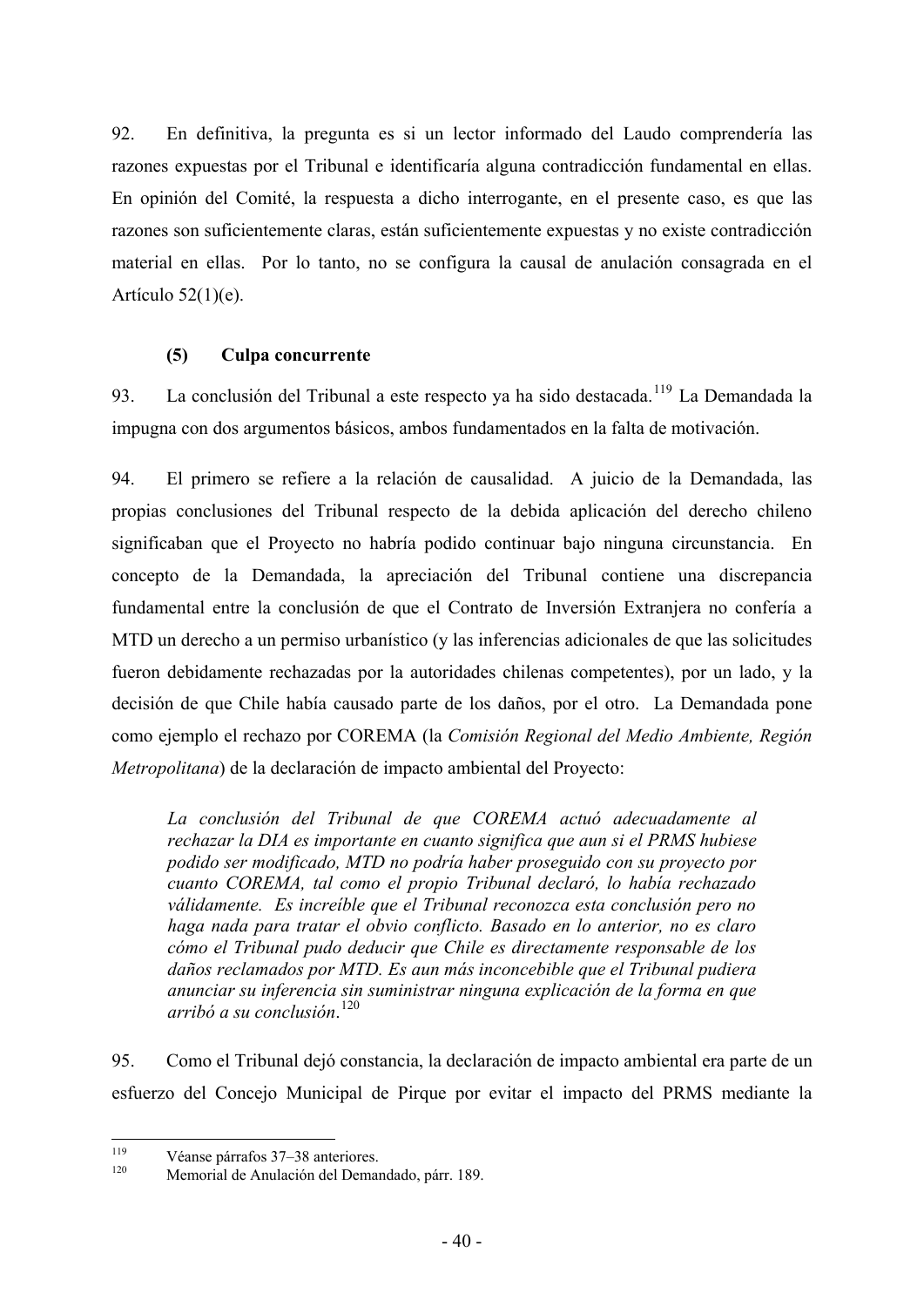92. En definitiva, la pregunta es si un lector informado del Laudo comprendería las razones expuestas por el Tribunal e identificaría alguna contradicción fundamental en ellas. En opinión del Comité, la respuesta a dicho interrogante, en el presente caso, es que las razones son suficientemente claras, están suficientemente expuestas y no existe contradicción material en ellas. Por lo tanto, no se configura la causal de anulación consagrada en el Artículo 52(1)(e).

## **(5) Culpa concurrente**

93. La conclusión del Tribunal a este respecto ya ha sido destacada.<sup>[119](#page-88-1)</sup> La Demandada la impugna con dos argumentos básicos, ambos fundamentados en la falta de motivación.

94. El primero se refiere a la relación de causalidad. A juicio de la Demandada, las propias conclusiones del Tribunal respecto de la debida aplicación del derecho chileno significaban que el Proyecto no habría podido continuar bajo ninguna circunstancia. En concepto de la Demandada, la apreciación del Tribunal contiene una discrepancia fundamental entre la conclusión de que el Contrato de Inversión Extranjera no confería a MTD un derecho a un permiso urbanístico (y las inferencias adicionales de que las solicitudes fueron debidamente rechazadas por la autoridades chilenas competentes), por un lado, y la decisión de que Chile había causado parte de los daños, por el otro. La Demandada pone como ejemplo el rechazo por COREMA (la *Comisión Regional del Medio Ambiente, Región Metropolitana*) de la declaración de impacto ambiental del Proyecto:

*La conclusión del Tribunal de que COREMA actuó adecuadamente al rechazar la DIA es importante en cuanto significa que aun si el PRMS hubiese podido ser modificado, MTD no podría haber proseguido con su proyecto por cuanto COREMA, tal como el propio Tribunal declaró, lo había rechazado válidamente. Es increíble que el Tribunal reconozca esta conclusión pero no haga nada para tratar el obvio conflicto. Basado en lo anterior, no es claro cómo el Tribunal pudo deducir que Chile es directamente responsable de los daños reclamados por MTD. Es aun más inconcebible que el Tribunal pudiera anunciar su inferencia sin suministrar ninguna explicación de la forma en que arribó a su conclusión*. [120](#page-88-0)

95. Como el Tribunal dejó constancia, la declaración de impacto ambiental era parte de un esfuerzo del Concejo Municipal de Pirque por evitar el impacto del PRMS mediante la

<sup>119</sup> 

<span id="page-88-1"></span><span id="page-88-0"></span><sup>&</sup>lt;sup>119</sup> Véanse párrafos 37–38 anteriores.<br>
Memorial de Anulación del Demandado, párr. 189.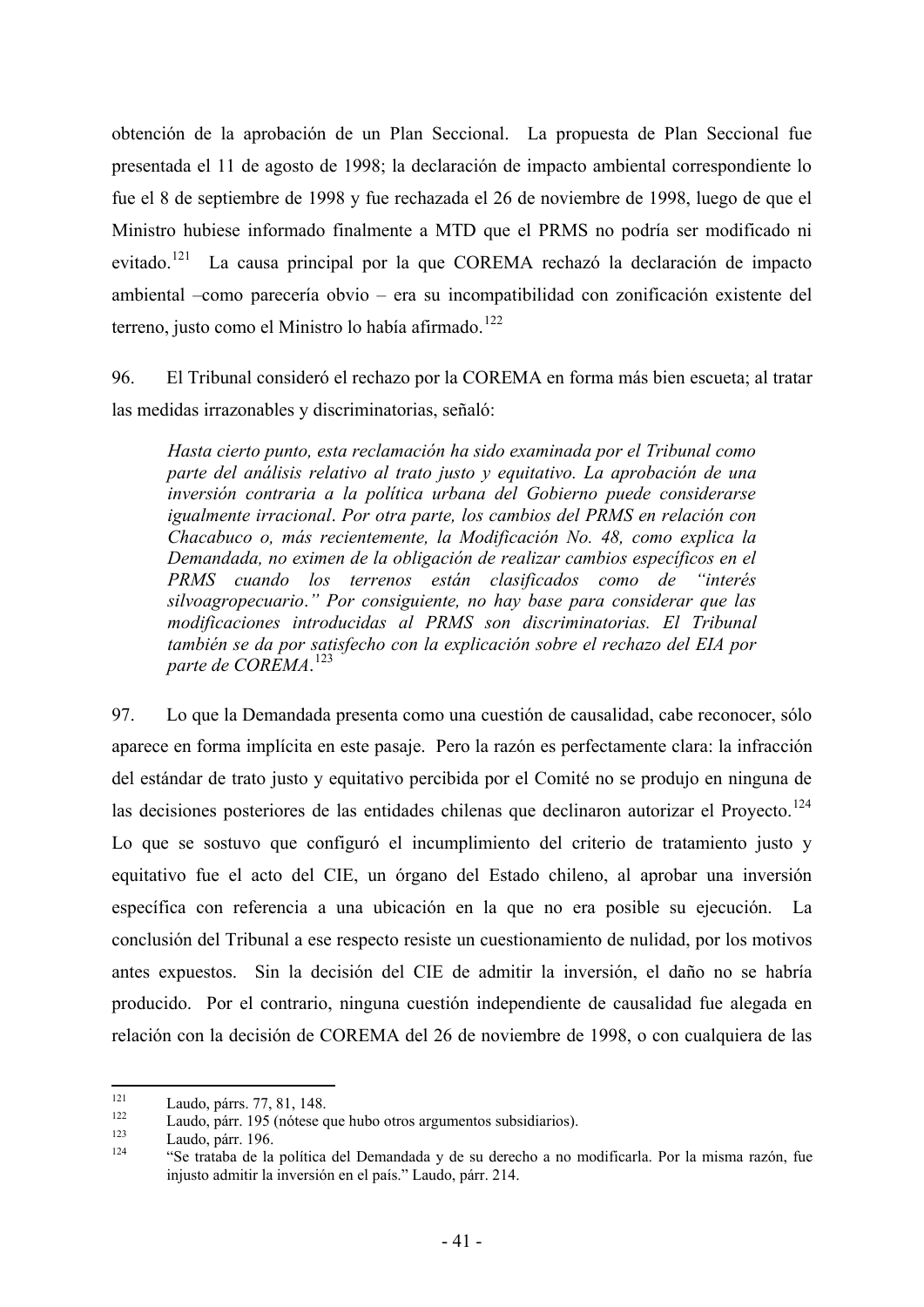obtención de la aprobación de un Plan Seccional. La propuesta de Plan Seccional fue presentada el 11 de agosto de 1998; la declaración de impacto ambiental correspondiente lo fue el 8 de septiembre de 1998 y fue rechazada el 26 de noviembre de 1998, luego de que el Ministro hubiese informado finalmente a MTD que el PRMS no podría ser modificado ni evitado.[121](#page-89-1) La causa principal por la que COREMA rechazó la declaración de impacto ambiental –como parecería obvio – era su incompatibilidad con zonificación existente del terreno, justo como el Ministro lo había afirmado.<sup>[122](#page-89-2)</sup>

96. El Tribunal consideró el rechazo por la COREMA en forma más bien escueta; al tratar las medidas irrazonables y discriminatorias, señaló:

*Hasta cierto punto, esta reclamación ha sido examinada por el Tribunal como parte del análisis relativo al trato justo y equitativo. La aprobación de una inversión contraria a la política urbana del Gobierno puede considerarse igualmente irracional*. *Por otra parte, los cambios del PRMS en relación con Chacabuco o, más recientemente, la Modificación No. 48, como explica la Demandada, no eximen de la obligación de realizar cambios específicos en el PRMS cuando los terrenos están clasificados como de "interés silvoagropecuario*.*" Por consiguiente, no hay base para considerar que las modificaciones introducidas al PRMS son discriminatorias. El Tribunal también se da por satisfecho con la explicación sobre el rechazo del EIA por parte de COREMA*. [123](#page-89-3)

97. Lo que la Demandada presenta como una cuestión de causalidad, cabe reconocer, sólo aparece en forma implícita en este pasaje. Pero la razón es perfectamente clara: la infracción del estándar de trato justo y equitativo percibida por el Comité no se produjo en ninguna de las decisiones posteriores de las entidades chilenas que declinaron autorizar el Proyecto.<sup>[124](#page-89-0)</sup> Lo que se sostuvo que configuró el incumplimiento del criterio de tratamiento justo y equitativo fue el acto del CIE, un órgano del Estado chileno, al aprobar una inversión específica con referencia a una ubicación en la que no era posible su ejecución. La conclusión del Tribunal a ese respecto resiste un cuestionamiento de nulidad, por los motivos antes expuestos. Sin la decisión del CIE de admitir la inversión, el daño no se habría producido. Por el contrario, ninguna cuestión independiente de causalidad fue alegada en relación con la decisión de COREMA del 26 de noviembre de 1998, o con cualquiera de las

<sup>121</sup> 

<span id="page-89-3"></span><span id="page-89-0"></span>

<span id="page-89-2"></span><span id="page-89-1"></span><sup>&</sup>lt;sup>121</sup> Laudo, párrs. 77, 81, 148.<br>
Laudo, párr. 195 (nótese que hubo otros argumentos subsidiarios).<br>
Laudo, párr. 196.<br>
<sup>123</sup> Ge trataba de la política del Demandada y de su derecho a no modificarla. Por la misma razón, f injusto admitir la inversión en el país." Laudo, párr. 214.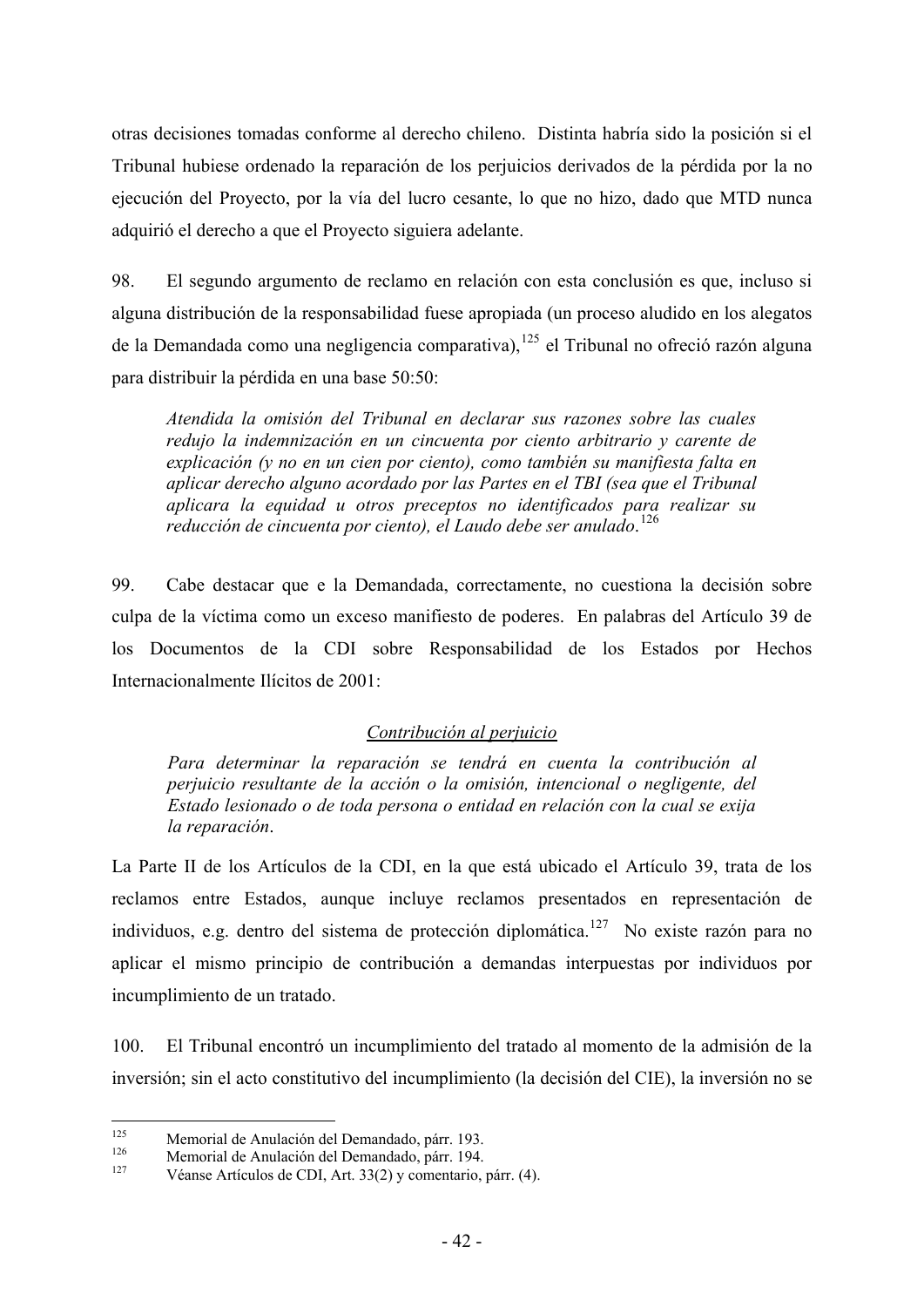otras decisiones tomadas conforme al derecho chileno. Distinta habría sido la posición si el Tribunal hubiese ordenado la reparación de los perjuicios derivados de la pérdida por la no ejecución del Proyecto, por la vía del lucro cesante, lo que no hizo, dado que MTD nunca adquirió el derecho a que el Proyecto siguiera adelante.

98. El segundo argumento de reclamo en relación con esta conclusión es que, incluso si alguna distribución de la responsabilidad fuese apropiada (un proceso aludido en los alegatos de la Demandada como una negligencia comparativa),  $125$  el Tribunal no ofreció razón alguna para distribuir la pérdida en una base 50:50:

*Atendida la omisión del Tribunal en declarar sus razones sobre las cuales redujo la indemnización en un cincuenta por ciento arbitrario y carente de explicación (y no en un cien por ciento), como también su manifiesta falta en aplicar derecho alguno acordado por las Partes en el TBI (sea que el Tribunal aplicara la equidad u otros preceptos no identificados para realizar su reducción de cincuenta por ciento), el Laudo debe ser anulado*. [126](#page-90-2)

99. Cabe destacar que e la Demandada, correctamente, no cuestiona la decisión sobre culpa de la víctima como un exceso manifiesto de poderes. En palabras del Artículo 39 de los Documentos de la CDI sobre Responsabilidad de los Estados por Hechos Internacionalmente Ilícitos de 2001:

# *Contribución al perjuicio*

*Para determinar la reparación se tendrá en cuenta la contribución al perjuicio resultante de la acción o la omisión, intencional o negligente, del Estado lesionado o de toda persona o entidad en relación con la cual se exija la reparación*.

La Parte II de los Artículos de la CDI, en la que está ubicado el Artículo 39, trata de los reclamos entre Estados, aunque incluye reclamos presentados en representación de individuos, e.g. dentro del sistema de protección diplomática.<sup>[127](#page-90-0)</sup> No existe razón para no aplicar el mismo principio de contribución a demandas interpuestas por individuos por incumplimiento de un tratado.

100. El Tribunal encontró un incumplimiento del tratado al momento de la admisión de la inversión; sin el acto constitutivo del incumplimiento (la decisión del CIE), la inversión no se

 $125$ 

<span id="page-90-2"></span><span id="page-90-0"></span>

<span id="page-90-1"></span><sup>&</sup>lt;sup>125</sup> Memorial de Anulación del Demandado, párr. 193.<br>
<sup>126</sup> Memorial de Anulación del Demandado, párr. 194.<br>
<sup>127</sup> Véanse Artículos de CDI, Art. 33(2) y comentario, párr. (4).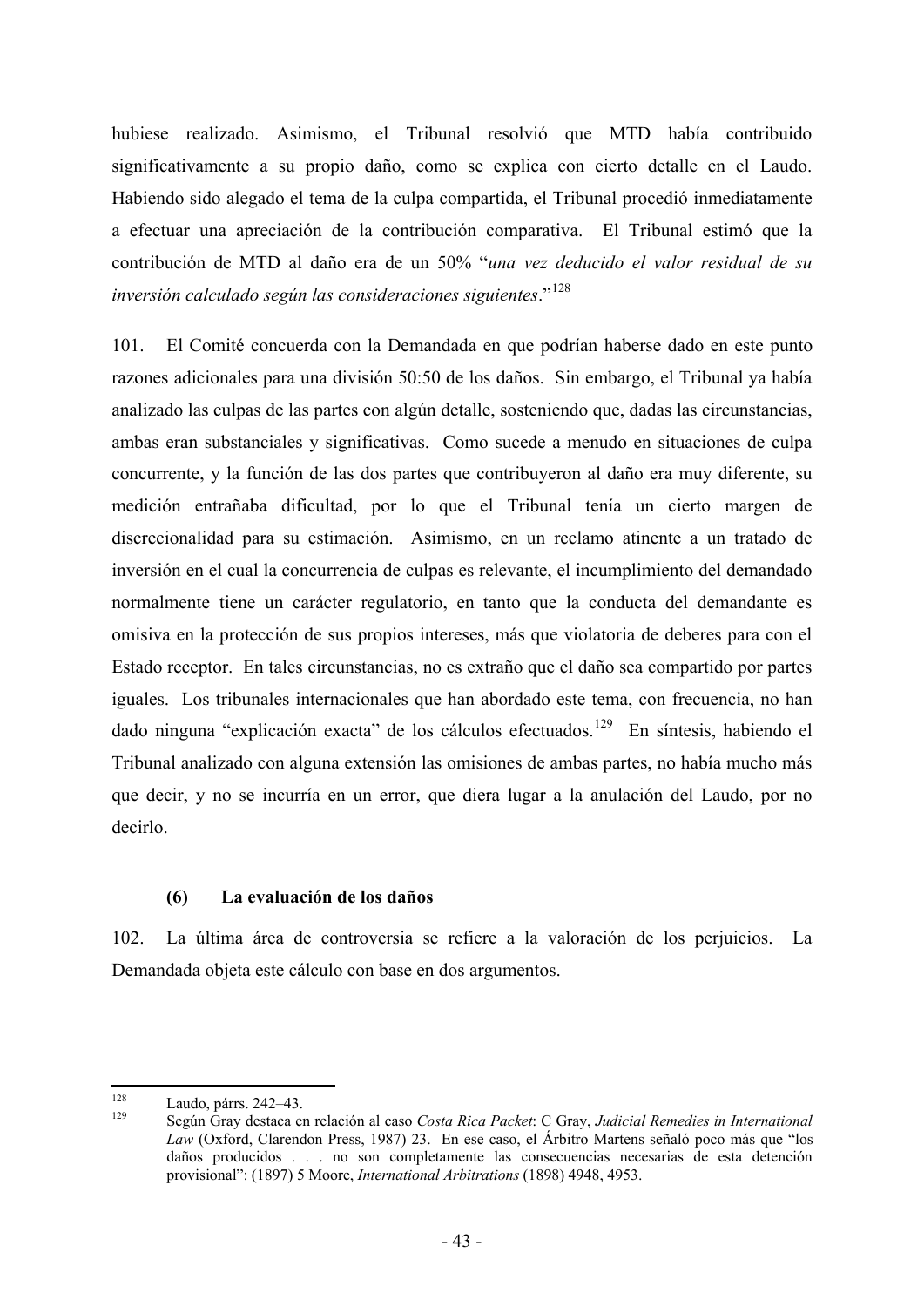hubiese realizado. Asimismo, el Tribunal resolvió que MTD había contribuido significativamente a su propio daño, como se explica con cierto detalle en el Laudo. Habiendo sido alegado el tema de la culpa compartida, el Tribunal procedió inmediatamente a efectuar una apreciación de la contribución comparativa. El Tribunal estimó que la contribución de MTD al daño era de un 50% "*una vez deducido el valor residual de su inversión calculado según las consideraciones siguientes*."[128](#page-91-1)

101. El Comité concuerda con la Demandada en que podrían haberse dado en este punto razones adicionales para una división 50:50 de los daños. Sin embargo, el Tribunal ya había analizado las culpas de las partes con algún detalle, sosteniendo que, dadas las circunstancias, ambas eran substanciales y significativas. Como sucede a menudo en situaciones de culpa concurrente, y la función de las dos partes que contribuyeron al daño era muy diferente, su medición entrañaba dificultad, por lo que el Tribunal tenía un cierto margen de discrecionalidad para su estimación. Asimismo, en un reclamo atinente a un tratado de inversión en el cual la concurrencia de culpas es relevante, el incumplimiento del demandado normalmente tiene un carácter regulatorio, en tanto que la conducta del demandante es omisiva en la protección de sus propios intereses, más que violatoria de deberes para con el Estado receptor. En tales circunstancias, no es extraño que el daño sea compartido por partes iguales. Los tribunales internacionales que han abordado este tema, con frecuencia, no han dado ninguna "explicación exacta" de los cálculos efectuados.<sup>[129](#page-91-0)</sup> En síntesis, habiendo el Tribunal analizado con alguna extensión las omisiones de ambas partes, no había mucho más que decir, y no se incurría en un error, que diera lugar a la anulación del Laudo, por no decirlo.

## **(6) La evaluación de los daños**

102. La última área de controversia se refiere a la valoración de los perjuicios. La Demandada objeta este cálculo con base en dos argumentos.

<sup>128</sup> 

<span id="page-91-1"></span><span id="page-91-0"></span><sup>128</sup> Laudo, párrs. 242–43. 129 Según Gray destaca en relación al caso *Costa Rica Packet*: C Gray, *Judicial Remedies in International Law* (Oxford, Clarendon Press, 1987) 23. En ese caso, el Árbitro Martens señaló poco más que "los daños producidos . . . no son completamente las consecuencias necesarias de esta detención provisional": (1897) 5 Moore, *International Arbitrations* (1898) 4948, 4953.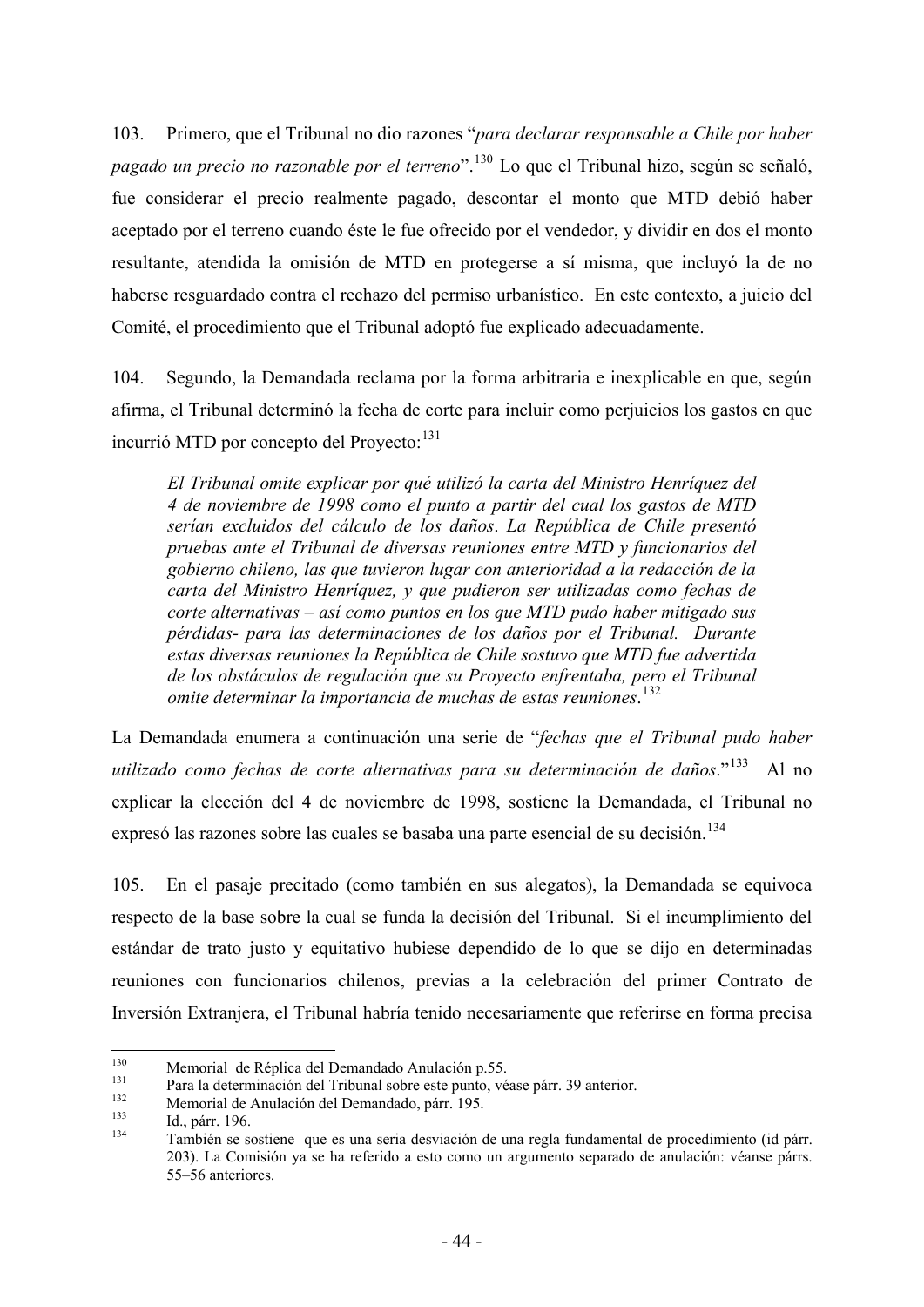103. Primero, que el Tribunal no dio razones "*para declarar responsable a Chile por haber pagado un precio no razonable por el terreno*".[130](#page-92-1) Lo que el Tribunal hizo, según se señaló, fue considerar el precio realmente pagado, descontar el monto que MTD debió haber aceptado por el terreno cuando éste le fue ofrecido por el vendedor, y dividir en dos el monto resultante, atendida la omisión de MTD en protegerse a sí misma, que incluyó la de no haberse resguardado contra el rechazo del permiso urbanístico. En este contexto, a juicio del Comité, el procedimiento que el Tribunal adoptó fue explicado adecuadamente.

104. Segundo, la Demandada reclama por la forma arbitraria e inexplicable en que, según afirma, el Tribunal determinó la fecha de corte para incluir como perjuicios los gastos en que incurrió MTD por concepto del Proyecto:  $131$ 

*El Tribunal omite explicar por qué utilizó la carta del Ministro Henríquez del 4 de noviembre de 1998 como el punto a partir del cual los gastos de MTD serían excluidos del cálculo de los daños*. *La República de Chile presentó pruebas ante el Tribunal de diversas reuniones entre MTD y funcionarios del gobierno chileno, las que tuvieron lugar con anterioridad a la redacción de la carta del Ministro Henríquez, y que pudieron ser utilizadas como fechas de corte alternativas – así como puntos en los que MTD pudo haber mitigado sus pérdidas- para las determinaciones de los daños por el Tribunal. Durante estas diversas reuniones la República de Chile sostuvo que MTD fue advertida de los obstáculos de regulación que su Proyecto enfrentaba, pero el Tribunal omite determinar la importancia de muchas de estas reuniones*. [132](#page-92-3)

La Demandada enumera a continuación una serie de "*fechas que el Tribunal pudo haber utilizado como fechas de corte alternativas para su determinación de daños*."[133](#page-92-4) Al no explicar la elección del 4 de noviembre de 1998, sostiene la Demandada, el Tribunal no expresó las razones sobre las cuales se basaba una parte esencial de su decisión.<sup>[134](#page-92-0)</sup>

105. En el pasaje precitado (como también en sus alegatos), la Demandada se equivoca respecto de la base sobre la cual se funda la decisión del Tribunal. Si el incumplimiento del estándar de trato justo y equitativo hubiese dependido de lo que se dijo en determinadas reuniones con funcionarios chilenos, previas a la celebración del primer Contrato de Inversión Extranjera, el Tribunal habría tenido necesariamente que referirse en forma precisa

<sup>130</sup> 

<span id="page-92-3"></span>

<span id="page-92-4"></span><span id="page-92-0"></span>

<span id="page-92-2"></span><span id="page-92-1"></span>Memorial de Réplica del Demandado Anulación p.55.<br>
Para la determinación del Tribunal sobre este punto, véase párr. 39 anterior.<br>
Memorial de Anulación del Demandado, párr. 195.<br>
Id., párr. 196.<br>
También se sostiene que e 203). La Comisión ya se ha referido a esto como un argumento separado de anulación: véanse párrs. 55–56 anteriores.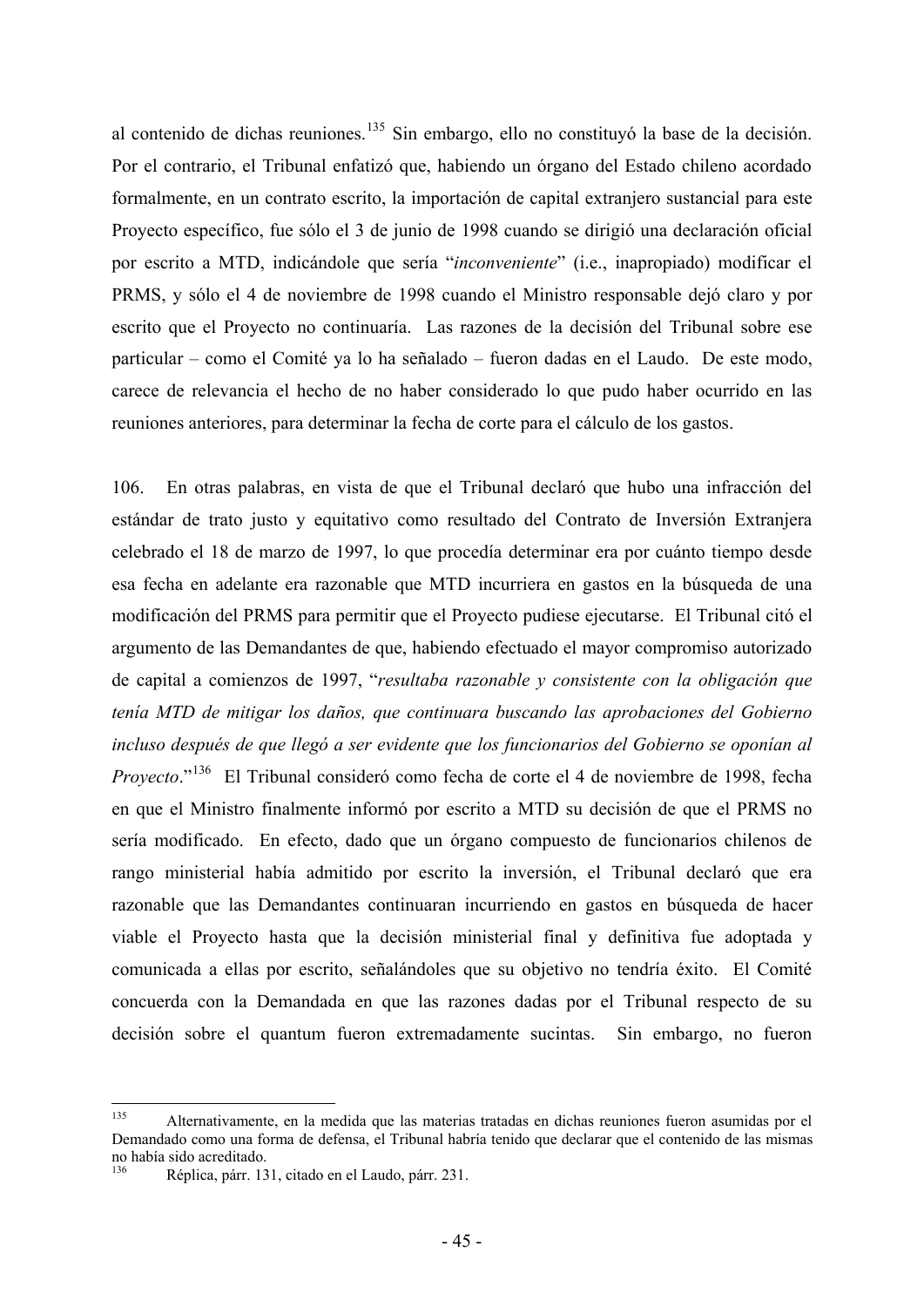al contenido de dichas reuniones.<sup>[135](#page-93-1)</sup> Sin embargo, ello no constituyó la base de la decisión. Por el contrario, el Tribunal enfatizó que, habiendo un órgano del Estado chileno acordado formalmente, en un contrato escrito, la importación de capital extranjero sustancial para este Proyecto específico, fue sólo el 3 de junio de 1998 cuando se dirigió una declaración oficial por escrito a MTD, indicándole que sería "*inconveniente*" (i.e., inapropiado) modificar el PRMS, y sólo el 4 de noviembre de 1998 cuando el Ministro responsable dejó claro y por escrito que el Proyecto no continuaría. Las razones de la decisión del Tribunal sobre ese particular – como el Comité ya lo ha señalado – fueron dadas en el Laudo. De este modo, carece de relevancia el hecho de no haber considerado lo que pudo haber ocurrido en las reuniones anteriores, para determinar la fecha de corte para el cálculo de los gastos.

106. En otras palabras, en vista de que el Tribunal declaró que hubo una infracción del estándar de trato justo y equitativo como resultado del Contrato de Inversión Extranjera celebrado el 18 de marzo de 1997, lo que procedía determinar era por cuánto tiempo desde esa fecha en adelante era razonable que MTD incurriera en gastos en la búsqueda de una modificación del PRMS para permitir que el Proyecto pudiese ejecutarse. El Tribunal citó el argumento de las Demandantes de que, habiendo efectuado el mayor compromiso autorizado de capital a comienzos de 1997, "*resultaba razonable y consistente con la obligación que tenía MTD de mitigar los daños, que continuara buscando las aprobaciones del Gobierno incluso después de que llegó a ser evidente que los funcionarios del Gobierno se oponían al Proyecto*."[136](#page-93-0) El Tribunal consideró como fecha de corte el 4 de noviembre de 1998, fecha en que el Ministro finalmente informó por escrito a MTD su decisión de que el PRMS no sería modificado. En efecto, dado que un órgano compuesto de funcionarios chilenos de rango ministerial había admitido por escrito la inversión, el Tribunal declaró que era razonable que las Demandantes continuaran incurriendo en gastos en búsqueda de hacer viable el Proyecto hasta que la decisión ministerial final y definitiva fue adoptada y comunicada a ellas por escrito, señalándoles que su objetivo no tendría éxito. El Comité concuerda con la Demandada en que las razones dadas por el Tribunal respecto de su decisión sobre el quantum fueron extremadamente sucintas. Sin embargo, no fueron

<span id="page-93-1"></span><sup>135</sup> Alternativamente, en la medida que las materias tratadas en dichas reuniones fueron asumidas por el Demandado como una forma de defensa, el Tribunal habría tenido que declarar que el contenido de las mismas no había sido acreditado.

<span id="page-93-0"></span><sup>136</sup> Réplica, párr. 131, citado en el Laudo, párr. 231.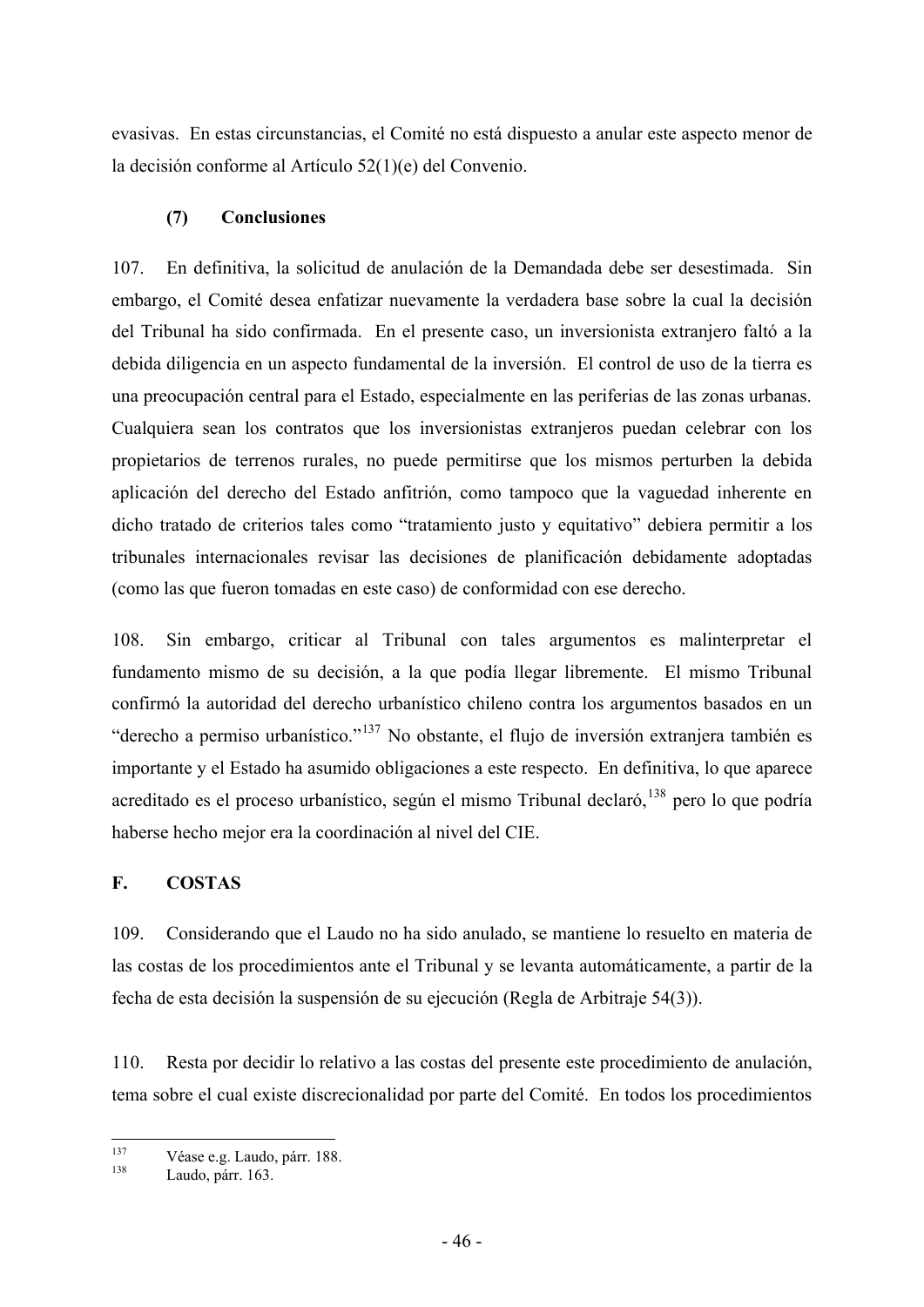evasivas. En estas circunstancias, el Comité no está dispuesto a anular este aspecto menor de la decisión conforme al Artículo 52(1)(e) del Convenio.

#### **(7) Conclusiones**

107. En definitiva, la solicitud de anulación de la Demandada debe ser desestimada. Sin embargo, el Comité desea enfatizar nuevamente la verdadera base sobre la cual la decisión del Tribunal ha sido confirmada. En el presente caso, un inversionista extranjero faltó a la debida diligencia en un aspecto fundamental de la inversión. El control de uso de la tierra es una preocupación central para el Estado, especialmente en las periferias de las zonas urbanas. Cualquiera sean los contratos que los inversionistas extranjeros puedan celebrar con los propietarios de terrenos rurales, no puede permitirse que los mismos perturben la debida aplicación del derecho del Estado anfitrión, como tampoco que la vaguedad inherente en dicho tratado de criterios tales como "tratamiento justo y equitativo" debiera permitir a los tribunales internacionales revisar las decisiones de planificación debidamente adoptadas (como las que fueron tomadas en este caso) de conformidad con ese derecho.

108. Sin embargo, criticar al Tribunal con tales argumentos es malinterpretar el fundamento mismo de su decisión, a la que podía llegar libremente. El mismo Tribunal confirmó la autoridad del derecho urbanístico chileno contra los argumentos basados en un "derecho a permiso urbanístico."[137](#page-94-1) No obstante, el flujo de inversión extranjera también es importante y el Estado ha asumido obligaciones a este respecto. En definitiva, lo que aparece acreditado es el proceso urbanístico, según el mismo Tribunal declaró,  $^{138}$  $^{138}$  $^{138}$  pero lo que podría haberse hecho mejor era la coordinación al nivel del CIE.

## **F. COSTAS**

109. Considerando que el Laudo no ha sido anulado, se mantiene lo resuelto en materia de las costas de los procedimientos ante el Tribunal y se levanta automáticamente, a partir de la fecha de esta decisión la suspensión de su ejecución (Regla de Arbitraje 54(3)).

110. Resta por decidir lo relativo a las costas del presente este procedimiento de anulación, tema sobre el cual existe discrecionalidad por parte del Comité. En todos los procedimientos

<span id="page-94-1"></span><sup>137</sup> <sup>137</sup> Véase e.g. Laudo, párr. 188.<br>
Laudo, párr. 163.

<span id="page-94-0"></span>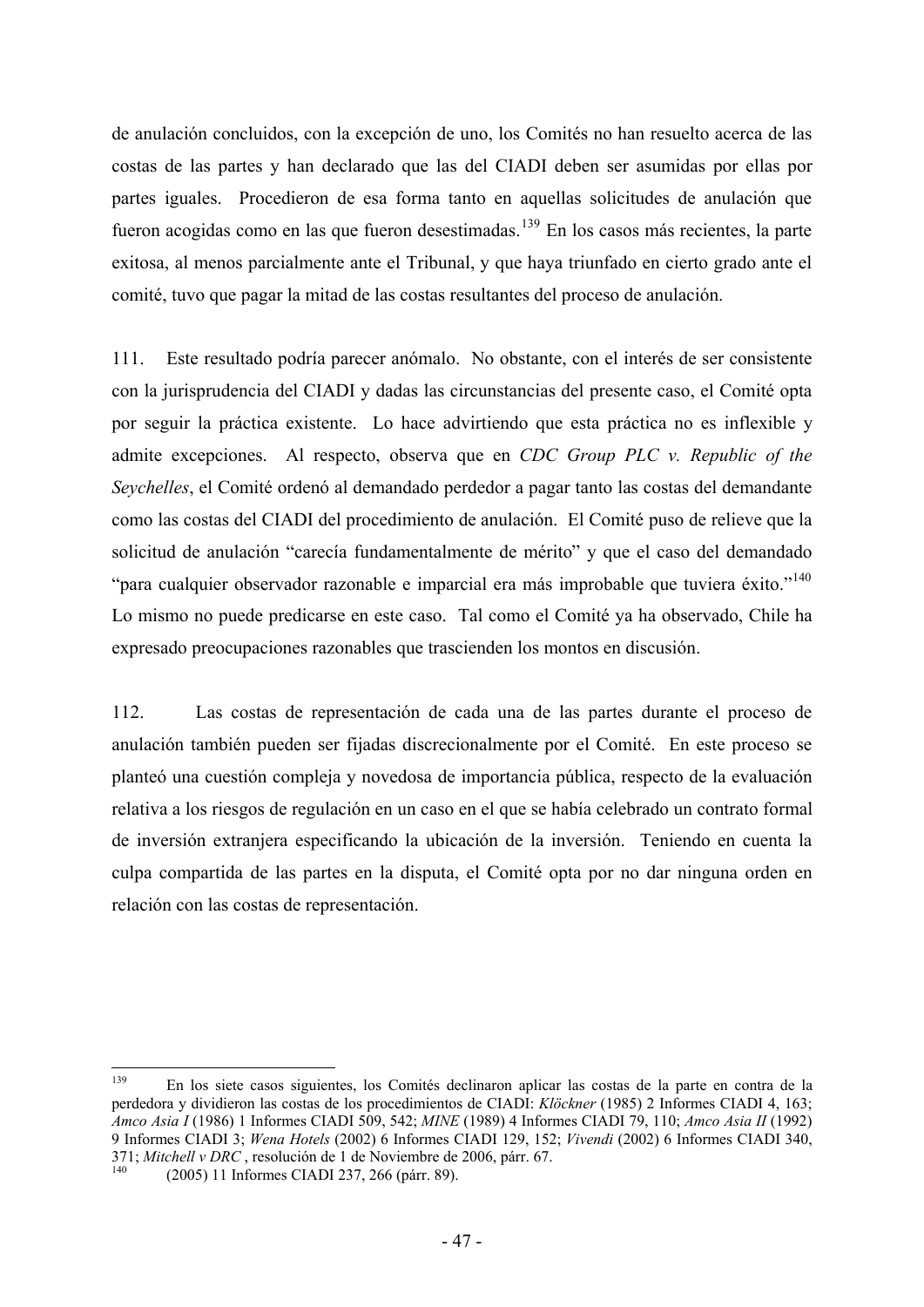de anulación concluidos, con la excepción de uno, los Comités no han resuelto acerca de las costas de las partes y han declarado que las del CIADI deben ser asumidas por ellas por partes iguales. Procedieron de esa forma tanto en aquellas solicitudes de anulación que fueron acogidas como en las que fueron desestimadas.<sup>[139](#page-95-1)</sup> En los casos más recientes, la parte exitosa, al menos parcialmente ante el Tribunal, y que haya triunfado en cierto grado ante el comité, tuvo que pagar la mitad de las costas resultantes del proceso de anulación.

111. Este resultado podría parecer anómalo. No obstante, con el interés de ser consistente con la jurisprudencia del CIADI y dadas las circunstancias del presente caso, el Comité opta por seguir la práctica existente. Lo hace advirtiendo que esta práctica no es inflexible y admite excepciones. Al respecto, observa que en *CDC Group PLC v. Republic of the Seychelles*, el Comité ordenó al demandado perdedor a pagar tanto las costas del demandante como las costas del CIADI del procedimiento de anulación. El Comité puso de relieve que la solicitud de anulación "carecía fundamentalmente de mérito" y que el caso del demandado "para cualquier observador razonable e imparcial era más improbable que tuviera éxito."<sup>[140](#page-95-0)</sup> Lo mismo no puede predicarse en este caso. Tal como el Comité ya ha observado, Chile ha expresado preocupaciones razonables que trascienden los montos en discusión.

112. Las costas de representación de cada una de las partes durante el proceso de anulación también pueden ser fijadas discrecionalmente por el Comité. En este proceso se planteó una cuestión compleja y novedosa de importancia pública, respecto de la evaluación relativa a los riesgos de regulación en un caso en el que se había celebrado un contrato formal de inversión extranjera especificando la ubicación de la inversión. Teniendo en cuenta la culpa compartida de las partes en la disputa, el Comité opta por no dar ninguna orden en relación con las costas de representación.

<span id="page-95-1"></span><sup>139</sup> 139 En los siete casos siguientes, los Comités declinaron aplicar las costas de la parte en contra de la perdedora y dividieron las costas de los procedimientos de CIADI: *Klöckner* (1985) 2 Informes CIADI 4, 163; *Amco Asia I* (1986) 1 Informes CIADI 509, 542; *MINE* (1989) 4 Informes CIADI 79, 110; *Amco Asia II* (1992) 9 Informes CIADI 3; *Wena Hotels* (2002) 6 Informes CIADI 129, 152; *Vivendi* (2002) 6 Informes CIADI 340, 371; *Mitchell v DRC* , resolución de 1 de Noviembre de 2006, párr. 67. 140 (2005) 11 Informes CIADI 237, 266 (párr. 89).

<span id="page-95-0"></span>